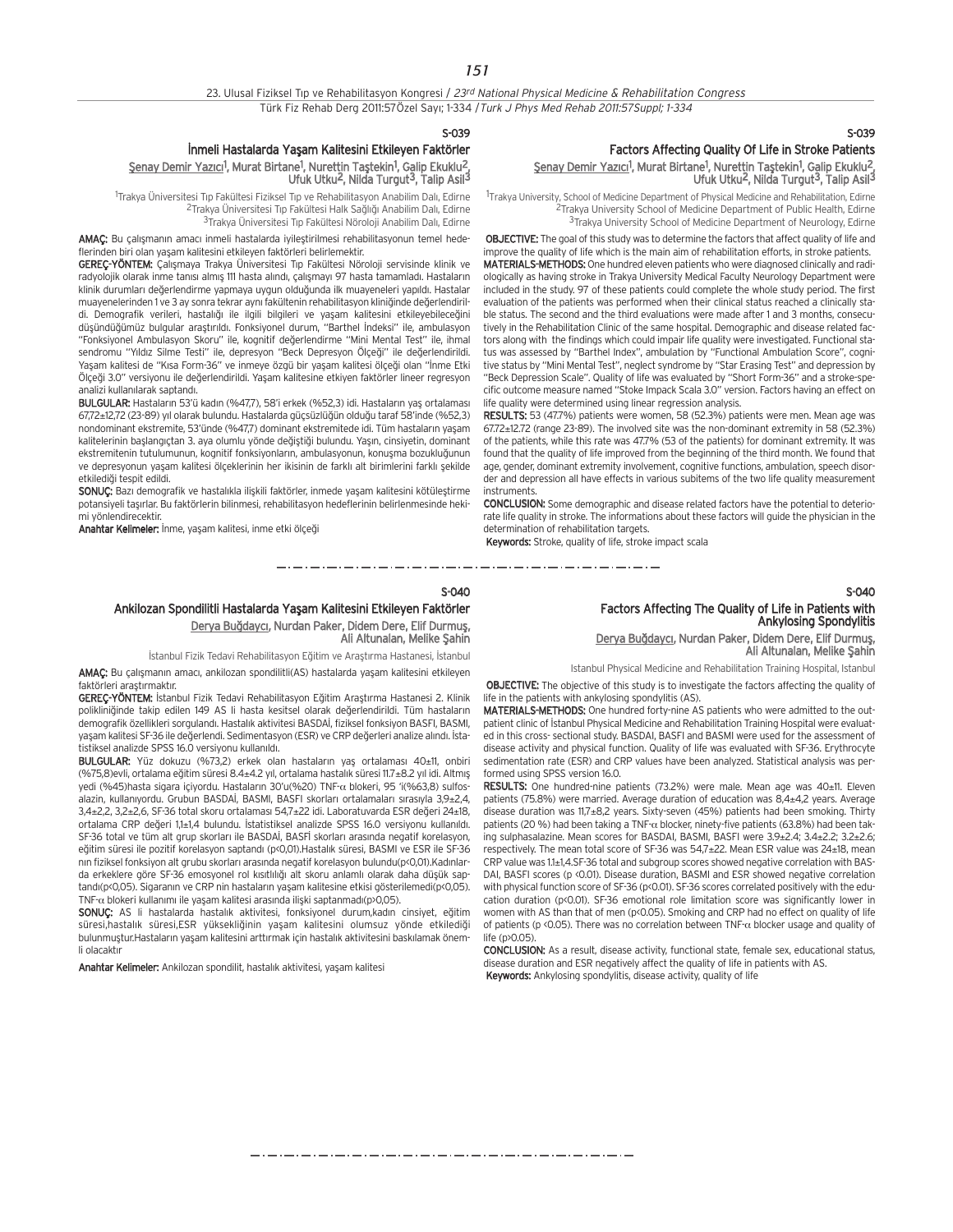#### S-039

## İnmeli Hastalarda Yaşam Kalitesini Etkileyen Faktörler <u>Şenay Demir Yazıcı</u><sup>1</sup>, Murat Birtane<sup>1</sup>, Nurettin Taştekin<sup>1</sup>, Galip Ekuklu<sup>2</sup>, Ufuk Utku<sup>2</sup>, Nilda Turgut<sup>3</sup>, Talip Asil<sup>3</sup>

<sup>1</sup>Trakya Üniversitesi Tıp Fakültesi Fiziksel Tıp ve Rehabilitasyon Anabilim Dalı, Edirne <sup>2</sup>Trakya Üniversitesi Tıp Fakültesi Halk Sağlığı Anabilim Dalı, Edirne <sup>3</sup>Trakya Üniversitesi Tıp Fakültesi Nöroloji Anabilim Dalı, Edirne

AMAC: Bu calismanin amacı inmeli hastalarda iyileştirilmesi rehabilitasyonun temel hedeflerinden biri olan yaşam kalitesini etkileyen faktörleri belirlemektir.

**GEREC-YÖNTEM:** Calismaya Trakya Üniversitesi Tıp Fakültesi Nöroloji servisinde klinik ve radyolojik olarak inme tanısı almış 111 hasta alındı, çalışmayı 97 hasta tamamladı. Hastaların klinik durumları değerlendirme yapmaya uygun olduğunda ilk muayeneleri yapıldı. Hastalar muayenelerinden 1 ve 3 ay sonra tekrar aynı fakültenin rehabilitasyon kliniğinde değerlendirildi. Demografik verileri, hastalığı ile ilgili bilgileri ve yaşam kalitesini etkileyebileceğini düşündüğümüz bulgular araştırıldı. Fonksiyonel durum, "Barthel İndeksi" ile, ambulasyon "Fonksiyonel Ambulasyon Skoru" ile, kognitif değerlendirme "Mini Mental Test" ile, ihmal sendromu "Yıldız Silme Testi" ile, depresyon "Beck Depresyon Ölçeği" ile değerlendirildi. Yaşam kalitesi de "Kısa Form-36" ve inmeye özgü bir yaşam kalitesi ölçeği olan "İnme Etki Ölçeği 3.0" versiyonu ile değerlendirildi. Yaşam kalitesine etkiyen faktörler lineer regresyon analizi kullanılarak saptandı.

BULGULAR: Hastaların 53'ü kadın (%47,7), 58'i erkek (%52,3) idi. Hastaların yaş ortalaması 67,72±12,72 (23-89) y›l olarak bulundu. Hastalarda güçsüzlü¤ün oldu¤u taraf 58'inde (%52,3) nondominant ekstremite, 53'ünde (%47,7) dominant ekstremitede idi. Tüm hastaların yaşam kalitelerinin baslangıctan 3. aya olumlu yönde değiştiği bulundu. Yaşın, cinsiyetin, dominant ekstremitenin tutulumunun, kognitif fonksiyonların, ambulasyonun, konuşma bozukluğunun ve depresyonun yaşam kalitesi ölçeklerinin her ikisinin de farklı alt birimlerini farklı sekilde etkilediği tespit edildi.

SONUÇ: Bazı demografik ve hastalıkla ilişkili faktörler, inmede yaşam kalitesini kötüleştirme potansiyeli taşırlar. Bu faktörlerin bilinmesi, rehabilitasyon hedeflerinin belirlenmesinde hekimi yönlendirecektir.

Anahtar Kelimeler: İnme, yaşam kalitesi, inme etki ölçeği

## S-039 Factors Affecting Quality Of Life in Stroke Patients <u>Şenay Demir Yazıcı</u><sup>1</sup>, Murat Birtane<sup>1</sup>, Nurettin Taştekin<sup>1</sup>, Galip Ekuklu<sup>2</sup>, Ufuk Utku<sup>2</sup>, Nilda Turgut<sup>3</sup>, Talip Asil<sup>3</sup>

<sup>1</sup>Trakya University, School of Medicine Department of Physical Medicine and Rehabilitation, Edirne <sup>2</sup>Trakya University School of Medicine Department of Public Health, Edirne <sup>3</sup>Trakya University School of Medicine Department of Neurology, Edirne

OBJECTIVE: The goal of this study was to determine the factors that affect quality of life and improve the quality of life which is the main aim of rehabilitation efforts, in stroke patients. MATERIALS-METHODS: One hundred eleven patients who were diagnosed clinically and radiologically as having stroke in Trakya University Medical Faculty Neurology Department were included in the study. 97 of these patients could complete the whole study period. The first evaluation of the patients was performed when their clinical status reached a clinically stable status. The second and the third evaluations were made after 1 and 3 months, consecutively in the Rehabilitation Clinic of the same hospital. Demographic and disease related factors along with the findings which could impair life quality were investigated. Functional status was assessed by "Barthel Index", ambulation by "Functional Ambulation Score", cognitive status by "Mini Mental Test", neglect syndrome by "Star Erasing Test" and depression by "Beck Depression Scale". Quality of life was evaluated by "Short Form-36" and a stroke-specific outcome measure named "Stoke Impack Scala 3.0" version. Factors having an effect on life quality were determined using linear regression analysis.

RESULTS: 53 (47.7%) patients were women, 58 (52.3%) patients were men. Mean age was 67.72±12.72 (range 23-89). The involved site was the non-dominant extremity in 58 (52.3%) of the patients, while this rate was 47.7% (53 of the patients) for dominant extremity. It was found that the quality of life improved from the beginning of the third month. We found that age, gender, dominant extremity involvement, cognitive functions, ambulation, speech disorder and depression all have effects in various subitems of the two life quality measurement instruments.

CONCLUSION: Some demographic and disease related factors have the potential to deteriorate life quality in stroke. The informations about these factors will guide the physician in the determination of rehabilitation targets.

Keywords: Stroke, quality of life, stroke impact scala

## S-040 Ankilozan Spondilitli Hastalarda Yaşam Kalitesini Etkileyen Faktörler Derya Buğdaycı, Nurdan Paker, Didem Dere, Elif Durmuş, Ali Altunalan, Melike Sahin

İstanbul Fizik Tedavi Rehabilitasyon Eğitim ve Araştırma Hastanesi, İstanbul

AMAÇ: Bu çalışmanın amacı, ankilozan spondilitli(AS) hastalarda yaşam kalitesini etkileyen faktörleri arastırmaktır.

GEREÇ-YÖNTEM: İstanbul Fizik Tedavi Rehabilitasyon Eğitim Arastırma Hastanesi 2. Klinik polikliniğinde takip edilen 149 AS li hasta kesitsel olarak değerlendirildi. Tüm hastaların olemografik özellikleri sorgulandı. Hastalık aktivitesi BASDAİ, fiziksel fonksiyon BASFI, BASMI, yaşam kalitesi SF-36 ile değerlendi. Sedimentasyon (ESR) ve CRP değerleri analize alındı. İstatistiksel analizde SPSS 16.0 versiyonu kullanıldı.

BULGULAR: Yüz dokuzu (%73,2) erkek olan hastaların yaş ortalaması 40±11, onbiri (%75,8)evli, ortalama e¤itim süresi 8.4±4.2 y›l, ortalama hastal›k süresi 11.7±8.2 y›l idi. Altm›fl yedi (%45)hasta sigara içiyordu. Hastaların 30'u(%20) TNF-α blokeri. 95 'i(%63.8) sulfosalazin, kullanıyordu. Grubun BASDAİ, BASMI, BASFI skorları ortalamaları sırasıyla 3,9±2,4, 3,4±2,2, 3,2±2,6, SF-36 total skoru ortalaması 54,7±22 idi. Laboratuvarda ESR değeri 24±18, ortalama CRP değeri 1,1±1,4 bulundu. İstatistiksel analizde SPSS 16.0 versiyonu kullanıldı. SF-36 total ve tüm alt grup skorları ile BASDAİ, BASFİ skorları arasında negatif korelasyon, eğitim süresi ile pozitif korelasyon saptandı (p<0,01).Hastalık süresi, BASMI ve ESR ile SF-36 nın fiziksel fonksiyon alt grubu skorları arasında negatif korelasyon bulundu(p<0,01).Kadınlarda erkeklere göre SF-36 emosyonel rol kısıtlılığı alt skoru anlamlı olarak daha düşük saptandı(p<0,05). Sigaranın ve CRP nin hastaların yaşam kalitesine etkisi gösterilemedi(p<0,05). TNF-α blokeri kullanımı ile yasam kalitesi arasında iliski saptanmadı(p>0,05).

SONUC: AS li hastalarda hastalık aktivitesi, fonksiyonel durum,kadın cinsiyet, eğitim süresi,hastalık süresi,ESR yüksekliğinin yaşam kalitesini olumsuz yönde etkilediği bulunmuştur.Hastaların yaşam kalitesini arttırmak için hastalık aktivitesini baskılamak önemli olacaktır

Anahtar Kelimeler: Ankilozan spondilit, hastalık aktivitesi, yaşam kalitesi

## S-040 Factors Affecting The Quality of Life in Patients with Ankylosing Spondylitis

## Derya Buğdaycı, Nurdan Paker, Didem Dere, Elif Durmuş, Ali Altunalan, Melike Şahin

Istanbul Physical Medicine and Rehabilitation Training Hospital, Istanbul

OBJECTIVE: The objective of this study is to investigate the factors affecting the quality of life in the patients with ankylosing spondylitis (AS).

MATERIALS-METHODS: One hundred forty-nine AS patients who were admitted to the outpatient clinic of İstanbul Physical Medicine and Rehabilitation Training Hospital were evaluated in this cross- sectional study. BASDAI, BASFI and BASMI were used for the assessment of disease activity and physical function. Quality of life was evaluated with SF-36. Erythrocyte sedimentation rate (ESR) and CRP values have been analyzed. Statistical analysis was performed using SPSS version 16.0.

RESULTS: One hundred-nine patients (73.2%) were male. Mean age was 40±11. Eleven patients (75.8%) were married. Average duration of education was 8,4±4,2 years. Average disease duration was 11,7±8,2 years. Sixty-seven (45%) patients had been smoking. Thirty patients (20 %) had been taking a TNF- $\alpha$  blocker, ninety-five patients (63.8%) had been taking sulphasalazine. Mean scores for BASDAI, BASMI, BASFI were 3.9±2.4; 3.4±2.2; 3.2±2.6; respectively. The mean total score of SF-36 was 54,7±22. Mean ESR value was 24±18, mean CRP value was 1.1±1,4.SF-36 total and subgroup scores showed negative correlation with BAS-DAI, BASFI scores (p < 0.01). Disease duration, BASMI and ESR showed negative correlation with physical function score of SF-36 (p<0.01). SF-36 scores correlated positively with the education duration (p<0.01). SF-36 emotional role limitation score was significantly lower in women with AS than that of men (p<0.05). Smoking and CRP had no effect on quality of life of patients (p <0.05). There was no correlation between TNF-α blocker usage and quality of life  $(p>0.05)$ 

CONCLUSION: As a result, disease activity, functional state, female sex, educational status, disease duration and ESR negatively affect the quality of life in patients with AS. **Keywords:** Ankylosing spondylitis, disease activity, quality of life

مترو متوارد متوارد متوارد متوارد متوارد متوارد متوارد متوارد متوارد متوارد متوارد متوارد متوارد متوارد متوارد متوارد متوارد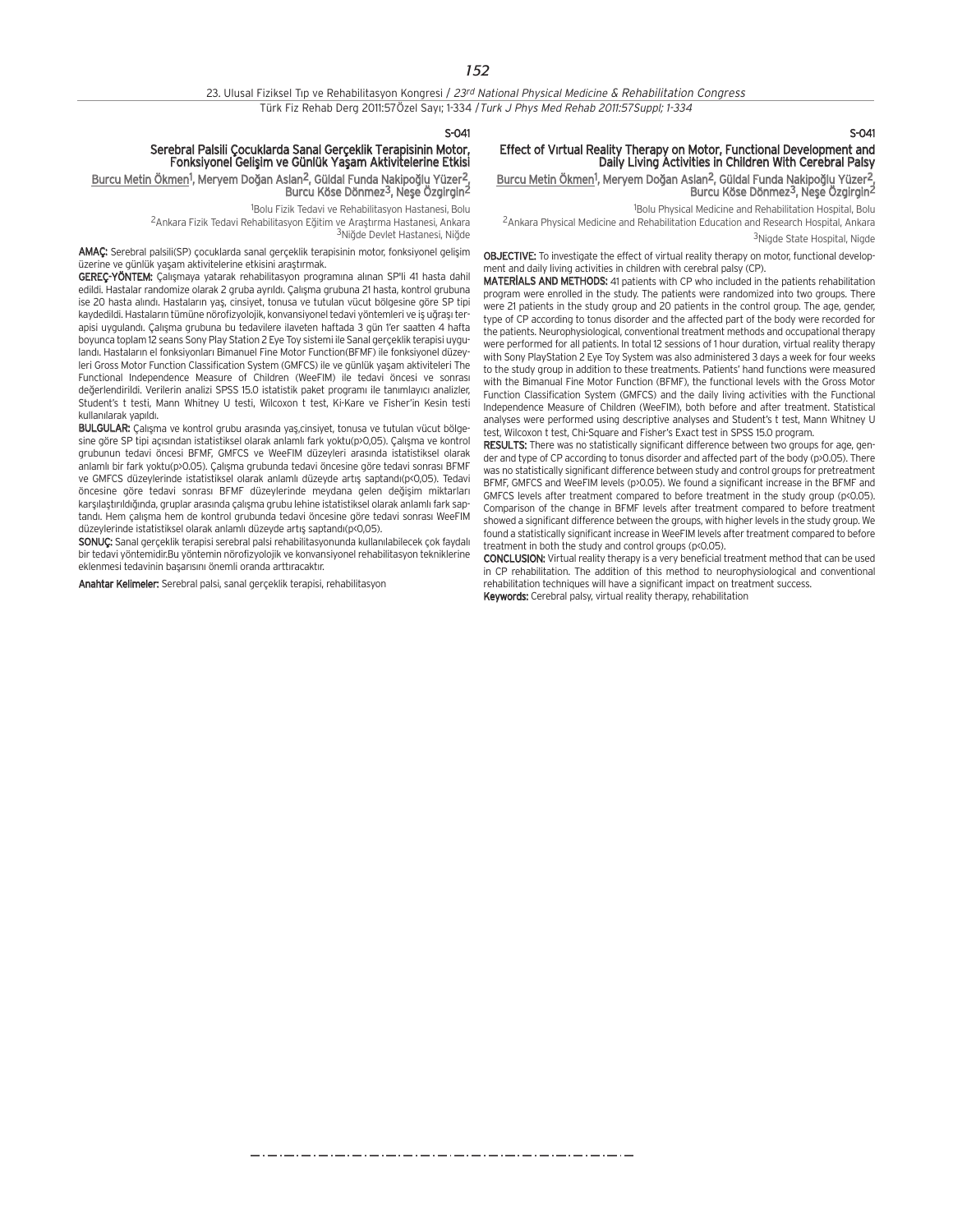$S-041$ 

## Serebral Palsili Çocuklarda Sanal Gerçeklik Terapisinin Motor, Fonksiyonel Geliflim ve Günlük Yaflam Aktivitelerine Etkisi

Burcu Metin Ökmen<sup>1</sup>, Meryem Doğan Aslan<sup>2</sup>, Güldal Funda Nakipoğlu Yüzer<sup>2</sup>, Burcu Köse Dönmez<sup>3</sup>, Nese Özgirgin<sup>2</sup>

1 Bolu Fizik Tedavi ve Rehabilitasyon Hastanesi, Bolu

<sup>2</sup>Ankara Fizik Tedavi Rehabilitasyon Eğitim ve Arastırma Hastanesi, Ankara 3Niăde Devlet Hastanesi, Niăde

AMAC: Serebral palsili(SP) cocuklarda sanal gerceklik terapisinin motor, fonksiyonel gelisim üzerine ve günlük yaşam aktivitelerine etkisini araştırmak.

GEREÇ-YÖNTEM: Çalışmaya yatarak rehabilitasyon programına alınan SP'li 41 hasta dahil edildi. Hastalar randomize olarak 2 gruba ayrıldı. Çalışma grubuna 21 hasta, kontrol grubuna ise 20 hasta alındı. Hastaların yas, cinsiyet, tonusa ve tutulan yücut bölgesine göre SP tipi kaydedildi. Hastaların tümüne nörofizyolojik, konvansiyonel tedavi yöntemleri ve iş uğraşı terapisi uygulandı. Çalışma grubuna bu tedavilere ilaveten haftada 3 gün 1'er saatten 4 hafta boyunca toplam 12 seans Sony Play Station 2 Eye Toy sistemi ile Sanal gerçeklik terapisi uygulandı. Hastaların el fonksiyonları Bimanuel Fine Motor Function(BFMF) ile fonksiyonel düzeyleri Gross Motor Function Classification System (GMFCS) ile ve günlük yaşam aktiviteleri The Functional Independence Measure of Children (WeeFIM) ile tedavi öncesi ve sonrası değerlendirildi. Verilerin analizi SPSS 15.0 istatistik paket programı ile tanımlayıcı analizler, Student's t testi, Mann Whitney U testi, Wilcoxon t test, Ki-Kare ve Fisher'in Kesin testi kullanılarak vapıldı.

BULGULAR: Calisma ve kontrol grubu arasında yas.cinsiyet, tonusa ve tutulan yücut bölgesine göre SP tipi açısından istatistiksel olarak anlamlı fark yoktu(p>0,05). Çalışma ve kontrol grubunun tedavi öncesi BFMF, GMFCS ve WeeFIM düzeyleri aras›nda istatistiksel olarak anlamlı bir fark yoktu(p>0.05). Çalışma grubunda tedavi öncesine göre tedavi sonrası BFMF ve GMFCS düzeylerinde istatistiksel olarak anlamlı düzeyde artış saptandı(p<0,05). Tedavi öncesine göre tedavi sonrası BFMF düzeylerinde meydana gelen değişim miktarları karşılaştırıldığında, gruplar arasında çalışma grubu lehine istatistiksel olarak anlamlı fark saptandı. Hem çalışma hem de kontrol grubunda tedavi öncesine göre tedavi sonrası WeeFIM düzeylerinde istatistiksel olarak anlamlı düzeyde artış saptandı(p<0,05).

SONUÇ: Sanal gerçeklik terapisi serebral palsi rehabilitasyonunda kullanılabilecek çok faydalı bir tedavi yöntemidir.Bu yöntemin nörofizyolojik ve konvansiyonel rehabilitasyon tekniklerine eklenmesi tedavinin başarısını önemli oranda arttıracaktır.

Anahtar Kelimeler: Serebral palsi, sanal gerçeklik terapisi, rehabilitasyon

 $S-0.41$ 

## Effect of Virtual Reality Therapy on Motor, Functional Development and Daily Living Activities in Children With Cerebral Palsy

Burcu Metin Ökmen<sup>1</sup>, Meryem Doğan Aslan<sup>2</sup>, Güldal Funda Nakipoğlu Yüzer<sup>2</sup>, Burcu Köse Dönmez<sup>3</sup>, Nese Özgirgin<sup>2</sup>

1 Bolu Physical Medicine and Rehabilitation Hospital, Bolu

2Ankara Physical Medicine and Rehabilitation Education and Research Hospital, Ankara

3Nigde State Hospital, Nigde

OBJECTIVE: To investigate the effect of virtual reality therapy on motor, functional development and daily living activities in children with cerebral palsy (CP).

MATERIALS AND METHODS: 41 patients with CP who included in the patients rehabilitation program were enrolled in the study. The patients were randomized into two groups. There were 21 patients in the study group and 20 patients in the control group. The age, gender, type of CP according to tonus disorder and the affected part of the body were recorded for the patients. Neurophysiological, conventional treatment methods and occupational therapy were performed for all patients. In total 12 sessions of 1 hour duration, virtual reality therapy with Sony PlayStation 2 Eye Toy System was also administered 3 days a week for four weeks to the study group in addition to these treatments. Patients' hand functions were measured with the Bimanual Fine Motor Function (BFMF), the functional levels with the Gross Motor Function Classification System (GMFCS) and the daily living activities with the Functional Independence Measure of Children (WeeFIM), both before and after treatment. Statistical analyses were performed using descriptive analyses and Student's t test, Mann Whitney U test, Wilcoxon t test, Chi-Square and Fisher's Exact test in SPSS 15.0 program.

**RESULTS:** There was no statistically significant difference between two groups for age, gender and type of CP according to tonus disorder and affected part of the body (p>0.05). There was no statistically significant difference between study and control groups for pretreatment BFMF, GMFCS and WeeFIM levels (p>0.05). We found a significant increase in the BFMF and GMFCS levels after treatment compared to before treatment in the study group (p<0.05). Comparison of the change in BFMF levels after treatment compared to before treatment showed a significant difference between the groups, with higher levels in the study group. We found a statistically significant increase in WeeFIM levels after treatment compared to before treatment in both the study and control groups (p<0.05).

CONCLUSION: Virtual reality therapy is a very beneficial treatment method that can be used in CP rehabilitation. The addition of this method to neurophysiological and conventional rehabilitation techniques will have a significant impact on treatment success. Keywords: Cerebral palsy, virtual reality therapy, rehabilitation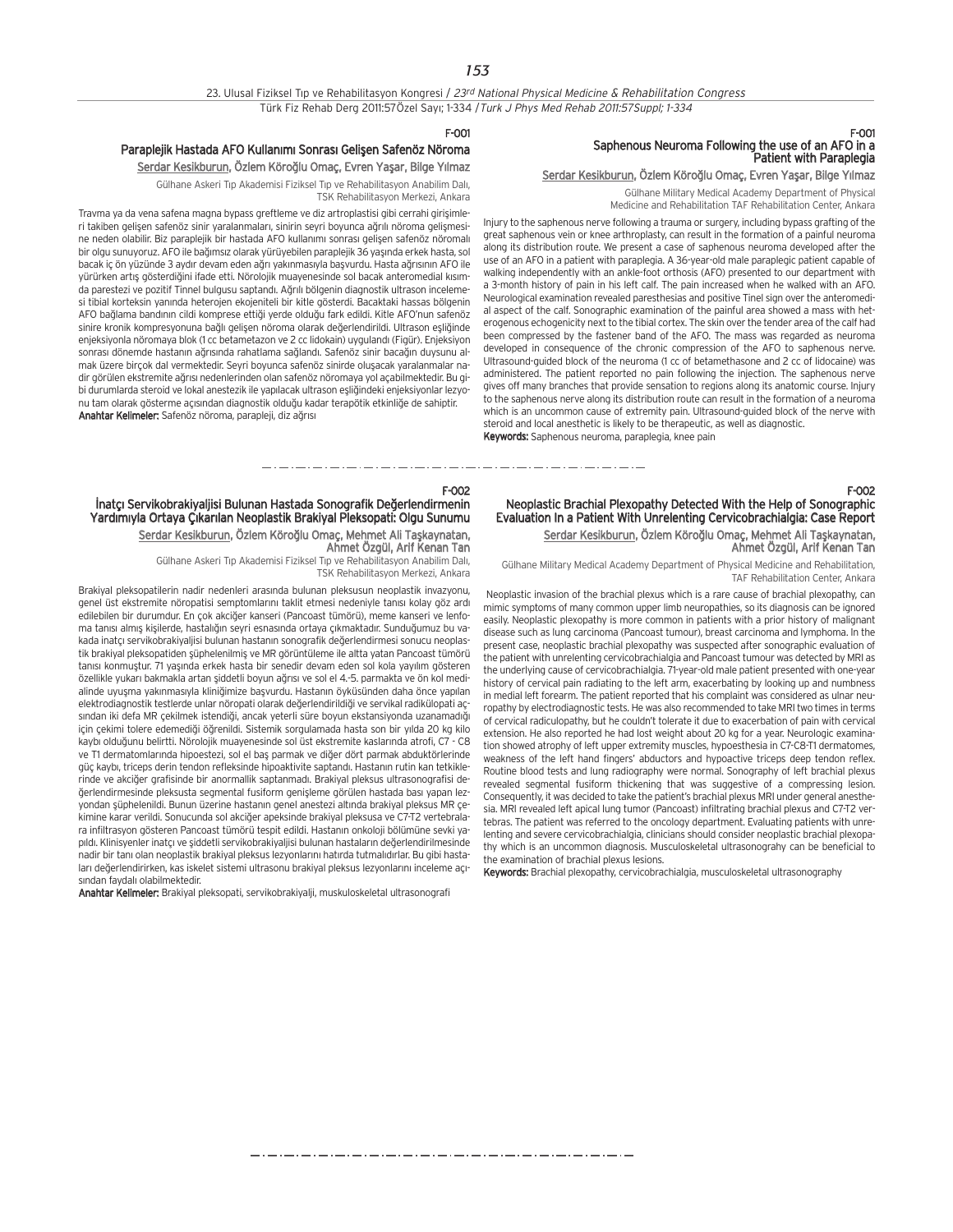#### F-001

## Paraplejik Hastada AFO Kullanımı Sonrası Gelişen Safenöz Nöroma

Serdar Kesikburun, Özlem Köroğlu Omaç, Evren Yaşar, Bilge Yılmaz Gülhane Askeri Tıp Akademisi Fiziksel Tıp ve Rehabilitasyon Anabilim Dalı,

TSK Rehabilitasyon Merkezi, Ankara Travma ya da vena safena magna bypass greftleme ve diz artroplastisi gibi cerrahi girişimle-

ri takiben gelisen safenöz sinir yaralanmaları, sinirin seyri boyunca ağrılı nöroma gelişmesine neden olabilir. Biz paraplejik bir hastada AFO kullanımı sonrası gelişen safenöz nöromalı bir olgu sunuyoruz. AFO ile bağımsız olarak yürüyebilen paraplejik 36 yaşında erkek hasta, sol bacak iç ön yüzünde 3 aydır devam eden ağrı yakınmasıyla başyurdu. Hasta ağrısının AFO ile yürürken artıs gösterdiğini ifade etti. Nörolojik muayenesinde sol bacak anteromedial kısımda parestezi ve pozitif Tinnel bulgusu saptandı. Ağrılı bölgenin diagnostik ultrason incelemesi tibial korteksin yanında heterojen ekojeniteli bir kitle gösterdi. Bacaktaki hassas bölgenin AFO bağlama bandının cildi komprese ettiği yerde olduğu fark edildi. Kitle AFO'nun safenöz sinire kronik kompresyonuna bağlı gelişen nöroma olarak değerlendirildi. Ultrason eşliğinde enjeksiyonla nöromaya blok (1 cc betametazon ve 2 cc lidokain) uygulandı (Figür). Enjeksiyon sonrası dönemde hastanın ağrısında rahatlama sağlandı. Safenöz sinir bacağın duysunu almak üzere birçok dal vermektedir. Seyri boyunca safenöz sinirde oluşacak yaralanmalar nadir görülen ekstremite ağrısı nedenlerinden olan safenöz nöromaya yol açabilmektedir. Bu gibi durumlarda steroid ve lokal anestezik ile yapılacak ultrason esliğindeki enjeksiyonlar lezyonu tam olarak gösterme açısından diagnostik olduğu kadar terapötik etkinliğe de sahiptir. Anahtar Kelimeler: Safenöz nöroma, parapleji, diz ağrısı

administered. The patient reported no pain following the injection. The saphenous nerve gives off many branches that provide sensation to regions along its anatomic course. Injury to the saphenous nerve along its distribution route can result in the formation of a neuroma which is an uncommon cause of extremity pain. Ultrasound-guided block of the nerve with steroid and local anesthetic is likely to be therapeutic, as well as diagnostic. Keywords: Saphenous neuroma, paraplegia, knee pain

Saphenous Neuroma Following the use of an AFO in a Patient with Paraplegia

Gülhane Military Medical Academy Department of Physical Medicine and Rehabilitation TAF Rehabilitation Center, Ankara

Serdar Kesikburun, Özlem Köroğlu Omaç, Evren Yaşar, Bilge Yılmaz

Injury to the saphenous nerve following a trauma or surgery, including bypass grafting of the great saphenous vein or knee arthroplasty, can result in the formation of a painful neuroma along its distribution route. We present a case of saphenous neuroma developed after the use of an AFO in a patient with paraplegia. A 36-year-old male paraplegic patient capable of walking independently with an ankle-foot orthosis (AFO) presented to our department with a 3-month history of pain in his left calf. The pain increased when he walked with an AFO. Neurological examination revealed paresthesias and positive Tinel sign over the anteromedial aspect of the calf. Sonographic examination of the painful area showed a mass with heterogenous echogenicity next to the tibial cortex. The skin over the tender area of the calf had been compressed by the fastener band of the AFO. The mass was regarded as neuroma developed in consequence of the chronic compression of the AFO to saphenous nerve. Ultrasound-guided block of the neuroma (1 cc of betamethasone and 2 cc of lidocaine) was

F-001

F-002

Neoplastic Brachial Plexopathy Detected With the Help of Sonographic Evaluation In a Patient With Unrelenting Cervicobrachialgia: Case Report Serdar Kesikburun, Özlem Köroğlu Omaç, Mehmet Ali Taşkaynatan, Ahmet Özgül, Arif Kenan Tan

Gülhane Military Medical Academy Department of Physical Medicine and Rehabilitation, TAF Rehabilitation Center, Ankara

Neoplastic invasion of the brachial plexus which is a rare cause of brachial plexopathy, can mimic symptoms of many common upper limb neuropathies, so its diagnosis can be ignored easily. Neoplastic plexopathy is more common in patients with a prior history of malignant disease such as lung carcinoma (Pancoast tumour), breast carcinoma and lymphoma. In the present case, neoplastic brachial plexopathy was suspected after sonographic evaluation of the patient with unrelenting cervicobrachialgia and Pancoast tumour was detected by MRI as the underlying cause of cervicobrachialgia. 71-year-old male patient presented with one-year history of cervical pain radiating to the left arm, exacerbating by looking up and numbness in medial left forearm. The patient reported that his complaint was considered as ulnar neuropathy by electrodiagnostic tests. He was also recommended to take MRI two times in terms of cervical radiculopathy, but he couldn't tolerate it due to exacerbation of pain with cervical extension. He also reported he had lost weight about 20 kg for a year. Neurologic examination showed atrophy of left upper extremity muscles, hypoesthesia in C7-C8-T1 dermatomes, weakness of the left hand fingers' abductors and hypoactive triceps deep tendon reflex. Routine blood tests and lung radiography were normal. Sonography of left brachial plexus revealed segmental fusiform thickening that was suggestive of a compressing lesion. Consequently, it was decided to take the patient's brachial plexus MRI under general anesthesia. MRI revealed left apical lung tumor (Pancoast) infiltrating brachial plexus and C7-T2 vertebras. The patient was referred to the oncology department. Evaluating patients with unrelenting and severe cervicobrachialgia, clinicians should consider neoplastic brachial plexopathy which is an uncommon diagnosis. Musculoskeletal ultrasonograhy can be beneficial to the examination of brachial plexus lesions.

Keywords: Brachial plexopathy, cervicobrachialgia, musculoskeletal ultrasonography

## F-002

## İnatçı Servikobrakiyaljisi Bulunan Hastada Sonografik Değerlendirmenin Yardımıyla Ortaya Çıkarılan Neoplastik Brakiyal Pleksopati: Olgu Sunumu Serdar Kesikburun, Özlem Köroğlu Omaç, Mehmet Ali Taşkaynatan,

Ahmet Özgül, Arif Kenan Tan Gülhane Askeri Tıp Akademisi Fiziksel Tıp ve Rehabilitasyon Anabilim Dalı,

TSK Rehabilitasyon Merkezi, Ankara

Brakiyal pleksopatilerin nadir nedenleri arasında bulunan pleksusun neoplastik invazyonu, genel üst ekstremite nöropatisi semptomlarını taklit etmesi nedeniyle tanısı kolay göz ardı edilebilen bir durumdur. En çok akciğer kanseri (Pancoast tümörü), meme kanseri ve lenfoma tanısı almış kişilerde, hastalığın seyri esnasında ortaya çıkmaktadır. Sunduğumuz bu vakada inatçı servikobrakiyaljisi bulunan hastanın sonografik değerlendirmesi sonucu neoplastik brakiyal pleksopatiden şüphelenilmiş ve MR görüntüleme ile altta yatan Pancoast tümörü tanısı konmustur. 71 yasında erkek hasta bir senedir devam eden sol kola yayılım gösteren özellikle vukarı bakmakla artan siddetli boyun ağrısı ve sol el 4.-5. parmakta ve ön kol medialinde uyusma yakınmasıyla kliniğimize başyurdu. Hastanın öyküsünden daha önce yapılan elektrodiagnostik testlerde unlar nöropati olarak değerlendirildiği ve servikal radikülopati açsından iki defa MR çekilmek istendiği, ancak yeterli süre boyun ekstansiyonda uzanamadığı için çekimi tolere edemediği öğrenildi. Sistemik sorgulamada hasta son bir yılda 20 kg kilo kaybı olduğunu belirtti. Nörolojik muayenesinde sol üst ekstremite kaslarında atrofi, C7 - C8 ve T1 dermatomlarında hipoestezi, sol el baş parmak ve diğer dört parmak abduktörlerinde güç kaybı, triceps derin tendon refleksinde hipoaktivite saptandı. Hastanın rutin kan tetkiklerinde ve akciğer grafisinde bir anormallik saptanmadı. Brakiyal pleksus ultrasonografisi de-¤erlendirmesinde pleksusta segmental fusiform geniflleme görülen hastada bas› yapan lezyondan süphelenildi. Bunun üzerine hastanın genel anestezi altında brakiyal pleksus MR çekimine karar verildi. Sonucunda sol akciğer apeksinde brakiyal pleksusa ve C7-T2 vertebralara infiltrasyon gösteren Pancoast tümörü tespit edildi. Hastanın onkoloji bölümüne sevki yapıldı. Klinisyenler inatçı ve siddetli servikobrakiyalijsi bulunan hastaların değerlendirilmesinde nadir bir tanı olan neoplastik brakiyal pleksus lezyonlarını hatırda tutmalıdırlar. Bu gibi hastaları değerlendirirken, kas iskelet sistemi ultrasonu brakiyal pleksus lezyonlarını inceleme açısından faydalı olabilmektedir.

Anahtar Kelimeler: Brakiyal pleksopati, servikobrakiyalji, muskuloskeletal ultrasonografi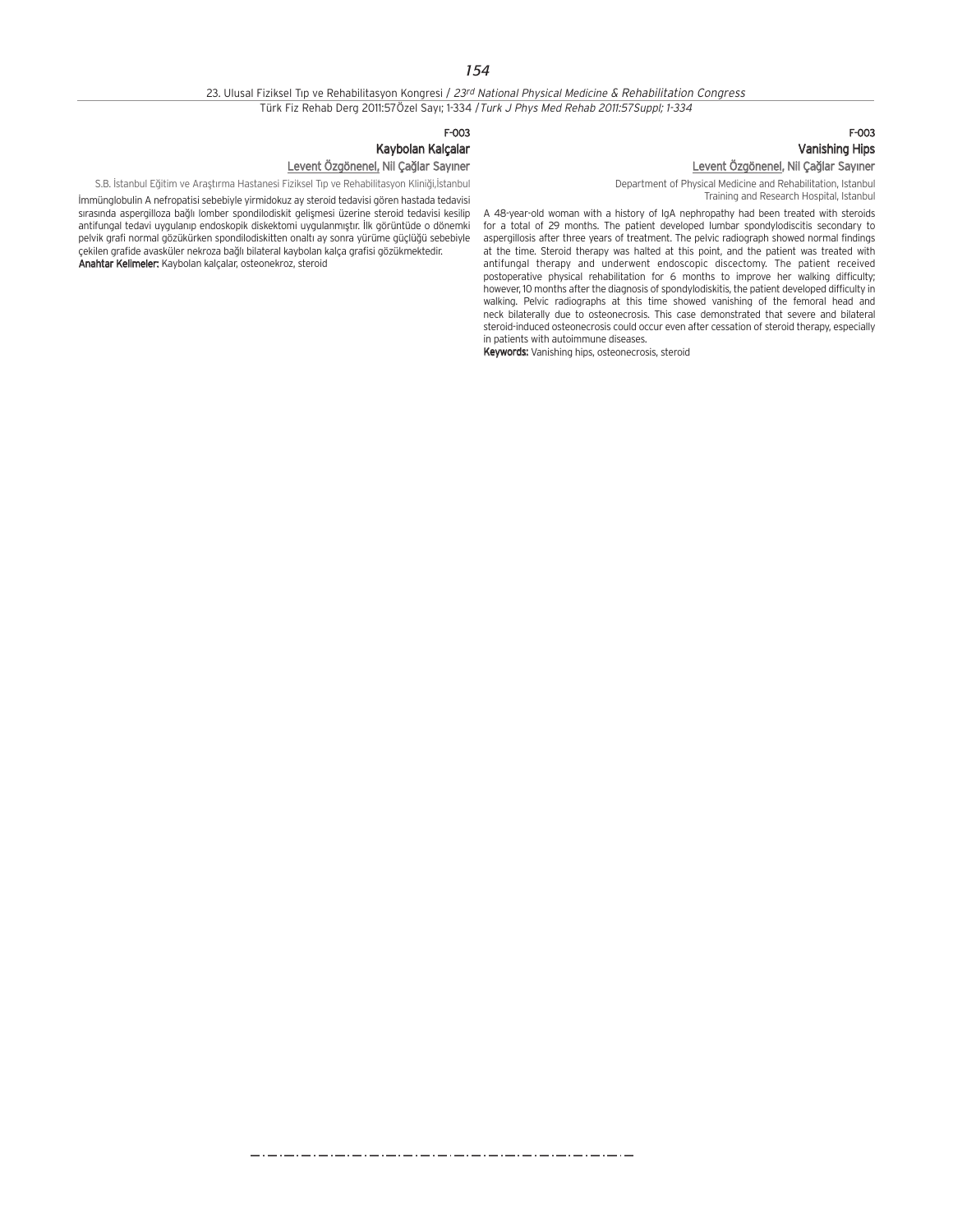## 23. Ulusal Fiziksel Tip ve Rehabilitasyon Kongresi / 23rd National Physical Medicine & Rehabilitation Congress Türk Fiz Rehab Derg 2011:57Özel Say›; 1-334 /Turk J Phys Med Rehab 2011:57Suppl; 1-334

## F-003 Kaybolan Kalçalar Levent Özgönenel, Nil Çağlar Sayıner

S.B. İstanbul Eğitim ve Araştırma Hastanesi Fiziksel Tıp ve Rehabilitasyon Kliniği,İstanbul

‹mmünglobulin A nefropatisi sebebiyle yirmidokuz ay steroid tedavisi gören hastada tedavisi sırasında aspergilloza bağlı lomber spondilodiskit gelişmesi üzerine steroid tedavisi kesilip antifungal tedavi uygulanıp endoskopik diskektomi uygulanmıştır. İlk görüntüde o dönemki pelvik grafi normal gözükürken spondilodiskitten onaltı ay sonra yürüme güçlüğü sebebiyle çekilen grafide avasküler nekroza ba¤l› bilateral kaybolan kalça grafisi gözükmektedir. Anahtar Kelimeler: Kaybolan kalçalar, osteonekroz, steroid

## F-003 Vanishing Hips Levent Özgönenel, Nil Çağlar Sayıner

Department of Physical Medicine and Rehabilitation, Istanbul Training and Research Hospital, Istanbul

A 48-year-old woman with a history of IgA nephropathy had been treated with steroids for a total of 29 months. The patient developed lumbar spondylodiscitis secondary to aspergillosis after three years of treatment. The pelvic radiograph showed normal findings at the time. Steroid therapy was halted at this point, and the patient was treated with antifungal therapy and underwent endoscopic discectomy. The patient received postoperative physical rehabilitation for 6 months to improve her walking difficulty; however, 10 months after the diagnosis of spondylodiskitis, the patient developed difficulty in walking. Pelvic radiographs at this time showed vanishing of the femoral head and neck bilaterally due to osteonecrosis. This case demonstrated that severe and bilateral steroid-induced osteonecrosis could occur even after cessation of steroid therapy, especially in patients with autoimmune diseases.

Keywords: Vanishing hips, osteonecrosis, steroid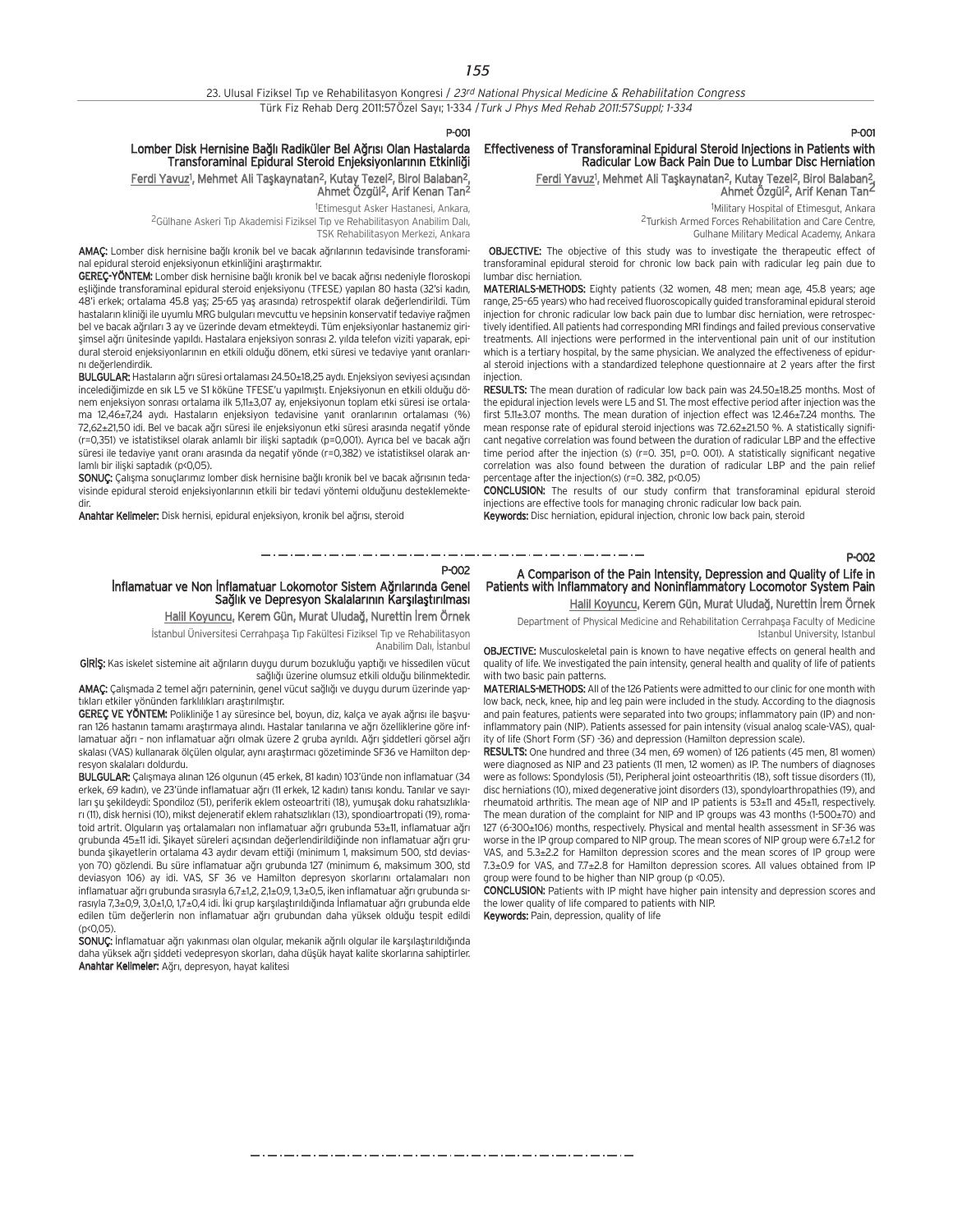23. Ulusal Fiziksel Tıp ve Rehabilitasyon Kongresi / 23rd National Physical Medicine & Rehabilitation Congress Türk Fiz Rehab Derg 2011:57Özel Sayı; 1-334 / Turk J Phys Med Rehab 2011:57Suppl; 1-334

P-001

P-002

Anabilim Dalı, İstanbul

## Lomber Disk Hernisine Bağlı Radiküler Bel Ağrısı Olan Hastalarda Transforaminal Epidural Steroid Enjeksiyonlarının Etkinliği

Ferdi Yavuz<sup>1</sup>, Mehmet Ali Taşkaynatan<sup>2</sup>, Kutay Tezel<sup>2</sup>, Birol Balaban<sup>2</sup>, Ahmet Özgül 2, Arif Kenan Tan2

<sup>1</sup>Etimesgut Asker Hastanesi, Ankara,

<sup>2</sup>Gülhane Askeri Tıp Akademisi Fiziksel Tıp ve Rehabilitasyon Anabilim Dalı, TSK Rehabilitasyon Merkezi, Ankara

AMAÇ: Lomber disk hernisine bağlı kronik bel ve bacak ağrılarının tedavisinde transforaminal epidural steroid enjeksiyonun etkinliğini arastırmaktır.

GEREC-YÖNTEM: Lomber disk hernisine bağlı kronik bel ve bacak ağrısı nedeniyle floroskopi esliğinde transforaminal epidural steroid enjeksiyonu (TFESE) yapılan 80 hasta (32'si kadın, 48'i erkek; ortalama 45.8 yas; 25-65 yas arasında) retrospektif olarak değerlendirildi. Tüm hastaların kliniği ile uyumlu MRG bulguları mevcuttu ve hepsinin konservatif tedaviye rağmen bel ve bacak ağrıları 3 ay ve üzerinde devam etmekteydi. Tüm enjeksiyonlar hastanemiz girişimsel ağrı ünitesinde yapıldı. Hastalara enjeksiyon sonrası 2. yılda telefon viziti yaparak, epidural steroid enjeksiyonlarının en etkili olduğu dönem, etki süresi ve tedaviye yanıt oranlarını değerlendirdik.

BULGULAR: Hastaların ağrı süresi ortalaması 24.50±18,25 aydı. Enjeksiyon seviyesi açısından incelediğimizde en sık L5 ve S1 köküne TFESE'u yapılmıştı. Enjeksiyonun en etkili olduğu dönem enjeksiyon sonrası ortalama ilk 5,11±3,07 ay, enjeksiyonun toplam etki süresi ise ortalama 12,46±7,24 aydı. Hastaların enjeksiyon tedavisine yanıt oranlarının ortalaması (%) 72,62±21,50 idi. Bel ve bacak ağrı süresi ile enjeksiyonun etki süresi arasında negatif yönde (r=0,351) ve istatistiksel olarak anlamlı bir ilişki saptadık (p=0,001). Ayrıca bel ve bacak ağrı süresi ile tedaviye yanıt oranı arasında da negatif yönde (r=0,382) ve istatistiksel olarak anlamlı bir ilişki saptadık (p<0,05).

SONUC: Calisma sonuçlarımız lomber disk hernisine bağlı kronik bel ve baçak ağrısının tedavisinde epidural steroid enjeksiyonlarının etkili bir tedavi yöntemi olduğunu desteklemektedir.

İnflamatuar ve Non İnflamatuar Lokomotor Sistem Ağrılarında Genel

GİRİŞ: Kas iskelet sistemine ait ağrıların duygu durum bozukluğu yaptığı ve hissedilen vücut

AMAÇ: Çalışmada 2 temel ağrı paterninin, genel vücut sağlığı ve duygu durum üzerinde yap-

GEREÇ VE YÖNTEM: Polikliniğe 1 ay süresince bel, boyun, diz, kalça ve ayak ağrısı ile başvuran 126 hastanın tamamı araştırmaya alındı. Hastalar tanılarına ve ağrı özelliklerine göre inflamatuar ağrı - non inflamatuar ağrı olmak üzere 2 gruba ayrıldı. Ağrı şiddetleri görsel ağrı skalası (VAS) kullanarak ölçülen olgular, aynı araştırmacı gözetiminde SF36 ve Hamilton dep-

BULGULAR: Çalışmaya alınan 126 olgunun (45 erkek, 81 kadın) 103'ünde non inflamatuar (34 erkek, 69 kadın), ve 23'ünde inflamatuar ağrı (11 erkek, 12 kadın) tanısı kondu. Tanılar ve sayıları su sekildeydi: Spondiloz (51), periferik eklem osteoartriti (18), yumuşak doku rahatsızlıklar› (11), disk hernisi (10), mikst dejeneratif eklem rahats›zl›klar› (13), spondioartropati (19), romatoid artrit. Olguların yas ortalamaları non inflamatuar ağrı grubunda 53+11, inflamatuar ağrı grubunda 45±11 idi. Şikayet süreleri açısından değerlendirildiğinde non inflamatuar ağrı grubunda şikayetlerin ortalama 43 aydır devam ettiği (minimum 1, maksimum 500, std deviasyon 70) gözlendi. Bu süre inflamatuar ağrı grubunda 127 (minimum 6, maksimum 300, std deviasyon 106) ay idi. VAS, SF 36 ve Hamilton depresyon skorlarını ortalamaları non inflamatuar ağrı grubunda sırasıyla 6,7±1,2, 2,1±0,9, 1,3±0,5, iken inflamatuar ağrı grubunda sı-

tıkları etkiler yönünden farklılıkları araştırılmıştır.

resyon skalaları doldurdu.

Sağlık ve Depresyon Skalalarının Karşılaştırılması

sağlığı üzerine olumsuz etkili olduğu bilinmektedir.

Anahtar Kelimeler: Disk hernisi, epidural enjeksiyon, kronik bel ağrısı, steroid

## Effectiveness of Transforaminal Epidural Steroid Injections in Patients with Radicular Low Back Pain Due to Lumbar Disc Herniation

Ferdi Yavuz<sup>1</sup>, Mehmet Ali Taşkaynatan<sup>2</sup>, Kutay Tezel<sup>2</sup>, Birol Balaban<del>2</del>, Ahmet Özgül 2, Arif Kenan Tan2

> 1 Military Hospital of Etimesgut, Ankara 2Turkish Armed Forces Rehabilitation and Care Centre, Gulhane Military Medical Academy, Ankara

OBJECTIVE: The objective of this study was to investigate the therapeutic effect of transforaminal epidural steroid for chronic low back pain with radicular leg pain due to lumbar disc herniation.

MATERIALS-METHODS: Eighty patients (32 women, 48 men; mean age, 45.8 years; age range, 25–65 years) who had received fluoroscopically guided transforaminal epidural steroid injection for chronic radicular low back pain due to lumbar disc herniation, were retrospectively identified. All patients had corresponding MRI findings and failed previous conservative treatments. All injections were performed in the interventional pain unit of our institution which is a tertiary hospital, by the same physician. We analyzed the effectiveness of epidural steroid injections with a standardized telephone questionnaire at 2 years after the first injection

RESULTS: The mean duration of radicular low back pain was 24.50±18.25 months. Most of the epidural injection levels were L5 and S1. The most effective period after injection was the first 5.11±3.07 months. The mean duration of injection effect was 12.46±7.24 months. The mean response rate of epidural steroid injections was 72.62±21.50 %. A statistically significant negative correlation was found between the duration of radicular LBP and the effective time period after the injection (s) (r=0. 351, p=0. 001). A statistically significant negative correlation was also found between the duration of radicular LBP and the pain relief percentage after the injection(s) (r=0. 382, p<0.05)

CONCLUSION: The results of our study confirm that transforaminal epidural steroid injections are effective tools for managing chronic radicular low back pain.

Keywords: Disc herniation, epidural injection, chronic low back pain, steroid

### P-002

P-001

## A Comparison of the Pain Intensity, Depression and Quality of Life in Patients with Inflammatory and Noninflammatory Locomotor System Pain Halil Koyuncu, Kerem Gün, Murat Uludağ, Nurettin İrem Örnek

Halil Koyuncu, Kerem Gün, Murat Uludağ, Nurettin İrem Örnek istanbul Üniversitesi Cerrahpaşa Tıp Fakültesi Fiziksel Tıp ve Rehabilitasyon Department of Physical Medicine and Rehabilitation Cerrahpaşa Faculty of Medicine

. . . . . . . . . . . . . . . .

Istanbul University, Istanbul OBJECTIVE: Musculoskeletal pain is known to have negative effects on general health and quality of life. We investigated the pain intensity, general health and quality of life of patients

with two basic pain patterns. MATERIALS-METHODS: All of the 126 Patients were admitted to our clinic for one month with low back, neck, knee, hip and leg pain were included in the study. According to the diagnosis and pain features, patients were separated into two groups; inflammatory pain (IP) and noninflammatory pain (NIP). Patients assessed for pain intensity (visual analog scale-VAS), quality of life (Short Form (SF) -36) and depression (Hamilton depression scale).

RESULTS: One hundred and three (34 men, 69 women) of 126 patients (45 men, 81 women) were diagnosed as NIP and 23 patients (11 men, 12 women) as IP. The numbers of diagnoses were as follows: Spondylosis (51), Peripheral joint osteoarthritis (18), soft tissue disorders (11), disc herniations (10), mixed degenerative joint disorders (13), spondyloarthropathies (19), and rheumatoid arthritis. The mean age of NIP and IP patients is 53±11 and 45±11, respectively. The mean duration of the complaint for NIP and IP groups was 43 months (1-500±70) and 127 (6-300±106) months, respectively. Physical and mental health assessment in SF-36 was worse in the IP group compared to NIP group. The mean scores of NIP group were 6.7±1.2 for VAS, and 5.3±2.2 for Hamilton depression scores and the mean scores of IP group were 7.3±0.9 for VAS, and 7.7±2.8 for Hamilton depression scores. All values obtained from IP group were found to be higher than NIP group (p <0.05).

CONCLUSION: Patients with IP might have higher pain intensity and depression scores and the lower quality of life compared to patients with NIP. Keywords: Pain, depression, quality of life

rasıyla 7,3±0,9, 3,0±1,0, 1,7±0,4 idi. İki grup karşılaştırıldığında İnflamatuar ağrı grubunda elde edilen tüm değerlerin non inflamatuar ağrı grubundan daha yüksek olduğu tespit edildi  $(n(0.05))$ SONUC: İnflamatuar ağrı yakınması olan olgular, mekanik ağrılı olgular ile karşılaştırıldığında daha yüksek ağrı siddeti vedepresyon skorları, daha düşük hayat kalite skorlarına sahiptirler. Anahtar Kelimeler: Ağrı, depresyon, hayat kalitesi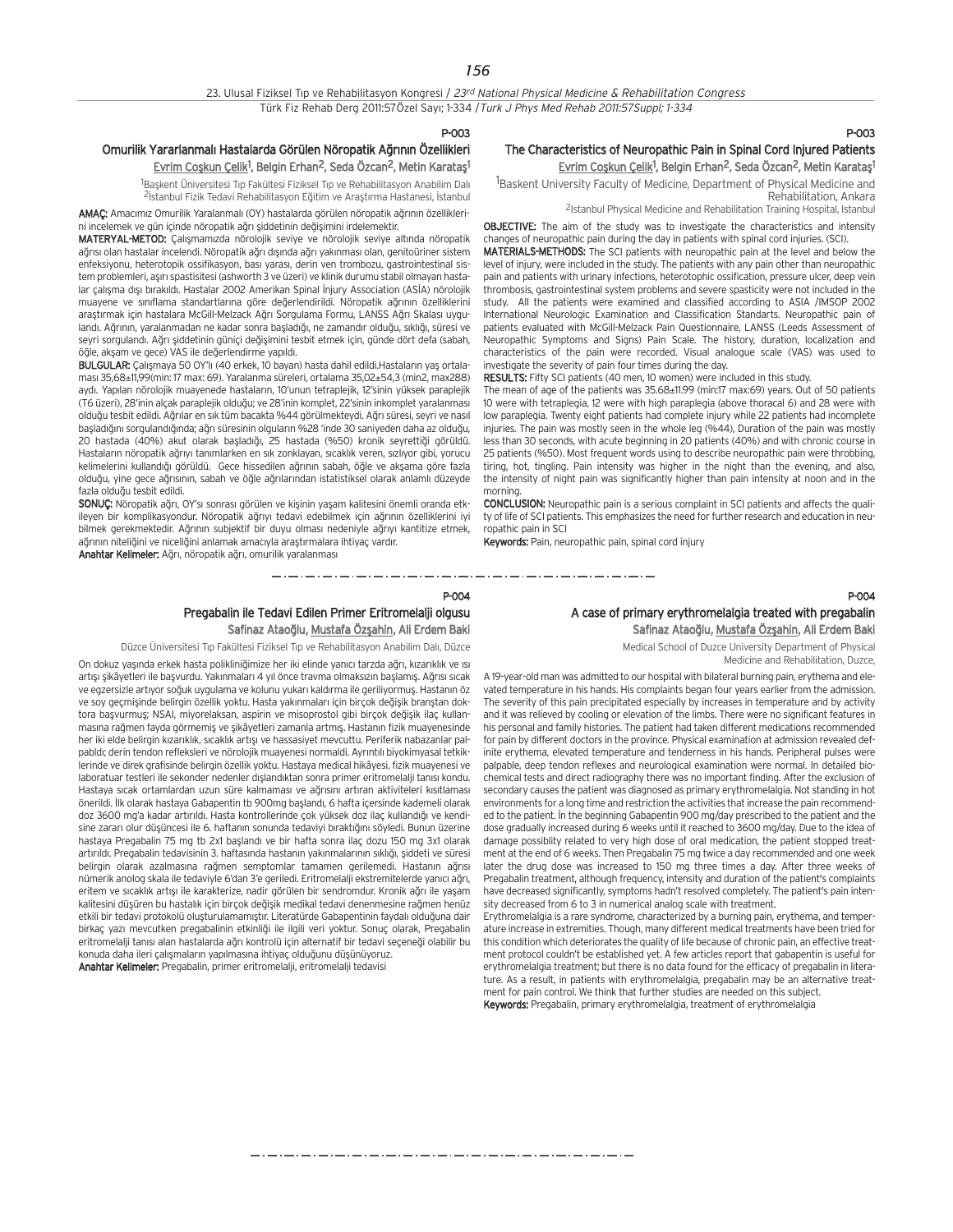#### P-003

## Omurilik Yararlanmalı Hastalarda Görülen Nöropatik Ağrının Özellikleri <u>Evrim Coşkun Çelik</u><sup>1</sup>, Belgin Erhan<sup>2</sup>, Seda Özcan<sup>2</sup>, Metin Karataş<sup>1</sup>

<sup>1</sup>Başkent Üniversitesi Tıp Fakültesi Fiziksel Tıp ve Rehabilitasyon Anabilim Dalı <sup>2</sup>İstanbul Fizik Tedavi Rehabilitasyon Eğitim ve Arastırma Hastanesi, İstanbul

AMAC: Amacımız Omurilik Yaralanmalı (OY) hastalarda görülen nöropatik ağrının özelliklerini incelemek ve gün içinde nöropatik ağrı siddetinin değişimini irdelemektir.

MATERYAL-METOD: Calismamizda nörolojik seviye ve nörolojik seviye altında nöropatik ağrısı olan hastalar incelendi. Nöropatik ağrı dışında ağrı yakınması olan, genitoüriner sistem enfeksiyonu, heterotopik ossifikasyon, bası yarası, derin ven trombozu, gastrointestinal sistem problemleri, asırı spastisitesi (ashworth 3 ve üzeri) ve klinik durumu stabil olmayan hastalar çalışma dışı bırakıldı. Hastalar 2002 Amerikan Spinal İnjury Association (ASİA) nörolojik muayene ve sınıflama standartlarına göre değerlendirildi. Nöropatik ağrının özelliklerini araştırmak için hastalara McGill-Melzack Ağrı Sorgulama Formu, LANSS Ağrı Skalası uygulandı. Ağrının, yaralanmadan ne kadar sonra başladığı, ne zamandır olduğu, sıklığı, süresi ve seyri sorgulandı. Ağrı şiddetinin güniçi değişimini tesbit etmek için, günde dört defa (sabah, öğle, akşam ve gece) VAS ile değerlendirme yapıldı.

BULGULAR: Çalışmaya 50 OY'lı (40 erkek, 10 bayan) hasta dahil edildi.Hastaların yaş ortalamas› 35,68±11,99(min: 17 max: 69). Yaralanma süreleri, ortalama 35,02±54,3 (min2, max288) aydı. Yapılan nörolojik muayenede hastaların, 10'unun tetraplejik, 12'sinin yüksek paraplejik (T6 üzeri), 28'inin alçak paraplejik olduğu; ve 28'inin komplet, 22'sinin inkomplet yaralanması olduğu tesbit edildi. Ağrılar en sık tüm bacakta %44 görülmekteydi. Ağrı süresi, seyri ve nasıl başladığını sorgulandığında; ağrı süresinin olguların %28 'inde 30 saniyeden daha az olduğu, 20 hastada (40%) akut olarak başladığı, 25 hastada (%50) kronik seyrettiği görüldü. Hastaların nöropatik ağrıvı tanımlarken en sık zonklavan, sıcaklık veren, sızlıyor gibi, yorucu kelimelerini kullandığı görüldü. Gece hissedilen ağrının sabah, öğle ve aksama göre fazla olduğu, vine gece ağrısının, sabah ve öğle ağrılarından istatistiksel olarak anlamlı düzeyde fazla olduğu tesbit edildi.

SONUÇ: Nöropatik ağrı, OY'sı sonrası görülen ve kişinin yaşam kalitesini önemli oranda etkileyen bir komplikasyondur. Nöropatik ağrıyı tedavi edebilmek için ağrının özelliklerini iyi bilmek gerekmektedir. Ağrının subjektif bir duyu olması nedeniyle ağrıyı kantitize etmek, ağrının niteliğini ve niceliğini anlamak amacıyla araştırmalara ihtiyaç vardır. Anahtar Kelimeler: Ağrı, nöropatik ağrı, omurilik yaralanması

## P-003

## The Characteristics of Neuropathic Pain in Spinal Cord Injured Patients Evrim Coşkun Çelik<sup>1</sup>, Belgin Erhan<sup>2</sup>, Seda Özcan<sup>2</sup>, Metin Karataş<sup>1</sup>

<sup>1</sup>Baskent University Faculty of Medicine, Department of Physical Medicine and Rehabilitation, Ankara

2Istanbul Physical Medicine and Rehabilitation Training Hospital, Istanbul

OBJECTIVE: The aim of the study was to investigate the characteristics and intensity changes of neuropathic pain during the day in patients with spinal cord injuries. (SCI).

MATERIALS-METHODS: The SCI patients with neuropathic pain at the level and below the level of injury, were included in the study. The patients with any pain other than neuropathic pain and patients with urinary infections, heterotophic ossification, pressure ulcer, deep vein thrombosis, gastrointestinal system problems and severe spasticity were not included in the study. All the patients were examined and classified according to ASIA /IMSOP 2002 International Neurologic Examination and Classification Standarts. Neuropathic pain of patients evaluated with McGill-Melzack Pain Questionnaire, LANSS (Leeds Assessment of Neuropathic Symptoms and Signs) Pain Scale. The history, duration, localization and characteristics of the pain were recorded. Visual analogue scale (VAS) was used to investigate the severity of pain four times during the day.

RESULTS: Fifty SCI patients (40 men, 10 women) were included in this study.

The mean of age of the patients was 35.68±11.99 (min:17 max:69) years. Out of 50 patients 10 were with tetraplegia, 12 were with high paraplegia (above thoracal 6) and 28 were with low paraplegia. Twenty eight patients had complete injury while 22 patients had incomplete injuries. The pain was mostly seen in the whole leg (%44), Duration of the pain was mostly less than 30 seconds, with acute beginning in 20 patients (40%) and with chronic course in 25 patients (%50). Most frequent words using to describe neuropathic pain were throbbing, tiring, hot, tingling. Pain intensity was higher in the night than the evening, and also, the intensity of night pain was significantly higher than pain intensity at noon and in the morning.

CONCLUSION: Neuropathic pain is a serious complaint in SCI patients and affects the quality of life of SCI patients. This emphasizes the need for further research and education in neuropathic pain in SCI

Keywords: Pain, neuropathic pain, spinal cord injury

ستان مساويا مساويا مساويا مساويا مساويا والمساويا مساويا مساويا مساويا مساويا

## P-004 Pregabalin ile Tedavi Edilen Primer Eritromelalji olgusu Safinaz Ataoğlu, Mustafa Özşahin, Ali Erdem Baki

Düzce Üniversitesi Tıp Fakültesi Fiziksel Tıp ve Rehabilitasyon Anabilim Dalı, Düzce

On dokuz yaşında erkek hasta polikliniğimize her iki elinde yanıcı tarzda ağrı, kızarıklık ve ısı artışı şikâyetleri ile başvurdu. Yakınmaları 4 yıl önce travma olmaksızın başlamış. Ağrısı sıcak ve egzersizle artıyor soğuk uygulama ve kolunu yukarı kaldırma ile geriliyormuş. Hastanın öz ve soy geçmişinde belirgin özellik yoktu. Hasta yakınmaları için birçok değişik branştan doktora başvurmuş; NSAI, miyorelaksan, aspirin ve misoprostol gibi birçok değişik ilaç kullanmasına rağmen fayda görmemiş ve şikâyetleri zamanla artmış. Hastanın fizik muayenesinde her iki elde belirgin kızarıklık, sıcaklık artısı ve hassasiyet mevcuttu. Periferik nabazanlar palpabldı; derin tendon refleksleri ve nörolojik muayenesi normaldi. Ayrıntılı biyokimyasal tetkiklerinde ve direk grafisinde belirgin özellik yoktu. Hastaya medical hikâyesi, fizik muayenesi ve laboratuar testleri ile sekonder nedenler dışlandıktan sonra primer eritromelalji tanısı kondu. Hastaya sıcak ortamlardan uzun süre kalmaması ve ağrısını artıran aktiviteleri kısıtlaması önerildi. İlk olarak hastaya Gabapentin tb 900mg başlandı, 6 hafta içersinde kademeli olarak doz 3600 mg'a kadar artırıldı. Hasta kontrollerinde çok yüksek doz ilaç kullandığı ve kendisine zararı olur düşüncesi ile 6. haftanın sonunda tedaviyi bıraktığını söyledi. Bunun üzerine hastaya Pregabalin 75 mg tb 2x1 başlandı ve bir hafta sonra ilaç dozu 150 mg 3x1 olarak artırıldı. Pregabalin tedavisinin 3. haftasında hastanın yakınmalarının sıklığı, siddeti ve süresi belirgin olarak azalmasına rağmen semptomlar tamamen gerilemedi. Hastanın ağrısı nümerik anolog skala ile tedaviyle 6'dan 3'e geriledi. Eritromelalji ekstremitelerde yanıcı ağrı, eritem ve sıcaklık artışı ile karakterize, nadir görülen bir sendromdur. Kronik ağrı ile yaşam kalitesini düşüren bu hastalık için birçok değişik medikal tedavi denenmesine rağmen henüz etkili bir tedavi protokolü oluşturulamamıştır. Literatürde Gabapentinin faydalı olduğuna dair birkaç yazı mevcutken pregabalinin etkinliği ile ilgili veri yoktur. Sonuç olarak, Pregabalin eritromelalii tanısı alan hastalarda ağrı kontrolü için alternatif bir tedavi seçeneği olabilir bu konuda daha ileri çalışmaların yapılmasına ihtiyaç olduğunu düşünüyoruz. Anahtar Kelimeler: Pregabalin, primer eritromelalji, eritromelalji tedavisi

## P-004 A case of primary erythromelalgia treated with pregabalin Safinaz Ataoğlu, Mustafa Özşahin, Ali Erdem Baki

Medical School of Duzce University Department of Physical Medicine and Rehabilitation, Duzce,

A 19-year-old man was admitted to our hospital with bilateral burning pain, erythema and elevated temperature in his hands. His complaints began four years earlier from the admission. The severity of this pain precipitated especially by increases in temperature and by activity and it was relieved by cooling or elevation of the limbs. There were no significant features in his personal and family histories. The patient had taken different medications recommended for pain by different doctors in the province. Physical examination at admission revealed definite erythema, elevated temperature and tenderness in his hands. Peripheral pulses were palpable, deep tendon reflexes and neurological examination were normal. In detailed biochemical tests and direct radiography there was no important finding. After the exclusion of secondary causes the patient was diagnosed as primary erythromelalgia. Not standing in hot environments for a long time and restriction the activities that increase the pain recommended to the patient. In the beginning Gabapentin 900 mg/day prescribed to the patient and the dose gradually increased during 6 weeks until it reached to 3600 mg/day. Due to the idea of damage possiblity related to very high dose of oral medication, the patient stopped treatment at the end of 6 weeks. Then Pregabalin 75 mg twice a day recommended and one week later the drug dose was increased to 150 mg three times a day. After three weeks of Pregabalin treatment, although frequency, intensity and duration of the patient's complaints have decreased significantly, symptoms hadn't resolved completely. The patient's pain intensity decreased from 6 to 3 in numerical analog scale with treatment.

Erythromelalgia is a rare syndrome, characterized by a burning pain, erythema, and temperature increase in extremities. Though, many different medical treatments have been tried for this condition which deteriorates the quality of life because of chronic pain, an effective treatment protocol couldn't be established yet. A few articles report that gabapentin is useful for erythromelalgia treatment; but there is no data found for the efficacy of pregabalin in literature. As a result, in patients with erythromelalgia, pregabalin may be an alternative treatment for pain control. We think that further studies are needed on this subject. Keywords: Pregabalin, primary erythromelalgia, treatment of erythromelalgia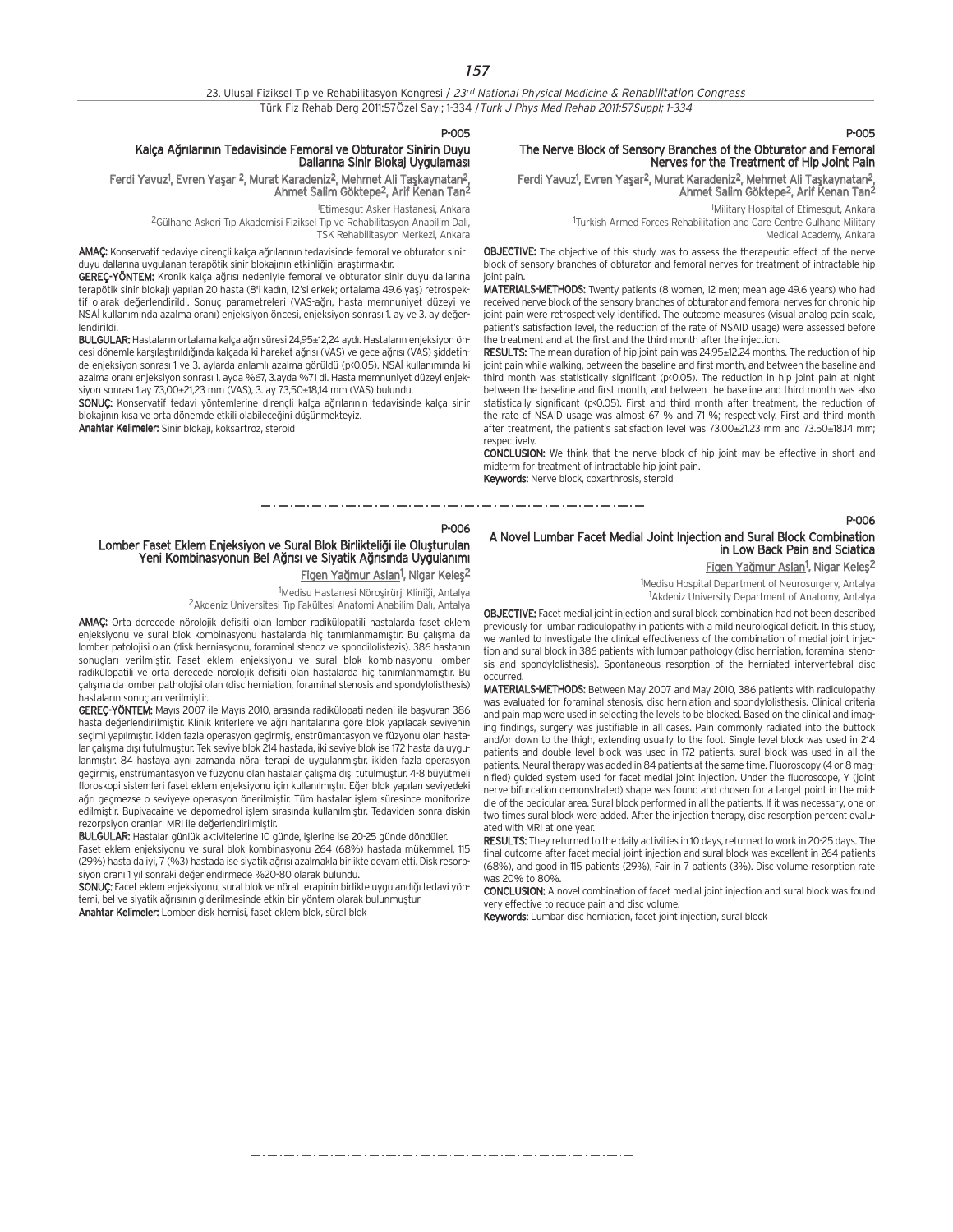| 23. Ulusal Fiziksel Tip ve Rehabilitasyon Kongresi / 23 <sup>rd</sup> National Physical Medicine & Rehabilitation Congress |  |
|----------------------------------------------------------------------------------------------------------------------------|--|
| Türk Fiz Rehab Derg 2011:57Özel Sayı; 1-334 / Turk J Phys Med Rehab 2011:57Suppl; 1-334                                    |  |

#### P-005

## Kalça Ağrılarının Tedavisinde Femoral ve Obturator Sinirin Duyu<br>Dallarına Sinir Blokaj Uygulaması

#### <u>Ferdi Yavuz</u>1, Evren Yaşar <sup>2</sup>, Murat Karadeniz<sup>2</sup>, Mehmet Ali Taşkaynatan<sup>2</sup>, Ahmet Salim Göktepe2, Arif Kenan Tan2

1 Etimesgut Asker Hastanesi, Ankara

<sup>2</sup>Gülhane Askeri Tip Akademisi Fiziksel Tip ve Rehabilitasyon Anabilim Dalı, TSK Rehabilitasyon Merkezi, Ankara

AMAC: Konservatif tedaviye dirençli kalça ağrılarının tedavisinde femoral ve obturator sinir duyu dallarına uygulanan terapötik sinir blokajının etkinliğini araştırmaktır.

GEREÇ-YÖNTEM: Kronik kalça ağrısı nedeniyle femoral ve obturator sinir duyu dallarına terapötik sinir blokajı yapılan 20 hasta (8'i kadın, 12'si erkek; ortalama 49.6 yaş) retrospektif olarak değerlendirildi. Sonuç parametreleri (VAS-ağrı, hasta memnuniyet düzeyi ve NSAİ kullanımında azalma oranı) enjeksiyon öncesi, enjeksiyon sonrası 1. ay ve 3. ay değerlendirildi.

BULGULAR: Hastaların ortalama kalça ağrı süresi 24,95±12,24 aydı. Hastaların enjeksiyon öncesi dönemle karşılaştırıldığında kalçada ki hareket ağrısı (VAS) ve gece ağrısı (VAS) şiddetinde enjeksiyon sonrası 1 ve 3. aylarda anlamlı azalma görüldü (p<0.05). NSAİ kullanımında ki azalma oranı enjeksiyon sonrası 1. ayda %67, 3.ayda %71 di. Hasta memnuniyet düzeyi enjeksiyon sonrası 1.ay 73,00±21,23 mm (VAS), 3. ay  $73,50±18,14$  mm (VAS) bulundu.

SONUÇ: Konservatif tedavi yöntemlerine dirençli kalça ağrılarının tedavisinde kalça sinir blokajının kısa ve orta dönemde etkili olabileceğini düşünmekteyiz.

Anahtar Kelimeler: Sinir blokajı, koksartroz, steroid

## P-005

P-006

## The Nerve Block of Sensory Branches of the Obturator and Femoral Nerves for the Treatment of Hip Joint Pain

<u>Ferdi Yavuz</u><sup>1</sup>, Evren Yaşar<sup>2</sup>, Murat Karadeniz<sup>2</sup>, Mehmet Ali Taşkaynatan<sup>2</sup>, Ahmet Salim Göktepe2, Arif Kenan Tan2

> 1 Military Hospital of Etimesgut, Ankara <sup>1</sup>Turkish Armed Forces Rehabilitation and Care Centre Gulhane Military Medical Academy, Ankara

**OBJECTIVE:** The objective of this study was to assess the therapeutic effect of the nerve block of sensory branches of obturator and femoral nerves for treatment of intractable hip joint pain.

MATERIALS-METHODS: Twenty patients (8 women, 12 men; mean age 49.6 years) who had received nerve block of the sensory branches of obturator and femoral nerves for chronic hip joint pain were retrospectively identified. The outcome measures (visual analog pain scale, patient's satisfaction level, the reduction of the rate of NSAID usage) were assessed before the treatment and at the first and the third month after the injection.

RESULTS: The mean duration of hip joint pain was 24.95±12.24 months. The reduction of hip joint pain while walking, between the baseline and first month, and between the baseline and third month was statistically significant (p<0.05). The reduction in hip joint pain at night between the baseline and first month, and between the baseline and third month was also statistically significant (p<0.05). First and third month after treatment, the reduction of the rate of NSAID usage was almost 67 % and 71 %; respectively. First and third month after treatment, the patient's satisfaction level was 73.00±21.23 mm and 73.50±18.14 mm; respectively.

CONCLUSION: We think that the nerve block of hip joint may be effective in short and midterm for treatment of intractable hip joint pain. Keywords: Nerve block, coxarthrosis, steroid

#### P-006

## Lomber Faset Eklem Enjeksiyon ve Sural Blok Birlikteliği ile Oluşturulan Yeni Kombinasyonun Bel Ağrısı ve Siyatik Ağrısında Uygulanımı <u>Figen Yağmur Aslan</u><sup>1</sup>, Nigar Keleş<sup>2</sup>

<sup>1</sup>Medisu Hastanesi Nöroşirürji Kliniği, Antalya <sup>2</sup> Akdeniz Üniversitesi Tıp Fakültesi Anatomi Anabilim Dalı, Antalya

AMAÇ: Orta derecede nörolojik defisiti olan lomber radikülopatili hastalarda faset eklem enjeksiyonu ve sural blok kombinasyonu hastalarda hiç tanımlanmamıştır. Bu çalışma da lomber patolojisi olan (disk herniasyonu, foraminal stenoz ve spondilolistezis). 386 hastanın sonuçları verilmiştir. Faset eklem enjeksiyonu ve sural blok kombinasyonu lomber radikülopatili ve orta derecede nörolojik defisiti olan hastalarda hiç tanımlanmamıştır. Bu çalışma da lomber patholojisi olan (disc herniation, foraminal stenosis and spondylolisthesis) hastaların sonuçları verilmiştir.

GEREÇ-YÖNTEM: Mayıs 2007 ile Mayıs 2010, arasında radikülopati nedeni ile başvuran 386 hasta değerlendirilmiştir. Klinik kriterlere ve ağrı haritalarına göre blok yapılacak seviyenin seçimi yapılmıştır. ikiden fazla operasyon geçirmiş, enstrümantasyon ve füzyonu olan hastalar çalışma dışı tutulmuştur. Tek seviye blok 214 hastada, iki seviye blok ise 172 hasta da uygulanmıştır. 84 hastaya aynı zamanda nöral terapi de uygulanmıştır. ikiden fazla operasyon geçirmiş, enstrümantasyon ve füzyonu olan hastalar çalışma dışı tutulmuştur. 4-8 büyütmeli floroskopi sistemleri faset eklem enjeksiyonu için kullanılmıştır. Eğer blok yapılan seviyedeki ağrı geçmezse o seviyeye operasyon önerilmiştir. Tüm hastalar işlem süresince monitorize edilmiştir. Bupivacaine ve depomedrol işlem sırasında kullanılmıştır. Tedaviden sonra diskin rezorpsiyon oranları MRI ile değerlendirilmiştir.

BULGULAR: Hastalar günlük aktivitelerine 10 günde, işlerine ise 20-25 günde döndüler. Faset eklem enjeksiyonu ve sural blok kombinasyonu 264 (68%) hastada mükemmel, 115 (29%) hasta da iyi, 7 (%3) hastada ise siyatik ağrısı azalmakla birlikte devam etti. Disk resorpsiyon oranı 1 yıl sonraki değerlendirmede %20-80 olarak bulundu.

SONUÇ: Facet eklem enjeksiyonu, sural blok ve nöral terapinin birlikte uygulandığı tedavi yöntemi, bel ve siyatik ağrısının giderilmesinde etkin bir yöntem olarak bulunmuştur Anahtar Kelimeler: Lomber disk hernisi, faset eklem blok, süral blok

## A Novel Lumbar Facet Medial Joint Injection and Sural Block Combination in Low Back Pain and Sciatica

Figen Yağmur Aslan<sup>1</sup>, Nigar Keleş<sup>2</sup>

1 Medisu Hospital Department of Neurosurgery, Antalya <sup>1</sup>Akdeniz University Department of Anatomy, Antalya

OBJECTIVE: Facet medial joint injection and sural block combination had not been described previously for lumbar radiculopathy in patients with a mild neurological deficit. In this study, we wanted to investigate the clinical effectiveness of the combination of medial joint injection and sural block in 386 patients with lumbar pathology (disc herniation, foraminal stenosis and spondylolisthesis). Spontaneous resorption of the herniated intervertebral disc occurred.

MATERIALS-METHODS: Between May 2007 and May 2010, 386 patients with radiculopathy was evaluated for foraminal stenosis, disc herniation and spondylolisthesis. Clinical criteria and pain map were used in selecting the levels to be blocked. Based on the clinical and imaging findings, surgery was justifiable in all cases. Pain commonly radiated into the buttock and/or down to the thigh, extending usually to the foot. Single level block was used in 214 patients and double level block was used in 172 patients, sural block was used in all the patients. Neural therapy was added in 84 patients at the same time. Fluoroscopy (4 or 8 magnified) guided system used for facet medial joint injection. Under the fluoroscope, Y (joint nerve bifurcation demonstrated) shape was found and chosen for a target point in the middle of the pedicular area. Sural block performed in all the patients. If it was necessary, one or two times sural block were added. After the injection therapy, disc resorption percent evaluated with MRI at one year.

RESULTS: They returned to the daily activities in 10 days, returned to work in 20-25 days. The final outcome after facet medial joint injection and sural block was excellent in 264 patients (68%), and good in 115 patients (29%), Fair in 7 patients (3%). Disc volume resorption rate was 20% to 80%.

CONCLUSION: A novel combination of facet medial joint injection and sural block was found very effective to reduce pain and disc volume.

Keywords: Lumbar disc herniation, facet joint injection, sural block

والمساويس والمساويس والمساويس والمساويس والمساويس والمساويس والمساويس والمساويس والمساويس والمساويس والمساويس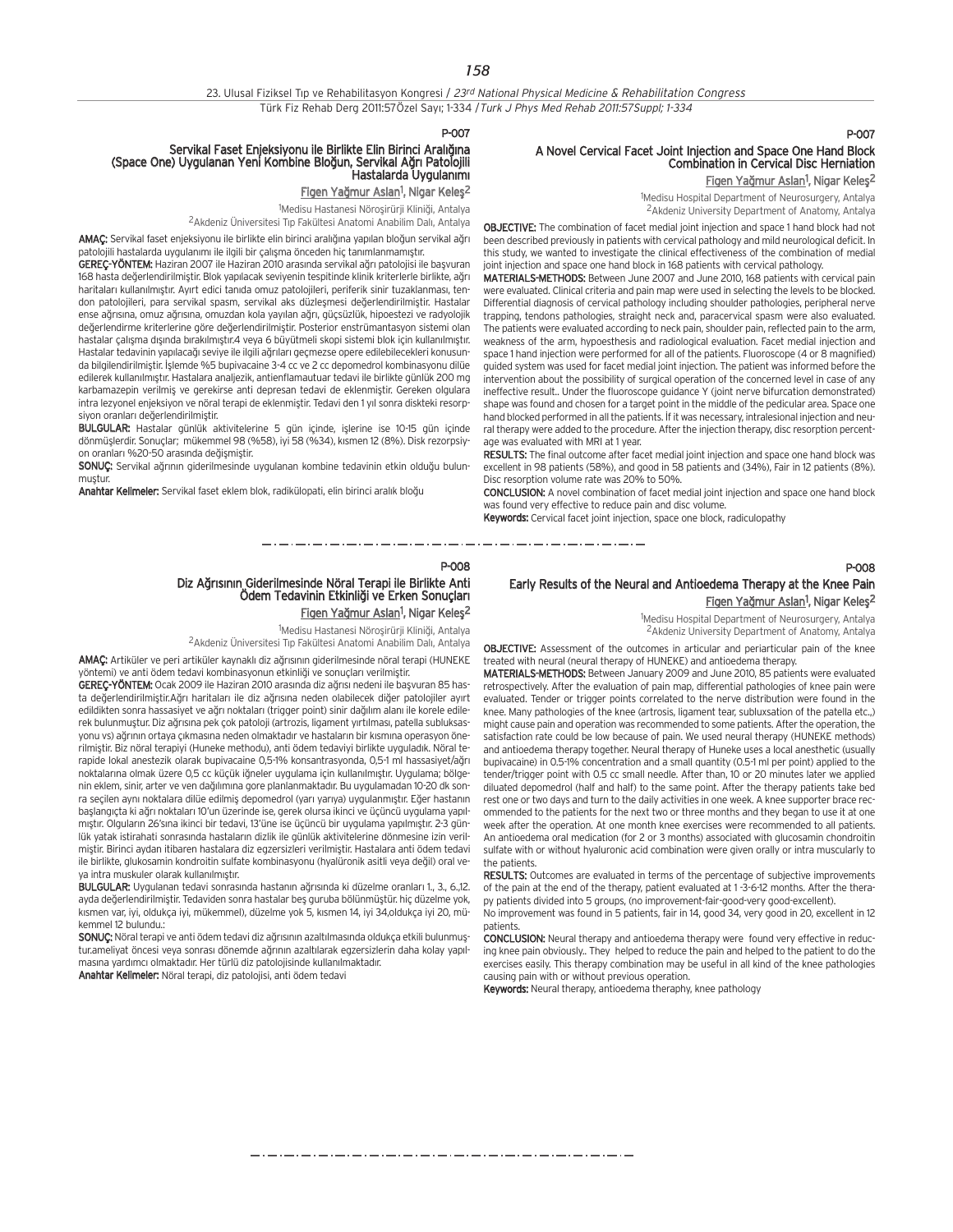#### P-007

## Servikal Faset Enjeksiyonu ile Birlikte Elin Birinci Aralığına<br>Space One) Uygulanan Yeni Kombine Bloğun, Servikal Ağrı Patolojili) Hastalarda Uygulanımı

<u>Figen Yağmur Aslan</u>1, Nigar Keleş<sup>2</sup>

1Medisu Hastanesi Nöroşirürji Kliniği, Antalya

<sup>2</sup> Akdeniz Üniversitesi Tıp Fakültesi Anatomi Anabilim Dalı, Antalya

AMAC: Servikal faset enjeksiyonu ile birlikte elin birinci aralığına yapılan bloğun servikal ağrı patolojili hastalarda uygulanımı ile ilgili bir çalışma önceden hiç tanımlanmamıştır.

GEREC-YÖNTEM: Haziran 2007 ile Haziran 2010 arasında servikal ağrı patolojisi ile başyuran 168 hasta değerlendirilmiştir. Blok yapılacak seviyenin tespitinde klinik kriterlerle birlikte, ağrı haritaları kullanılmıştır. Ayırt edici tanıda omuz patolojileri, periferik sinir tuzaklanması, tendon patolojileri, para servikal spasm, servikal aks düzlesmesi değerlendirilmiştir. Hastalar ense ağrısına, omuz ağrısına, omuzdan kola yayılan ağrı, güçsüzlük, hipoestezi ve radyolojik değerlendirme kriterlerine göre değerlendirilmiştir. Posterior enstrümantasyon sistemi olan hastalar çalışma dışında bırakılmıştır.4 veya 6 büyütmeli skopi sistemi blok için kullanılmıştır. Hastalar tedavinin yapılacağı seviye ile ilgili ağrıları geçmezse opere edilebilecekleri konusunda bilgilendirilmiştir. İşlemde %5 bupivacaine 3-4 cc ve 2 cc depomedrol kombinasyonu dilüe edilerek kullanılmıştır. Hastalara analjezik, antienflamautuar tedavi ile birlikte günlük 200 mg karbamazepin verilmiş ve gerekirse anti depresan tedavi de eklenmiştir. Gereken olgulara intra lezyonel enjeksiyon ve nöral terapi de eklenmiştir. Tedavi den 1 yıl sonra diskteki resorpsiyon oranları değerlendirilmiştir.

BULGULAR: Hastalar günlük aktivitelerine 5 gün içinde, işlerine ise 10-15 gün içinde dönmüşlerdir. Sonuçlar; mükemmel 98 (%58), iyi 58 (%34), kısmen 12 (8%). Disk rezorpsiyon oranları %20-50 arasında değişmiştir.

SONUC: Servikal ağrının giderilmesinde uygulanan kombine tedavinin etkin olduğu bulunmustur

Anahtar Kelimeler: Servikal faset eklem blok, radikülopati, elin birinci aralık bloğu

## **P-007**

P-008

## A Novel Cervical Facet Joint Injection and Space One Hand Block Combination in Cervical Disc Herniation

Figen Yağmur Aslan<sup>1</sup>, Nigar Keleş<sup>2</sup>

1 Medisu Hospital Department of Neurosurgery, Antalya 2Akdeniz University Department of Anatomy, Antalya

OBJECTIVE: The combination of facet medial joint injection and space 1 hand block had not been described previously in patients with cervical pathology and mild neurological deficit. In this study, we wanted to investigate the clinical effectiveness of the combination of medial joint injection and space one hand block in 168 patients with cervical pathology.

MATERIALS-METHODS: Between June 2007 and June 2010, 168 patients with cervical pain were evaluated. Clinical criteria and pain map were used in selecting the levels to be blocked. Differential diagnosis of cervical pathology including shoulder pathologies, peripheral nerve trapping, tendons pathologies, straight neck and, paracervical spasm were also evaluated. The patients were evaluated according to neck pain, shoulder pain, reflected pain to the arm, weakness of the arm, hypoesthesis and radiological evaluation. Facet medial injection and space 1 hand injection were performed for all of the patients. Fluoroscope (4 or 8 magnified) guided system was used for facet medial joint injection. The patient was informed before the intervention about the possibility of surgical operation of the concerned level in case of any ineffective result.. Under the fluoroscope guidance Y (joint nerve bifurcation demonstrated) shape was found and chosen for a target point in the middle of the pedicular area. Space one hand blocked performed in all the patients. If it was necessary, intralesional injection and neural therapy were added to the procedure. After the injection therapy, disc resorption percentage was evaluated with MRI at 1 year.

RESULTS: The final outcome after facet medial joint injection and space one hand block was excellent in 98 patients (58%), and good in 58 patients and (34%), Fair in 12 patients (8%). Disc resorption volume rate was 20% to 50%.

CONCLUSION: A novel combination of facet medial joint injection and space one hand block was found very effective to reduce pain and disc volume.

Keywords: Cervical facet joint injection, space one block, radiculopathy

-----------------------

## P-008 Diz Ağrısının Giderilmesinde Nöral Terapi ile Birlikte Anti<br>Ödem Tedavinin Etkinliği ve Erken Sonucları Figen Yağmur Aslan<sup>1</sup>, Nigar Keleş<sup>2</sup>

1Medisu Hastanesi Nöroşirürji Kliniği, Antalya

<sup>2</sup>Akdeniz Üniversitesi Tıp Fakültesi Anatomi Anabilim Dalı, Antalya

AMAC: Artiküler ve peri artiküler kaynaklı diz ağrısının giderilmesinde nöral terapi (HUNEKE yöntemi) ve anti ödem tedavi kombinasyonun etkinliği ve sonuçları verilmiştir.

GEREÇ-YÖNTEM: Ocak 2009 ile Haziran 2010 arasında diz ağrısı nedeni ile başvuran 85 hasta değerlendirilmiştir.Ağrı haritaları ile diz ağrısına neden olabilecek diğer patolojiler ayırt edildikten sonra hassasiyet ve ağrı noktaları (trigger point) sinir dağılım alanı ile korele edilerek bulunmuştur. Diz ağrısına pek çok patoloji (artrozis, ligament yırtılması, patella subluksasyonu vs) ağrının ortaya çıkmasına neden olmaktadır ve hastaların bir kısmına operasyon önerilmistir. Biz nöral terapiyi (Huneke methodu), anti ödem tedaviyi birlikte uyguladık. Nöral terapide lokal anestezik olarak bupivacaine 0,5-1% konsantrasyonda, 0,5-1 ml hassasiyet/a¤r› noktalarına olmak üzere 0,5 cc küçük iğneler uygulama için kullanılmıştır. Uygulama; bölgenin eklem, sinir, arter ve ven dağılımına gore planlanmaktadır. Bu uygulamadan 10-20 dk sonra seçilen aynı noktalara dilüe edilmiş depomedrol (yarı yarıya) uygulanmıştır. Eğer hastanın başlangıçta ki ağrı noktaları 10'un üzerinde ise, gerek olursa ikinci ve üçüncü uygulama yapılmıştır. Olguların 26'sına ikinci bir tedavi, 13'üne ise üçüncü bir uygulama yapılmıştır. 2-3 günlük yatak istirahati sonrasında hastaların dizlik ile günlük aktivitelerine dönmesine izin verilmiştir. Birinci aydan itibaren hastalara diz egzersizleri verilmiştir. Hastalara anti ödem tedavi ile birlikte, glukosamin kondroitin sulfate kombinasyonu (hyalüronik asitli veya değil) oral veya intra muskuler olarak kullanılmıştır.

BULGULAR: Uygulanan tedavi sonrasında hastanın ağrısında ki düzelme oranları 1., 3., 6.,12. ayda değerlendirilmiştir. Tedaviden sonra hastalar beş guruba bölünmüştür. hiç düzelme yok, kısmen var, iyi, oldukça iyi, mükemmel), düzelme yok 5, kısmen 14, iyi 34,oldukça iyi 20, mükemmel 12 bulundu.:

SONUC: Nöral terapi ve anti ödem tedavi diz ağrışının azaltılmasında oldukça etkili bulunmustur.ameliyat öncesi yeya sonrası dönemde ağrının azaltılarak egzersizlerin daha kolay yapılmasına yardımcı olmaktadır. Her türlü diz patolojisinde kullanılmaktadır. Anahtar Kelimeler: Nöral terapi, diz patolojisi, anti ödem tedavi

## Early Results of the Neural and Antioedema Therapy at the Knee Pain Figen Yağmur Aslan<sup>1</sup>, Nigar Keleş<sup>2</sup> 1 Medisu Hospital Department of Neurosurgery, Antalya

2Akdeniz University Department of Anatomy, Antalya

OBJECTIVE: Assessment of the outcomes in articular and periarticular pain of the knee treated with neural (neural therapy of HUNEKE) and antioedema therapy.

MATERIALS-METHODS: Between January 2009 and June 2010, 85 patients were evaluated retrospectively. After the evaluation of pain map, differential pathologies of knee pain were evaluated. Tender or trigger points correlated to the nerve distribution were found in the knee. Many pathologies of the knee (artrosis, ligament tear, subluxsation of the patella etc.,) might cause pain and operation was recommended to some patients. After the operation, the satisfaction rate could be low because of pain. We used neural therapy (HUNEKE methods) and antioedema therapy together. Neural therapy of Huneke uses a local anesthetic (usually bupivacaine) in 0.5-1% concentration and a small quantity (0.5-1 ml per point) applied to the tender/trigger point with 0.5 cc small needle. After than, 10 or 20 minutes later we applied diluated depomedrol (half and half) to the same point. After the therapy patients take bed rest one or two days and turn to the daily activities in one week. A knee supporter brace recommended to the patients for the next two or three months and they began to use it at one week after the operation. At one month knee exercises were recommended to all patients. An antioedema oral medication (for 2 or 3 months) associated with glucosamin chondroitin sulfate with or without hyaluronic acid combination were given orally or intra muscularly to the patients.

RESULTS: Outcomes are evaluated in terms of the percentage of subjective improvements of the pain at the end of the therapy, patient evaluated at 1-3-6-12 months. After the therapy patients divided into 5 groups, (no improvement-fair-good-very good-excellent).

No improvement was found in 5 patients, fair in 14, good 34, very good in 20, excellent in 12 patients.

CONCLUSION: Neural therapy and antioedema therapy were found very effective in reducing knee pain obviously.. They helped to reduce the pain and helped to the patient to do the exercises easily. This therapy combination may be useful in all kind of the knee pathologies causing pain with or without previous operation.

Keywords: Neural therapy, antioedema theraphy, knee pathology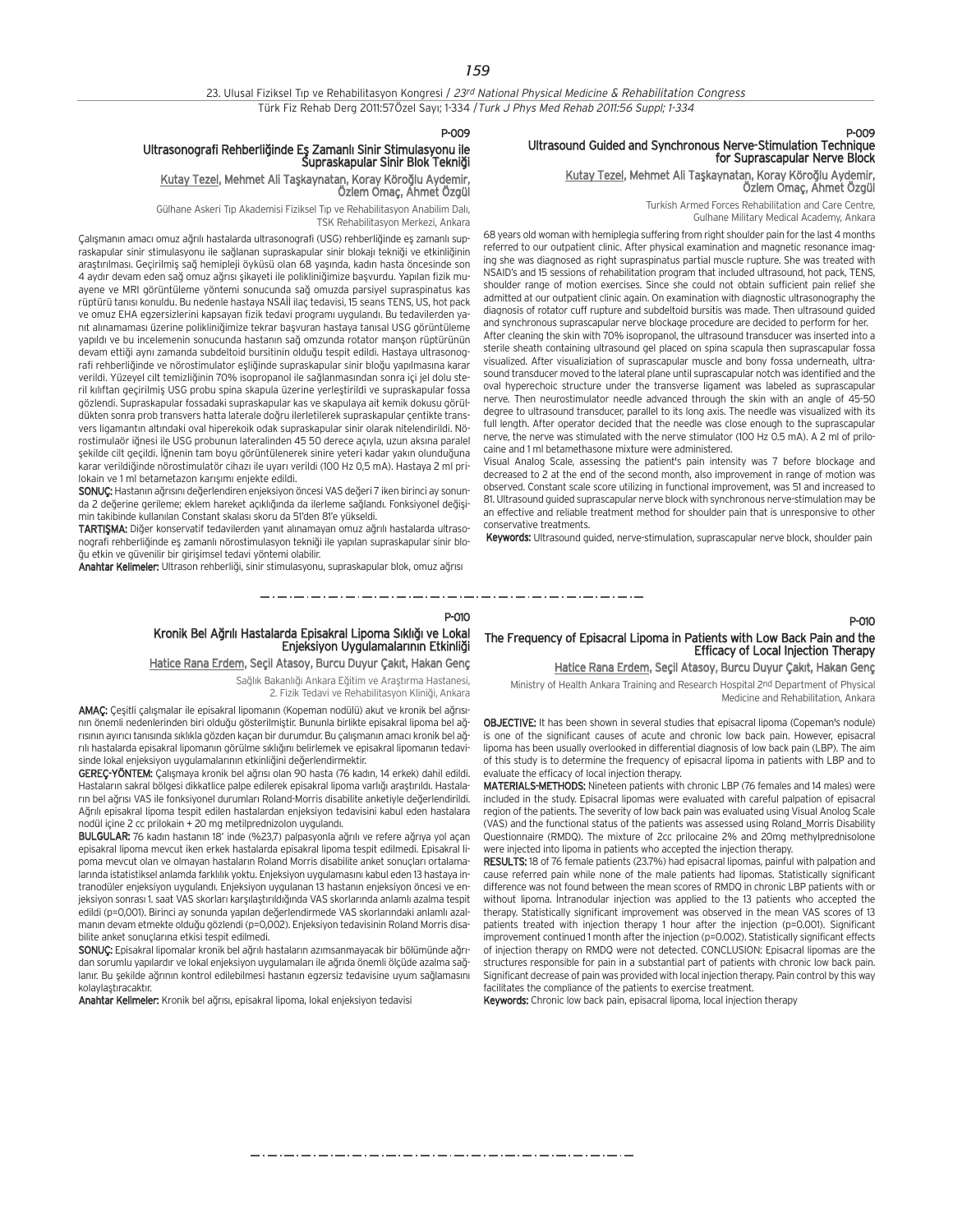### 23. Ulusal Fiziksel Tıp ve Rehabilitasyon Kongresi / 23rd National Physical Medicine & Rehabilitation Congress Türk Fiz Rehab Derg 2011:57Özel Sayı; 1-334 / Turk J Phys Med Rehab 2011:56 Suppl; 1-334

### P-009 Ultrasound Guided and Synchronous Nerve-Stimulation Technique for Suprascapular Nerve Block

## Kutay Tezel, Mehmet Ali Taşkaynatan, Koray Köroğlu Aydemir, Özlem Omaç, Ahmet Özgül

Turkish Armed Forces Rehabilitation and Care Centre,

Gulhane Military Medical Academy, Ankara

68 years old woman with hemiplegia suffering from right shoulder pain for the last 4 months referred to our outpatient clinic. After physical examination and magnetic resonance imaging she was diagnosed as right supraspinatus partial muscle rupture. She was treated with NSAID's and 15 sessions of rehabilitation program that included ultrasound, hot pack, TENS, shoulder range of motion exercises. Since she could not obtain sufficient pain relief she admitted at our outpatient clinic again. On examination with diagnostic ultrasonography the diagnosis of rotator cuff rupture and subdeltoid bursitis was made. Then ultrasound guided and synchronous suprascapular nerve blockage procedure are decided to perform for her. After cleaning the skin with 70% isopropanol, the ultrasound transducer was inserted into a sterile sheath containing ultrasound gel placed on spina scapula then suprascapular fossa visualized. After visualiziation of suprascapular muscle and bony fossa underneath, ultrasound transducer moved to the lateral plane until suprascapular notch was identified and the oval hyperechoic structure under the transverse ligament was labeled as suprascapular nerve. Then neurostimulator needle advanced through the skin with an angle of 45-50 degree to ultrasound transducer, parallel to its long axis. The needle was visualized with its full length. After operator decided that the needle was close enough to the suprascapular nerve, the nerve was stimulated with the nerve stimulator (100 Hz 0.5 mA). A 2 ml of prilocaine and 1 ml betamethasone mixture were administered.

Visual Analog Scale, assessing the patient's pain intensity was 7 before blockage and decreased to 2 at the end of the second month, also improvement in range of motion was observed. Constant scale score utilizing in functional improvement, was 51 and increased to 81. Ultrasound guided suprascapular nerve block with synchronous nerve-stimulation may be an effective and reliable treatment method for shoulder pain that is unresponsive to other conservative treatments.

Keywords: Ultrasound guided, nerve-stimulation, suprascapular nerve block, shoulder pain

P-009

### Ultrasonografi Rehberliğinde Eş Zamanlı Sinir Stimulasyonu ile .<br>Supraskapular Sinir Blok Tekniği

## Kutay Tezel, Mehmet Ali Taşkaynatan, Koray Köroğlu Aydemir, Özlem Omaç, Ahmet Özgül

Gülhane Askeri Tıp Akademisi Fiziksel Tıp ve Rehabilitasyon Anabilim Dalı, TSK Rehabilitasyon Merkezi, Ankara

Çalışmanın amacı omuz ağrılı hastalarda ultrasonografi (USG) rehberliğinde eş zamanlı supraskapular sinir stimulasyonu ile sağlanan supraskapular sinir blokajı tekniği ve etkinliğinin arastırılması. Geçirilmiş sağ hemipleji öyküsü olan 68 yasında, kadın hasta öncesinde son 4 aydır devam eden sağ omuz ağrısı şikayeti ile polikliniğimize başvurdu. Yapılan fizik muayene ve MRI görüntüleme yöntemi sonucunda sağ omuzda parsiyel supraspinatus kas rüptürü tanısı konuldu. Bu nedenle hastaya NSAİİ ilaç tedavisi, 15 seans TENS, US, hot pack ve omuz EHA egzersizlerini kapsayan fizik tedavi programı uygulandı. Bu tedavilerden yanıt alınamaması üzerine polikliniğimize tekrar başvuran hastaya tanısal USG görüntüleme yapıldı ve bu incelemenin sonucunda hastanın sağ omzunda rotator manşon rüptürünün devam ettiği aynı zamanda subdeltoid bursitinin olduğu tespit edildi. Hastaya ultrasonografi rehberliğinde ve nörostimulator eşliğinde supraskapular sinir bloğu yapılmasına karar verildi. Yüzeyel cilt temizliğinin 70% isopropanol ile sağlanmasından sonra içi jel dolu steril kılıftan geçirilmiş USG probu spina skapula üzerine yerleştirildi ve supraskapular fossa gözlendi. Supraskapular fossadaki supraskapular kas ve skapulaya ait kemik dokusu görüldükten sonra prob transvers hatta laterale do¤ru ilerletilerek supraskapular çentikte transvers ligamantın altındaki oval hiperekoik odak supraskapular sinir olarak nitelendirildi. Nörostimulaör iğnesi ile USG probunun lateralinden 45 50 derece açıyla, uzun aksına paralel sekilde cilt geçildi. İğnenin tam boyu görüntülenerek sinire yeteri kadar yakın olunduğuna karar verildiğinde nörostimulatör cihazı ile uyarı yerildi (100 Hz 0.5 mA). Hastaya 2 ml prilokain ve 1 ml betametazon karısımı enjekte edildi.

SONUÇ: Hastanın ağrısını değerlendiren enjeksiyon öncesi VAS değeri 7 iken birinci ay sonunda 2 değerine gerileme; eklem hareket açıklığında da ilerleme sağlandı. Fonksiyonel değişimin takibinde kullanılan Constant skalası skoru da 51'den 81'e yükseldi.

TARTIŞMA: Diğer konservatif tedavilerden yanıt alınamayan omuz ağrılı hastalarda ultrasonografi rehberliğinde eş zamanlı nörostimulasyon tekniği ile yapılan supraskapular sinir bloğu etkin ve güvenilir bir girişimsel tedavi yöntemi olabilir.

Anahtar Kelimeler: Ultrason rehberliği, sinir stimulasyonu, supraskapular blok, omuz ağrısı

P-010

والمتحاول والمستحي والمستحي والمستحي والمستحي والمستحي والمستحير والمستحير

## Kronik Bel Ağrılı Hastalarda Episakral Lipoma Sıklığı ve Lokal<br>Enjeksiyon Uygulamalarının Etkinliği

Hatice Rana Erdem, Seçil Atasoy, Burcu Duyur Çakıt, Hakan Genç

Sağlık Bakanlığı Ankara Eğitim ve Araştırma Hastanesi, 2. Fizik Tedavi ve Rehabilitasyon Kliniği, Ankara

<u> Andreas ann an Aonaichte ann an Aonaichte ann an Aonaichte ann an Aonaichte ann an Aonaichte ann an Aonaichte a</u>

AMAÇ: Çeşitli çalışmalar ile episakral lipomanın (Kopeman nodülü) akut ve kronik bel ağrısının önemli nedenlerinden biri olduğu gösterilmiştir. Bununla birlikte episakral lipoma bel ağrısının ayırıcı tanısında sıklıkla gözden kaçan bir durumdur. Bu çalışmanın amacı kronik bel ağrılı hastalarda episakral lipomanın görülme sıklığını belirlemek ve episakral lipomanın tedavisinde lokal enjeksiyon uygulamalarının etkinliğini değerlendirmektir.

GEREC-YÖNTEM: Calismaya kronik bel ağrısı olan 90 hasta (76 kadın, 14 erkek) dahil edildi. Hastaların sakral bölgesi dikkatlice palpe edilerek episakral lipoma varlığı arastırıldı. Hastaların bel ağrısı VAS ile fonksiyonel durumları Roland-Morris disabilite anketiyle değerlendirildi. Ağrılı episakral lipoma tespit edilen hastalardan enjeksiyon tedavisini kabul eden hastalara nodül içine 2 cc prilokain + 20 mg metilprednizolon uygulandı.

BULGULAR: 76 kadın hastanın 18' inde (%23,7) palpasyonla ağrılı ve refere ağrıya yol açan episakral lipoma mevcut iken erkek hastalarda episakral lipoma tespit edilmedi. Episakral lipoma mevcut olan ve olmayan hastaların Roland Morris disabilite anket sonuçları ortalamalarında istatistiksel anlamda farklılık yoktu. Enjeksiyon uygulamasını kabul eden 13 hastaya intranodüler enjeksiyon uygulandı. Enjeksiyon uygulanan 13 hastanın enjeksiyon öncesi ve enjeksiyon sonrası 1. saat VAS skorları karşılaştırıldığında VAS skorlarında anlamlı azalma tespit edildi (p=0,001). Birinci ay sonunda yapılan değerlendirmede VAS skorlarındaki anlamlı azalmanın devam etmekte olduğu gözlendi (p=0,002). Enjeksiyon tedavisinin Roland Morris disabilite anket sonuçlarına etkisi tespit edilmedi.

SONUC: Episakral lipomalar kronik bel ağrılı hastaların azımsanmayacak bir bölümünde ağrı dan sorumlu yapılardır ve lokal enjeksiyon uygulamaları ile ağrıda önemli ölçüde azalma sağlanır. Bu sekilde ağrının kontrol edilebilmesi hastanın egzersiz tedavisine uyum sağlamasını kolaylastıracaktır.

Anahtar Kelimeler: Kronik bel ağrısı, episakral lipoma, lokal enjeksiyon tedavisi

## P-010

## The Frequency of Episacral Lipoma in Patients with Low Back Pain and the Efficacy of Local Injection Therapy

## Hatice Rana Erdem, Seçil Atasoy, Burcu Duyur Çakıt, Hakan Genç

Ministry of Health Ankara Training and Research Hospital 2nd Department of Physical Medicine and Rehabilitation, Ankara

OBJECTIVE: It has been shown in several studies that episacral lipoma (Copeman's nodule) is one of the significant causes of acute and chronic low back pain. However, episacral lipoma has been usually overlooked in differential diagnosis of low back pain (LBP). The aim of this study is to determine the frequency of episacral lipoma in patients with LBP and to evaluate the efficacy of local injection therapy.

MATERIALS-METHODS: Nineteen patients with chronic LBP (76 females and 14 males) were included in the study. Episacral lipomas were evaluated with careful palpation of episacral region of the patients. The severity of low back pain was evaluated using Visual Anolog Scale (VAS) and the functional status of the patients was assessed using Roland\_Morris Disability Questionnaire (RMDQ). The mixture of 2cc prilocaine 2% and 20mg methylprednisolone were injected into lipoma in patients who accepted the injection therapy.

RESULTS: 18 of 76 female patients (23.7%) had episacral lipomas, painful with palpation and cause referred pain while none of the male patients had lipomas. Statistically significant difference was not found between the mean scores of RMDQ in chronic LBP patients with or without lipoma. Intranodular injection was applied to the 13 patients who accepted the therapy. Statistically significant improvement was observed in the mean VAS scores of 13 patients treated with injection therapy 1 hour after the injection (p=0.001). Significant  $\frac{1}{2}$  improvement continued 1 month after the injection (p=0.002). Statistically significant effects of injection therapy on RMDQ were not detected. CONCLUSION: Episacral lipomas are the structures responsible for pain in a substantial part of patients with chronic low back pain. Significant decrease of pain was provided with local injection therapy. Pain control by this way facilitates the compliance of the patients to exercise treatment.

Keywords: Chronic low back pain, episacral lipoma, local injection therapy

والمتوارد متوارد متوارد متوارد متوارد متوارد متوارد متوارد متوارد متوارد متوارد متوارد متوارد متوارد متوارد متوارد متوارد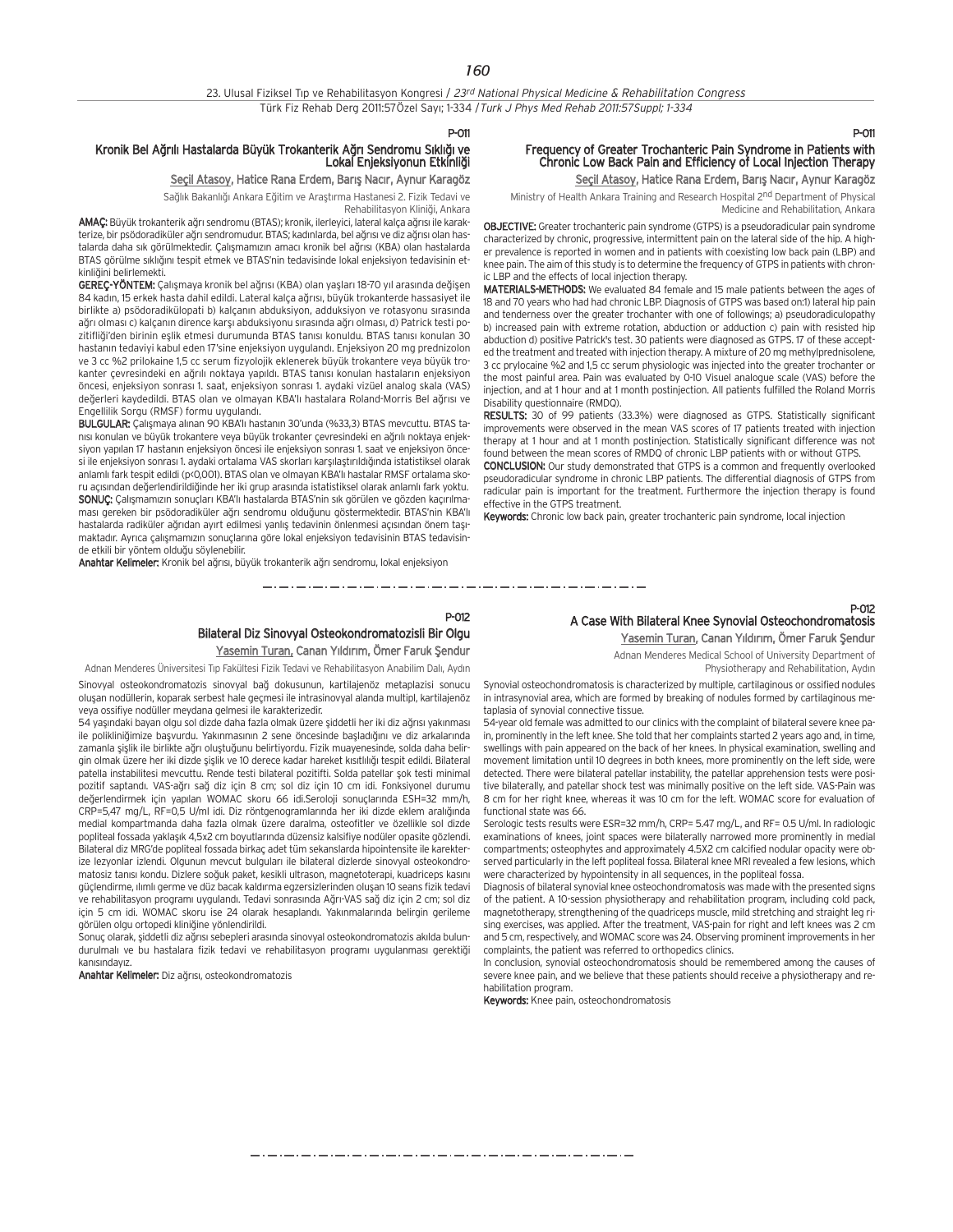#### P-011

### Kronik Bel Ağrılı Hastalarda Büyük Trokanterik Ağrı Sendromu Sıklığı ve Lokal Enjeksiyonun Etkinliği

Seçil Atasoy, Hatice Rana Erdem, Barış Nacır, Aynur Karagöz

Sağlık Bakanlığı Ankara Eğitim ve Araştırma Hastanesi 2. Fizik Tedavi ve

Rehabilitasyon Kliniği, Ankara

AMAC: Büyük trokanterik ağrı sendromu (BTAS); kronik, ilerleyici, lateral kalca ağrısı ile karakterize, bir psödoradiküler ağrı sendromudur. BTAS; kadınlarda, bel ağrısı ve diz ağrısı olan hastalarda daha sık görülmektedir. Çalışmamızın amacı kronik bel ağrısı (KBA) olan hastalarda BTAS görülme sıklığını tespit etmek ve BTAS'nin tedavisinde lokal enjeksiyon tedavisinin etkinliğini belirlemekti.

GEREÇ-YÖNTEM: Çalışmaya kronik bel ağrısı (KBA) olan yaşları 18-70 yıl arasında değişen 84 kadın, 15 erkek hasta dahil edildi. Lateral kalça ağrısı, büyük trokanterde hassasiyet ile birlikte a) psödoradikülopati b) kalçanın abduksiyon, adduksiyon ve rotasyonu sırasında ağrı olması c) kalçanın dirence karşı abduksiyonu sırasında ağrı olması, d) Patrick testi pozitifliği'den birinin eslik etmesi durumunda BTAS tanısı konuldu. BTAS tanısı konulan 30 hastanın tedaviyi kabul eden 17'sine enjeksiyon uygulandı. Enjeksiyon 20 mg prednizolon ve 3 cc %2 prilokaine 1,5 cc serum fizyolojik eklenerek büyük trokantere veya büyük trokanter çevresindeki en ağrılı noktaya yapıldı. BTAS tanısı konulan hastaların enjeksiyon öncesi, enjeksiyon sonrası 1. saat, enjeksiyon sonrası 1. aydaki vizüel analog skala (VAS) değerleri kaydedildi. BTAS olan ve olmayan KBA'lı hastalara Roland-Morris Bel ağrısı ve Engellilik Sorgu (RMSF) formu uyguland›.

BULGULAR: Calismaya alinan 90 KBA'lı hastanın 30'unda (%33,3) BTAS meycuttu. BTAS tanısı konulan ve büyük trokantere yeya büyük trokanter çevresindeki en ağrılı noktaya enjeksiyon yapılan 17 hastanın enjeksiyon öncesi ile enjeksiyon sonrası 1. saat ve enjeksiyon öncesi ile enjeksiyon sonrası 1. aydaki ortalama VAS skorları karsılastırıldığında istatistiksel olarak anlamlı fark tespit edildi (p<0,001). BTAS olan ve olmayan KBA'lı hastalar RMSF ortalama skoru açısından değerlendirildiğinde her iki grup arasında istatistiksel olarak anlamlı fark yoktu. SONUÇ: Çalışmamızın sonuçları KBA'lı hastalarda BTAS'nin sık görülen ve gözden kaçırılmaması gereken bir psödoradiküler ağrı sendromu olduğunu göstermektedir. BTAS'nin KBA'lı hastalarda radiküler ağrıdan ayırt edilmesi yanlış tedavinin önlenmesi açısından önem taşımaktadır. Ayrıca çalışmamızın sonuçlarına göre lokal enjeksiyon tedavisinin BTAS tedavisinde etkili bir yöntem olduğu söylenebilir.

Anahtar Kelimeler: Kronik bel ağrısı, büyük trokanterik ağrı sendromu, lokal enjeksiyon

## Chronic Low Back Pain and Efficiency of Local Injection Therapy Seçil Atasoy, Hatice Rana Erdem, Barış Nacır, Aynur Karagöz Ministry of Health Ankara Training and Research Hospital 2nd Department of Physical

P-011

Medicine and Rehabilitation, Ankara

Frequency of Greater Trochanteric Pain Syndrome in Patients with

OBJECTIVE: Greater trochanteric pain syndrome (GTPS) is a pseudoradicular pain syndrome characterized by chronic, progressive, intermittent pain on the lateral side of the hip. A higher prevalence is reported in women and in patients with coexisting low back pain (LBP) and knee pain. The aim of this study is to determine the frequency of GTPS in patients with chronic LBP and the effects of local injection therapy.

MATERIALS-METHODS: We evaluated 84 female and 15 male patients between the ages of 18 and 70 years who had had chronic LBP. Diagnosis of GTPS was based on:1) lateral hip pain and tenderness over the greater trochanter with one of followings; a) pseudoradiculopathy b) increased pain with extreme rotation, abduction or adduction c) pain with resisted hip abduction d) positive Patrick's test. 30 patients were diagnosed as GTPS. 17 of these accepted the treatment and treated with injection therapy. A mixture of 20 mg methylprednisolene, 3 cc prylocaine %2 and 1,5 cc serum physiologic was injected into the greater trochanter or the most painful area. Pain was evaluated by 0-10 Visuel analogue scale (VAS) before the injection, and at 1 hour and at 1 month postinjection. All patients fulfilled the Roland Morris Disability questionnaire (RMDQ).

RESULTS: 30 of 99 patients (33.3%) were diagnosed as GTPS. Statistically significant improvements were observed in the mean VAS scores of 17 patients treated with injection therapy at 1 hour and at 1 month postinjection. Statistically significant difference was not found between the mean scores of RMDQ of chronic LBP patients with or without GTPS.

CONCLUSION: Our study demonstrated that GTPS is a common and frequently overlooked pseudoradicular syndrome in chronic LBP patients. The differential diagnosis of GTPS from radicular pain is important for the treatment. Furthermore the injection therapy is found effective in the GTPS treatment.

Keywords: Chronic low back pain, greater trochanteric pain syndrome, local injection

مترو متوارد متوارد متوارد متوارد متوارد متوارد متوارد متوارد متوارد متوارد متوارد متوارد متوارد متوارد متوارد متوارد متوارد

## P-012 Bilateral Diz Sinovyal Osteokondromatozisli Bir Olgu

Yasemin Turan, Canan Yıldırım, Ömer Faruk Şendur

Adnan Menderes Üniversitesi Tıp Fakültesi Fizik Tedavi ve Rehabilitasyon Anabilim Dalı, Aydın

Sinovyal osteokondromatozis sinovyal bağ dokusunun, kartilajenöz metaplazisi sonucu oluşan nodüllerin, koparak serbest hale geçmesi ile intrasinovyal alanda multipl, kartilajenöz veya ossifiye nodüller meydana gelmesi ile karakterizedir.

54 yaşındaki bayan olgu sol dizde daha fazla olmak üzere şiddetli her iki diz ağrısı yakınması ile polikliniğimize başyurdu. Yakınmasının 2 sene öncesinde başladığını ve diz arkalarında zamanla sislik ile birlikte ağrı olustuğunu belirtivordu. Fizik muayenesinde, solda daha belirgin olmak üzere her iki dizde sislik ve 10 derece kadar hareket kısıtlılığı tespit edildi. Bilateral patella instabilitesi mevcuttu. Rende testi bilateral pozitifti. Solda patellar sok testi minimal pozitif saptandı. VAS-ağrı sağ diz için 8 cm; sol diz için 10 cm idi. Fonksiyonel durumu değerlendirmek için yapılan WOMAC skoru 66 idi.Seroloji sonuçlarında ESH=32 mm/h, CRP=5,47 mg/L, RF=0,5 U/ml idi. Diz röntgenogramlarında her iki dizde eklem aralığında medial kompartmanda daha fazla olmak üzere daralma, osteofitler ve özellikle sol dizde popliteal fossada yaklaşık 4,5x2 cm boyutlarında düzensiz kalsifiye nodüler opasite gözlendi. Bilateral diz MRG'de popliteal fossada birkaç adet tüm sekanslarda hipointensite ile karekterize lezyonlar izlendi. Olgunun mevcut bulguları ile bilateral dizlerde sinovyal osteokondromatosiz tanısı kondu. Dizlere soğuk paket, kesikli ultrason, magnetoterapi, kuadriceps kasını güçlendirme, ılımlı germe ve düz bacak kaldırma egzersizlerinden oluşan 10 seans fizik tedavi ve rehabilitasyon programı uygulandı. Tedavi sonrasında Ağrı-VAS sağ diz için 2 cm; sol diz için 5 cm idi. WOMAC skoru ise 24 olarak hesaplandı. Yakınmalarında belirgin gerileme görülen olgu ortopedi kliniğine yönlendirildi.

.<br>Sonuc olarak, siddetli diz ağrısı sebepleri arasında sinovyal osteokondromatozis akılda bulundurulmalı ve bu hastalara fizik tedavi ve rehabilitasyon programı uygulanması gerektiği kanısındayız

Anahtar Kelimeler: Diz ağrısı, osteokondromatozis

## P-012 A Case With Bilateral Knee Synovial Osteochondromatosis Yasemin Turan, Canan Yıldırım, Ömer Faruk Şendur

Adnan Menderes Medical School of University Department of

Physiotherapy and Rehabilitation, Aydın

Synovial osteochondromatosis is characterized by multiple, cartilaginous or ossified nodules in intrasynovial area, which are formed by breaking of nodules formed by cartilaginous metaplasia of synovial connective tissue.

54-year old female was admitted to our clinics with the complaint of bilateral severe knee pain, prominently in the left knee. She told that her complaints started 2 years ago and, in time, swellings with pain appeared on the back of her knees. In physical examination, swelling and movement limitation until 10 degrees in both knees, more prominently on the left side, were detected. There were bilateral patellar instability, the patellar apprehension tests were positive bilaterally, and patellar shock test was minimally positive on the left side. VAS-Pain was 8 cm for her right knee, whereas it was 10 cm for the left. WOMAC score for evaluation of functional state was 66.

Serologic tests results were ESR=32 mm/h, CRP= 5.47 mg/L, and RF= 0.5 U/ml. In radiologic examinations of knees, joint spaces were bilaterally narrowed more prominently in medial compartments; osteophytes and approximately 4.5X2 cm calcified nodular opacity were observed particularly in the left popliteal fossa. Bilateral knee MRI revealed a few lesions, which were characterized by hypointensity in all sequences, in the popliteal fossa.

Diagnosis of bilateral synovial knee osteochondromatosis was made with the presented signs of the patient. A 10-session physiotherapy and rehabilitation program, including cold pack, magnetotherapy, strengthening of the quadriceps muscle, mild stretching and straight leg rising exercises, was applied. After the treatment, VAS-pain for right and left knees was 2 cm and 5 cm, respectively, and WOMAC score was 24. Observing prominent improvements in her complaints, the patient was referred to orthopedics clinics.

In conclusion, synovial osteochondromatosis should be remembered among the causes of severe knee pain, and we believe that these patients should receive a physiotherapy and rehabilitation program.

Keywords: Knee pain, osteochondromatosis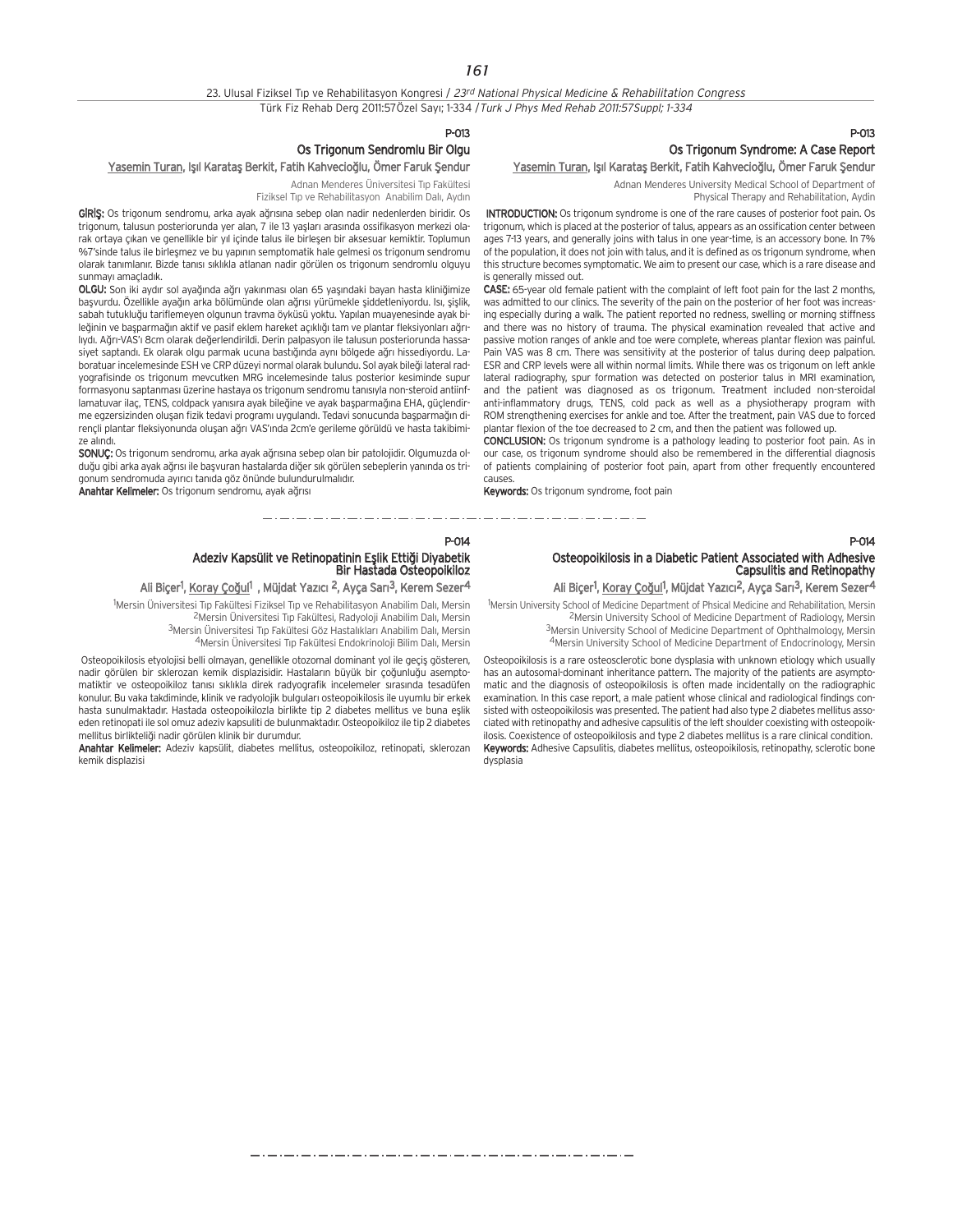#### 23. Ulusal Fiziksel Tıp ve Rehabilitasyon Kongresi / 23rd National Physical Medicine & Rehabilitation Congress Türk Fiz Rehab Derg 2011:57Özel Sayı; 1-334 / Turk J Phys Med Rehab 2011:57Suppl; 1-334

P-013

## Os Trigonum Sendromlu Bir Olgu

## Yasemin Turan, Işıl Karataş Berkit, Fatih Kahvecioğlu, Ömer Faruk Şendur

Adnan Menderes Üniversitesi Tıp Fakültesi Fiziksel Tip ve Rehabilitasyon Anabilim Dalı, Aydın

GIRIS: Os trigonum sendromu, arka ayak ağrısına sebep olan nadir nedenlerden biridir. Os trigonum, talusun posteriorunda yer alan, 7 ile 13 yasları arasında ossifikasyon merkezi olarak ortaya çıkan ve genellikle bir yıl içinde talus ile birleşen bir aksesuar kemiktir. Toplumun %7'sinde talus ile birlesmez ve bu yapının semptomatik hale gelmesi os trigonum sendromu olarak tanımlanır. Bizde tanısı sıklıkla atlanan nadir görülen os trigonum sendromlu olguyu sunmay› amaçlad›k.

OLGU: Son iki aydır sol ayağında ağrı yakınması olan 65 yaşındaki bayan hasta kliniğimize başvurdu. Özellikle ayağın arka bölümünde olan ağrısı yürümekle şiddetleniyordu. Isı, şişlik, sabah tutukluğu tariflemeyen olgunun travma öyküsü yoktu. Yapılan muayenesinde ayak bileğinin ve başparmağın aktif ve pasif eklem hareket açıklığı tam ve plantar fleksiyonları ağrılıydı. Ağrı-VAS'ı 8cm olarak değerlendirildi. Derin palpasyon ile talusun posteriorunda hassasiyet saptandı. Ek olarak olgu parmak ucuna bastığında aynı bölgede ağrı hissediyordu. Laboratuar incelemesinde ESH ve CRP düzeyi normal olarak bulundu. Sol ayak bileği lateral radyografisinde os trigonum mevcutken MRG incelemesinde talus posterior kesiminde supur formasyonu saptanması üzerine hastaya os trigonum sendromu tanısıyla non-steroid antiinflamatuvar ilaç, TENS, coldpack yanısıra ayak bileğine ve ayak başparmağına EHA, güçlendirme egzersizinden oluşan fizik tedavi programı uygulandı. Tedavi sonucunda başparmağın dirençli plantar fleksiyonunda oluşan ağrı VAS'ında 2cm'e gerileme görüldü ve hasta takibimize alındı.

SONUC: Os trigonum sendromu, arka ayak ağrısına sebep olan bir patolojidir. Olgumuzda olduğu gibi arka ayak ağrısı ile başyuran hastalarda diğer sık görülen sebeplerin yanında os trigonum sendromuda ayırıcı tanıda göz önünde bulundurulmalıdır.

Anahtar Kelimeler: Os trigonum sendromu, ayak ağrısı

## P-013 Os Trigonum Syndrome: A Case Report

## Yasemin Turan, Işıl Karataş Berkit, Fatih Kahvecioğlu, Ömer Faruk Şendur

Adnan Menderes University Medical School of Department of Physical Therapy and Rehabilitation, Aydin

INTRODUCTION: Os trigonum syndrome is one of the rare causes of posterior foot pain. Os trigonum, which is placed at the posterior of talus, appears as an ossification center between ages 7-13 years, and generally joins with talus in one year-time, is an accessory bone. In 7% of the population, it does not join with talus, and it is defined as os trigonum syndrome, when this structure becomes symptomatic. We aim to present our case, which is a rare disease and is generally missed out.

CASE: 65-year old female patient with the complaint of left foot pain for the last 2 months, was admitted to our clinics. The severity of the pain on the posterior of her foot was increasing especially during a walk. The patient reported no redness, swelling or morning stiffness and there was no history of trauma. The physical examination revealed that active and passive motion ranges of ankle and toe were complete, whereas plantar flexion was painful. Pain VAS was 8 cm. There was sensitivity at the posterior of talus during deep palpation. ESR and CRP levels were all within normal limits. While there was os trigonum on left ankle lateral radiography, spur formation was detected on posterior talus in MRI examination, and the patient was diagnosed as os trigonum. Treatment included non-steroidal anti-inflammatory drugs, TENS, cold pack as well as a physiotherapy program with ROM strengthening exercises for ankle and toe. After the treatment, pain VAS due to forced plantar flexion of the toe decreased to 2 cm, and then the patient was followed up.

CONCLUSION: Os trigonum syndrome is a pathology leading to posterior foot pain. As in our case, os trigonum syndrome should also be remembered in the differential diagnosis of patients complaining of posterior foot pain, apart from other frequently encountered causes.

Keywords: Os trigonum syndrome, foot pain

## P-014 Adeziv Kapsülit ve Retinopatinin Eşlik Ettiği Diyabetik<br>Bir Hastada Osteopoikiloz

## Ali Biçer<sup>1</sup>, <u>Koray Çoğul</u><sup>1</sup> , Müjdat Yazıcı <sup>2</sup>, Ayça Sarı<sup>3</sup>, Kerem Sezer<sup>4</sup>

<sup>1</sup>Mersin Üniversitesi Tıp Fakültesi Fiziksel Tıp ve Rehabilitasyon Anabilim Dalı, Mersin

2Mersin Üniversitesi T›p Fakültesi, Radyoloji Anabilim Dal›, Mersin 3Mersin Üniversitesi Tıp Fakültesi Göz Hastalıkları Anabilim Dalı, Mersin 4Mersin Üniversitesi Tıp Fakültesi Endokrinoloji Bilim Dalı, Mersin

Osteopoikilosis etyolojisi belli olmayan, genellikle otozomal dominant yol ile geçiş gösteren, nadir görülen bir sklerozan kemik displazisidir. Hastaların büyük bir çoğunluğu asemptomatiktir ve osteopoikiloz tanısı sıklıkla direk radyografik incelemeler sırasında tesadüfen konulur. Bu vaka takdiminde, klinik ve radyolojik bulguları osteopoikilosis ile uyumlu bir erkek hasta sunulmaktadır. Hastada osteopoikilozla birlikte tip 2 diabetes mellitus ve buna eşlik eden retinopati ile sol omuz adeziv kapsuliti de bulunmaktadır. Osteopoikiloz ile tip 2 diabetes mellitus birlikteliği nadir görülen klinik bir durumdur.

Anahtar Kelimeler: Adeziv kapsülit, diabetes mellitus, osteopoikiloz, retinopati, sklerozan kemik displazisi

# Osteopoikilosis in a Diabetic Patient Associated with Adhesive Capsulitis and Retinopathy

P-014

## Ali Biçer<sup>1</sup>, Koray Çoğul<sup>1</sup>, Müjdat Yazıcı<sup>2</sup>, Ayça Sarı<sup>3</sup>, Kerem Sezer<sup>4</sup>

<sup>1</sup>Mersin University School of Medicine Department of Phsical Medicine and Rehabilitation, Mersin 2Mersin University School of Medicine Department of Radiology, Mersin 3Mersin University School of Medicine Department of Ophthalmology, Mersin 4Mersin University School of Medicine Department of Endocrinology, Mersin

Osteopoikilosis is a rare osteosclerotic bone dysplasia with unknown etiology which usually has an autosomal-dominant inheritance pattern. The majority of the patients are asymptomatic and the diagnosis of osteopoikilosis is often made incidentally on the radiographic examination. In this case report, a male patient whose clinical and radiological findings consisted with osteopoikilosis was presented. The patient had also type 2 diabetes mellitus associated with retinopathy and adhesive capsulitis of the left shoulder coexisting with osteopoikilosis. Coexistence of osteopoikilosis and type 2 diabetes mellitus is a rare clinical condition. Keywords: Adhesive Capsulitis, diabetes mellitus, osteopoikilosis, retinopathy, sclerotic bone dysplasia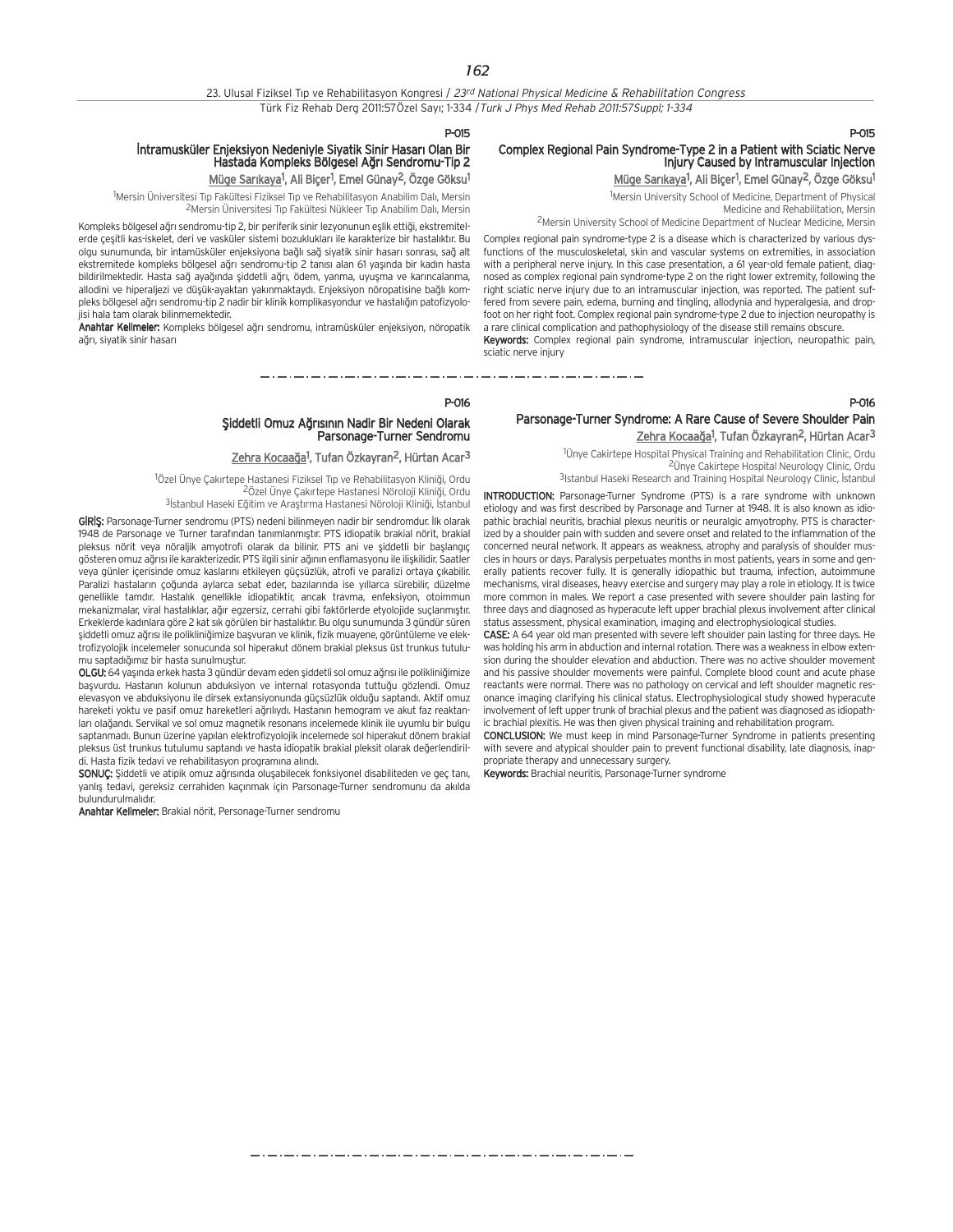P-015

# İntramusküler Enjeksiyon Nedeniyle Siyatik Sinir Hasarı Olan Bir<br>Hastada Kompleks Bölgesel Ağrı Sendromu-Tip 2

<u>Müge Sarıkaya</u><sup>1</sup>, Ali Biçer<sup>1</sup>, Emel Günay<sup>2</sup>, Özge Göksu<sup>1</sup>

<sup>1</sup>Mersin Üniversitesi Tıp Fakültesi Fiziksel Tıp ve Rehabilitasyon Anabilim Dalı, Mersin <sup>2</sup>Mersin Üniversitesi Tıp Fakültesi Nükleer Tıp Anabilim Dalı, Mersin

Kompleks bölgesel ağrı sendromu-tip 2, bir periferik sinir lezyonunun eşlik ettiği, ekstremitelerde çeşitli kas-iskelet, deri ve vasküler sistemi bozuklukları ile karakterize bir hastalıktır. Bu olgu sunumunda, bir intamüsküler enjeksiyona bağlı sağ siyatik sinir hasarı sonrası, sağ alt ekstremitede kompleks bölgesel ağrı sendromu-tip 2 tanısı alan 61 yasında bir kadın hasta bildirilmektedir. Hasta sağ ayağında siddetli ağrı, ödem, yanma, uyusma ve karıncalanma, allodini ve hiperaljezi ve düşük-ayaktan yakınmaktaydı. Enjeksiyon nöropatisine bağlı kompleks bölgesel ağrı sendromu-tip 2 nadir bir klinik komplikasyondur ve hastalığın patofizyolojisi hala tam olarak bilinmemektedir.

Anahtar Kelimeler: Kompleks bölgesel ağrı sendromu, intramüsküler enjeksiyon, nöropatik ağrı, siyatik sinir hasarı

## P-015

## Complex Regional Pain Syndrome-Type 2 in a Patient with Sciatic Nerve Injury Caused by Intramuscular Injection

Müge Sarıkaya<sup>1</sup>, Ali Biçer<sup>1</sup>, Emel Günay<sup>2</sup>, Özge Göksu<sup>1</sup>

1 Mersin University School of Medicine, Department of Physical Medicine and Rehabilitation, Mersin

2Mersin University School of Medicine Department of Nuclear Medicine, Mersin

Complex regional pain syndrome-type 2 is a disease which is characterized by various dysfunctions of the musculoskeletal, skin and vascular systems on extremities, in association with a peripheral nerve injury. In this case presentation, a 61 year-old female patient, diagnosed as complex regional pain syndrome-type 2 on the right lower extremity, following the right sciatic nerve injury due to an intramuscular injection, was reported. The patient suffered from severe pain, edema, burning and tingling, allodynia and hyperalgesia, and dropfoot on her right foot. Complex regional pain syndrome-type 2 due to injection neuropathy is a rare clinical complication and pathophysiology of the disease still remains obscure.

Keywords: Complex regional pain syndrome, intramuscular injection, neuropathic pain, sciatic nerve injury

P-016

P-016

## Parsonage-Turner Syndrome: A Rare Cause of Severe Shoulder Pain <u>Zehra Kocaağa</u>l, Tufan Özkayran<sup>2</sup>, Hürtan Acar<sup>3</sup>

<sup>1</sup>Ünye Cakirtepe Hospital Physical Training and Rehabilitation Clinic, Ordu 2Ünye Cakirtepe Hospital Neurology Clinic, Ordu 3Istanbul Haseki Research and Training Hospital Neurology Clinic, İstanbul

INTRODUCTION: Parsonage-Turner Syndrome (PTS) is a rare syndrome with unknown etiology and was first described by Parsonage and Turner at 1948. It is also known as idiopathic brachial neuritis, brachial plexus neuritis or neuralgic amyotrophy. PTS is characterized by a shoulder pain with sudden and severe onset and related to the inflammation of the concerned neural network. It appears as weakness, atrophy and paralysis of shoulder muscles in hours or days. Paralysis perpetuates months in most patients, years in some and generally patients recover fully. It is generally idiopathic but trauma, infection, autoimmune mechanisms, viral diseases, heavy exercise and surgery may play a role in etiology. It is twice more common in males. We report a case presented with severe shoulder pain lasting for three days and diagnosed as hyperacute left upper brachial plexus involvement after clinical status assessment, physical examination, imaging and electrophysiological studies.

CASE: A 64 year old man presented with severe left shoulder pain lasting for three days. He was holding his arm in abduction and internal rotation. There was a weakness in elbow extension during the shoulder elevation and abduction. There was no active shoulder movement and his passive shoulder movements were painful. Complete blood count and acute phase reactants were normal. There was no pathology on cervical and left shoulder magnetic resonance imaging clarifying his clinical status. Electrophysiological study showed hyperacute involvement of left upper trunk of brachial plexus and the patient was diagnosed as idiopathic brachial plexitis. He was then given physical training and rehabilitation program.

CONCLUSION: We must keep in mind Parsonage-Turner Syndrome in patients presenting with severe and atypical shoulder pain to prevent functional disability, late diagnosis, inappropriate therapy and unnecessary surgery.

Keywords: Brachial neuritis, Parsonage-Turner syndrome

<u>Zehra Kocaağa</u><sup>1</sup>, Tufan Özkayran<sup>2</sup>, Hürtan Acar<sup>3</sup> <sup>1</sup>Özel Ünye Çakırtepe Hastanesi Fiziksel Tıp ve Rehabilitasyon Kliniği, Ordu

fiiddetli Omuz A¤r›s›n›n Nadir Bir Nedeni Olarak Parsonage-Turner Sendromu

<sup>2</sup>Özel Ünye Çakırtepe Hastanesi Nöroloji Kliniği, Ordu <sup>3</sup>İstanbul Haseki Eğitim ve Arastırma Hastanesi Nöroloji Kliniği, İstanbul

GIRIS: Parsonage-Turner sendromu (PTS) nedeni bilinmeyen nadir bir sendromdur. İlk olarak 1948 de Parsonage ve Turner tarafından tanımlanmıştır. PTS idiopatik brakial nörit, brakial pleksus nörit veya nöraljik amyotrofi olarak da bilinir. PTS ani ve siddetli bir baslangıc a österen omuz ağrısı ile karakterizedir. PTS ilgili sinir ağının enflamasyonu ile ilişkilidir. Saatler veya günler içerisinde omuz kaslarını etkileyen güçsüzlük, atrofi ve paralizi ortaya çıkabilir. Paralizi hastaların çoğunda aylarca sebat eder, bazılarında ise yıllarca sürebilir, düzelme genellikle tamdır. Hastalık genellikle idiopatiktir, ancak travma, enfeksiyon, otoimmun mekanizmalar, viral hastalıklar, ağır egzersiz, cerrahi gibi faktörlerde etyolojide suçlanmıştır. Erkeklerde kadınlara göre 2 kat sık görülen bir hastalıktır. Bu olgu sunumunda 3 gündür süren şiddetli omuz ağrısı ile polikliniğimize başvuran ve klinik, fizik muayene, görüntüleme ve elektrofizyolojik incelemeler sonucunda sol hiperakut dönem brakial pleksus üst trunkus tutulumu saptadığımız bir hasta sunulmuştur.

OLGU: 64 yaşında erkek hasta 3 gündür devam eden şiddetli sol omuz ağrısı ile polikliniğimize başvurdu. Hastanın kolunun abduksiyon ve internal rotasyonda tuttuğu gözlendi. Omuz elevasyon ve abduksiyonu ile dirsek extansiyonunda güçsüzlük olduğu saptandı. Aktif omuz hareketi yoktu ve pasif omuz hareketleri ağrılıydı. Hastanın hemogram ve akut faz reaktanları olağandı. Servikal ve sol omuz magnetik resonans incelemede klinik ile uyumlu bir bulgu saptanmadı. Bunun üzerine yapılan elektrofizyolojik incelemede sol hiperakut dönem brakial pleksus üst trunkus tutulumu saptandı ve hasta idiopatik brakial pleksit olarak değerlendirildi. Hasta fizik tedavi ve rehabilitasyon programına alındı.

SONUC: Siddetli ve atipik omuz ağrısında oluşabilecek fonksiyonel disabiliteden ve geç tanı, yanlış tedavi, gereksiz cerrahiden kaçınmak için Parsonage-Turner sendromunu da akılda bulundurulmalıdır.

Anahtar Kelimeler: Brakial nörit, Personage-Turner sendromu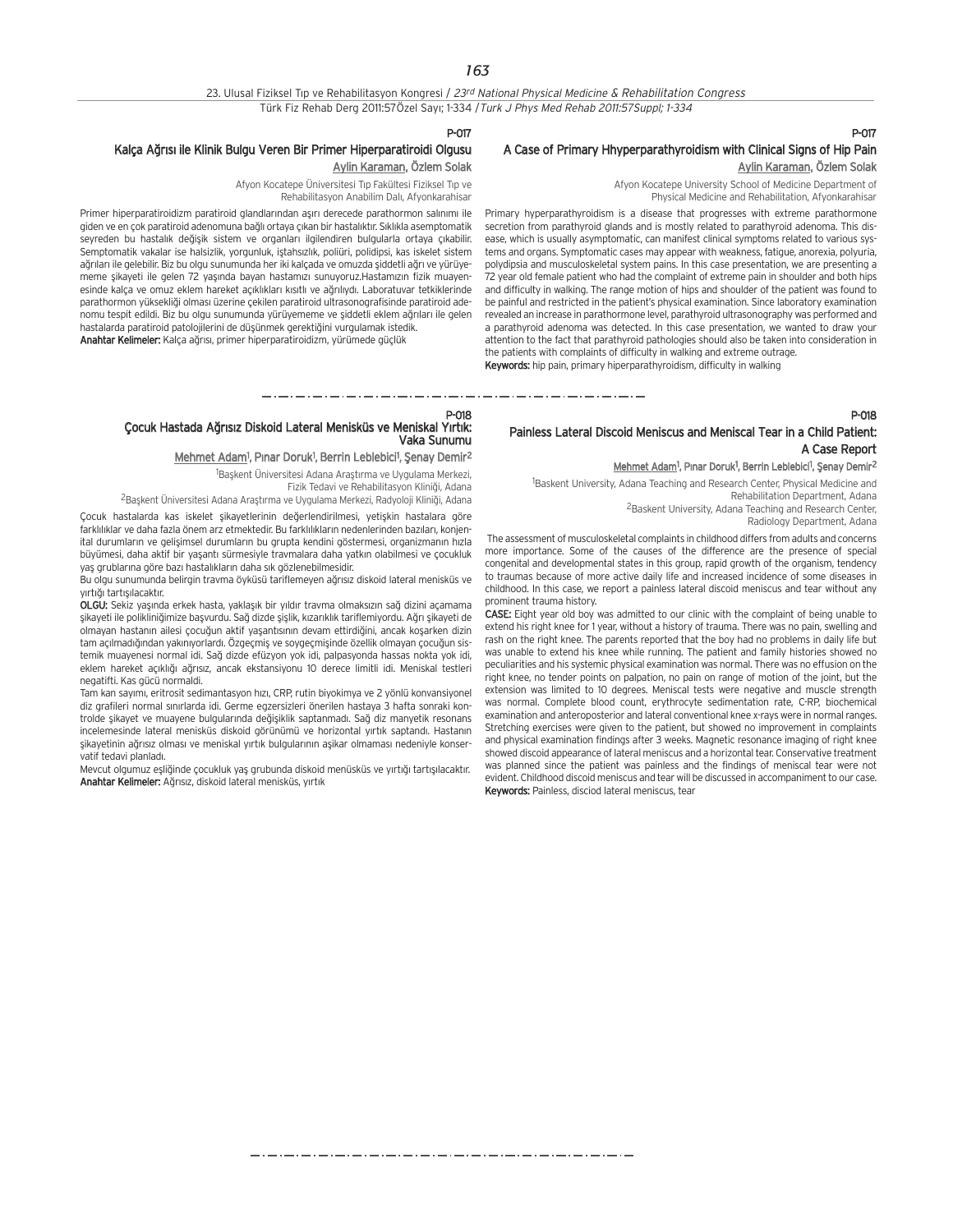## 23. Ulusal Fiziksel Tıp ve Rehabilitasyon Kongresi / 23rd National Physical Medicine & Rehabilitation Congress Türk Fiz Rehab Derg 2011:57Özel Sayı; 1-334 / Turk J Phys Med Rehab 2011:57Suppl; 1-334

#### P-017

## Kalça Ağrısı ile Klinik Bulgu Veren Bir Primer Hiperparatiroidi Olgusu Aylin Karaman, Özlem Solak

Afyon Kocatepe Üniversitesi Tıp Fakültesi Fiziksel Tıp ve Rehabilitasyon Anabilim Dalı, Afyonkarahisar

Primer hiperparatiroidizm paratiroid glandlarından asırı derecede parathormon salınımı ile giden ve en çok paratiroid adenomuna bağlı ortaya çıkan bir hastalıktır. Sıklıkla asemptomatik seyreden bu hastalık değişik sistem ve organları ilgilendiren bulgularla ortaya çıkabilir. Semptomatik vakalar ise halsizlik, yorgunluk, iştahsızlık, poliüri, polidipsi, kas iskelet sistem ağrıları ile gelebilir. Biz bu olgu sunumunda her iki kalçada ve omuzda siddetli ağrı ve yürüyememe sikayeti ile gelen 72 yasında bayan hastamızı sunuyoruz.Hastamızın fizik muayenesinde kalça ve omuz eklem hareket açıklıkları kısıtlı ve ağrılıydı. Laboratuvar tetkiklerinde parathormon yüksekliği olması üzerine çekilen paratiroid ultrasonografisinde paratiroid adenomu tespit edildi. Biz bu olgu sunumunda yürüyememe ve şiddetli eklem ağrıları ile gelen hastalarda paratiroid patolojilerini de düşünmek gerektiğini vurgulamak istedik.

Anahtar Kelimeler: Kalça ağrısı, primer hiperparatiroidizm, yürümede güçlük

## P-017 A Case of Primary Hhyperparathyroidism with Clinical Signs of Hip Pain Aylin Karaman, Özlem Solak

Afyon Kocatepe University School of Medicine Department of Physical Medicine and Rehabilitation, Afyonkarahisar

Primary hyperparathyroidism is a disease that progresses with extreme parathormone secretion from parathyroid glands and is mostly related to parathyroid adenoma. This disease, which is usually asymptomatic, can manifest clinical symptoms related to various systems and organs. Symptomatic cases may appear with weakness, fatigue, anorexia, polyuria, polydipsia and musculoskeletal system pains. In this case presentation, we are presenting a 72 year old female patient who had the complaint of extreme pain in shoulder and both hips and difficulty in walking. The range motion of hips and shoulder of the patient was found to be painful and restricted in the patient's physical examination. Since laboratory examination revealed an increase in parathormone level, parathyroid ultrasonography was performed and a parathyroid adenoma was detected. In this case presentation, we wanted to draw your attention to the fact that parathyroid pathologies should also be taken into consideration in the patients with complaints of difficulty in walking and extreme outrage. Keywords: hip pain, primary hiperparathyroidism, difficulty in walking

P-018

## Painless Lateral Discoid Meniscus and Meniscal Tear in a Child Patient: A Case Report

#### Mehmet Adam<sup>1</sup>, Pinar Doruk<sup>1</sup>, Berrin Leblebici<sup>1</sup>, Şenay Demir<sup>2</sup>

<sup>1</sup>Baskent University, Adana Teaching and Research Center, Physical Medicine and Rehabilitation Department, Adana <sup>2</sup>Baskent University, Adana Teaching and Research Center,

Radiology Department, Adana

The assessment of musculoskeletal complaints in childhood differs from adults and concerns more importance. Some of the causes of the difference are the presence of special congenital and developmental states in this group, rapid growth of the organism, tendency to traumas because of more active daily life and increased incidence of some diseases in childhood. In this case, we report a painless lateral discoid meniscus and tear without any prominent trauma history.

CASE: Eight year old boy was admitted to our clinic with the complaint of being unable to extend his right knee for 1 year, without a history of trauma. There was no pain, swelling and rash on the right knee. The parents reported that the boy had no problems in daily life but was unable to extend his knee while running. The patient and family histories showed no peculiarities and his systemic physical examination was normal. There was no effusion on the right knee, no tender points on palpation, no pain on range of motion of the joint, but the extension was limited to 10 degrees. Meniscal tests were negative and muscle strength was normal. Complete blood count, erythrocyte sedimentation rate, C-RP, biochemical examination and anteroposterior and lateral conventional knee x-rays were in normal ranges. Stretching exercises were given to the patient, but showed no improvement in complaints and physical examination findings after 3 weeks. Magnetic resonance imaging of right knee showed discoid appearance of lateral meniscus and a horizontal tear. Conservative treatment was planned since the patient was painless and the findings of meniscal tear were not evident. Childhood discoid meniscus and tear will be discussed in accompaniment to our case. Keywords: Painless, disciod lateral meniscus, tear

## P-018 Çocuk Hastada A¤r›s›z Diskoid Lateral Menisküs ve Meniskal Y›rt›k: Vaka Sunumu

Mehmet Adam<sup>1</sup>, Pınar Doruk<sup>1</sup>, Berrin Leblebici<sup>1</sup>, Şenay Demir<sup>2</sup>

<sup>1</sup>Başkent Üniversitesi Adana Araştırma ve Uygulama Merkezi, Fizik Tedavi ve Rehabilitasyon Kliniği, Adana

<sup>2</sup>Başkent Üniversitesi Adana Araştırma ve Uygulama Merkezi, Radyoloji Kliniği, Adana

Çocuk hastalarda kas iskelet şikayetlerinin değerlendirilmesi, yetişkin hastalara göre farklılıklar ve daha fazla önem arz etmektedir. Bu farklılıkların nedenlerinden bazıları, konjenital durumların ve gelişimsel durumların bu grupta kendini göstermesi, organizmanın hızla büyümesi, daha aktif bir yaşantı sürmesiyle travmalara daha yatkın olabilmesi ve çocukluk yaş grublarına göre bazı hastalıkların daha sık gözlenebilmesidir.

Bu olgu sunumunda belirgin travma öyküsü tariflemeyen ağrısız diskoid lateral menisküs ve vırtığı tartısılacaktır.

OLGU: Sekiz yasında erkek hasta, yaklasık bir yıldır trayma olmaksızın sağ dizini açamama sikayeti ile polikliniğimize başvurdu. Sağ dizde sişlik, kızarıklık tariflemiyordu. Ağrı şikayeti de olmayan hastanın ailesi çocuğun aktif yaşantısının devam ettirdiğini, ancak kosarken dizin

tam açılmadığından yakınıyorlardı. Özgeçmiş ve soygeçmişinde özellik olmayan çocuğun sistemik muayenesi normal idi. Sağ dizde efüzyon yok idi, palpasyonda hassas nokta yok idi, eklem hareket açıklığı ağrısız, ancak ekstansiyonu 10 derece limitli idi. Meniskal testleri negatifti. Kas gücü normaldi.

Tam kan sayımı, eritrosit sedimantasyon hızı, CRP, rutin biyokimya ve 2 yönlü konvansiyonel diz grafileri normal sınırlarda idi. Germe egzersizleri önerilen hastaya 3 hafta sonraki kontrolde sikayet ve muayene bulgularında değişiklik saptanmadı. Sağ diz manyetik resonans incelemesinde lateral menisküs diskoid görünümü ve horizontal yırtık saptandı. Hastanın sikayetinin ağrısız olması ve meniskal yırtık bulgularının aşikar olmaması nedeniyle konservatif tedavi planladı.

Mevcut olgumuz eşliğinde çocukluk yaş grubunda diskoid menüsküs ve yırtığı tartışılacaktır. Anahtar Kelimeler: Ağrısız, diskoid lateral menisküs, yırtık

والمتوارك والمتوارك والمتوارك والمتوارك والمتوارك والموارك والموارك والموارك والموارك والموارك والموارك والموارك والمتوارك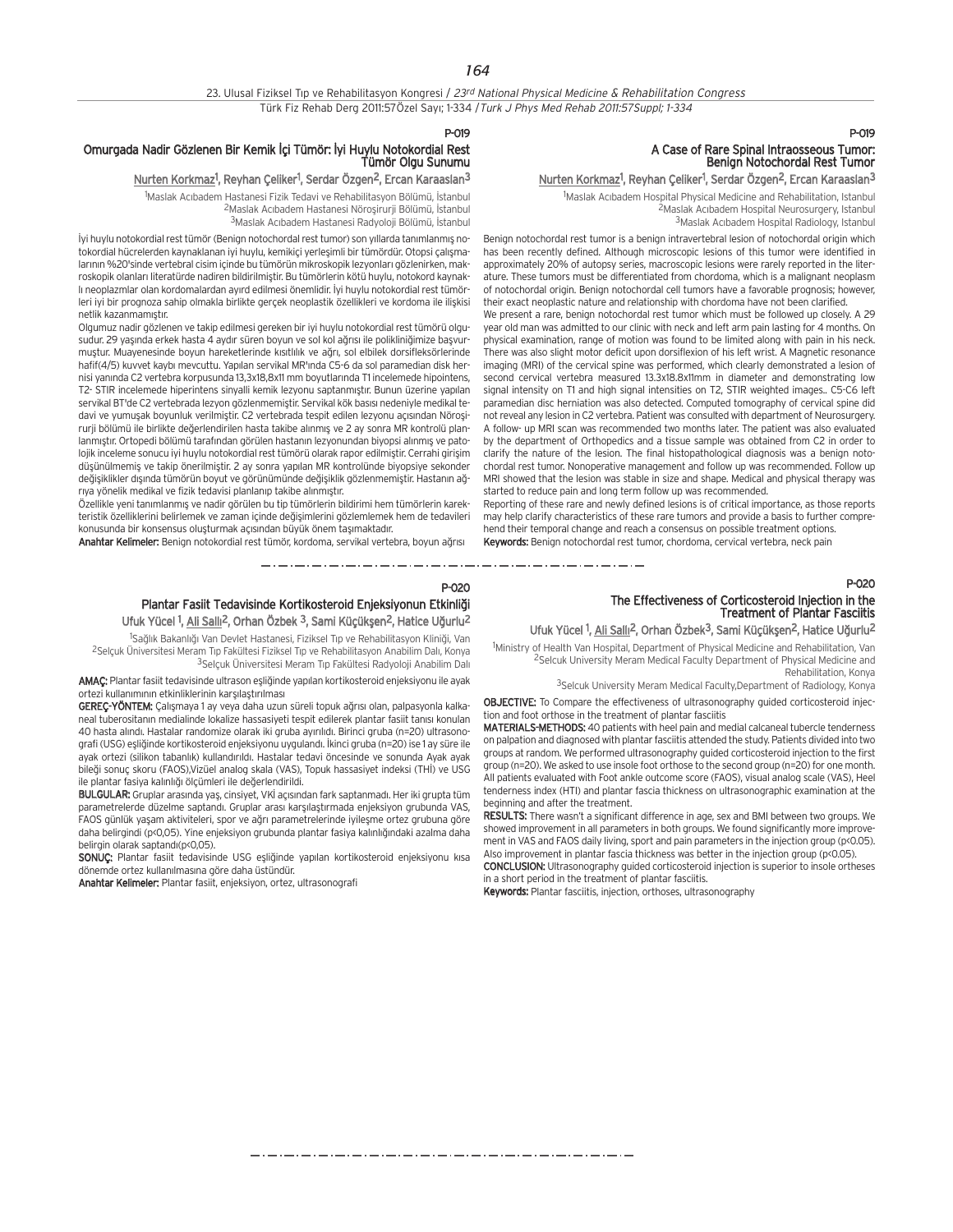## 23. Ulusal Fiziksel Tıp ve Rehabilitasyon Kongresi / 23rd National Physical Medicine & Rehabilitation Congress Türk Fiz Rehab Derg 2011:57Özel Sayı; 1-334 / Turk J Phys Med Rehab 2011:57Suppl; 1-334

P-019

P-020

## Omurgada Nadir Gözlenen Bir Kemik İçi Tümör: İyi Huylu Notokordial Rest Tümör Olgu Sunumu

### <u>Nurten Korkmaz</u>l, Reyhan Çeliker<sup>1</sup>, Serdar Özgen<sup>2</sup>, Ercan Karaaslan<sup>3</sup>

<sup>1</sup>Maslak Acıbadem Hastanesi Fizik Tedavi ve Rehabilitasyon Bölümü, İstanbul <sup>2</sup>Maslak Acıbadem Hastanesi Nöroşirurji Bölümü, İstanbul 3Maslak Acıbadem Hastanesi Radyoloji Bölümü, İstanbul

İyi huylu notokordial rest tümör (Benign notochordal rest tumor) son yıllarda tanımlanmış notokordial hücrelerden kaynaklanan iyi huylu, kemikiçi yerleşimli bir tümördür. Otopsi çalışmalarının %20'sinde vertebral cisim içinde bu tümörün mikroskopik lezyonları gözlenirken, makroskopik olanlar› literatürde nadiren bildirilmifltir. Bu tümörlerin kötü huylu, notokord kaynakl› neoplazmlar olan kordomalardan ay›rd edilmesi önemlidir. ‹yi huylu notokordial rest tümörleri iyi bir prognoza sahip olmakla birlikte gerçek neoplastik özellikleri ve kordoma ile iliflkisi netlik kazanmamıştır.

Olgumuz nadir gözlenen ve takip edilmesi gereken bir iyi huylu notokordial rest tümörü olgusudur. 29 yaşında erkek hasta 4 aydır süren boyun ve sol kol ağrısı ile polikliniğimize başvurmustur. Muayenesinde boyun hareketlerinde kısıtlılık ve ağrı, sol elbilek dorsifleksörlerinde hafif(4/5) kuvvet kaybı mevcuttu. Yapılan servikal MR'ında C5-6 da sol paramedian disk hernisi yanında C2 vertebra korpusunda 13,3x18,8x11 mm boyutlarında T1 incelemede hipointens, T2- STIR incelemede hiperintens sinyalli kemik lezyonu saptanmıştır. Bunun üzerine yapılan servikal BT'de C2 vertebrada lezyon gözlenmemiştir. Servikal kök basısı nedeniyle medikal tedavi ve yumuşak boyunluk verilmiştir. C2 vertebrada tespit edilen lezyonu açısından Nörosirurji bölümü ile birlikte değerlendirilen hasta takibe alınmış ve 2 ay sonra MR kontrolü planlanmıştır. Ortopedi bölümü tarafından görülen hastanın lezyonundan biyopsi alınmış ve patolojik inceleme sonucu iyi huylu notokordial rest tümörü olarak rapor edilmifltir. Cerrahi giriflim düşünülmemiş ve takip önerilmiştir. 2 ay sonra yapılan MR kontrolünde biyopsiye sekonder değişiklikler dışında tümörün boyut ve görünümünde değişiklik gözlenmemiştir. Hastanın ağrıya yönelik medikal ve fizik tedavisi planlanıp takibe alınmıştır.

Özellikle yeni tanımlanmış ve nadir görülen bu tip tümörlerin bildirimi hem tümörlerin karekteristik özelliklerini belirlemek ve zaman içinde değişimlerini gözlemlemek hem de tedavileri konusunda bir konsensus oluşturmak açısından büyük önem taşımaktadır.

Anahtar Kelimeler: Benign notokordial rest tümör, kordoma, servikal vertebra, boyun ağrısı

Plantar Fasiit Tedavisinde Kortikosteroid Enjeksiyonun Etkinliği Ufuk Yücel <sup>1</sup>, Ali Sallı<sup>2</sup>, Orhan Özbek <sup>3</sup>, Sami Küçükşen<sup>2</sup>, Hatice Uğurlu<sup>2</sup>

\_\_\_\_\_\_\_\_\_\_\_\_\_\_\_\_\_\_\_\_\_\_\_\_\_\_\_\_\_

<sup>1</sup>Sağlık Bakanlığı Van Devlet Hastanesi, Fiziksel Tıp ve Rehabilitasyon Kliniği, Van <sup>2</sup>Selçuk Üniversitesi Meram Tıp Fakültesi Fiziksel Tıp ve Rehabilitasyon Anabilim Dalı, Konya 3Selçuk Üniversitesi Meram Tıp Fakültesi Radyoloji Anabilim Dalı

AMAÇ: Plantar fasiit tedavisinde ultrason eşliğinde yapılan kortikosteroid enjeksiyonu ile ayak ortezi kullanımının etkinliklerinin karşılaştırılması

GEREÇ-YÖNTEM: Çalışmaya 1 ay veya daha uzun süreli topuk ağrısı olan, palpasyonla kalkaneal tuberositanın medialinde lokalize hassasiyeti tespit edilerek plantar fasiit tanısı konulan 40 hasta alındı. Hastalar randomize olarak iki gruba ayırılıdı. Birinci gruba (n=20) ultrasonografi (USG) esliğinde kortikosteroid enjeksiyonu uygulandı. İkinci gruba (n=20) ise 1 ay süre ile ayak ortezi (silikon tabanlık) kullandırıldı. Hastalar tedavi öncesinde ve sonunda Ayak ayak bileği sonuç skoru (FAOS),Vizüel analog skala (VAS), Topuk hassasiyet indeksi (THİ) ve USG ile plantar fasiya kalınlığı ölçümleri ile değerlendirildi.

BULGULAR: Gruplar arasında yaş, cinsiyet, VKİ açısından fark saptanmadı. Her iki grupta tüm parametrelerde düzelme saptandı. Gruplar arası karşılaştırmada enjeksiyon grubunda VAS, FAOS günlük yaşam aktiviteleri, spor ve ağrı parametrelerinde iyileşme ortez grubuna göre daha belirgindi (p<0,05). Yine enjeksiyon grubunda plantar fasiya kalınlığındaki azalma daha belirgin olarak saptandı(p<0,05).

SONUC: Plantar fasiit tedavisinde USG eşliğinde yapılan kortikosteroid enjeksiyonu kısa dönemde ortez kullanılmasına göre daha üstündür.

Anahtar Kelimeler: Plantar fasiit, enjeksiyon, ortez, ultrasonografi

## P-019 A Case of Rare Spinal Intraosseous Tumor: Benign Notochordal Rest Tumor

## <u>Nurten Korkmaz</u>!, Reyhan Çeliker<sup>1</sup>, Serdar Özgen<sup>2</sup>, Ercan Karaaslan<sup>3</sup>

<sup>1</sup>Maslak Acıbadem Hospital Physical Medicine and Rehabilitation, Istanbul <sup>2</sup>Maslak Acıbadem Hospital Neurosurgery, Istanbul <sup>3</sup>Maslak Acıbadem Hospital Radiology, Istanbul

Benign notochordal rest tumor is a benign intravertebral lesion of notochordal origin which has been recently defined. Although microscopic lesions of this tumor were identified in approximately 20% of autopsy series, macroscopic lesions were rarely reported in the literature. These tumors must be differentiated from chordoma, which is a malignant neoplasm of notochordal origin. Benign notochordal cell tumors have a favorable prognosis; however, their exact neoplastic nature and relationship with chordoma have not been clarified.

We present a rare, benign notochordal rest tumor which must be followed up closely. A 29 year old man was admitted to our clinic with neck and left arm pain lasting for 4 months. On physical examination, range of motion was found to be limited along with pain in his neck. There was also slight motor deficit upon dorsiflexion of his left wrist. A Magnetic resonance imaging (MRI) of the cervical spine was performed, which clearly demonstrated a lesion of second cervical vertebra measured 13.3x18.8x11mm in diameter and demonstrating low signal intensity on T1 and high signal intensities on T2, STIR weighted images.. C5-C6 left paramedian disc herniation was also detected. Computed tomography of cervical spine did not reveal any lesion in C2 vertebra. Patient was consulted with department of Neurosurgery. A follow- up MRI scan was recommended two months later. The patient was also evaluated by the department of Orthopedics and a tissue sample was obtained from C2 in order to clarify the nature of the lesion. The final histopathological diagnosis was a benign notochordal rest tumor. Nonoperative management and follow up was recommended. Follow up MRI showed that the lesion was stable in size and shape. Medical and physical therapy was started to reduce pain and long term follow up was recommended.

Reporting of these rare and newly defined lesions is of critical importance, as those reports may help clarify characteristics of these rare tumors and provide a basis to further comprehend their temporal change and reach a consensus on possible treatment options.

Keywords: Benign notochordal rest tumor, chordoma, cervical vertebra, neck pain

The Effectiveness of Corticosteroid Injection in the Treatment of Plantar Fasciitis

P-020

Ufuk Yücel <sup>1</sup>, Ali Sallı<sup>2</sup>, Orhan Özbek<sup>3</sup>, Sami Küçükşen<sup>2</sup>, Hatice Uğurlu<sup>2</sup> <sup>1</sup>Ministry of Health Van Hospital, Department of Physical Medicine and Rehabilitation, Van

2Selcuk University Meram Medical Faculty Department of Physical Medicine and Rehabilitation, Konya

3Selcuk University Meram Medical Faculty, Department of Radiology, Konya

OBJECTIVE: To Compare the effectiveness of ultrasonography guided corticosteroid injection and foot orthose in the treatment of plantar fasciitis

MATERIALS-METHODS: 40 patients with heel pain and medial calcaneal tubercle tenderness on palpation and diagnosed with plantar fasciitis attended the study. Patients divided into two groups at random. We performed ultrasonography guided corticosteroid injection to the first group (n=20). We asked to use insole foot orthose to the second group (n=20) for one month. All patients evaluated with Foot ankle outcome score (FAOS), visual analog scale (VAS), Heel tenderness index (HTI) and plantar fascia thickness on ultrasonographic examination at the beginning and after the treatment.

RESULTS: There wasn't a significant difference in age, sex and BMI between two groups. We showed improvement in all parameters in both groups. We found significantly more improvement in VAS and FAOS daily living, sport and pain parameters in the injection group (p<0.05). Also improvement in plantar fascia thickness was better in the injection group (p<0.05).

CONCLUSION: Ultrasonography guided corticosteroid injection is superior to insole ortheses in a short period in the treatment of plantar fasciitis.

Keywords: Plantar fasciitis, injection, orthoses, ultrasonography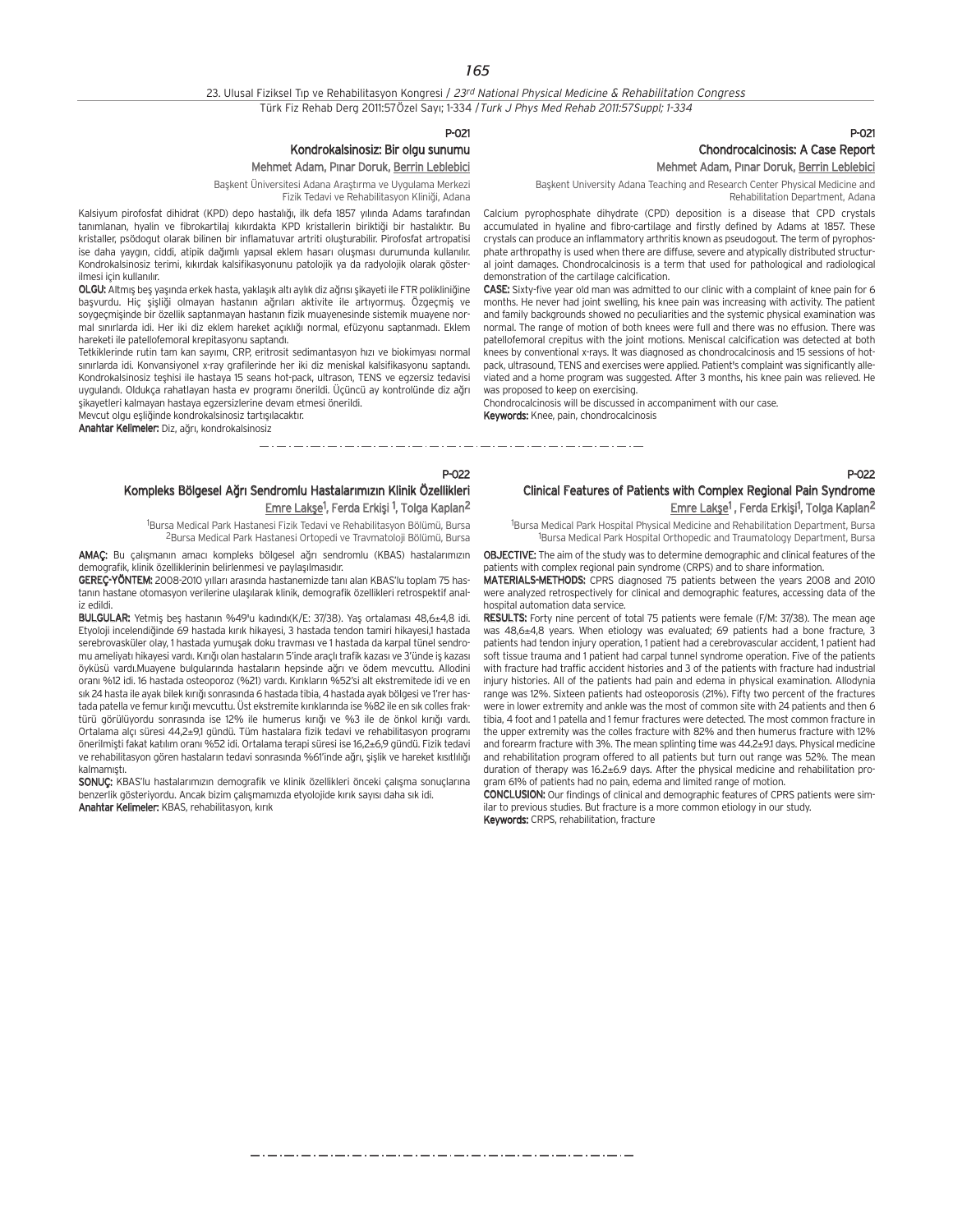23. Ulusal Fiziksel Tıp ve Rehabilitasyon Kongresi / 23rd National Physical Medicine & Rehabilitation Congress Türk Fiz Rehab Derg 2011:57Özel Sayı; 1-334 / Turk J Phys Med Rehab 2011:57Suppl; 1-334

P-021

## Kondrokalsinosiz: Bir olgu sunumu Mehmet Adam, Pınar Doruk, Berrin Leblebici

Başkent Üniversitesi Adana Araştırma ve Uygulama Merkezi Fizik Tedavi ve Rehabilitasyon Kliniği, Adana

Kalsiyum pirofosfat dihidrat (KPD) depo hastalığı, ilk defa 1857 yılında Adams tarafından tanımlanan, hyalin ve fibrokartilaj kıkırdakta KPD kristallerin biriktiği bir hastalıktır. Bu kristaller, psödogut olarak bilinen bir inflamatuvar artriti olusturabilir. Pirofosfat artropatisi ise daha yaygın, ciddi, atipik dağımlı yapısal eklem hasarı oluşması durumunda kullanılır. Kondrokalsinosiz terimi, kıkırdak kalsifikasyonunu patolojik ya da radyolojik olarak gösterilmesi için kullanılır.

OLGU: Altmış beş yaşında erkek hasta, yaklaşık altı aylık diz ağrısı şikayeti ile FTR polikliniğine basyurdu. Hiç sişliği olmayan haştanın ağrıları aktivite ile artıyormuş. Özgeçmiş ve soygeçmişinde bir özellik saptanmayan hastanın fizik muayenesinde sistemik muayene normal sınırlarda idi. Her iki diz eklem hareket açıklığı normal, efüzyonu saptanmadı. Eklem hareketi ile patellofemoral krepitasyonu saptandı.

Tetkiklerinde rutin tam kan sayımı, CRP, eritrosit sedimantasyon hızı ve biokimyası normal sınırlarda idi. Konvansiyonel x-ray grafilerinde her iki diz meniskal kalsifikasyonu saptandı. Kondrokalsinosiz teshisi ile hastaya 15 seans hot-pack, ultrason, TENS ve egzersiz tedavisi uygulandı. Oldukça rahatlayan hasta ev programı önerildi. Üçüncü ay kontrolünde diz ağrı sikayetleri kalmayan hastaya egzersizlerine devam etmesi önerildi.

Mevcut olgu esliğinde kondrokalsinosiz tartışılacaktır.

Anahtar Kelimeler: Diz, ağrı, kondrokalsinosiz

## P-021 Chondrocalcinosis: A Case Report Mehmet Adam, Pınar Doruk, Berrin Leblebici

P-022

Baskent University Adana Teaching and Research Center Physical Medicine and Rehabilitation Department, Adana

Calcium pyrophosphate dihydrate (CPD) deposition is a disease that CPD crystals accumulated in hyaline and fibro-cartilage and firstly defined by Adams at 1857. These crystals can produce an inflammatory arthritis known as pseudogout. The term of pyrophosphate arthropathy is used when there are diffuse, severe and atypically distributed structural joint damages. Chondrocalcinosis is a term that used for pathological and radiological demonstration of the cartilage calcification.

CASE: Sixty-five year old man was admitted to our clinic with a complaint of knee pain for 6 months. He never had joint swelling, his knee pain was increasing with activity. The patient and family backgrounds showed no peculiarities and the systemic physical examination was normal. The range of motion of both knees were full and there was no effusion. There was patellofemoral crepitus with the joint motions. Meniscal calcification was detected at both knees by conventional x-rays. It was diagnosed as chondrocalcinosis and 15 sessions of hotpack, ultrasound, TENS and exercises were applied. Patient's complaint was significantly alleviated and a home program was suggested. After 3 months, his knee pain was relieved. He was proposed to keep on exercising.

Chondrocalcinosis will be discussed in accompaniment with our case. Keywords: Knee, pain, chondrocalcinosis

والمستحدث والمستحدث والمستحدث والمستحدث والمستحدث \_\_\_\_\_\_\_\_\_\_\_\_\_\_\_\_\_\_\_\_\_\_\_\_\_\_\_\_\_

P-022

Kompleks Bölgesel Ağrı Sendromlu Hastalarımızın Klinik Özellikleri <u>Emre Lakşe</u><sup>1</sup>, Ferda Erkişi <sup>1</sup>, Tolga Kaplan<sup>2</sup>

1 Bursa Medical Park Hastanesi Fizik Tedavi ve Rehabilitasyon Bölümü, Bursa 2Bursa Medical Park Hastanesi Ortopedi ve Travmatoloji Bölümü, Bursa

AMAC: Bu calismanın amacı kompleks bölgesel ağrı sendromlu (KBAS) hastalarımızın demografik, klinik özelliklerinin belirlenmesi ve paylasılmasıdır.

GEREC-YÖNTEM: 2008-2010 yılları arasında hastanemizde tanı alan KBAS'lu toplam 75 hastanın hastane otomasyon verilerine ulaşılarak klinik, demografik özellikleri retrospektif analiz edildi.

BULGULAR: Yetmiş beş hastanın %49'u kadındı(K/E: 37/38). Yaş ortalaması 48,6±4,8 idi. Etyoloji incelendiğinde 69 hastada kırık hikayesi, 3 hastada tendon tamiri hikayesi,1 hastada serebrovasküler olay, 1 hastada yumuşak doku travması ve 1 hastada da karpal tünel sendromu ameliyatı hikayesi vardı. Kırığı olan hastaların 5'inde araçlı trafik kazası ve 3'ünde iş kazası öyküsü vardı.Muayene bulgularında hastaların hepsinde ağrı ve ödem mevcuttu. Allodini oranı %12 idi. 16 hastada osteoporoz (%21) vardı. Kırıkların %52'si alt ekstremitede idi ve en sık 24 hasta ile ayak bilek kırığı sonrasında 6 hastada tibia, 4 hastada ayak bölgesi ve 1'rer hastada patella ve femur kırığı mevcuttu. Üst ekstremite kırıklarında ise %82 ile en sık colles fraktürü görülüyordu sonrasında ise 12% ile humerus kırığı ve %3 ile de önkol kırığı vardı. Ortalama alç› süresi 44,2±9,1 gündü. Tüm hastalara fizik tedavi ve rehabilitasyon program› önerilmisti fakat katılım oranı %52 idi. Ortalama terapi süresi ise 16,2±6,9 gündü. Fizik tedavi ve rehabilitasyon gören hastaların tedavi sonrasında %61'inde ağrı, sişlik ve hareket kısıtlılığı kalmamıştı.

SONUÇ: KBAS'lu hastalarımızın demografik ve klinik özellikleri önceki çalışma sonuçlarına benzerlik gösteriyordu. Ancak bizim çalışmamızda etyolojide kırık sayısı daha sık idi. Anahtar Kelimeler: KBAS, rehabilitasyon, kırık

Clinical Features of Patients with Complex Regional Pain Syndrome Emre Lakşe<sup>1</sup>, Ferda Erkişi<sup>1</sup>, Tolga Kaplan<sup>2</sup>

1 Bursa Medical Park Hospital Physical Medicine and Rehabilitation Department, Bursa

<sup>1</sup>Bursa Medical Park Hospital Orthopedic and Traumatology Department, Bursa OBJECTIVE: The aim of the study was to determine demographic and clinical features of the

patients with complex regional pain syndrome (CRPS) and to share information.

MATERIALS-METHODS: CPRS diagnosed 75 patients between the years 2008 and 2010 were analyzed retrospectively for clinical and demographic features, accessing data of the hospital automation data service.

RESULTS: Forty nine percent of total 75 patients were female (F/M: 37/38). The mean age was 48,6±4,8 years. When etiology was evaluated; 69 patients had a bone fracture, 3 patients had tendon injury operation, 1 patient had a cerebrovascular accident, 1 patient had soft tissue trauma and 1 patient had carpal tunnel syndrome operation. Five of the patients with fracture had traffic accident histories and 3 of the patients with fracture had industrial injury histories. All of the patients had pain and edema in physical examination. Allodynia range was 12%. Sixteen patients had osteoporosis (21%). Fifty two percent of the fractures were in lower extremity and ankle was the most of common site with 24 patients and then 6 tibia, 4 foot and 1 patella and 1 femur fractures were detected. The most common fracture in the upper extremity was the colles fracture with 82% and then humerus fracture with 12% and forearm fracture with 3%. The mean splinting time was 44.2±9.1 days. Physical medicine and rehabilitation program offered to all patients but turn out range was 52%. The mean duration of therapy was 16.2±6.9 days. After the physical medicine and rehabilitation program 61% of patients had no pain, edema and limited range of motion.

CONCLUSION: Our findings of clinical and demographic features of CPRS patients were similar to previous studies. But fracture is a more common etiology in our study.

Keywords: CRPS, rehabilitation, fracture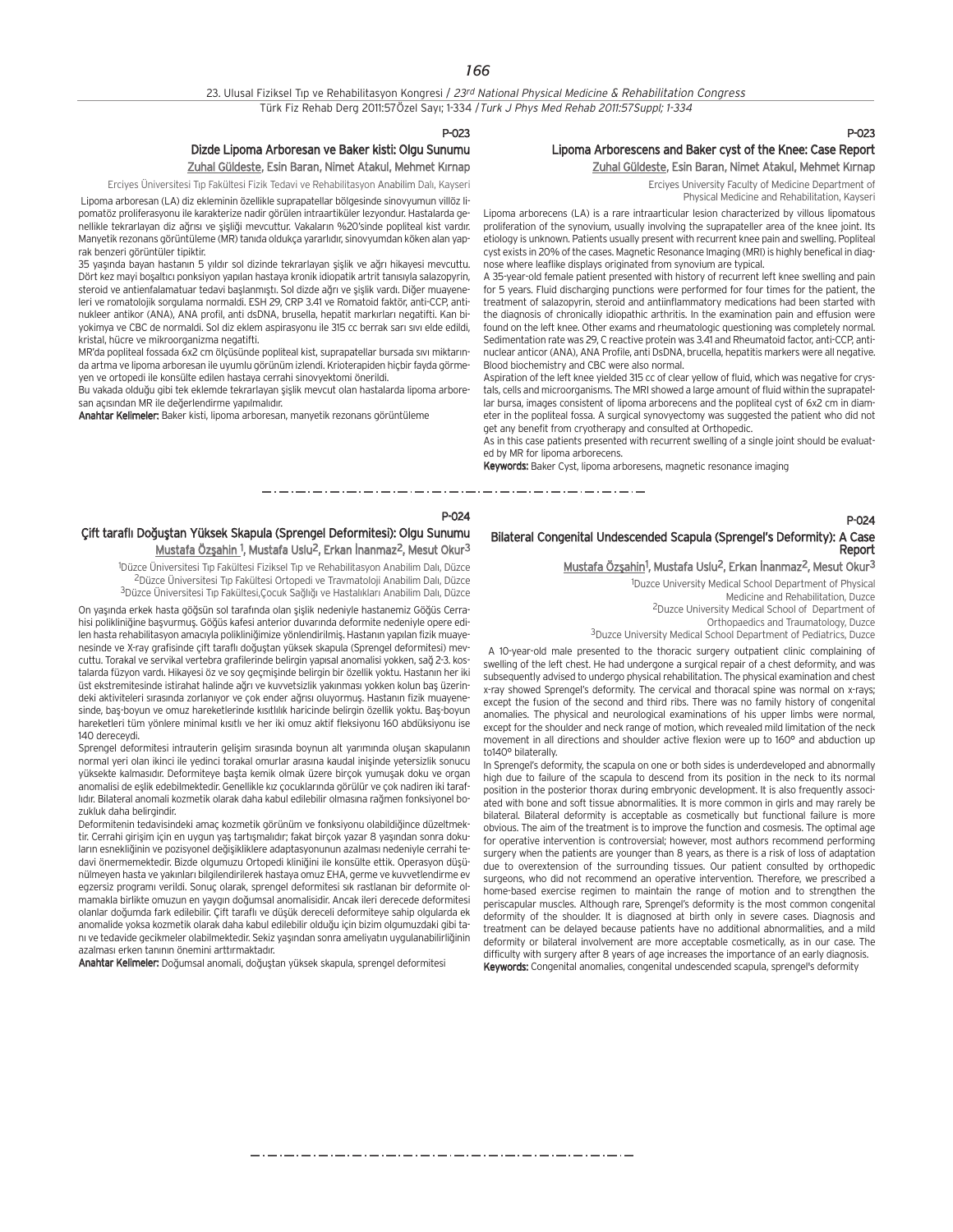P-023

## Dizde Lipoma Arboresan ve Baker kisti: Olgu Sunumu

Zuhal Güldeste, Esin Baran, Nimet Atakul, Mehmet Kırnap

Erciyes Üniversitesi Tıp Fakültesi Fizik Tedavi ve Rehabilitasyon Anabilim Dalı, Kayseri

Lipoma arboresan (LA) diz ekleminin özellikle suprapatellar bölgesinde sinovyumun villöz lipomatöz proliferasyonu ile karakterize nadir görülen intraartiküler lezyondur. Hastalarda genellikle tekrarlayan diz ağrısı ve sişliği mevcuttur. Vakaların %20'sinde popliteal kist vardır. Manyetik rezonans görüntüleme (MR) tanıda oldukça yararlıdır, sinovyumdan köken alan yaprak benzeri görüntüler tipiktir.

35 yasında bayan hastanın 5 yıldır sol dizinde tekrarlayan sislik ve ağrı hikayesi mevcuttu. Dört kez mayi bosaltıcı ponksiyon yapılan hastaya kronik idiopatik artrit tanısıyla salazopyrin, steroid ve antienfalamatuar tedavi baslanmıstı. Sol dizde ağrı ve şişlik vardı. Diğer muayeneleri ve romatolojik sorgulama normaldi. ESH 29, CRP 3.41 ve Romatoid faktör, anti-CCP, antinukleer antikor (ANA), ANA profil, anti dsDNA, brusella, hepatit markırları negatifti. Kan biyokimya ve CBC de normaldi. Sol diz eklem aspirasyonu ile 315 cc berrak sarı sıvı elde edildi, kristal, hücre ve mikroorganizma negatifti.

MR'da popliteal fossada 6x2 cm ölçüsünde popliteal kist, suprapatellar bursada sıvı miktarında artma ve lipoma arboresan ile uyumlu görünüm izlendi. Krioterapiden hiçbir fayda görmeyen ve ortopedi ile konsülte edilen hastaya cerrahi sinovyektomi önerildi.

bu vakada olduğu gibi tek eklemde tekrarlayan sişlik mevcut olan hastalarda lipoma arboresan açısından MR ile değerlendirme yapılmalıdır.

Anahtar Kelimeler: Baker kisti, lipoma arboresan, manyetik rezonans görüntüleme

## P-023 Lipoma Arborescens and Baker cyst of the Knee: Case Report Zuhal Güldeste, Esin Baran, Nimet Atakul, Mehmet Kırnap

Erciyes University Faculty of Medicine Department of Physical Medicine and Rehabilitation, Kayseri

Lipoma arborecens (LA) is a rare intraarticular lesion characterized by villous lipomatous proliferation of the synovium, usually involving the suprapateller area of the knee joint. Its etiology is unknown. Patients usually present with recurrent knee pain and swelling. Popliteal cyst exists in 20% of the cases. Magnetic Resonance Imaging (MRI) is highly benefical in diagnose where leaflike displays originated from synovium are typical.

A 35-year-old female patient presented with history of recurrent left knee swelling and pain for 5 years. Fluid discharging punctions were performed for four times for the patient, the treatment of salazopyrin, steroid and antiinflammatory medications had been started with the diagnosis of chronically idiopathic arthritis. In the examination pain and effusion were found on the left knee. Other exams and rheumatologic questioning was completely normal. Sedimentation rate was 29, C reactive protein was 3.41 and Rheumatoid factor, anti-CCP, antinuclear anticor (ANA), ANA Profile, anti DsDNA, brucella, hepatitis markers were all negative. Blood biochemistry and CBC were also normal.

Aspiration of the left knee yielded 315 cc of clear yellow of fluid, which was negative for crystals, cells and microorganisms. The MRI showed a large amount of fluid within the suprapatellar bursa, images consistent of lipoma arborecens and the popliteal cyst of 6x2 cm in diameter in the popliteal fossa. A surgical synovyectomy was suggested the patient who did not get any benefit from cryotherapy and consulted at Orthopedic.

As in this case patients presented with recurrent swelling of a single joint should be evaluated by MR for lipoma arborecens.

**Keywords:** Baker Cyst, lipoma arboresens, magnetic resonance imaging

المتوارد المتناول المتوارد المتوارد المتوارد المتوارد المتوارد المتوارد المتوارد

#### P-024

## Çift taraflı Doğuştan Yüksek Skapula (Sprengel Deformitesi): Olgu Sunumu Mustafa Özşahin <sup>1</sup>, Mustafa Uslu<sup>2</sup>, Erkan İnanmaz<sup>2</sup>, Mesut Okur<sup>3</sup>

<sup>1</sup>Düzce Üniversitesi Tıp Fakültesi Fiziksel Tıp ve Rehabilitasyon Anabilim Dalı, Düzce <sup>2</sup>Düzce Üniversitesi Tıp Fakültesi Ortopedi ve Travmatoloji Anabilim Dalı, Düzce 3Düzce Üniversitesi Tıp Fakültesi,Çocuk Sağlığı ve Hastalıkları Anabilim Dalı, Düzce

On yaşında erkek hasta göğsün sol tarafında olan şişlik nedeniyle hastanemiz Göğüs Cerrahisi polikliniğine basyurmus. Göğüs kafesi anterior duvarında deformite nedeniyle opere edilen hasta rehabilitasyon amacıyla polikliniğimize yönlendirilmiş. Hastanın yapılan fizik muayenesinde ve X-ray grafisinde çift taraflı doğuştan yüksek skapula (Sprengel deformitesi) mevcuttu. Torakal ve servikal vertebra grafilerinde belirgin yapısal anomalisi yokken, sağ 2-3. kostalarda füzyon vardı. Hikayesi öz ve soy geçmişinde belirgin bir özellik yoktu. Hastanın her iki üst ekstremitesinde istirahat halinde ağrı ve kuvvetsizlik yakınması yokken kolun baş üzerindeki aktiviteleri sırasında zorlanıyor ve çok ender ağrısı oluyormus. Hastanın fizik muayenesinde, baş-boyun ve omuz hareketlerinde kısıtlılık haricinde belirgin özellik yoktu. Baş-boyun hareketleri tüm yönlere minimal kısıtlı ve her iki omuz aktif fleksiyonu 160 abdüksiyonu ise 140 dereceydi.

Sprengel deformitesi intrauterin gelisim sırasında boynun alt yarımında olusan skapulanın normal yeri olan ikinci ile yedinci torakal omurlar arasına kaudal inişinde yetersizlik sonucu vüksekte kalmasıdır. Deformiteye başta kemik olmak üzere birçok yumuşak doku ve organ anomalisi de eslik edebilmektedir. Genellikle kız çocuklarında görülür ve çok nadiren iki taraflıdır. Bilateral anomali kozmetik olarak daha kabul edilebilir olmasına rağmen fonksiyonel bozukluk daha belirgindir.

Deformitenin tedavisindeki amaç kozmetik görünüm ve fonksiyonu olabildiğince düzeltmektir. Cerrahi girişim için en uygun yaş tartışmalıdır; fakat birçok yazar 8 yaşından sonra dokuların esnekliğinin ve pozisyonel değişikliklere adaptasyonunun azalması nedeniyle cerrahi tedavi önermemektedir. Bizde olgumuzu Ortopedi kliniğini ile konsülte ettik. Operasyon düşünülmeyen hasta ve yakınları bilgilendirilerek hastaya omuz EHA, germe ve kuvvetlendirme ev egzersiz programı verildi. Sonuç olarak, sprengel deformitesi sık rastlanan bir deformite olmamakla birlikte omuzun en yaygın doğumsal anomalisidir. Ancak ileri derecede deformitesi olanlar doğumda fark edilebilir. Çift taraflı ve düşük dereceli deformiteye sahip olgularda ek anomalide yoksa kozmetik olarak daha kabul edilebilir oldu¤u için bizim olgumuzdaki gibi tanı ve tedavide gecikmeler olabilmektedir. Sekiz yaşından sonra ameliyatın uygulanabilirliğinin azalması erken tanının önemini arttırmaktadır.

Anahtar Kelimeler: Doğumsal anomali, doğuştan yüksek skapula, sprengel deformitesi

## Bilateral Congenital Undescended Scapula (Sprengel's Deformity): A Case Report

## Mustafa Özşahin<sup>1</sup>, Mustafa Uslu<sup>2</sup>, Erkan İnanmaz<sup>2</sup>, Mesut Okur<sup>3</sup>

1 Duzce University Medical School Department of Physical Medicine and Rehabilitation, Duzce 2Duzce University Medical School of Department of Orthopaedics and Traumatology, Duzce

P-024

3Duzce University Medical School Department of Pediatrics, Duzce

A 10-year-old male presented to the thoracic surgery outpatient clinic complaining of swelling of the left chest. He had undergone a surgical repair of a chest deformity, and was subsequently advised to undergo physical rehabilitation. The physical examination and chest x-ray showed Sprengel's deformity. The cervical and thoracal spine was normal on x-rays; except the fusion of the second and third ribs. There was no family history of congenital anomalies. The physical and neurological examinations of his upper limbs were normal, except for the shoulder and neck range of motion, which revealed mild limitation of the neck movement in all directions and shoulder active flexion were up to 160° and abduction up to140° bilaterally.

In Sprengel's deformity, the scapula on one or both sides is underdeveloped and abnormally high due to failure of the scapula to descend from its position in the neck to its normal position in the posterior thorax during embryonic development. It is also frequently associated with bone and soft tissue abnormalities. It is more common in girls and may rarely be bilateral. Bilateral deformity is acceptable as cosmetically but functional failure is more obvious. The aim of the treatment is to improve the function and cosmesis. The optimal age for operative intervention is controversial; however, most authors recommend performing surgery when the patients are younger than 8 years, as there is a risk of loss of adaptation due to overextension of the surrounding tissues. Our patient consulted by orthopedic surgeons, who did not recommend an operative intervention. Therefore, we prescribed a home-based exercise regimen to maintain the range of motion and to strengthen the periscapular muscles. Although rare, Sprengel's deformity is the most common congenital deformity of the shoulder. It is diagnosed at birth only in severe cases. Diagnosis and treatment can be delayed because patients have no additional abnormalities, and a mild deformity or bilateral involvement are more acceptable cosmetically, as in our case. The difficulty with surgery after 8 years of age increases the importance of an early diagnosis. Keywords: Congenital anomalies, congenital undescended scapula, sprengel's deformity

المستحق والمتحال المستحق المستحق المستحق المستحق المستحق المستحق المستحقة والمستحقة والمستحقة والمستحق المستحقة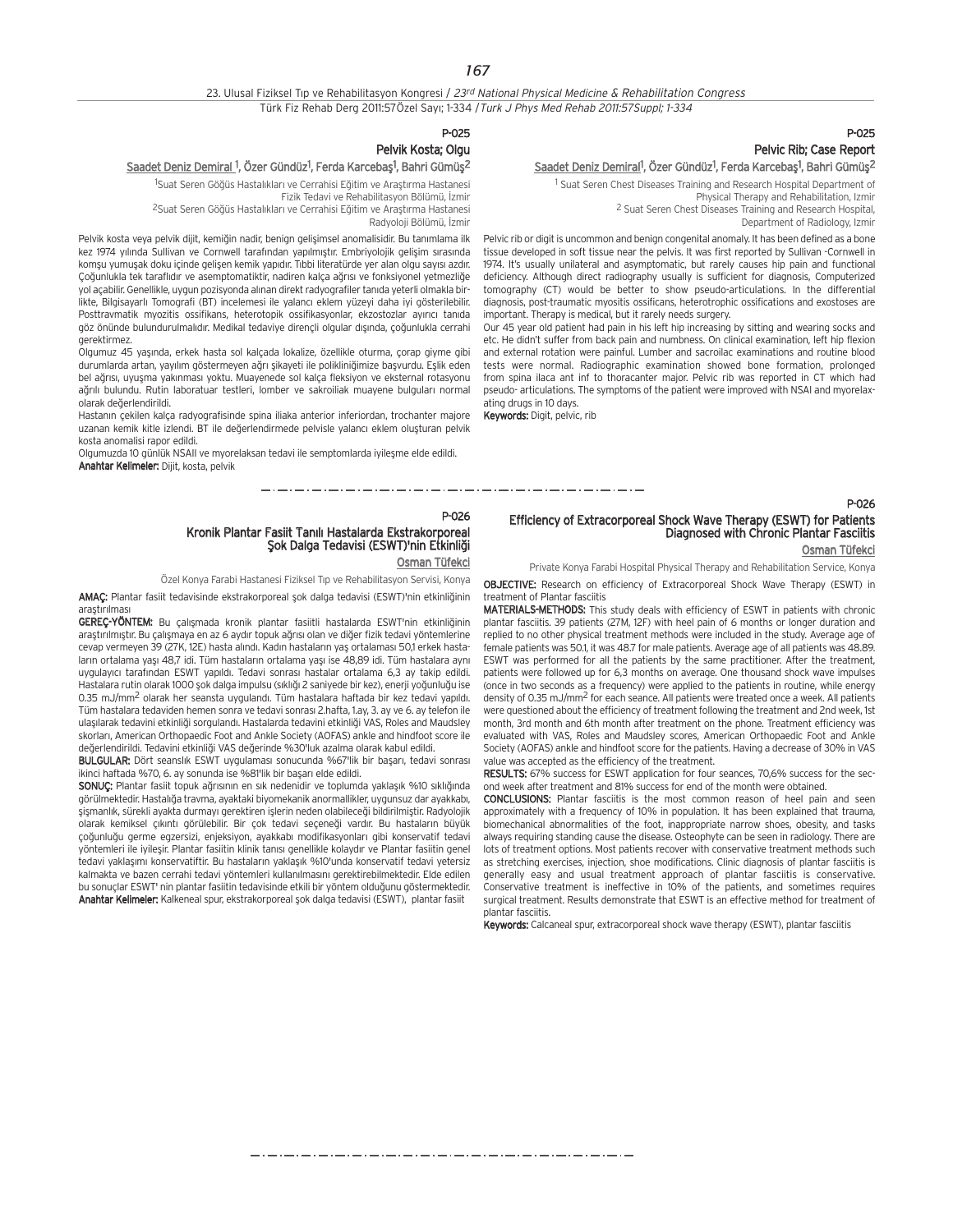#### 23. Ulusal Fiziksel Tıp ve Rehabilitasyon Kongresi / 23rd National Physical Medicine & Rehabilitation Congress Türk Fiz Rehab Derg 2011:57Özel Sayı; 1-334 / Turk J Phys Med Rehab 2011:57Suppl; 1-334

## P-025 Pelvic Rib; Case Report <u>Saadet Deniz Demiral</u><sup>1</sup>, Özer Gündüz<sup>1</sup>, Ferda Karcebaş<sup>1</sup>, Bahri Gümüş<sup>2</sup>

1 Suat Seren Chest Diseases Training and Research Hospital Department of Physical Therapy and Rehabilitation, Izmir 2 Suat Seren Chest Diseases Training and Research Hospital, Department of Radiology, Izmir

Pelvic rib or digit is uncommon and benign congenital anomaly. It has been defined as a bone tissue developed in soft tissue near the pelvis. It was first reported by Sullivan -Cornwell in 1974. It's usually unilateral and asymptomatic, but rarely causes hip pain and functional deficiency. Although direct radiography usually is sufficient for diagnosis, Computerized tomography (CT) would be better to show pseudo-articulations. In the differential diagnosis, post-traumatic myositis ossificans, heterotrophic ossifications and exostoses are important. Therapy is medical, but it rarely needs surgery.

Our 45 year old patient had pain in his left hip increasing by sitting and wearing socks and etc. He didn't suffer from back pain and numbness. On clinical examination, left hip flexion and external rotation were painful. Lumber and sacroilac examinations and routine blood tests were normal. Radiographic examination showed bone formation, prolonged from spina ilaca ant inf to thoracanter major. Pelvic rib was reported in CT which had pseudo- articulations. The symptoms of the patient were improved with NSAI and myorelaxating drugs in 10 days.

Keywords: Digit, pelvic, rib

Olgumuzda 10 günlük NSAII ve myorelaksan tedavi ile semptomlarda iyileşme elde edildi.

## P-026 Kronik Plantar Fasiit Tanılı Hastalarda Ekstrakorporeal<br>Şok Dalga Tedavisi (ESWT)'nin Etkinliği

\_\_\_\_\_\_\_\_\_\_\_\_\_\_\_\_\_\_\_\_\_\_\_\_\_\_\_\_\_\_\_

## Osman Tüfekci

Özel Konya Farabi Hastanesi Fiziksel Tıp ve Rehabilitasyon Servisi, Konya

AMAC: Plantar fasiit tedavisinde ekstrakorporeal sok dalga tedavisi (ESWT)'nin etkinliğinin arastırılması

GEREC-YÖNTEM: Bu çalışmada kronik plantar fasiitli hastalarda ESWT'nin etkinliğinin araştırılmıştır. Bu çalışmaya en az 6 aydır topuk ağrısı olan ve diğer fizik tedavi yöntemlerine cevap vermeyen 39 (27K, 12E) hasta alındı. Kadın hastaların yas ortalaması 50,1 erkek hastaların ortalama yaşı 48,7 idi. Tüm hastaların ortalama yaşı ise 48,89 idi. Tüm hastalara aynı uygulayıcı tarafından ESWT yapıldı. Tedavi sonrası hastalar ortalama 6,3 ay takip edildi. Hastalara rutin olarak 1000 şok dalga impulsu (sıklığı 2 saniyede bir kez), enerji yoğunluğu ise 0.35 mJ/mm<sup>2</sup> olarak her seansta uygulandı. Tüm hastalara haftada bir kez tedavi yapıldı. Tüm hastalara tedaviden hemen sonra ve tedavi sonrası 2.hafta, 1.ay, 3. ay ve 6. ay telefon ile ulaşılarak tedavini etkinliği sorgulandı. Hastalarda tedavini etkinliği VAS, Roles and Maudsley skorları, American Orthopaedic Foot and Ankle Society (AOFAS) ankle and hindfoot score ile değerlendirildi. Tedavini etkinliği VAS değerinde %30'luk azalma olarak kabul edildi.

BULGULAR: Dört seanslik ESWT uygulaması sonucunda %67'lik bir başarı, tedavi sonrası ikinci haftada %70, 6. ay sonunda ise %81'lik bir başarı elde edildi.

SONUC: Plantar fasiit topuk ağrısının en sık nedenidir ve toplumda yaklaşık %10 sıklığında görülmektedir. Hastalığa travma, ayaktaki biyomekanik anormallikler, uygunsuz dar ayakkabı, sismanlık, sürekli ayakta durmayı gerektiren islerin neden olabileceği bildirilmiştir. Radyolojik olarak kemiksel çıkıntı görülebilir. Bir çok tedavi seçeneği vardır. Bu hastaların büyük çoğunluğu germe egzersizi, enjeksiyon, ayakkabı modifikasyonları gibi konservatif tedavi yöntemleri ile iyileşir. Plantar fasiitin klinik tanısı genellikle kolaydır ve Plantar fasiitin genel tedavi yaklaşımı konservatiftir. Bu hastaların yaklaşık %10'unda konservatif tedavi yetersiz kalmakta ve bazen cerrahi tedavi yöntemleri kullanılmasını gerektirebilmektedir. Elde edilen bu sonuçlar ESWT' nin plantar fasiitin tedavisinde etkili bir yöntem olduğunu göstermektedir. Anahtar Kelimeler: Kalkeneal spur, ekstrakorporeal şok dalga tedavisi (ESWT), plantar fasiit

## Efficiency of Extracorporeal Shock Wave Therapy (ESWT) for Patients Diagnosed with Chronic Plantar Fasciitis

Osman Tüfekci

P-026

Private Konya Farabi Hospital Physical Therapy and Rehabilitation Service, Konya

OBJECTIVE: Research on efficiency of Extracorporeal Shock Wave Therapy (ESWT) in treatment of Plantar fasciitis

MATERIALS-METHODS: This study deals with efficiency of ESWT in patients with chronic plantar fasciitis. 39 patients (27M, 12F) with heel pain of 6 months or longer duration and replied to no other physical treatment methods were included in the study. Average age of female patients was 50.1, it was 48.7 for male patients. Average age of all patients was 48.89. ESWT was performed for all the patients by the same practitioner. After the treatment, patients were followed up for 6,3 months on average. One thousand shock wave impulses (once in two seconds as a frequency) were applied to the patients in routine, while energy density of 0.35 mJ/mm2 for each seance. All patients were treated once a week. All patients were questioned about the efficiency of treatment following the treatment and 2nd week, 1st month, 3rd month and 6th month after treatment on the phone. Treatment efficiency was evaluated with VAS, Roles and Maudsley scores, American Orthopaedic Foot and Ankle Society (AOFAS) ankle and hindfoot score for the patients. Having a decrease of 30% in VAS value was accepted as the efficiency of the treatment.

RESULTS: 67% success for ESWT application for four seances, 70,6% success for the second week after treatment and 81% success for end of the month were obtained.

CONCLUSIONS: Plantar fasciitis is the most common reason of heel pain and seen approximately with a frequency of 10% in population. It has been explained that trauma, biomechanical abnormalities of the foot, inappropriate narrow shoes, obesity, and tasks always requiring standing cause the disease. Osteophyte can be seen in radiology. There are lots of treatment options. Most patients recover with conservative treatment methods such as stretching exercises, injection, shoe modifications. Clinic diagnosis of plantar fasciitis is generally easy and usual treatment approach of plantar fasciitis is conservative. Conservative treatment is ineffective in 10% of the patients, and sometimes requires surgical treatment. Results demonstrate that ESWT is an effective method for treatment of plantar fasciitis.

Keywords: Calcaneal spur, extracorporeal shock wave therapy (ESWT), plantar fasciitis

## P-025 Pelvik Kosta; Olgu

<u>Saadet Deniz Demiral <sup>1</sup>,</u> Özer Gündüz<sup>1</sup>, Ferda Karcebaş<sup>1</sup>, Bahri Gümüş<sup>2</sup>

<sup>1</sup>Suat Seren Göğüs Hastalıkları ve Cerrahisi Eğitim ve Araştırma Hastanesi Fizik Tedavi ve Rehabilitasyon Bölümü, İzmir <sup>2</sup>Suat Seren Göğüs Hastalıkları ve Cerrahisi Eğitim ve Araştırma Hastanesi

Radyoloji Bölümü, İzmir

Pelvik kosta veya pelvik dijit, kemiğin nadir, benign gelişimsel anomalisidir. Bu tanımlama ilk kez 1974 yılında Sulliyan ve Cornwell tarafından yapılmıştır. Embriyolojik gelişim sırasında komşu yumuşak doku içinde gelişen kemik yapıdır. Tıbbi literatürde yer alan olgu sayısı azdır. Coğunlukla tek taraflıdır ve asemptomatiktir, nadiren kalça ağrısı ve fonksiyonel yetmezliğe yol açabilir. Genellikle, uygun pozisyonda alınan direkt radyografiler tanıda yeterli olmakla birlikte, Bilgisayarlı Tomografi (BT) incelemesi ile yalancı eklem yüzeyi daha iyi gösterilebilir. Posttravmatik myozitis ossifikans, heterotopik ossifikasyonlar, ekzostozlar ayırıcı tanıda göz önünde bulundurulmalıdır. Medikal tedaviye dirençli olgular dışında, çoğunlukla cerrahi gerektirmez.

Olgumuz 45 yaşında, erkek hasta sol kalçada lokalize, özellikle oturma, çorap giyme gibi durumlarda artan, yayılım göstermeyen ağrı şikayeti ile polikliniğimize başvurdu. Eşlik eden bel ağrısı, uyusma yakınması yoktu. Muayenede sol kalça fleksiyon ve eksternal rotasyonu ağrılı bulundu. Rutin laboratuar testleri, lomber ve sakroiliak muayene bulguları normal olarak de¤erlendirildi.

Hastanın çekilen kalça radyografisinde spina iliaka anterior inferiordan, trochanter majore uzanan kemik kitle izlendi. BT ile değerlendirmede pelvisle yalancı eklem oluşturan pelvik kosta anomalisi rapor edildi.

Anahtar Kelimeler: Dijit, kosta, pelvik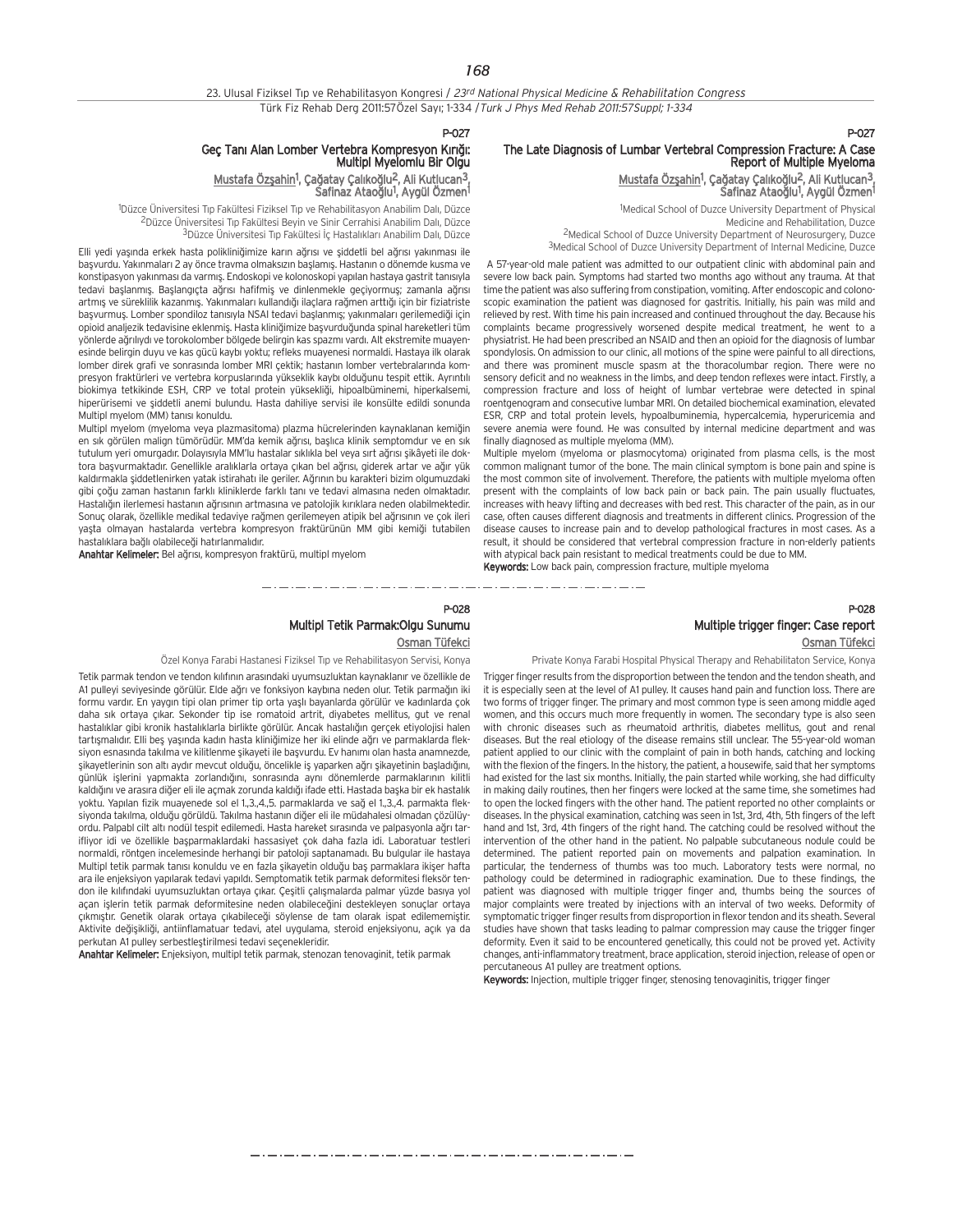*168*

P-027

## The Late Diagnosis of Lumbar Vertebral Compression Fracture: A Case Report of Multiple Myeloma

#### Mustafa Özşahin<sup>1</sup>, Çağatay Çalıkoğlu<sup>2</sup>, Ali Kutlucan<sup>3</sup>, Safinaz Ataoğlu<sup>1</sup>, Aygül Özmen<sup>1</sup>

1 Medical School of Duzce University Department of Physical Medicine and Rehabilitation, Duzce 2Medical School of Duzce University Department of Neurosurgery, Duzce <sup>3</sup>Medical School of Duzce University Department of Internal Medicine, Duzce

A 57-year-old male patient was admitted to our outpatient clinic with abdominal pain and severe low back pain. Symptoms had started two months ago without any trauma. At that time the patient was also suffering from constipation, vomiting. After endoscopic and colonoscopic examination the patient was diagnosed for gastritis. Initially, his pain was mild and relieved by rest. With time his pain increased and continued throughout the day. Because his complaints became progressively worsened despite medical treatment, he went to a physiatrist. He had been prescribed an NSAID and then an opioid for the diagnosis of lumbar spondylosis. On admission to our clinic, all motions of the spine were painful to all directions, and there was prominent muscle spasm at the thoracolumbar region. There were no sensory deficit and no weakness in the limbs, and deep tendon reflexes were intact. Firstly, a compression fracture and loss of height of lumbar vertebrae were detected in spinal roentgenogram and consecutive lumbar MRI. On detailed biochemical examination, elevated ESR, CRP and total protein levels, hypoalbuminemia, hypercalcemia, hyperuricemia and severe anemia were found. He was consulted by internal medicine department and was finally diagnosed as multiple myeloma (MM).

Multiple myelom (myeloma or plasmocytoma) originated from plasma cells, is the most common malignant tumor of the bone. The main clinical symptom is bone pain and spine is the most common site of involvement. Therefore, the patients with multiple myeloma often present with the complaints of low back pain or back pain. The pain usually fluctuates, increases with heavy lifting and decreases with bed rest. This character of the pain, as in our case, often causes different diagnosis and treatments in different clinics. Progression of the disease causes to increase pain and to develop pathological fractures in most cases. As a result, it should be considered that vertebral compression fracture in non-elderly patients with atypical back pain resistant to medical treatments could be due to MM. Keywords: Low back pain, compression fracture, multiple myeloma

والمستحي والمستورة المستورة المستورة المستورة المستورة والمستورة

## P-028 Multiple trigger finger: Case report Osman Tüfekci

Private Konya Farabi Hospital Physical Therapy and Rehabilitaton Service, Konya

Trigger finger results from the disproportion between the tendon and the tendon sheath, and it is especially seen at the level of A1 pulley. It causes hand pain and function loss. There are two forms of trigger finger. The primary and most common type is seen among middle aged women, and this occurs much more frequently in women. The secondary type is also seen with chronic diseases such as rheumatoid arthritis, diabetes mellitus, gout and renal diseases. But the real etiology of the disease remains still unclear. The 55-year-old woman patient applied to our clinic with the complaint of pain in both hands, catching and locking with the flexion of the fingers. In the history, the patient, a housewife, said that her symptoms had existed for the last six months. Initially, the pain started while working, she had difficulty in making daily routines, then her fingers were locked at the same time, she sometimes had to open the locked fingers with the other hand. The patient reported no other complaints or diseases. In the physical examination, catching was seen in 1st, 3rd, 4th, 5th fingers of the left hand and 1st, 3rd, 4th fingers of the right hand. The catching could be resolved without the intervention of the other hand in the patient. No palpable subcutaneous nodule could be determined. The patient reported pain on movements and palpation examination. In particular, the tenderness of thumbs was too much. Laboratory tests were normal, no pathology could be determined in radiographic examination. Due to these findings, the patient was diagnosed with multiple trigger finger and, thumbs being the sources of major complaints were treated by injections with an interval of two weeks. Deformity of symptomatic trigger finger results from disproportion in flexor tendon and its sheath. Several studies have shown that tasks leading to palmar compression may cause the trigger finger deformity. Even it said to be encountered genetically, this could not be proved yet. Activity changes, anti-inflammatory treatment, brace application, steroid injection, release of open or percutaneous A1 pulley are treatment options.

Keywords: Injection, multiple trigger finger, stenosing tenovaginitis, trigger finger

## P-027 Geç Tanı Alan Lomber Vertebra Kompresyon Kırığı:<br>Multipl Myelomlu Bir Olgu

Mustafa Özşahin<sup>1</sup>, Çağatay Çalıkoğlu<sup>2</sup>, Ali Kutlucan<sup>3</sup>, Safinaz Ataoğlu<sup>1</sup>, Aygül Özmen<sup>1</sup>

<sup>1</sup>Düzce Üniversitesi Tıp Fakültesi Fiziksel Tıp ve Rehabilitasyon Anabilim Dalı, Düzce <sup>2</sup>Düzce Üniversitesi Tıp Fakültesi Beyin ve Sinir Cerrahisi Anabilim Dalı, Düzce 3 Düzce Üniversitesi Tıp Fakültesi İç Hastalıkları Anabilim Dalı, Düzce

Elli yedi yaşında erkek hasta polikliniğimize karın ağrısı ve şiddetli bel ağrısı yakınması ile basyurdu. Yakınmaları 2 ay önce travma olmaksızın başlamış. Hastanın o dönemde kusma ve konstipasyon yakınması da varmış. Endoskopi ve kolonoskopi yapılan hastaya gastrit tanısıyla tedavi baslanmıs. Baslangıcta ağrısı hafifmiş ve dinlenmekle geçiyormuş; zamanla ağrısı artmış ve süreklilik kazanmış. Yakınmaları kullandığı ilaçlara rağmen arttığı için bir fiziatriste başvurmuş. Lomber spondiloz tanısıyla NSAI tedavi başlanmış; yakınmaları gerilemediği için opioid analjezik tedavisine eklenmiş. Hasta kliniğimize başvurduğunda spinal hareketleri tüm yönlerde ağrılıydı ve torokolomber bölgede belirgin kas spazmı vardı. Alt ekstremite muayenesinde belirgin duyu ve kas gücü kaybı yoktu; refleks muayenesi normaldi. Hastaya ilk olarak lomber direk grafi ve sonrasında lomber MRI çektik; hastanın lomber vertebralarında kompresyon fraktürleri ve vertebra korpuslarında yükseklik kaybı olduğunu tespit ettik. Ayrıntılı biokimya tetkikinde ESH, CRP ve total protein yüksekli¤i, hipoalbüminemi, hiperkalsemi, hiperürisemi ve şiddetli anemi bulundu. Hasta dahiliye servisi ile konsülte edildi sonunda Multipl myelom (MM) tanısı konuldu.

Multipl myelom (myeloma veya plazmasitoma) plazma hücrelerinden kaynaklanan kemiğin en sık görülen malign tümörüdür. MM'da kemik ağrısı, başlıca klinik semptomdur ve en sık tutulum yeri omurgadır. Dolayısıyla MM'lu hastalar sıklıkla bel yeya sırt ağrısı sikâyeti ile doktora basyurmaktadır. Genellikle aralıklarla ortaya çıkan bel ağrısı, giderek artar ve ağır yük kaldırmakla şiddetlenirken yatak istirahatı ile geriler. Ağrının bu karakteri bizim olgumuzdaki gibi çoğu zaman hastanın farklı kliniklerde farklı tanı ve tedavi almasına neden olmaktadır. Hastalığın ilerlemesi hastanın ağrısının artmasına ve patolojik kırıklara neden olabilmektedir. Sonuç olarak, özellikle medikal tedaviye rağmen gerilemeyen atipik bel ağrısının ve çok ileri yaşta olmayan hastalarda vertebra kompresyon fraktürünün MM gibi kemiği tutabilen hastalıklara bağlı olabileceği hatırlanmalıdır.

Anahtar Kelimeler: Bel ağrısı, kompresyon fraktürü, multipl myelom

## P-028 Multipl Tetik Parmak:Olgu Sunumu Osman Tüfekci

مترو متناول متناول متناول متناول متناول متناول متناول متناول متناول متناول متناول متناول متناول متناول متناول متناولات

والمستحقق والمستحد المستحد والمستحد المستحد المستحد المستحد المستحدة

Özel Konya Farabi Hastanesi Fiziksel Tıp ve Rehabilitasyon Servisi, Konya

Tetik parmak tendon ve tendon kılıfının arasındaki uyumsuzluktan kaynaklanır ve özellikle de A1 pulleyi seviyesinde görülür. Elde ağrı ve fonksiyon kaybına neden olur. Tetik parmağın iki formu vardır. En yaygın tipi olan primer tip orta yaşlı bayanlarda görülür ve kadınlarda çok daha sık ortaya çıkar. Sekonder tip ise romatoid artrit, diyabetes mellitus, gut ve renal hastalıklar gibi kronik hastalıklarla birlikte görülür. Ancak hastalığın gerçek etiyolojisi halen tartışmalıdır. Elli beş yaşında kadın hasta kliniğimize her iki elinde ağrı ve parmaklarda fleksiyon esnasında takılma ve kilitlenme sikayeti ile başyurdu. Ev hanımı olan hasta anamnezde, şikayetlerinin son altı aydır mevcut olduğu, öncelikle iş yaparken ağrı şikayetinin başladığını, günlük işlerini yapmakta zorlandığını, sonrasında aynı dönemlerde parmaklarının kilitli kaldığını ve arasıra diğer eli ile açmak zorunda kaldığı ifade etti. Hastada başka bir ek hastalık yoktu. Yapılan fizik muayenede sol el 1.,3.,4.,5. parmaklarda ve sağ el 1.,3.,4. parmakta fleksiyonda takılma, olduğu görüldü. Takılma hastanın diğer eli ile müdahalesi olmadan çözülüyordu. Palpabl cilt altı nodül tespit edilemedi. Hasta hareket sırasında ve palpasyonla ağrı tarifliyor idi ve özellikle başparmaklardaki hassasiyet çok daha fazla idi. Laboratuar testleri normaldi, röntgen incelemesinde herhangi bir patoloji saptanamadı. Bu bulgular ile hastaya Multipl tetik parmak tanısı konuldu ve en fazla şikayetin olduğu baş parmaklara ikişer hafta ara ile enjeksiyon yapılarak tedavi yapıldı. Semptomatik tetik parmak deformitesi fleksör tendon ile kılıfındaki uyumsuzluktan ortaya çıkar. Çeşitli çalışmalarda palmar yüzde basıya yol açan işlerin tetik parmak deformitesine neden olabileceğini destekleyen sonuçlar ortaya çıkmıştır. Genetik olarak ortaya çıkabileceği söylense de tam olarak ispat edilememiştir. Aktivite değişikliği, antiinflamatuar tedavi, atel uygulama, steroid enjeksiyonu, açık ya da perkutan A1 pulley serbestleştirilmesi tedavi seçenekleridir.

Anahtar Kelimeler: Enjeksiyon, multipl tetik parmak, stenozan tenovaginit, tetik parmak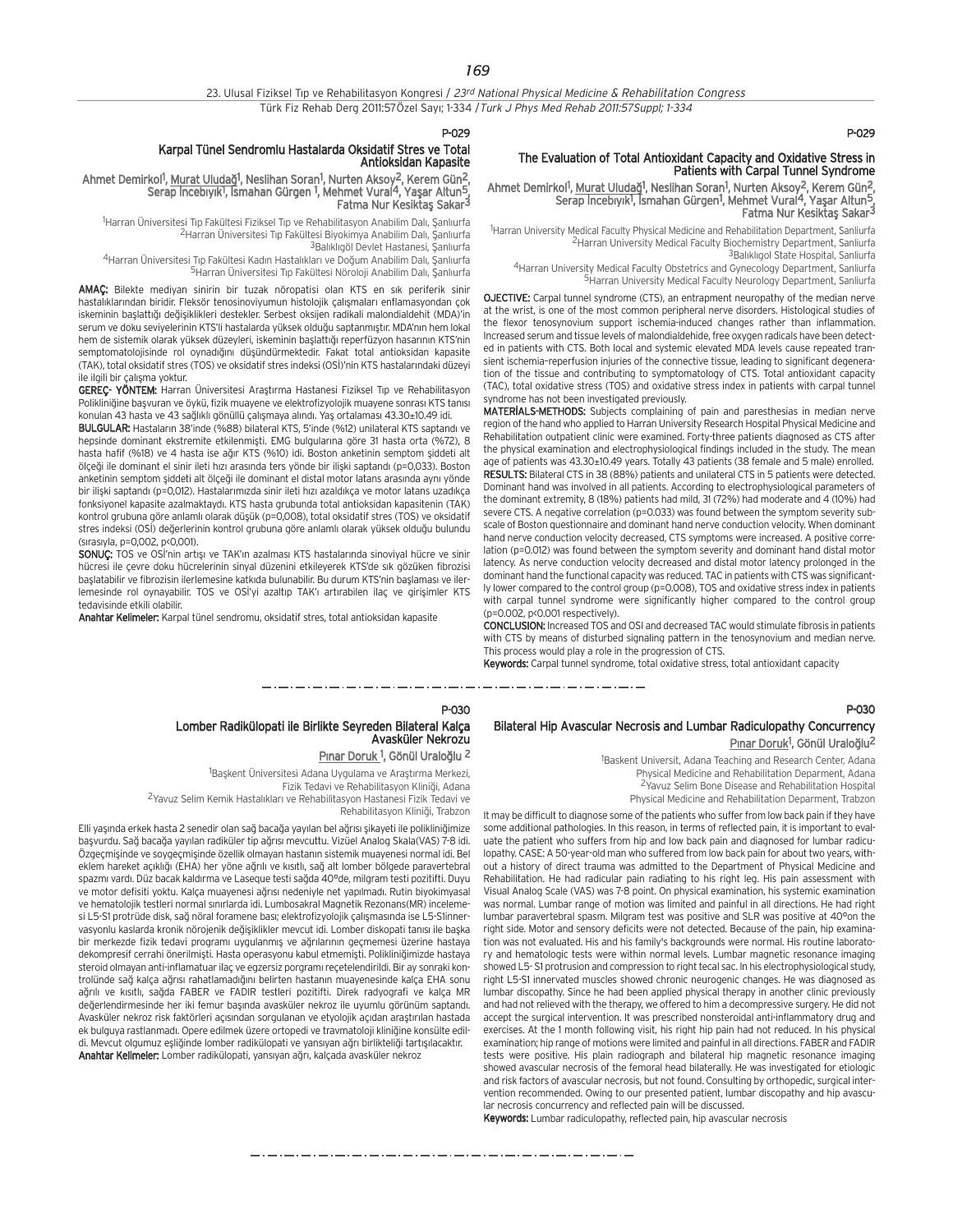## P-029

## The Evaluation of Total Antioxidant Capacity and Oxidative Stress in Patients with Carpal Tunnel Syndrome

Ahmet Demirkol<sup>1</sup>, Murat Uludağ<sup>1</sup>, Neslihan Soran<sup>1</sup>, Nurten Aksoy<sup>2</sup>, Kerem Gün<sup>2</sup>, Serap İncebıyık<sup>1</sup>, İsmahan Gürgen<sup>1</sup>, Mehmet Vural<sup>4</sup>, Yaşar Altun<sup>5</sup>, Fatma Nur Kesiktaş Sakar<sup>3</sup>

1 Harran University Medical Faculty Physical Medicine and Rehabilitation Department, Sanliurfa 2Harran University Medical Faculty Biochemistry Department, Sanliurfa <sup>3</sup>Balıklıgol State Hospital, Sanliurfa

4Harran University Medical Faculty Obstetrics and Gynecology Department, Sanliurfa 5Harran University Medical Faculty Neurology Department, Sanliurfa

OJECTIVE: Carpal tunnel syndrome (CTS), an entrapment neuropathy of the median nerve at the wrist, is one of the most common peripheral nerve disorders. Histological studies of the flexor tenosynovium support ischemia-induced changes rather than inflammation. Increased serum and tissue levels of malondialdehide, free oxygen radicals have been detected in patients with CTS. Both local and systemic elevated MDA levels cause repeated transient ischemia–reperfusion injuries of the connective tissue, leading to significant degeneration of the tissue and contributing to symptomatology of CTS. Total antioxidant capacity (TAC), total oxidative stress (TOS) and oxidative stress index in patients with carpal tunnel syndrome has not been investigated previously.

MATERIALS-METHODS: Subjects complaining of pain and paresthesias in median nerve region of the hand who applied to Harran University Research Hospital Physical Medicine and Rehabilitation outpatient clinic were examined. Forty-three patients diagnosed as CTS after the physical examination and electrophysiological findings included in the study. The mean age of patients was 43.30±10.49 years. Totally 43 patients (38 female and 5 male) enrolled. RESULTS: Bilateral CTS in 38 (88%) patients and unilateral CTS in 5 patients were detected. Dominant hand was involved in all patients. According to electrophysiological parameters of the dominant extremity, 8 (18%) patients had mild, 31 (72%) had moderate and 4 (10%) had severe CTS. A negative correlation (p=0.033) was found between the symptom severity subscale of Boston questionnaire and dominant hand nerve conduction velocity. When dominant hand nerve conduction velocity decreased, CTS symptoms were increased. A positive correlation (p=0.012) was found between the symptom severity and dominant hand distal motor latency. As nerve conduction velocity decreased and distal motor latency prolonged in the dominant hand the functional capacity was reduced. TAC in patients with CTS was significantly lower compared to the control group (p=0.008), TOS and oxidative stress index in patients with carpal tunnel syndrome were significantly higher compared to the control group (p=0.002, p<0.001 respectively).

CONCLUSION: Increased TOS and OSI and decreased TAC would stimulate fibrosis in patients with CTS by means of disturbed signaling pattern in the tenosynovium and median nerve. This process would play a role in the progression of CTS.

Keywords: Carpal tunnel syndrome, total oxidative stress, total antioxidant capacity

P-030

## Bilateral Hip Avascular Necrosis and Lumbar Radiculopathy Concurrency Pınar Doruk<sup>1</sup>, Gönül Uraloğlu<sup>2</sup>

<sup>1</sup>Baskent Universit, Adana Teaching and Research Center, Adana Physical Medicine and Rehabilitation Deparment, Adana 2Yavuz Selim Bone Disease and Rehabilitation Hospital Physical Medicine and Rehabilitation Deparment, Trabzon

It may be difficult to diagnose some of the patients who suffer from low back pain if they have some additional pathologies. In this reason, in terms of reflected pain, it is important to evaluate the patient who suffers from hip and low back pain and diagnosed for lumbar radiculopathy. CASE: A 50-year-old man who suffered from low back pain for about two years, without a history of direct trauma was admitted to the Department of Physical Medicine and Rehabilitation. He had radicular pain radiating to his right leg. His pain assessment with Visual Analog Scale (VAS) was 7-8 point. On physical examination, his systemic examination was normal. Lumbar range of motion was limited and painful in all directions. He had right lumbar paravertebral spasm. Milgram test was positive and SLR was positive at 40°on the right side. Motor and sensory deficits were not detected. Because of the pain, hip examination was not evaluated. His and his family's backgrounds were normal. His routine laboratory and hematologic tests were within normal levels. Lumbar magnetic resonance imaging showed L5- S1 protrusion and compression to right tecal sac. In his electrophysiological study, right L5-S1 innervated muscles showed chronic neurogenic changes. He was diagnosed as lumbar discopathy. Since he had been applied physical therapy in another clinic previously and had not relieved with the therapy, we offered to him a decompressive surgery. He did not accept the surgical intervention. It was prescribed nonsteroidal anti-inflammatory drug and exercises. At the 1 month following visit, his right hip pain had not reduced. In his physical examination; hip range of motions were limited and painful in all directions. FABER and FADIR tests were positive. His plain radiograph and bilateral hip magnetic resonance imaging showed avascular necrosis of the femoral head bilaterally. He was investigated for etiologic and risk factors of avascular necrosis, but not found. Consulting by orthopedic, surgical intervention recommended. Owing to our presented patient, lumbar discopathy and hip avascular necrosis concurrency and reflected pain will be discussed.

Keywords: Lumbar radiculopathy, reflected pain, hip avascular necrosis

## P-029

## Karpal Tünel Sendromlu Hastalarda Oksidatif Stres ve Total Antioksidan Kapasite

## Ahmet Demirkol<sup>1</sup>, <u>Murat Uludağ</u>1, Neslihan Soran<sup>1</sup>, Nurten Aksoy<sup>2</sup>, Kerem Gün<del>2</del>, Serap İncebıyık<sup>1</sup>, İsmahan Gürgen <sup>1</sup>, Mehmet Vural<sup>4</sup>, Yaşar Altun<sup>5</sup>, Fatma Nur Kesiktaş Sakar<sup>3</sup>

<sup>1</sup>Harran Üniversitesi Tıp Fakültesi Fiziksel Tıp ve Rehabilitasyon Anabilim Dalı, Şanlıurfa <sup>2</sup>Harran Üniversitesi Tıp Fakültesi Biyokimya Anabilim Dalı, Sanlıurfa

<sup>3</sup>Balıklıgöl Devlet Hastanesi, Sanlıurfa

4Harran Üniversitesi Tıp Fakültesi Kadın Hastalıkları ve Doğum Anabilim Dalı, Sanlıurfa 5Harran Üniversitesi Tıp Fakültesi Nöroloji Anabilim Dalı, Şanlıurfa

AMAÇ: Bilekte mediyan sinirin bir tuzak nöropatisi olan KTS en sık periferik sinir hastalıklarından biridir. Fleksör tenosinoviyumun histolojik çalışmaları enflamasyondan çok iskeminin başlattığı değişiklikleri destekler. Serbest oksijen radikali malondialdehit (MDA)'in serum ve doku seviyelerinin KTS'li hastalarda yüksek olduğu saptanmıştır. MDA'nın hem lokal hem de sistemik olarak yüksek düzeyleri, iskeminin başlattığı reperfüzyon hasarının KTS'nin semptomatolojisinde rol oynadığını düşündürmektedir. Fakat total antioksidan kapasite (TAK), total oksidatif stres (TOS) ve oksidatif stres indeksi (OSİ)'nin KTS hastalarındaki düzeyi ile ilgili bir çalışma yoktur.

GEREÇ- YÖNTEM: Harran Üniversitesi Araştırma Hastanesi Fiziksel Tıp ve Rehabilitasyon Polikliniğine başvuran ve öykü, fizik muayene ve elektrofizyolojik muayene sonrası KTS tanısı konulan 43 hasta ve 43 sağlıklı gönüllü çalışmaya alındı. Yaş ortalaması 43.30±10.49 idi.

BULGULAR: Hastaların 38'inde (%88) bilateral KTS, 5'inde (%12) unilateral KTS saptandı ve hepsinde dominant ekstremite etkilenmisti. EMG bulgularına göre 31 hasta orta (%72), 8 hasta hafif (%18) ve 4 hasta ise ağır KTS (%10) idi. Boston anketinin semptom siddeti alt ölceği ile dominant el sinir ileti hızı arasında ters yönde bir ilişki saptandı (p=0,033). Boston anketinin semptom siddeti alt ölceği ile dominant el distal motor latans arasında aynı yönde bir ilişki saptandı (p=0,012). Hastalarımızda sinir ileti hızı azaldıkça ve motor latans uzadıkça fonksiyonel kapasite azalmaktaydı. KTS hasta grubunda total antioksidan kapasitenin (TAK) kontrol grubuna göre anlamlı olarak düşük (p=0,008), total oksidatif stres (TOS) ve oksidatif stres indeksi (OSİ) değerlerinin kontrol grubuna göre anlamlı olarak yüksek olduğu bulundu (sırasıyla, p=0,002, p<0,001).

SONUC: TOS ve OSI'nin artışı ve TAK'ın azalması KTS hastalarında sinoviyal hücre ve sinir hücresi ile çevre doku hücrelerinin sinyal düzenini etkileyerek KTS'de sık gözüken fibrozisi başlatabilir ve fibrozisin ilerlemesine katkıda bulunabilir. Bu durum KTS'nin başlaması ve ilerlemesinde rol oynayabilir. TOS ve OSİ'yi azaltıp TAK'ı artırabilen ilaç ve girişimler KTS tedavisinde etkili olabilir.

Anahtar Kelimeler: Karpal tünel sendromu, oksidatif stres, total antioksidan kapasite

## P-030 Lomber Radikülopati ile Birlikte Seyreden Bilateral Kalça Avasküler Nekrozu

<u>Pınar Doruk <sup>1</sup>, Gönül Uraloğlu <sup>2</sup></u>

<sup>1</sup>Başkent Üniversitesi Adana Uygulama ve Araştırma Merkezi, Fizik Tedavi ve Rehabilitasyon Kliniği, Adana

<sup>2</sup>Yavuz Selim Kemik Hastalıkları ve Rehabilitasyon Hastanesi Fizik Tedavi ve Rehabilitasyon Kliniği, Trabzon

Elli yaşında erkek hasta 2 senedir olan sağ bacağa yayılan bel ağrısı şikayeti ile polikliniğimize başvurdu. Sağ bacağa yayılan radiküler tip ağrısı mevcuttu. Vizüel Analog Skala(VAS) 7-8 idi. Özgeçmisinde ve soygeçmişinde özellik olmayan hastanın sistemik muayenesi normal idi. Bel eklem hareket açıklığı (EHA) her yöne ağrılı ve kısıtlı, sağ alt lomber bölgede paravertebral spazmı vardı. Düz bacak kaldırma ve Laseque testi sağda 40°de, milgram testi pozitifti. Duyu ve motor defisiti yoktu. Kalca muayenesi ağrısı nedeniyle net yapılmadı. Rutin biyokimyasal ve hematolojik testleri normal sınırlarda idi. Lumbosakral Magnetik Rezonans(MR) incelemesi L5-S1 protrüde disk, sağ nöral foramene bası; elektrofizyolojik çalışmasında ise L5-S1innervasyonlu kaslarda kronik nörojenik değişiklikler meycut idi. Lomber diskopati tanısı ile başka bir merkezde fizik tedavi programı uygulanmış ve ağrılarının geçmemesi üzerine hastaya dekompresif cerrahi önerilmişti. Hasta operasyonu kabul etmemişti. Polikliniğimizde hastaya steroid olmayan anti-inflamatuar ilaç ve egzersiz porgramı reçetelendirildi. Bir ay sonraki kontrolünde sağ kalça ağrısı rahatlamadığını belirten hastanın muayenesinde kalça EHA sonu ağrılı ve kısıtlı, sağda FABER ve FADIR testleri pozitifti. Direk radyografi ve kalça MR değerlendirmesinde her iki femur başında avasküler nekroz ile uyumlu görünüm saptandı. Avasküler nekroz risk faktörleri açısından sorgulanan ve etyolojik açıdan araştırılan hastada ek bulguya rastlanmadı. Opere edilmek üzere ortopedi ve travmatoloji kliniğine konsülte edildi. Mevcut olgumuz eşliğinde lomber radikülopati ve yansıyan ağrı birlikteliği tartışılacaktır. Anahtar Kelimeler: Lomber radikülopati, yansıyan ağrı, kalçada avasküler nekroz

مترو متناول متوازن متوازن متوازن متوازن متوازن متوازن متوازن متوازن متوازن متوازن متوازن متوازن متوازن متوازن متوازن متوازن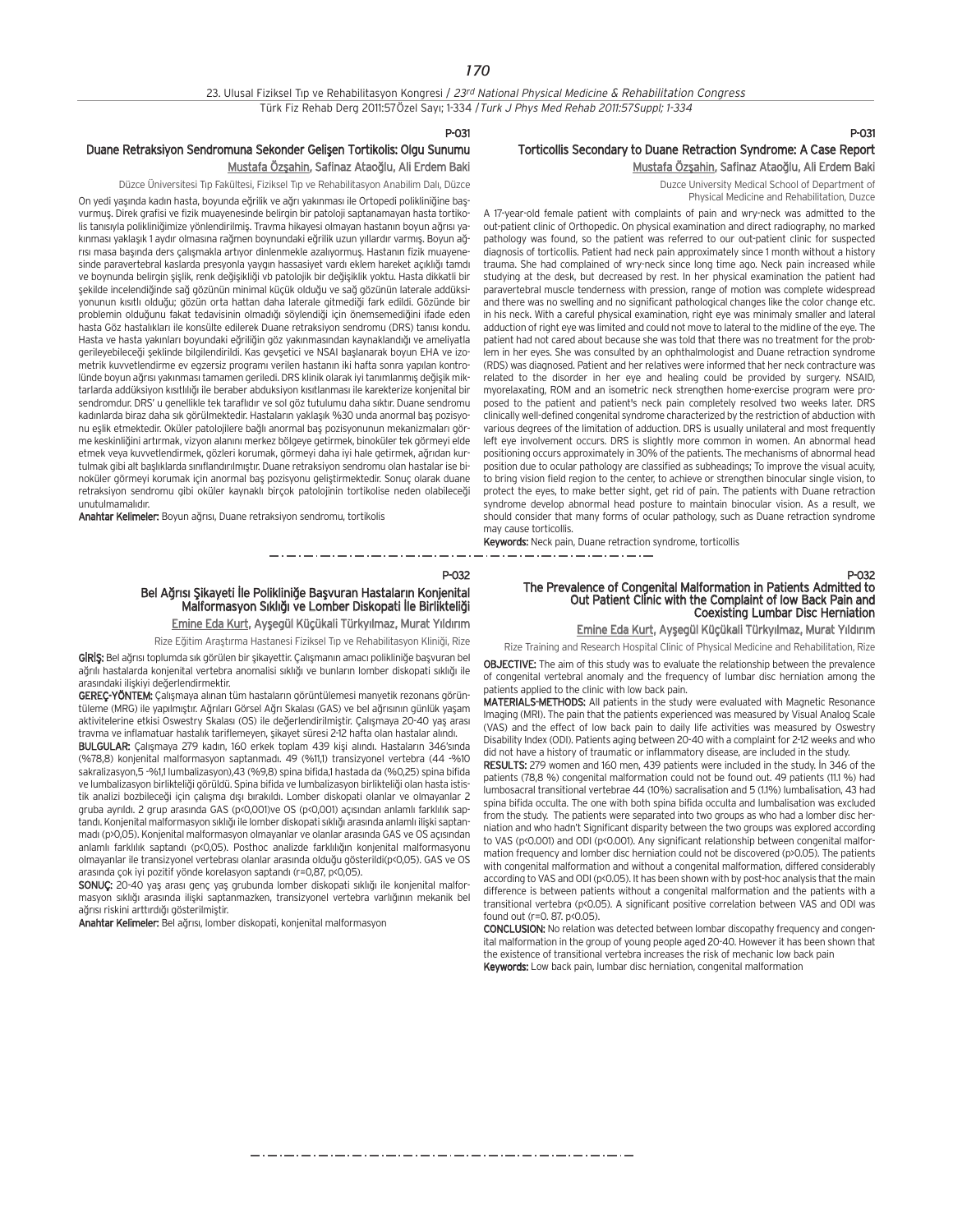#### P-031

## Duane Retraksiyon Sendromuna Sekonder Gelişen Tortikolis: Olgu Sunumu Mustafa Özşahin, Safinaz Ataoğlu, Ali Erdem Baki

Düzce Üniversitesi Tıp Fakültesi, Fiziksel Tıp ve Rehabilitasyon Anabilim Dalı, Düzce

On yedi yaşında kadın hasta, boyunda eğrilik ve ağrı yakınması ile Ortopedi polikliniğine başvurmus. Direk grafisi ve fizik muayenesinde belirgin bir patoloji saptanamayan hasta tortikolis tanısıyla polikliniğimize yönlendirilmiş. Travma hikayesi olmayan hastanın boyun ağrısı yakınması yaklaşık 1 aydır olmasına rağmen boynundaki eğrilik uzun yıllardır varmış. Boyun ağrısı masa başında ders çalışmakla artıvor dinlenmekle azalıyormuş. Hastanın fizik muayenesinde paravertebral kaslarda presyonla yaygın hassasiyet yardı eklem hareket açıklığı tamdı ve boynunda belirgin sislik, renk değişikliği vb patolojik bir değişiklik yoktu. Hasta dikkatli bir flekilde incelendi¤inde sa¤ gözünün minimal küçük oldu¤u ve sa¤ gözünün laterale addüksivonunun kısıtlı olduğu; gözün orta hattan daha laterale gitmediği fark edildi. Gözünde bir problemin olduğunu fakat tedavisinin olmadığı söylendiği için önemsemediğini ifade eden hasta Göz hastalıkları ile konsülte edilerek Duane retraksiyon sendromu (DRS) tanısı kondu. Hasta ve hasta yakınları boyundaki eğriliğin göz yakınmasından kaynaklandığı ve ameliyatla gerileyebileceği şeklinde bilgilendirildi. Kas gevşetici ve NSAI başlanarak boyun EHA ve izometrik kuvvetlendirme ev egzersiz programı verilen hastanın iki hafta sonra yapılan kontrolünde boyun ağrısı yakınması tamamen geriledi. DRS klinik olarak iyi tanımlanmış değişik miktarlarda addüksiyon kısıtlılığı ile beraber abduksiyon kısıtlanması ile karekterize konjenital bir sendromdur. DRS' u genellikle tek taraflıdır ve sol göz tutulumu daha sıktır. Duane sendromu kadınlarda biraz daha sık görülmektedir. Hastaların yaklaşık %30 unda anormal baş pozisyonu eşlik etmektedir. Oküler patolojilere bağlı anormal baş pozisyonunun mekanizmaları görme keskinliğini artırmak, vizyon alanını merkez bölgeye getirmek, binoküler tek görmeyi elde etmek veya kuvvetlendirmek, gözleri korumak, görmeyi daha iyi hale getirmek, ağrıdan kurtulmak gibi alt baslıklarda sınıflandırılmıştır. Duane retraksiyon sendromu olan hastalar ise binoküler görmeyi korumak için anormal baş pozisyonu geliştirmektedir. Sonuç olarak duane retraksiyon sendromu gibi oküler kaynaklı birçok patolojinin tortikolise neden olabileceği unutulmamalıdır.

Anahtar Kelimeler: Boyun ağrısı, Duane retraksiyon sendromu, tortikolis

#### P-032

## Bel Ağrısı Şikayeti İle Polikliniğe Başvuran Hastaların Konjenital Malformasyon Sıklığı ve Lomber Diskopati İle Birlikteliği Emine Eda Kurt, Ayşegül Küçükali Türkyılmaz, Murat Yıldırım

\_\_\_\_\_\_\_\_\_\_\_\_\_\_\_\_\_\_\_\_\_\_\_\_\_\_\_\_\_\_\_

Rize Eğitim Araştırma Hastanesi Fiziksel Tıp ve Rehabilitasyon Kliniği, Rize

Giris: Bel ağrısı toplumda sık görülen bir sikayettir. Çalışmanın amacı polikliniğe başyuran bel ağrılı hastalarda konjenital vertebra anomalisi sıklığı ve bunların lomber diskopati sıklığı ile arasındaki iliskivi değerlendirmektir.

GEREÇ-YÖNTEM: Çalışmaya alınan tüm hastaların görüntülemesi manyetik rezonans görüntüleme (MRG) ile yapılmıştır. Ağrıları Görsel Ağrı Skalası (GAS) ve bel ağrısının günlük yaşam aktivitelerine etkisi Oswestry Skalası (OS) ile değerlendirilmiştir. Çalışmaya 20-40 yaş arası travma ve inflamatuar hastalık tariflemeyen, şikayet süresi 2-12 hafta olan hastalar alındı.

BULGULAR: Çalışmaya 279 kadın, 160 erkek toplam 439 kişi alındı. Hastaların 346'sında (%78,8) konjenital malformasyon saptanmadı. 49 (%11,1) transizyonel vertebra (44 -%10 sakralizasyon,5 -%1,1 lumbalizasyon),43 (%9,8) spina bifida,1 hastada da (%0,25) spina bifida ve lumbalizasyon birlikteliği görüldü. Spina bifida ve lumbalizasyon birlikteliği olan hasta ististik analizi bozbileceği için çalışma dışı bırakıldı. Lomber diskopati olanlar ve olmayanlar 2 gruba ayrıldı. 2 grup arasında GAS (p<0,001)ve OS (p<0,001) açısından anlamlı farklılık saptandı. Konjenital malformasyon sıklığı ile lomber diskopati sıklığı arasında anlamlı ilişki saptanmadı (p>0,05). Konjenital malformasyon olmayanlar ve olanlar arasında GAS ve OS açısından anlamlı farklılık saptandı (p<0,05). Posthoc analizde farklılığın konjenital malformasyonu olmayanlar ile transizyonel vertebras› olanlar aras›nda oldu¤u gösterildi(p<0,05). GAS ve OS arasında çok iyi pozitif yönde korelasyon saptandı (r=0,87, p<0,05).

SONUÇ: 20-40 yaş arası genç yaş grubunda lomber diskopati sıklığı ile konjenital malformasyon sıklığı arasında ilişki saptanmazken, transizyonel vertebra varlığının mekanik bel ağrısı riskini arttırdığı gösterilmiştir.

Anahtar Kelimeler: Bel ağrısı, lomber diskopati, konjenital malformasyon

## P-031 Torticollis Secondary to Duane Retraction Syndrome: A Case Report Mustafa Özşahin, Safinaz Ataoğlu, Ali Erdem Baki

Duzce University Medical School of Department of Physical Medicine and Rehabilitation, Duzce

A 17-year-old female patient with complaints of pain and wry-neck was admitted to the out-patient clinic of Orthopedic. On physical examination and direct radiography, no marked pathology was found, so the patient was referred to our out-patient clinic for suspected diagnosis of torticollis. Patient had neck pain approximately since 1 month without a history trauma. She had complained of wry-neck since long time ago. Neck pain increased while studying at the desk, but decreased by rest. In her physical examination the patient had paravertebral muscle tenderness with pression, range of motion was complete widespread and there was no swelling and no significant pathological changes like the color change etc. in his neck. With a careful physical examination, right eye was minimaly smaller and lateral adduction of right eye was limited and could not move to lateral to the midline of the eye. The patient had not cared about because she was told that there was no treatment for the problem in her eyes. She was consulted by an ophthalmologist and Duane retraction syndrome (RDS) was diagnosed. Patient and her relatives were informed that her neck contracture was related to the disorder in her eye and healing could be provided by surgery. NSAID, myorelaxating, ROM and an isometric neck strengthen home-exercise program were proposed to the patient and patient's neck pain completely resolved two weeks later. DRS clinically well-defined congenital syndrome characterized by the restriction of abduction with various degrees of the limitation of adduction. DRS is usually unilateral and most frequently left eye involvement occurs. DRS is slightly more common in women. An abnormal head positioning occurs approximately in 30% of the patients. The mechanisms of abnormal head position due to ocular pathology are classified as subheadings; To improve the visual acuity, to bring vision field region to the center, to achieve or strengthen binocular single vision, to protect the eyes, to make better sight, get rid of pain. The patients with Duane retraction syndrome develop abnormal head posture to maintain binocular vision. As a result, we should consider that many forms of ocular pathology, such as Duane retraction syndrome may cause torticollis.

Keywords: Neck pain, Duane retraction syndrome, torticollis

## P-032<br>The Prevalence of Congenital Malformation in Patients Admitted to The Prevalence of Congenital Malformation in Patients Admitted to Out Patient Clinic with the Complaint of low Back Pain and Coexisting Lumbar Disc Herniation

Emine Eda Kurt, Ayşegül Küçükali Türkyılmaz, Murat Yıldırım

Rize Training and Research Hospital Clinic of Physical Medicine and Rehabilitation, Rize

OBJECTIVE: The aim of this study was to evaluate the relationship between the prevalence of congenital vertebral anomaly and the frequency of lumbar disc herniation among the patients applied to the clinic with low back pain.

MATERIALS-METHODS: All patients in the study were evaluated with Magnetic Resonance Imaging (MRI). The pain that the patients experienced was measured by Visual Analog Scale (VAS) and the effect of low back pain to daily life activities was measured by Oswestry Disability Index (ODI). Patients aging between 20-40 with a complaint for 2-12 weeks and who did not have a history of traumatic or inflammatory disease, are included in the study.

RESULTS: 279 women and 160 men, 439 patients were included in the study. In 346 of the patients (78,8 %) congenital malformation could not be found out. 49 patients (11.1 %) had lumbosacral transitional vertebrae 44 (10%) sacralisation and 5 (1.1%) lumbalisation, 43 had spina bifida occulta. The one with both spina bifida occulta and lumbalisation was excluded from the study. The patients were separated into two groups as who had a lomber disc herniation and who hadn't Significant disparity between the two groups was explored according to VAS (p<0.001) and ODI (p<0.001). Any significant relationship between congenital malformation frequency and lomber disc herniation could not be discovered (p>0.05). The patients with congenital malformation and without a congenital malformation, differed considerably according to VAS and ODI (p<0.05). It has been shown with by post-hoc analysis that the main difference is between patients without a congenital malformation and the patients with a transitional vertebra (p<0.05). A significant positive correlation between VAS and ODI was found out ( $r = 0.87$ ,  $p < 0.05$ ).

CONCLUSION: No relation was detected between lombar discopathy frequency and congenital malformation in the group of young people aged 20-40. However it has been shown that the existence of transitional vertebra increases the risk of mechanic low back pain Keywords: Low back pain, lumbar disc herniation, congenital malformation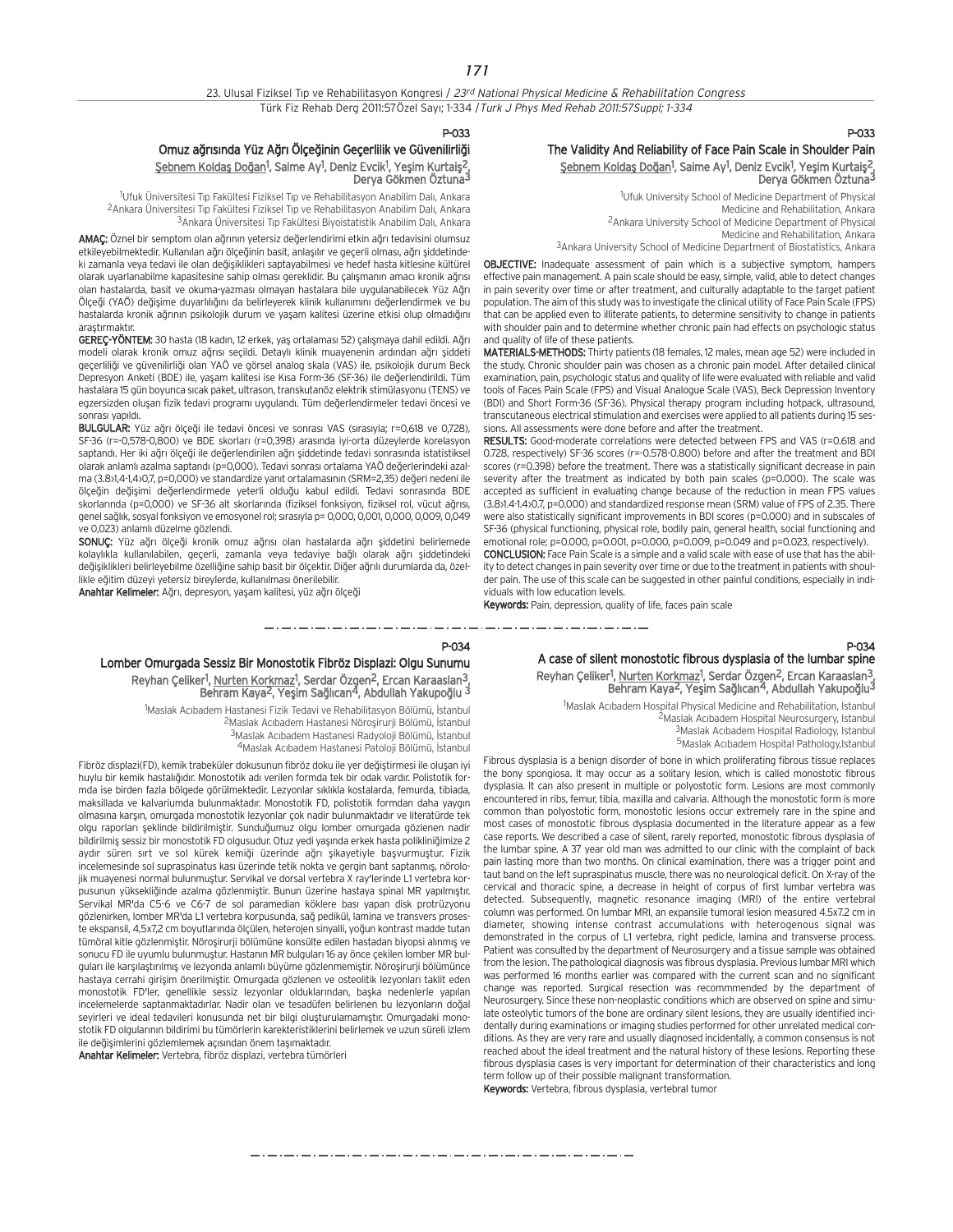### P-033

## Omuz ağrısında Yüz Ağrı Ölçeğinin Geçerlilik ve Güvenilirliği <u>Şebnem Koldaş Doğan</u><sup>1</sup>, Saime Ay<sup>1</sup>, Deniz Evcik<sup>1</sup>, Yeşim Kurtaiş<sup>2</sup>, Derya Gökmen Öztuna3

<sup>1</sup>Ufuk Üniversitesi Tıp Fakültesi Fiziksel Tıp ve Rehabilitasyon Anabilim Dalı, Ankara <sup>2</sup>Ankara Üniversitesi Tip Fakültesi Fiziksel Tip ve Rehabilitasyon Anabilim Dalı, Ankara <sup>3</sup> Ankara Üniversitesi Tıp Fakültesi Biyoistatistik Anabilim Dalı, Ankara

AMAC: Öznel bir semptom olan ağrının yetersiz değerlendirimi etkin ağrı tedavisini olumsuz etkileyebilmektedir. Kullanılan ağrı ölçeğinin basit, anlaşılır ve geçerli olması, ağrı şiddetindeki zamanla veya tedavi ile olan değişiklikleri saptayabilmesi ve hedef hasta kitlesine kültürel olarak uyarlanabilme kapasitesine sahip olması gereklidir. Bu çalışmanın amacı kronik ağrısı olan hastalarda, basit ve okuma-yazması olmayan hastalara bile uygulanabilecek Yüz Ağrı Ölceği (YAÖ) değişime duyarlılığını da belirleyerek klinik kullanımını değerlendirmek ve bu hastalarda kronik ağrının psikolojik durum ve yaşam kalitesi üzerine etkisi olup olmadığını arastırmaktı

GEREÇ-YÖNTEM: 30 hasta (18 kadın, 12 erkek, yaş ortalaması 52) çalışmaya dahil edildi. Ağrı modeli olarak kronik omuz ağrısı seçildi. Detaylı klinik muayenenin ardından ağrı şiddeti geçerliliği ve güvenilirliği olan YAÖ ve görsel analog skala (VAS) ile, psikolojik durum Beck Depresyon Anketi (BDE) ile, yaşam kalitesi ise Kısa Form-36 (SF-36) ile değerlendirildi. Tüm hastalara 15 gün boyunca sıcak paket, ultrason, transkutanöz elektrik stimülasyonu (TENS) ve egzersizden oluşan fizik tedavi programı uygulandı. Tüm değerlendirmeler tedavi öncesi ve sonrası yapıldı.

BULGULAR: Yüz ağrı ölçeği ile tedavi öncesi ve sonrası VAS (sırasıyla; r=0,618 ve 0,728), SF-36 (r=-0,578-0,800) ve BDE skorları (r=0,398) arasında iyi-orta düzeylerde korelasyon saptandı. Her iki ağrı ölceği ile değerlendirilen ağrı siddetinde tedavi sonrasında istatistiksel olarak anlamlı azalma saptandı (p=0,000). Tedavi sonrası ortalama YAÖ değerlerindeki azalma (3.8>1,4-1,4>0,7, p=0,000) ve standardize yanıt ortalamasının (SRM=2,35) değeri nedeni ile ölçeğin değişimi değerlendirmede yeterli olduğu kabul edildi. Tedavi sonrasında BDE skorlarında (p=0,000) ve SF-36 alt skorlarında (fiziksel fonksiyon, fiziksel rol, vücut ağrısı, genel sağlık, sosyal fonksiyon ve emosyonel rol; sırasıyla p= 0,000, 0,001, 0,000, 0,009, 0,049 ve 0,023) anlamlı düzelme gözlendi.

SONUÇ: Yüz ağrı ölçeği kronik omuz ağrısı olan hastalarda ağrı şiddetini belirlemede kolaylıkla kullanılabilen, geçerli, zamanla veya tedaviye bağlı olarak ağrı siddetindeki değişiklikleri belirleyebilme özelliğine sahip basit bir ölçektir. Diğer ağrılı durumlarda da, özellikle eğitim düzeyi yetersiz bireylerde, kullanılması önerilebilir.

Anahtar Kelimeler: Ağrı, depresyon, yaşam kalitesi, yüz ağrı ölçeği

## P-033 The Validity And Reliability of Face Pain Scale in Shoulder Pain <u>Şebnem Koldaş Doğan</u><sup>1</sup>, Saime Ay<sup>1</sup>, Deniz Evcik<sup>1</sup>, Yeşim Kurtaiş<sup>2</sup>, Derya Gökmen Öztuna3

1 Ufuk University School of Medicine Department of Physical Medicine and Rehabilitation, Ankara 2Ankara University School of Medicine Department of Physical Medicine and Rehabilitation, Ankara 3Ankara University School of Medicine Department of Biostatistics, Ankara

OBJECTIVE: Inadequate assessment of pain which is a subjective symptom, hampers effective pain management. A pain scale should be easy, simple, valid, able to detect changes in pain severity over time or after treatment, and culturally adaptable to the target patient population. The aim of this study was to investigate the clinical utility of Face Pain Scale (FPS) that can be applied even to illiterate patients, to determine sensitivity to change in patients with shoulder pain and to determine whether chronic pain had effects on psychologic status and quality of life of these patients.

MATERIALS-METHODS: Thirty patients (18 females, 12 males, mean age 52) were included in the study. Chronic shoulder pain was chosen as a chronic pain model. After detailed clinical examination, pain, psychologic status and quality of life were evaluated with reliable and valid tools of Faces Pain Scale (FPS) and Visual Analogue Scale (VAS), Beck Depression Inventory (BDI) and Short Form-36 (SF-36). Physical therapy program including hotpack, ultrasound, transcutaneous electrical stimulation and exercises were applied to all patients during 15 sessions. All assessments were done before and after the treatment.

RESULTS: Good-moderate correlations were detected between FPS and VAS (r=0.618 and 0.728, respectively) SF-36 scores (r=-0.578-0.800) before and after the treatment and BDI scores (r=0.398) before the treatment. There was a statistically significant decrease in pain severity after the treatment as indicated by both pain scales (p=0.000). The scale was accepted as sufficient in evaluating change because of the reduction in mean FPS values (3.8±1.4-1.4±0.7, p=0.000) and standardized response mean (SRM) value of FPS of 2.35. There were also statistically significant improvements in BDI scores (p=0.000) and in subscales of SF-36 (physical functioning, physical role, bodily pain, general health, social functioning and emotional role; p=0.000, p=0.001, p=0.000, p=0.009, p=0.049 and p=0.023, respectively).

CONCLUSION: Face Pain Scale is a simple and a valid scale with ease of use that has the ability to detect changes in pain severity over time or due to the treatment in patients with shoulder pain. The use of this scale can be suggested in other painful conditions, especially in individuals with low education levels.

Keywords: Pain, depression, quality of life, faces pain scale

\_\_\_\_\_\_\_\_\_\_\_\_\_\_\_\_\_\_\_\_\_\_\_\_\_\_\_

P-034

P-034 A case of silent monostotic fibrous dysplasia of the lumbar spine Reyhan Çeliker<sup>1</sup>, Nurten Korkmaz<sup>1</sup>, Serdar Özgen<sup>2</sup>, Ercan Karaaslan<sup>3</sup>, Behram Kaya<sup>2</sup>, Yeşim Sağlıcan<sup>4</sup>, Abdullah Yakupoğlu<sup>3</sup>

<sup>1</sup>Maslak Acıbadem Hospital Physical Medicine and Rehabilitation, Istanbul <sup>2</sup>Maslak Acıbadem Hospital Neurosurgery, Istanbul 3Maslak Acıbadem Hospital Radiology, Istanbul

5Maslak Acıbadem Hospital Pathology, Istanbul

Fibrous dysplasia is a benign disorder of bone in which proliferating fibrous tissue replaces the bony spongiosa. It may occur as a solitary lesion, which is called monostotic fibrous dysplasia. It can also present in multiple or polyostotic form. Lesions are most commonly encountered in ribs, femur, tibia, maxilla and calvaria. Although the monostotic form is more common than polyostotic form, monostotic lesions occur extremely rare in the spine and most cases of monostotic fibrous dysplasia documented in the literature appear as a few case reports. We described a case of silent, rarely reported, monostotic fibrous dysplasia of the lumbar spine. A 37 year old man was admitted to our clinic with the complaint of back pain lasting more than two months. On clinical examination, there was a trigger point and taut band on the left supraspinatus muscle, there was no neurological deficit. On X-ray of the cervical and thoracic spine, a decrease in height of corpus of first lumbar vertebra was detected. Subsequently, magnetic resonance imaging (MRI) of the entire vertebral column was performed. On lumbar MRI, an expansile tumoral lesion measured 4.5x7.2 cm in diameter, showing intense contrast accumulations with heterogenous signal was demonstrated in the corpus of L1 vertebra, right pedicle, lamina and transverse process. Patient was consulted by the department of Neurosurgery and a tissue sample was obtained from the lesion. The pathological diagnosis was fibrous dysplasia. Previous lumbar MRI which was performed 16 months earlier was compared with the current scan and no significant change was reported. Surgical resection was recommmended by the department of Neurosurgery. Since these non-neoplastic conditions which are observed on spine and simulate osteolytic tumors of the bone are ordinary silent lesions, they are usually identified incidentally during examinations or imaging studies performed for other unrelated medical conditions. As they are very rare and usually diagnosed incidentally, a common consensus is not reached about the ideal treatment and the natural history of these lesions. Reporting these fibrous dysplasia cases is very important for determination of their characteristics and long term follow up of their possible malignant transformation. Keywords: Vertebra, fibrous dysplasia, vertebral tumor

Lomber Omurgada Sessiz Bir Monostotik Fibröz Displazi: Olgu Sunumu Reyhan Çeliker<sup>1</sup>, <u>Nurten Korkmaz</u><sup>1</sup>, Serdar Özgen<sup>2</sup>, Ercan Karaaslan<sup>3</sup>, Behram Kaya<sup>2</sup>, Yeşim Sağlıcan<sup>4</sup>, Abdullah Yakupoğlu <sup>3</sup>

> <sup>1</sup>Maslak Acıbadem Hastanesi Fizik Tedavi ve Rehabilitasyon Bölümü, İstanbul <sup>2</sup>Maslak Acıbadem Hastanesi Nöroşirurji Bölümü, İstanbul 3Maslak Acıbadem Hastanesi Radyoloji Bölümü, İstanbul <sup>4</sup>Maslak Acıbadem Hastanesi Patoloji Bölümü, İstanbul

Fibröz displazi(FD), kemik trabeküler dokusunun fibröz doku ile yer değiştirmesi ile oluşan iyi huylu bir kemik hastalığıdır. Monostotik adı verilen formda tek bir odak vardır. Polistotik formda ise birden fazla bölgede görülmektedir. Lezyonlar sıklıkla kostalarda, femurda, tibiada, maksillada ve kalvariumda bulunmaktadır. Monostotik FD, polistotik formdan daha yaygın olmasına karşın, omurgada monostotik lezyonlar çok nadir bulunmaktadır ve literatürde tek olgu raporları şeklinde bildirilmiştir. Sunduğumuz olgu lomber omurgada gözlenen nadir bildirilmiş sessiz bir monostotik FD olgusudur. Otuz yedi yaşında erkek hasta polikliniğimize 2 aydır süren sırt ve sol kürek kemiği üzerinde ağrı şikayetiyle başvurmuştur. Fizik incelemesinde sol supraspinatus kası üzerinde tetik nokta ve gergin bant saptanmış, nörolojik muayenesi normal bulunmuştur. Servikal ve dorsal vertebra X ray'lerinde L1 vertebra korpusunun yüksekliğinde azalma gözlenmiştir. Bunun üzerine hastaya spinal MR yapılmıştır. Servikal MR'da C5-6 ve C6-7 de sol paramedian köklere bası yapan disk protrüzyonu gözlenirken, lomber MR'da L1 vertebra korpusunda, sağ pedikül, lamina ve transvers proseste ekspansil, 4,5x7,2 cm boyutlarında ölçülen, heterojen sinyalli, yoğun kontrast madde tutan tümöral kitle gözlenmistir. Nörosirurii bölümüne konsülte edilen hastadan biyopsi alınmış ve sonucu FD ile uyumlu bulunmuştur. Hastanın MR bulguları 16 ay önce çekilen lomber MR bulguları ile karşılaştırılmış ve lezyonda anlamlı büyüme gözlenmemiştir. Nöroşirurji bölümünce hastaya cerrahi girişim önerilmiştir. Omurgada gözlenen ve osteolitik lezyonları taklit eden monostotik FD'ler, genellikle sessiz lezyonlar olduklarından, başka nedenlerle yapılan incelemelerde saptanmaktadırlar. Nadir olan ve tesadüfen belirlenen bu lezyonların doğal seyirleri ve ideal tedavileri konusunda net bir bilgi oluşturulamamıştır. Omurgadaki monostotik FD olgularının bildirimi bu tümörlerin karekteristiklerini belirlemek ve uzun süreli izlem ile değişimlerini gözlemlemek açısından önem taşımaktadır.

Anahtar Kelimeler: Vertebra, fibröz displazi, vertebra tümörleri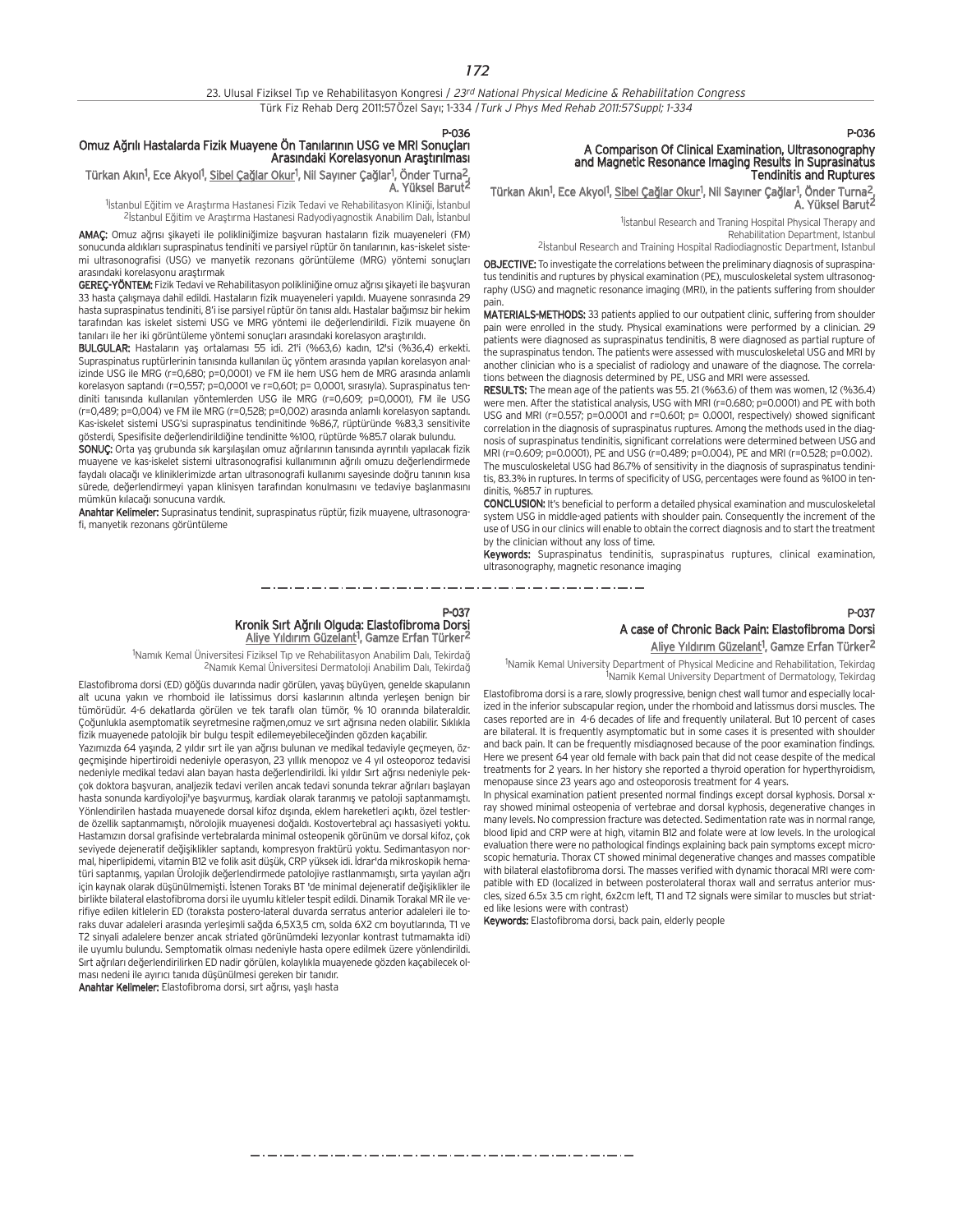P-036 Omuz Ağrılı Hastalarda Fizik Muayene Ön Tanılarının USG ve MRI Sonuçları Arasındaki Korelasyonun Araştırılması

## Türkan Akın<sup>1</sup>, Ece Akyol<sup>1</sup>, <u>Sibel Çağlar Okur</u><sup>1</sup>, Nil Sayıner Çağlar<sup>1</sup>, Önder Turna<sup>2</sup>, A. Yüksel Barut2

<sup>1</sup>İstanbul Eğitim ve Araştırma Hastanesi Fizik Tedavi ve Rehabilitasyon Kliniği, İstanbul <sup>2</sup>İstanbul Eğitim ve Araştırma Hastanesi Radyodiyagnostik Anabilim Dalı, İstanbul

AMAÇ: Omuz ağrısı şikayeti ile polikliniğimize başvuran hastaların fizik muayeneleri (FM) sonucunda aldıkları supraspinatus tendiniti ve parsiyel rüptür ön tanılarının, kas-iskelet sistemi ultrasonografisi (USG) ve manyetik rezonans görüntüleme (MRG) yöntemi sonuçları arasındaki korelasyonu araştırmak

GEREÇ-YÖNTEM: Fizik Tedavi ve Rehabilitasyon polikliniğine omuz ağrısı şikayeti ile başvuran 33 hasta çalışmaya dahil edildi. Hastaların fizik muayeneleri yapıldı. Muayene sonrasında 29 hasta supraspinatus tendiniti, 8'i ise parsiyel rüptür ön tanısı aldı. Hastalar bağımsız bir hekim tarafından kas iskelet sistemi USG ve MRG yöntemi ile değerlendirildi. Fizik muayene ön tanıları ile her iki görüntüleme yöntemi sonuçları arasındaki korelasyon araştırıldı.

BULGULAR: Hastaların yas ortalaması 55 idi. 21'i (%63,6) kadın, 12'si (%36,4) erkekti. Supraspinatus ruptürlerinin tanısında kullanılan üç yöntem arasında yapılan korelasyon analizinde USG ile MRG (r=0,680; p=0,0001) ve FM ile hem USG hem de MRG arasında anlamlı korelasyon saptandı (r=0,557; p=0,0001 ve r=0,601; p= 0,0001, sırasıyla). Supraspinatus tendiniti tanısında kullanılan yöntemlerden USG ile MRG (r=0,609; p=0,0001), FM ile USG  $(r=0.489; p=0.004)$  ve FM ile MRG  $(r=0.528; p=0.002)$  arasında anlamlı korelasyon saptandı. Kas-iskelet sistemi USG'si supraspinatus tendinitinde %86,7, rüptüründe %83,3 sensitivite gösterdi, Spesifisite değerlendirildiğine tendinitte %100, rüptürde %85.7 olarak bulundu.

SONUC: Orta yas grubunda sık karsılasılan omuz ağrılarının tanısında ayrıntılı yapılacak fizik muayene ve kas-iskelet sistemi ultrasonografisi kullanımının ağrılı omuzu değerlendirmede faydalı olacağı ve kliniklerimizde artan ultrasonografi kullanımı sayesinde doğru tanının kısa sürede, değerlendirmeyi yapan klinisyen tarafından konulmasını ve tedaviye başlanmasını mümkün kılacağı sonucuna vardık.

Anahtar Kelimeler: Suprasinatus tendinit, supraspinatus rüptür, fizik muayene, ultrasonografi, manyetik rezonans görüntüleme

## P-036

# A Comparison Of Clinical Examination, Ultrasonography and Magnetic Resonance Imaging Results in Suprasinatus Tendinitis and Ruptures

Türkan Akın<sup>1</sup>, Ece Akyol<sup>1</sup>, <u>Sibel Çağlar Okur</u><sup>1</sup>, Nil Sayıner Çağlar<sup>1</sup>, Önder Turna<sup>2</sup>, A. Yüksel Barut2

> <sup>1</sup>istanbul Research and Traning Hospital Physical Therapy and Rehabilitation Department, Istanbul

<sup>2</sup> Istanbul Research and Training Hospital Radiodiagnostic Department, Istanbul

OBJECTIVE: To investigate the correlations between the preliminary diagnosis of supraspinatus tendinitis and ruptures by physical examination (PE), musculoskeletal system ultrasonography (USG) and magnetic resonance imaging (MRI), in the patients suffering from shoulder pain.

MATERIALS-METHODS: 33 patients applied to our outpatient clinic, suffering from shoulder pain were enrolled in the study. Physical examinations were performed by a clinician. 29 patients were diagnosed as supraspinatus tendinitis, 8 were diagnosed as partial rupture of the supraspinatus tendon. The patients were assessed with musculoskeletal USG and MRI by another clinician who is a specialist of radiology and unaware of the diagnose. The correlations between the diagnosis determined by PE, USG and MRI were assessed.

RESULTS: The mean age of the patients was 55. 21 (%63.6) of them was women, 12 (%36.4) were men. After the statistical analysis, USG with MRI (r=0.680; p=0.0001) and PE with both USG and MRI (r=0.557; p=0.0001 and r=0.601; p= 0.0001, respectively) showed significant correlation in the diagnosis of supraspinatus ruptures. Among the methods used in the diagnosis of supraspinatus tendinitis, significant correlations were determined between USG and MRI (r=0.609; p=0.0001), PE and USG (r=0.489; p=0.004), PE and MRI (r=0.528; p=0.002). The musculoskeletal USG had 86.7% of sensitivity in the diagnosis of supraspinatus tendinitis, 83.3% in ruptures. In terms of specificity of USG, percentages were found as %100 in tendinitis, %85.7 in ruptures.

CONCLUSION: It's beneficial to perform a detailed physical examination and musculoskeletal system USG in middle-aged patients with shoulder pain. Consequently the increment of the use of USG in our clinics will enable to obtain the correct diagnosis and to start the treatment by the clinician without any loss of time.

Keywords: Supraspinatus tendinitis, supraspinatus ruptures, clinical examination, ultrasonography, magnetic resonance imaging

\_ . \_ . \_ . \_ . \_ . \_ . \_ . \_ .

#### P-037 Kronik Sırt Ağrılı Olguda: Elastofibroma Dorsi Aliye Yıldırım Güzelant<sup>1</sup>, Gamze Erfan Türker<sup>2</sup>

<sup>1</sup>Namık Kemal Üniversitesi Fiziksel Tıp ve Rehabilitasyon Anabilim Dalı, Tekirdağ <sup>2</sup>Namık Kemal Üniversitesi Dermatoloji Anabilim Dalı, Tekirdağ

Elastofibroma dorsi (ED) göğüs duvarında nadir görülen, yavaş büyüyen, genelde skapulanın alt ucuna yakın ve rhomboid ile latissimus dorsi kaslarının altında yerleşen benign bir tümörüdür. 4-6 dekatlarda görülen ve tek taraflı olan tümör. % 10 oranında bilateraldir. Çoğunlukla asemptomatik seyretmesine rağmen,omuz ve sırt ağrısına neden olabilir. Sıklıkla fizik muayenede patolojik bir bulgu tespit edilemeyebileceğinden gözden kaçabilir.

Yazımızda 64 yaşında, 2 yıldır sırt ile yan ağrısı bulunan ve medikal tedaviyle geçmeyen, özgeçmişinde hipertiroidi nedeniyle operasyon, 23 yıllık menopoz ve 4 yıl osteoporoz tedavisi nedeniyle medikal tedavi alan bayan hasta değerlendirildi. İki yıldır Sırt ağrısı nedeniyle pekcok doktora basyuran, analjezik tedavi verilen ancak tedavi sonunda tekrar ağrıları başlayan hasta sonunda kardiyoloji'ye başvurmuş, kardiak olarak taranmış ve patoloji saptanmamıştı. Yönlendirilen hastada muayenede dorsal kifoz dışında, eklem hareketleri açıktı, özel testlerde özellik saptanmamıştı, nörolojik muayenesi doğaldı. Kostovertebral açı hassasiyeti yoktu. Hastamızın dorsal grafisinde vertebralarda minimal osteopenik görünüm ve dorsal kifoz, çok seviyede dejeneratif değişiklikler saptandı, kompresyon fraktürü yoktu. Sedimantasyon normal, hiperlipidemi, vitamin B12 ve folik asit düşük, CRP yüksek idi. İdrar'da mikroskopik hematüri saptanmış, yapılan Ürolojik değerlendirmede patolojiye rastlanmamıştı, sırta yayılan ağrı için kaynak olarak düşünülmemişti. İstenen Toraks BT 'de minimal dejeneratif değişiklikler ile birlikte bilateral elastofibroma dorsi ile uyumlu kitleler tespit edildi. Dinamik Torakal MR ile verifiye edilen kitlelerin ED (toraksta postero-lateral duvarda serratus anterior adaleleri ile toraks duvar adaleleri arasında yerleşimli sağda 6,5X3,5 cm, solda 6X2 cm boyutlarında, T1 ve T2 sinyali adalelere benzer ancak striated görünümdeki lezyonlar kontrast tutmamakta idi) ile uyumlu bulundu. Semptomatik olması nedeniyle hasta opere edilmek üzere yönlendirildi. Sırt ağrıları değerlendirilirken ED nadir görülen, kolaylıkla muayenede gözden kaçabilecek olması nedeni ile ayırıcı tanıda düşünülmesi gereken bir tanıdır.

Anahtar Kelimeler: Elastofibroma dorsi, sırt ağrısı, yaşlı hasta

## P-037 A case of Chronic Back Pain: Elastofibroma Dorsi Aliye Yıldırım Güzelant<sup>1</sup>, Gamze Erfan Türker<sup>2</sup>

<sup>1</sup>Namik Kemal University Department of Physical Medicine and Rehabilitation, Tekirdag 1 Namik Kemal University Department of Dermatology, Tekirdag

Elastofibroma dorsi is a rare, slowly progressive, benign chest wall tumor and especially localized in the inferior subscapular region, under the rhomboid and latissmus dorsi muscles. The cases reported are in 4-6 decades of life and frequently unilateral. But 10 percent of cases are bilateral. It is frequently asymptomatic but in some cases it is presented with shoulder and back pain. It can be frequently misdiagnosed because of the poor examination findings. Here we present 64 year old female with back pain that did not cease despite of the medical treatments for 2 years. In her history she reported a thyroid operation for hyperthyroidism, menopause since 23 years ago and osteoporosis treatment for 4 years.

In physical examination patient presented normal findings except dorsal kyphosis. Dorsal xray showed minimal osteopenia of vertebrae and dorsal kyphosis, degenerative changes in many levels. No compression fracture was detected. Sedimentation rate was in normal range, blood lipid and CRP were at high, vitamin B12 and folate were at low levels. In the urological evaluation there were no pathological findings explaining back pain symptoms except microscopic hematuria. Thorax CT showed minimal degenerative changes and masses compatible with bilateral elastofibroma dorsi. The masses verified with dynamic thoracal MRI were compatible with ED (localized in between posterolateral thorax wall and serratus anterior muscles, sized 6.5x 3.5 cm right, 6x2cm left, T1 and T2 signals were similar to muscles but striated like lesions were with contrast)

Keywords: Elastofibroma dorsi, back pain, elderly people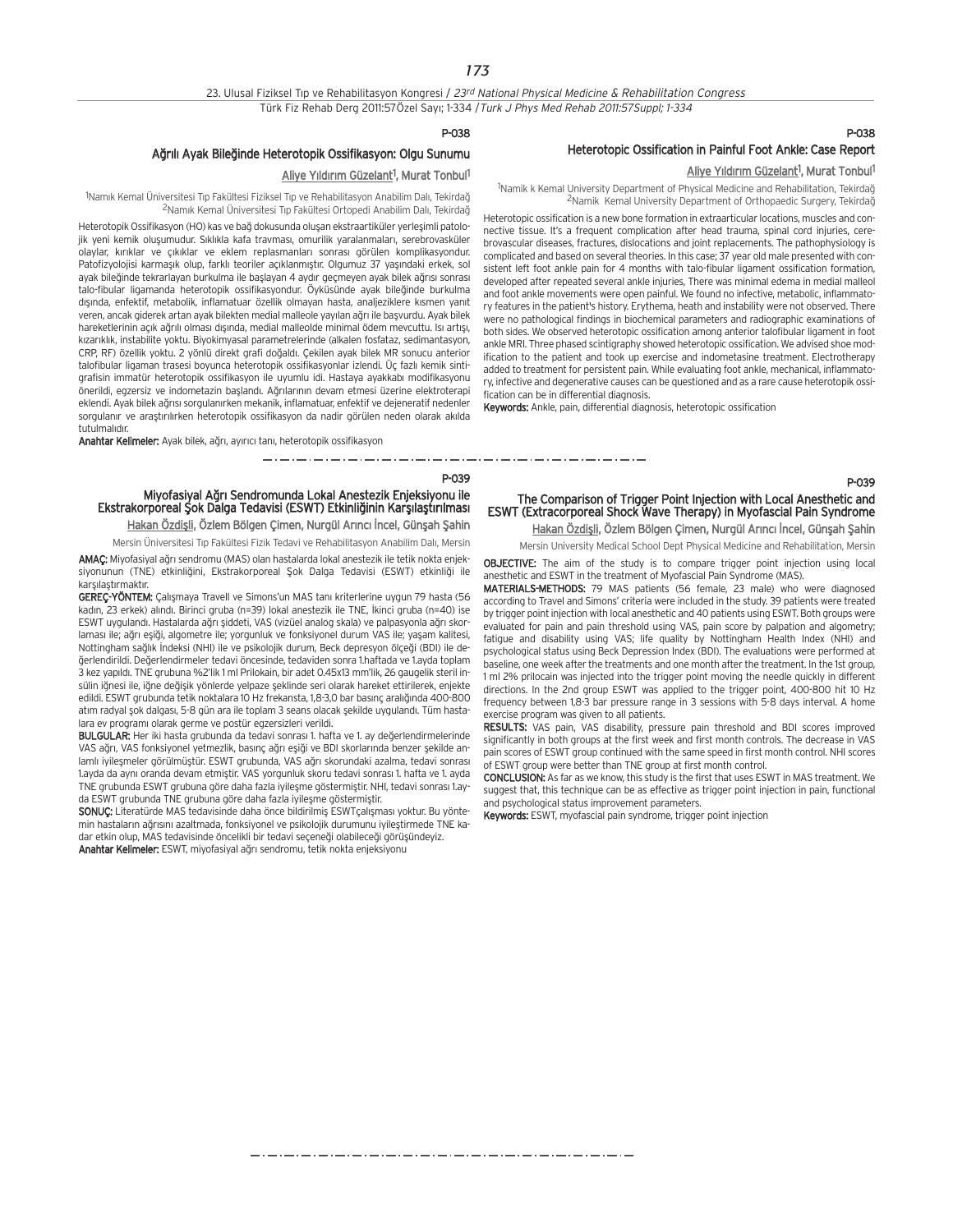## P-038

## Ağrılı Ayak Bileğinde Heterotopik Ossifikasyon: Olgu Sunumu

### Aliye Yıldırım Güzelant<sup>1</sup>, Murat Tonbul<sup>1</sup>

<sup>1</sup>Namık Kemal Üniversitesi Tıp Fakültesi Fiziksel Tıp ve Rehabilitasyon Anabilim Dalı, Tekirdağ <sup>2</sup>Namık Kemal Üniversitesi Tıp Fakültesi Ortopedi Anabilim Dalı, Tekirdağ

Heterotopik Ossifikasyon (HO) kas ve bağ dokusunda olusan ekstraartiküler verlesimli patolojik yeni kemik olusumudur. Sıklıkla kafa travması, omurilik yaralanmaları, serebrovasküler olaylar, kırıklar ve çıkıklar ve eklem replasmanları sonrası görülen komplikasyondur. Patofizyolojisi karmasık olup, farklı teoriler açıklanmıştır. Olgumuz 37 yasındaki erkek, sol ayak bileğinde tekrarlayan burkulma ile başlayan 4 aydır geçmeyen ayak bilek ağrısı sonrası talo-fibular ligamanda heterotopik ossifikasyondur. Öyküsünde ayak bileğinde burkulma dışında, enfektif, metabolik, inflamatuar özellik olmayan hasta, analjeziklere kısmen yanıt veren, ancak giderek artan ayak bilekten medial malleole yayılan ağrı ile başvurdu. Ayak bilek hareketlerinin açık ağrılı olması dışında, medial malleolde minimal ödem mevcuttu. Isı artışı, kızarıklık, instabilite yoktu. Biyokimyasal parametrelerinde (alkalen fosfataz, sedimantasyon, CRP, RF) özellik yoktu. 2 yönlü direkt grafi doğaldı. Çekilen ayak bilek MR sonucu anterior talofibular ligaman trasesi boyunca heterotopik ossifikasyonlar izlendi. Üç fazlı kemik sintigrafisin immatür heterotopik ossifikasyon ile uyumlu idi. Hastaya ayakkabı modifikasyonu önerildi, egzersiz ve indometazin başlandı. Ağrılarının devam etmesi üzerine elektroterapi eklendi. Ayak bilek ağrısı sorgulanırken mekanik, inflamatuar, enfektif ve dejeneratif nedenler sorgulanır ve arastırılırken heterotopik ossifikasyon da nadir görülen neden olarak akılda tutulmalıdır.

Anahtar Kelimeler: Ayak bilek, ağrı, ayırıcı tanı, heterotopik ossifikasyon

#### P-039

المستحق والمتحال المستحق المستحق المستحق المستحق المستحق المستحق المستحقة والمستحقة والمستحقة والمستحق المستحقة

Miyofasiyal Ağrı Sendromunda Lokal Anestezik Enjeksiyonu ile Ekstrakorporeal Şok Dalga Tedavisi (ESWT) Etkinliğinin Karşılaştırılması Hakan Özdişli, Özlem Bölgen Çimen, Nurgül Arıncı İncel, Günşah Şahin

Mersin Üniversitesi Tıp Fakültesi Fizik Tedavi ve Rehabilitasyon Anabilim Dalı, Mersin

AMAC: Miyofasiyal ağrı sendromu (MAS) olan hastalarda lokal anestezik ile tetik nokta enjeksiyonunun (TNE) etkinliğini, Ekstrakorporeal Şok Dalga Tedavisi (ESWT) etkinliği ile karsılastırmaktır.

GEREC-YÖNTEM: Calismaya Travell ve Simons'un MAS tanı kriterlerine uygun 79 hasta (56 kadın, 23 erkek) alındı. Birinci gruba (n=39) lokal anestezik ile TNE, İkinci gruba (n=40) ise ESWT uygulandı. Hastalarda ağrı siddeti, VAS (vizüel analog skala) ve palpasyonla ağrı skorlaması ile; ağrı eşiği, algometre ile; yorgunluk ve fonksiyonel durum VAS ile; yaşam kalitesi, Nottingham sağlık İndeksi (NHI) ile ve psikolojik durum, Beck depresyon ölçeği (BDI) ile değerlendirildi. Değerlendirmeler tedavi öncesinde, tedaviden sonra 1.haftada ve 1.ayda toplam 3 kez yapıldı. TNE grubuna %2'lik 1 ml Prilokain, bir adet 0.45x13 mm'lik, 26 gaugelik steril insülin iğnesi ile, iğne değişik yönlerde yelpaze şeklinde seri olarak hareket ettirilerek, enjekte edildi. ESWT grubunda tetik noktalara 10 Hz frekansta, 1,8-3,0 bar basınc aralığında 400-800 atım radyal sok dalgası, 5-8 gün ara ile toplam 3 seans olacak sekilde uygulandı. Tüm hastalara ev program› olarak germe ve postür egzersizleri verildi.

BULGULAR: Her iki hasta grubunda da tedavi sonrası 1. hafta ve 1. ay değerlendirmelerinde VAS ağrı, VAS fonksiyonel yetmezlik, basınc ağrı esiği ve BDI skorlarında benzer sekilde anlamlı iyileşmeler görülmüştür. ESWT grubunda, VAS ağrı skorundaki azalma, tedavi sonrası 1.ayda da aynı oranda devam etmiştir. VAS yorgunluk skoru tedavi sonrası 1. hafta ve 1. ayda TNE grubunda ESWT grubuna göre daha fazla iyilesme göstermiştir. NHL tedavi sonrası 1.ayda ESWT grubunda TNE grubuna göre daha fazla iyilesme göstermiştir.

SONUC: Literatürde MAS tedavisinde daha önce bildirilmiş ESWTçalışması yoktur. Bu yöntemin hastaların ağrısını azaltmada, fonksiyonel ve psikolojik durumunu iyileştirmede TNE kadar etkin olup, MAS tedavisinde öncelikli bir tedavi seçeneği olabileceği görüşündeyiz. Anahtar Kelimeler: ESWT, miyofasiyal ağrı sendromu, tetik nokta enjeksiyonu

## P-038 Heterotopic Ossification in Painful Foot Ankle: Case Report

### Aliye Yıldırım Güzelant<sup>1</sup>, Murat Tonbul<sup>1</sup>

<sup>1</sup>Namik k Kemal University Department of Physical Medicine and Rehabilitation, Tekirdağ <sup>2</sup>Namik Kemal University Department of Orthopaedic Surgery, Tekirdağ

Heterotopic ossification is a new bone formation in extraarticular locations, muscles and connective tissue. It's a frequent complication after head trauma, spinal cord injuries, cerebrovascular diseases, fractures, dislocations and joint replacements. The pathophysiology is complicated and based on several theories. In this case; 37 year old male presented with consistent left foot ankle pain for 4 months with talo-fibular ligament ossification formation, developed after repeated several ankle injuries, There was minimal edema in medial malleol and foot ankle movements were open painful. We found no infective, metabolic, inflammatory features in the patient's history. Erythema, heath and instability were not observed. There were no pathological findings in biochemical parameters and radiographic examinations of both sides. We observed heterotopic ossification among anterior talofibular ligament in foot ankle MRI. Three phased scintigraphy showed heterotopic ossification. We advised shoe modification to the patient and took up exercise and indometasine treatment. Electrotherapy added to treatment for persistent pain. While evaluating foot ankle, mechanical, inflammatory, infective and degenerative causes can be questioned and as a rare cause heterotopik ossification can be in differential diagnosis.

Keywords: Ankle, pain, differential diagnosis, heterotopic ossification

The Comparison of Trigger Point Injection with Local Anesthetic and ESWT (Extracorporeal Shock Wave Therapy) in Myofascial Pain Syndrome Hakan Özdişli, Özlem Bölgen Çimen, Nurgül Arıncı İncel, Günşah Şahin

Mersin University Medical School Dept Physical Medicine and Rehabilitation, Mersin

OBJECTIVE: The aim of the study is to compare trigger point injection using local anesthetic and ESWT in the treatment of Myofascial Pain Syndrome (MAS).

MATERIALS-METHODS: 79 MAS patients (56 female, 23 male) who were diagnosed according to Travel and Simons' criteria were included in the study. 39 patients were treated by trigger point injection with local anesthetic and 40 patients using ESWT. Both groups were evaluated for pain and pain threshold using VAS, pain score by palpation and algometry; fatigue and disability using VAS; life quality by Nottingham Health Index (NHI) and psychological status using Beck Depression Index (BDI). The evaluations were performed at baseline, one week after the treatments and one month after the treatment. In the 1st group, 1 ml 2% prilocain was injected into the trigger point moving the needle quickly in different directions. In the 2nd group ESWT was applied to the trigger point, 400-800 hit 10 Hz frequency between 1,8-3 bar pressure range in 3 sessions with 5-8 days interval. A home exercise program was given to all patients.

RESULTS: VAS pain, VAS disability, pressure pain threshold and BDI scores improved significantly in both groups at the first week and first month controls. The decrease in VAS pain scores of ESWT group continued with the same speed in first month control. NHI scores of ESWT group were better than TNE group at first month control.

CONCLUSION: As far as we know, this study is the first that uses ESWT in MAS treatment. We suggest that, this technique can be as effective as trigger point injection in pain, functional and psychological status improvement parameters.

Keywords: ESWT, myofascial pain syndrome, trigger point injection

P-039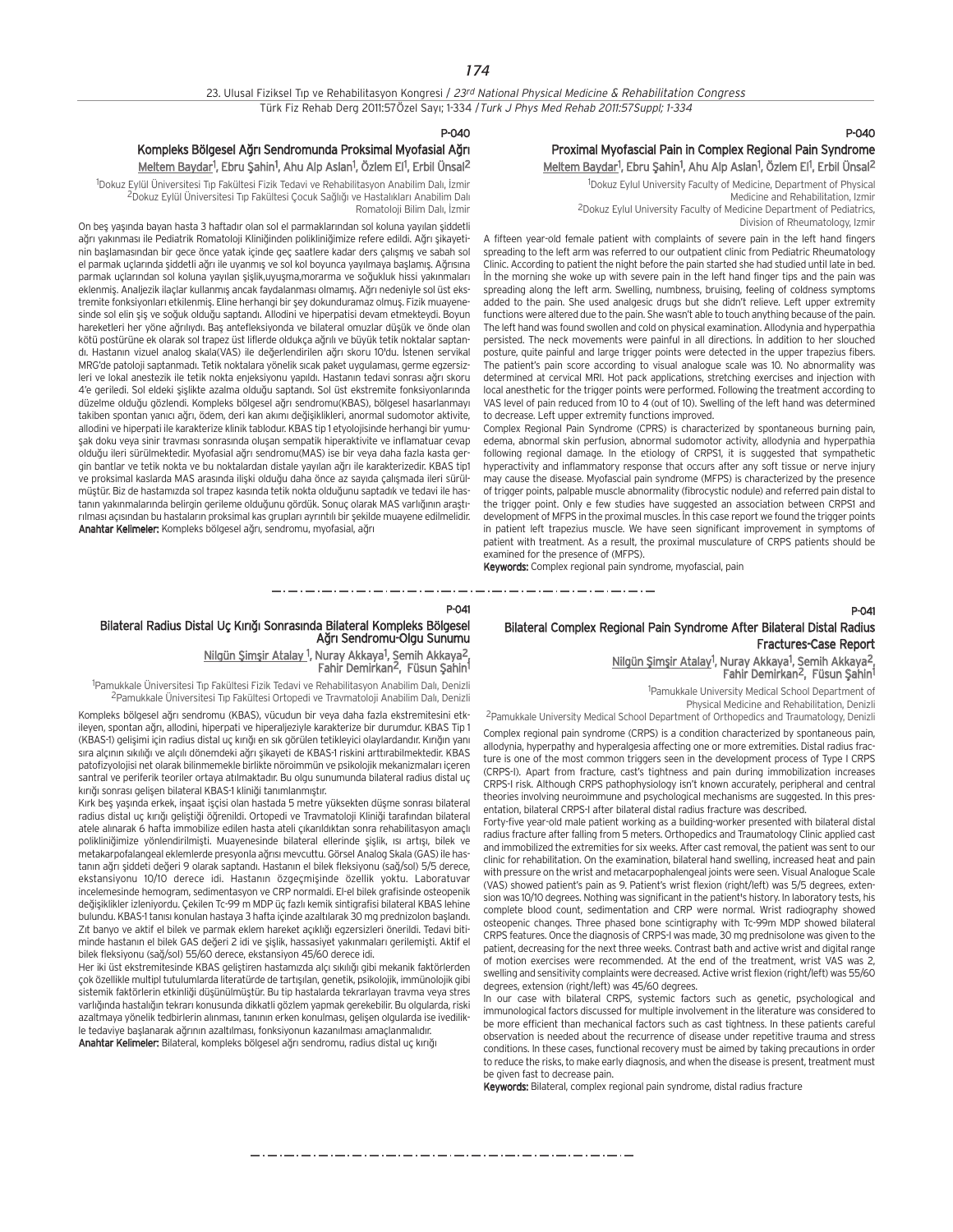### P-040

## Kompleks Bölgesel Ağrı Sendromunda Proksimal Myofasial Ağrı <u>Meltem Baydar</u>1, Ebru Şahin1, Ahu Alp Aslan1, Özlem El<sup>1</sup>, Erbil Ünsal<sup>2</sup>

<sup>1</sup>Dokuz Eylül Üniversitesi Tıp Fakültesi Fizik Tedavi ve Rehabilitasyon Anabilim Dalı, İzmir .<br>2Dokuz Eylül Üniversitesi Tıp Fakültesi Çocuk Sağlığı ve Hastalıkları Anabilim Dalı Romatoloji Bilim Dalı, İzmir

On bes yaşında bayan hasta 3 haftadır olan sol el parmaklarından sol koluna yayılan şiddetli ağrı yakınması ile Pediatrik Romatoloji Kliniğinden polikliniğimize refere edildi. Ağrı şıkayetinin başlamasından bir gece önce yatak içinde geç saatlere kadar ders çalışmış ve sabah sol el parmak uçlarında şiddetli ağrı ile uyanmış ve sol kol boyunca yayılmaya başlamış. Ağrısına parmak uçlarından sol koluna yayılan şişlik,uyuşma,morarma ve soğukluk hissi yakınmaları eklenmiş. Analjezik ilaçlar kullanmış ancak faydalanması olmamış. Ağrı nedeniyle sol üst ekstremite fonksiyonları etkilenmis. Eline herhangi bir sey dokunduramaz olmus. Fizik muayenesinde sol elin şiş ve soğuk olduğu saptandı. Allodini ve hiperpatisi devam etmekteydi. Boyun hareketleri her yöne ağrılıydı. Baş antefleksiyonda ve bilateral omuzlar düşük ve önde olan kötü postürüne ek olarak sol trapez üst liflerde oldukça ağrılı ve büyük tetik noktalar saptandı. Hastanın vizuel analog skala(VAS) ile değerlendirilen ağrı skoru 10'du. İstenen servikal MRG'de patoloji saptanmadı. Tetik noktalara yönelik sıcak paket uygulaması, germe egzersizleri ve lokal anestezik ile tetik nokta enjeksiyonu yapıldı. Hastanın tedavi sonrası ağrı skoru 4'e geriledi. Sol eldeki sislikte azalma olduğu saptandı. Sol üst ekstremite fonksiyonlarında düzelme olduğu gözlendi. Kompleks bölgesel ağrı sendromu(KBAS), bölgesel hasarlanmayı takiben spontan yanıcı ağrı, ödem, deri kan akımı değişiklikleri, anormal sudomotor aktivite, allodini ve hiperpati ile karakterize klinik tablodur. KBAS tip 1 etyolojisinde herhangi bir yumusak doku veya sinir travması sonrasında oluşan sempatik hiperaktivite ve inflamatuar cevap oldu¤u ileri sürülmektedir. Myofasial a¤r› sendromu(MAS) ise bir veya daha fazla kasta gergin bantlar ve tetik nokta ve bu noktalardan distale yayılan ağrı ile karakterizedir. KBAS tip1 ve proksimal kaslarda MAS arasında ilişki olduğu daha önce az sayıda çalışmada ileri sürülmüştür. Biz de hastamızda sol trapez kasında tetik nokta olduğunu saptadık ve tedavi ile hastanın yakınmalarında belirgin gerileme olduğunu gördük. Sonuç olarak MAS varlığının araştırılması açısından bu hastaların proksimal kas grupları ayrıntılı bir şekilde muayene edilmelidir. Anahtar Kelimeler: Kompleks bölgesel ağrı, sendromu, myofasial, ağrı

## P-040 Proximal Myofascial Pain in Complex Regional Pain Syndrome Meltem Baydar<sup>1</sup>, Ebru Şahin<sup>1</sup>, Ahu Alp Aslan<sup>1</sup>, Özlem El<sup>1</sup>, Erbil Ünsal<sup>2</sup>

1 Dokuz Eylul University Faculty of Medicine, Department of Physical Medicine and Rehabilitation, Izmir 2Dokuz Eylul University Faculty of Medicine Department of Pediatrics, Division of Rheumatology, Izmir

A fifteen year-old female patient with complaints of severe pain in the left hand fingers spreading to the left arm was referred to our outpatient clinic from Pediatric Rheumatology Clinic. According to patient the night before the pain started she had studied until late in bed. In the morning she woke up with severe pain in the left hand finger tips and the pain was spreading along the left arm. Swelling, numbness, bruising, feeling of coldness symptoms added to the pain. She used analgesic drugs but she didn't relieve. Left upper extremity functions were altered due to the pain. She wasn't able to touch anything because of the pain. The left hand was found swollen and cold on physical examination. Allodynia and hyperpathia persisted. The neck movements were painful in all directions. In addition to her slouched posture, quite painful and large trigger points were detected in the upper trapezius fibers. The patient's pain score according to visual analogue scale was 10. No abnormality was determined at cervical MRI. Hot pack applications, stretching exercises and injection with local anesthetic for the trigger points were performed. Following the treatment according to VAS level of pain reduced from 10 to 4 (out of 10). Swelling of the left hand was determined to decrease. Left upper extremity functions improved.

Complex Regional Pain Syndrome (CPRS) is characterized by spontaneous burning pain, edema, abnormal skin perfusion, abnormal sudomotor activity, allodynia and hyperpathia following regional damage. In the etiology of CRPS1, it is suggested that sympathetic hyperactivity and inflammatory response that occurs after any soft tissue or nerve injury may cause the disease. Myofascial pain syndrome (MFPS) is characterized by the presence of trigger points, palpable muscle abnormality (fibrocystic nodule) and referred pain distal to the trigger point. Only e few studies have suggested an association between CRPS1 and development of MFPS in the proximal muscles. In this case report we found the trigger points in patient left trapezius muscle. We have seen significant improvement in symptoms of patient with treatment. As a result, the proximal musculature of CRPS patients should be examined for the presence of (MFPS).

Keywords: Complex regional pain syndrome, myofascial, pain

## Bilateral Complex Regional Pain Syndrome After Bilateral Distal Radius Fractures-Case Report

Nilgün Şimşir Atalay<sup>1</sup>, Nuray Akkaya<sup>1</sup>, Semih Akkaya<sup>2</sup>, Fahir Demirkan<sup>2</sup>, Füsun Şahin<sup>1</sup>

1 Pamukkale University Medical School Department of

Physical Medicine and Rehabilitation, Denizli

2Pamukkale University Medical School Department of Orthopedics and Traumatology, Denizli

Complex regional pain syndrome (CRPS) is a condition characterized by spontaneous pain, allodynia, hyperpathy and hyperalgesia affecting one or more extremities. Distal radius fracture is one of the most common triggers seen in the development process of Type I CRPS (CRPS-I). Apart from fracture, cast's tightness and pain during immobilization increases CRPS-I risk. Although CRPS pathophysiology isn't known accurately, peripheral and central theories involving neuroimmune and psychological mechanisms are suggested. In this presentation, bilateral CRPS-I after bilateral distal radius fracture was described.

Forty-five year-old male patient working as a building-worker presented with bilateral distal radius fracture after falling from 5 meters. Orthopedics and Traumatology Clinic applied cast and immobilized the extremities for six weeks. After cast removal, the patient was sent to our clinic for rehabilitation. On the examination, bilateral hand swelling, increased heat and pain with pressure on the wrist and metacarpophalengeal joints were seen. Visual Analogue Scale (VAS) showed patient's pain as 9. Patient's wrist flexion (right/left) was 5/5 degrees, extension was 10/10 degrees. Nothing was significant in the patient's history. In laboratory tests, his complete blood count, sedimentation and CRP were normal. Wrist radiography showed osteopenic changes. Three phased bone scintigraphy with Tc-99m MDP showed bilateral CRPS features. Once the diagnosis of CRPS-I was made, 30 mg prednisolone was given to the patient, decreasing for the next three weeks. Contrast bath and active wrist and digital range of motion exercises were recommended. At the end of the treatment, wrist VAS was 2, swelling and sensitivity complaints were decreased. Active wrist flexion (right/left) was 55/60 degrees, extension (right/left) was 45/60 degrees.

In our case with bilateral CRPS, systemic factors such as genetic, psychological and immunological factors discussed for multiple involvement in the literature was considered to be more efficient than mechanical factors such as cast tightness. In these patients careful observation is needed about the recurrence of disease under repetitive trauma and stress conditions. In these cases, functional recovery must be aimed by taking precautions in order to reduce the risks, to make early diagnosis, and when the disease is present, treatment must be given fast to decrease pain.

Keywords: Bilateral, complex regional pain syndrome, distal radius fracture

P-041 Bilateral Radius Distal Uç Kırığı Sonrasında Bilateral Kompleks Bölgesel Ağrı Sendromu-Olgu Sunumu

Nilgün Şimşir Atalay <sup>1</sup>, Nuray Akkaya<sup>1</sup>, Şemih Akkaya<sup>2</sup>, Fahir Demirkan<sup>2</sup>, Füsun Şahin<sup>1</sup>

<sup>1</sup>Pamukkale Üniversitesi Tıp Fakültesi Fizik Tedavi ve Rehabilitasyon Anabilim Dalı, Denizli <sup>2</sup>Pamukkale Üniversitesi Tıp Fakültesi Ortopedi ve Travmatoloji Anabilim Dalı, Denizli

Kompleks bölgesel ağrı sendromu (KBAS), vücudun bir veya daha fazla ekstremitesini etkileyen, spontan ağrı, allodini, hiperpati ve hiperaljeziyle karakterize bir durumdur. KBAS Tip 1 (KBAS-1) gelişimi için radius distal uç kırığı en sık görülen tetikleyici olaylardandır. Kırığın yanı sıra alçının sıkılığı ve alçılı dönemdeki ağrı şikayeti de KBAS-1 riskini arttırabilmektedir. KBAS patofizyolojisi net olarak bilinmemekle birlikte nöroimmün ve psikolojik mekanizmaları içeren santral ve periferik teoriler ortaya atılmaktadır. Bu olgu sunumunda bilateral radius distal uç kırığı sonrası gelişen bilateral KBAS-1 kliniği tanımlanmıştır.

Kırk beş yaşında erkek, inşaat işçisi olan hastada 5 metre yüksekten düşme sonrası bilateral radius distal uç kırığı geliştiği öğrenildi. Ortopedi ve Travmatoloji Kliniği tarafından bilateral atele alınarak 6 hafta immobilize edilen hasta ateli çıkarıldıktan sonra rehabilitasyon amaçlı polikliniğimize yönlendirilmişti. Muayenesinde bilateral ellerinde şişlik, ısı artışı, bilek ve metakarpofalangeal eklemlerde presyonla ağrısı mevcuttu. Görsel Analog Skala (GAS) ile hastanın ağrı şiddeti değeri 9 olarak saptandı. Hastanın el bilek fleksiyonu (sağ/sol) 5/5 derece, ekstansiyonu 10/10 derece idi. Hastanın özgeçmişinde özellik yoktu. Laboratuvar incelemesinde hemogram, sedimentasyon ve CRP normaldi. El-el bilek grafisinde osteopenik değişiklikler izleniyordu. Çekilen Tc-99 m MDP üç fazlı kemik sintigrafisi bilateral KBAS lehine bulundu. KBAS-1 tanısı konulan hastaya 3 hafta içinde azaltılarak 30 mg prednizolon başlandı. Zıt banyo ve aktif el bilek ve parmak eklem hareket açıklığı egzersizleri önerildi. Tedavi bitiminde hastanın el bilek GAS değeri 2 idi ve sişlik, hassasiyet yakınmaları gerilemişti. Aktif el bilek fleksiyonu (sağ/sol) 55/60 derece, ekstansiyon 45/60 derece idi.

Her iki üst ekstremitesinde KBAS geliştiren hastamızda alçı sıkılığı gibi mekanik faktörlerden çok özellikle multipl tutulumlarda literatürde de tartışılan, genetik, psikolojik, immünolojik gibi sistemik faktörlerin etkinliği düşünülmüştür. Bu tip hastalarda tekrarlayan travma veya stres varlığında hastalığın tekrarı konusunda dikkatli gözlem yapmak gerekebilir. Bu olgularda, riski azaltmaya yönelik tedbirlerin alınması, tanının erken konulması, gelişen olgularda ise ivedilikle tedaviye başlanarak ağrının azaltılması, fonksiyonun kazanılması amaçlanmalıdır. Anahtar Kelimeler: Bilateral, kompleks bölgesel ağrı sendromu, radius distal uç kırığı

## P-041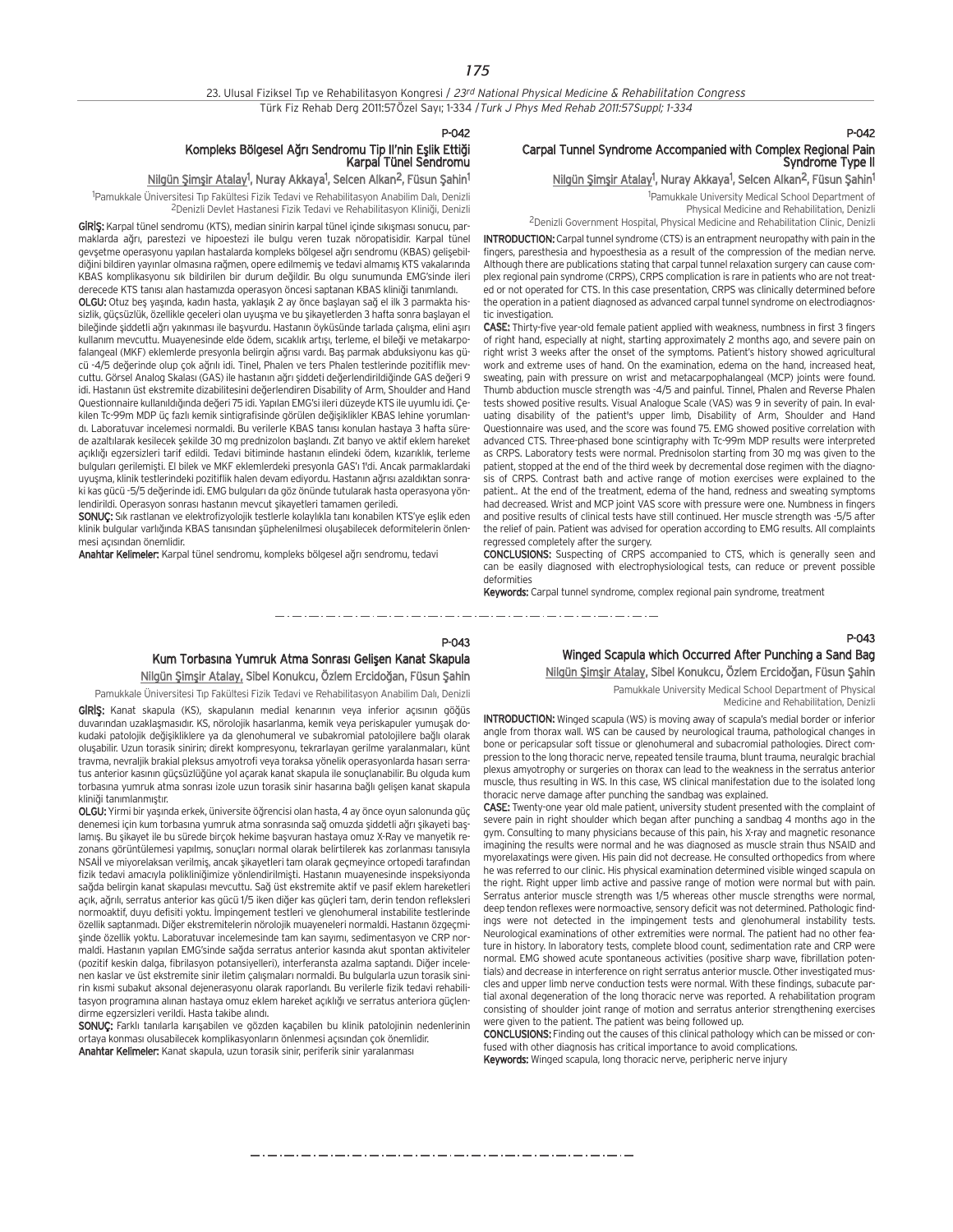$P-0A2$ 

## Kompleks Bölgesel Ağrı Sendromu Tip II'nin Eşlik Ettiği<br>Karpal Tünel Sendromu

### <u>Nilgün Şimşir Atalay</u><sup>1</sup>, Nuray Akkaya<sup>1</sup>, Selcen Alkan<sup>2</sup>, Füsun Şahin<sup>1</sup>

<sup>1</sup>Pamukkale Üniversitesi Tıp Fakültesi Fizik Tedavi ve Rehabilitasyon Anabilim Dalı, Denizli <sup>2</sup>Denizli Devlet Hastanesi Fizik Tedavi ve Rehabilitasyon Kliniği, Denizli

GIRIS: Karpal tünel sendromu (KTS), median sinirin karpal tünel içinde sıkışması sonucu, parmaklarda a¤r›, parestezi ve hipoestezi ile bulgu veren tuzak nöropatisidir. Karpal tünel gevsetme operasyonu yapılan hastalarda kompleks bölgesel ağrı sendromu (KBAS) gelisebildiğini bildiren yayınlar olmasına rağmen, opere edilmemiş ve tedavi almamış KTS vakalarında KBAS komplikasyonu sık bildirilen bir durum değildir. Bu olgu sunumunda EMG'sinde ileri derecede KTS tanısı alan hastamızda operasyon öncesi saptanan KBAS kliniği tanımlandı.

OLGU: Otuz beş yaşında, kadın hasta, yaklaşık 2 ay önce başlayan sağ el ilk 3 parmakta hissizlik, güçsüzlük, özellikle geceleri olan uyuşma ve bu şikayetlerden 3 hafta sonra başlayan el bileğinde şiddetli ağrı yakınması ile başvurdu. Hastanın öyküsünde tarlada çalışma, elini aşırı kullanım mevcuttu. Muayenesinde elde ödem, sıcaklık artışı, terleme, el bileği ve metakarpofalangeal (MKF) eklemlerde presyonla belirgin ağrısı vardı. Baş parmak abduksiyonu kas gücü -4/5 değerinde olup çok ağrılı idi. Tinel, Phalen ve ters Phalen testlerinde pozitiflik mevcuttu. Görsel Analog Skalası (GAS) ile hastanın ağrı siddeti değerlendirildiğinde GAS değeri 9 idi. Hastanın üst ekstremite dizabilitesini değerlendiren Disability of Arm, Shoulder and Hand Questionnaire kullanıldığında değeri 75 idi. Yapılan EMG'si ileri düzeyde KTS ile uyumlu idi. Çekilen Tc-99m MDP üç fazlı kemik sintigrafisinde görülen değişiklikler KBAS lehine yorumlandı. Laboratuvar incelemesi normaldi. Bu verilerle KBAS tanısı konulan hastaya 3 hafta sürede azaltılarak kesilecek şekilde 30 mg prednizolon başlandı. Zıt banyo ve aktif eklem hareket açıklığı egzersizleri tarif edildi. Tedavi bitiminde hastanın elindeki ödem, kızarıklık, terleme bulguları gerilemişti. El bilek ve MKF eklemlerdeki presyonla GAS'ı 1'di. Ancak parmaklardaki uyusma, klinik testlerindeki pozitiflik halen devam ediyordu. Hastanın ağrısı azaldıktan sonraki kas gücü -5/5 değerinde idi. EMG bulguları da göz önünde tutularak hasta operasyona yönlendirildi. Operasyon sonrası hastanın mevcut şikayetleri tamamen geriledi.

SONUÇ: Sık rastlanan ve elektrofizyolojik testlerle kolaylıkla tanı konabilen KTS'ye eşlik eden klinik bulgular varlığında KBAS tanısından şüphelenilmesi oluşabilecek deformitelerin önlenmesi açısından önemlidir.

Anahtar Kelimeler: Karpal tünel sendromu, kompleks bölgesel ağrı sendromu, tedavi

## Carpal Tunnel Syndrome Accompanied with Complex Regional Pain Syndrome Type II

### Nilgün Şimşir Atalay<sup>1</sup>, Nuray Akkaya<sup>1</sup>, Selcen Alkan<sup>2</sup>, Füsun Şahin<sup>1</sup>

P-042

1 Pamukkale University Medical School Department of Physical Medicine and Rehabilitation, Denizli 2Denizli Government Hospital, Physical Medicine and Rehabilitation Clinic, Denizli

INTRODUCTION:Carpal tunnel syndrome (CTS) is an entrapment neuropathy with pain in the fingers, paresthesia and hypoesthesia as a result of the compression of the median nerve. Although there are publications stating that carpal tunnel relaxation surgery can cause complex regional pain syndrome (CRPS), CRPS complication is rare in patients who are not treated or not operated for CTS. In this case presentation, CRPS was clinically determined before the operation in a patient diagnosed as advanced carpal tunnel syndrome on electrodiagnostic investigation.

CASE: Thirty-five year-old female patient applied with weakness, numbness in first 3 fingers of right hand, especially at night, starting approximately 2 months ago, and severe pain on right wrist 3 weeks after the onset of the symptoms. Patient's history showed agricultural work and extreme uses of hand. On the examination, edema on the hand, increased heat, sweating, pain with pressure on wrist and metacarpophalangeal (MCP) joints were found. Thumb abduction muscle strength was -4/5 and painful. Tinnel, Phalen and Reverse Phalen tests showed positive results. Visual Analogue Scale (VAS) was 9 in severity of pain. In evaluating disability of the patient's upper limb, Disability of Arm, Shoulder and Hand Questionnaire was used, and the score was found 75. EMG showed positive correlation with advanced CTS. Three-phased bone scintigraphy with Tc-99m MDP results were interpreted as CRPS. Laboratory tests were normal. Prednisolon starting from 30 mg was given to the patient, stopped at the end of the third week by decremental dose regimen with the diagnosis of CRPS. Contrast bath and active range of motion exercises were explained to the patient.. At the end of the treatment, edema of the hand, redness and sweating symptoms had decreased. Wrist and MCP joint VAS score with pressure were one. Numbness in fingers and positive results of clinical tests have still continued. Her muscle strength was -5/5 after the relief of pain. Patient was advised for operation according to EMG results. All complaints regressed completely after the surgery.

CONCLUSIONS: Suspecting of CRPS accompanied to CTS, which is generally seen and can be easily diagnosed with electrophysiological tests, can reduce or prevent possible deformities

Keywords: Carpal tunnel syndrome, complex regional pain syndrome, treatment

#### P-043

## Kum Torbasına Yumruk Atma Sonrası Gelişen Kanat Skapula Nilgün Şimşir Atalay, Sibel Konukcu, Özlem Ercidoğan, Füsun Şahin

Pamukkale Üniversitesi Tıp Fakültesi Fizik Tedavi ve Rehabilitasyon Anabilim Dalı, Denizli

GIRIS: Kanat skapula (KS), skapulanın medial kenarının veya inferior açısının göğüs duvarından uzaklaşmasıdır. KS, nörolojik hasarlanma, kemik veya periskapuler yumuşak dokudaki patolojik değisikliklere ya da glenohumeral ve subakromial patolojilere bağlı olarak olusabilir. Uzun torasik sinirin; direkt kompresyonu, tekrarlayan gerilme yaralanmaları, künt travma, nevraljik brakial pleksus amyotrofi veya toraksa yönelik operasyonlarda hasarı serratus anterior kasının güçsüzlüğüne yol açarak kanat skapula ile sonuçlanabilir. Bu olguda kum torbasına yumruk atma sonrası izole uzun torasik sinir hasarına bağlı gelisen kanat skapula kliniği tanımlanmıştır.

OLGU: Yirmi bir yaşında erkek, üniversite öğrencisi olan hasta, 4 ay önce oyun salonunda güç denemesi için kum torbasına yumruk atma sonrasında sağ omuzda şiddetli ağrı şikayeti başlamış. Bu şikayet ile bu sürede birçok hekime başvuran hastaya omuz X-Ray ve manyetik rezonans görüntülemesi yapılmış, sonuçları normal olarak belirtilerek kas zorlanması tanısıyla NSAİİ ve miyorelaksan verilmiş, ancak şikayetleri tam olarak geçmeyince ortopedi tarafından fizik tedavi amacıyla polikliniğimize yönlendirilmişti. Hastanın muayenesinde inspeksiyonda sağda belirgin kanat skapulası mevcuttu. Sağ üst ekstremite aktif ve pasif eklem hareketleri açık, ağrılı, serratus anterior kas gücü 1/5 iken diğer kas güçleri tam, derin tendon refleksleri normoaktif, duyu defisiti yoktu. İmpingement testleri ve glenohumeral instabilite testlerinde özellik saptanmadı. Diğer ekstremitelerin nörolojik muayeneleri normaldi. Hastanın özgeçmisinde özellik yoktu. Laboratuvar incelemesinde tam kan sayımı, sedimentasyon ve CRP normaldi. Hastanın yapılan EMG'sinde sağda serratus anterior kasında akut spontan aktiviteler (pozitif keskin dalga, fibrilasyon potansiyelleri), interferansta azalma saptandı. Diğer incelenen kaslar ve üst ekstremite sinir iletim çalışmaları normaldi. Bu bulgularla uzun torasik sinirin kısmi subakut aksonal dejenerasyonu olarak raporlandı. Bu verilerle fizik tedavi rehabilitasyon programına alınan hastaya omuz eklem hareket açıklığı ve serratus anteriora güçlendirme egzersizleri verildi. Hasta takibe alındı.

SONUÇ: Farklı tanılarla karışabilen ve gözden kaçabilen bu klinik patolojinin nedenlerinin ortaya konması olusabilecek komplikasyonların önlenmesi açısından çok önemlidir. Anahtar Kelimeler: Kanat skapula, uzun torasik sinir, periferik sinir yaralanması

## Winged Scapula which Occurred After Punching a Sand Bag Nilgün Şimşir Atalay, Sibel Konukcu, Özlem Ercidoğan, Füsun Şahin

Pamukkale University Medical School Department of Physical Medicine and Rehabilitation, Denizli

P-043

INTRODUCTION: Winged scapula (WS) is moving away of scapula's medial border or inferior angle from thorax wall. WS can be caused by neurological trauma, pathological changes in bone or pericapsular soft tissue or glenohumeral and subacromial pathologies. Direct compression to the long thoracic nerve, repeated tensile trauma, blunt trauma, neuralgic brachial plexus amyotrophy or surgeries on thorax can lead to the weakness in the serratus anterior muscle, thus resulting in WS. In this case, WS clinical manifestation due to the isolated long thoracic nerve damage after punching the sandbag was explained.

CASE: Twenty-one year old male patient, university student presented with the complaint of severe pain in right shoulder which began after punching a sandbag 4 months ago in the gym. Consulting to many physicians because of this pain, his X-ray and magnetic resonance imagining the results were normal and he was diagnosed as muscle strain thus NSAID and myorelaxatings were given. His pain did not decrease. He consulted orthopedics from where he was referred to our clinic. His physical examination determined visible winged scapula on the right. Right upper limb active and passive range of motion were normal but with pain. Serratus anterior muscle strength was 1/5 whereas other muscle strengths were normal, deep tendon reflexes were normoactive, sensory deficit was not determined. Pathologic findings were not detected in the impingement tests and glenohumeral instability tests. Neurological examinations of other extremities were normal. The patient had no other feature in history. In laboratory tests, complete blood count, sedimentation rate and CRP were normal. EMG showed acute spontaneous activities (positive sharp wave, fibrillation potentials) and decrease in interference on right serratus anterior muscle. Other investigated muscles and upper limb nerve conduction tests were normal. With these findings, subacute partial axonal degeneration of the long thoracic nerve was reported. A rehabilitation program consisting of shoulder joint range of motion and serratus anterior strengthening exercises were given to the patient. The patient was being followed up.

CONCLUSIONS: Finding out the causes of this clinical pathology which can be missed or confused with other diagnosis has critical importance to avoid complications. Keywords: Winged scapula, long thoracic nerve, peripheric nerve injury

مترو متناول متناول متناول متناول متناول متناول متناول متناول متناول متناول متناول متناول متناول متناول متناول متناولات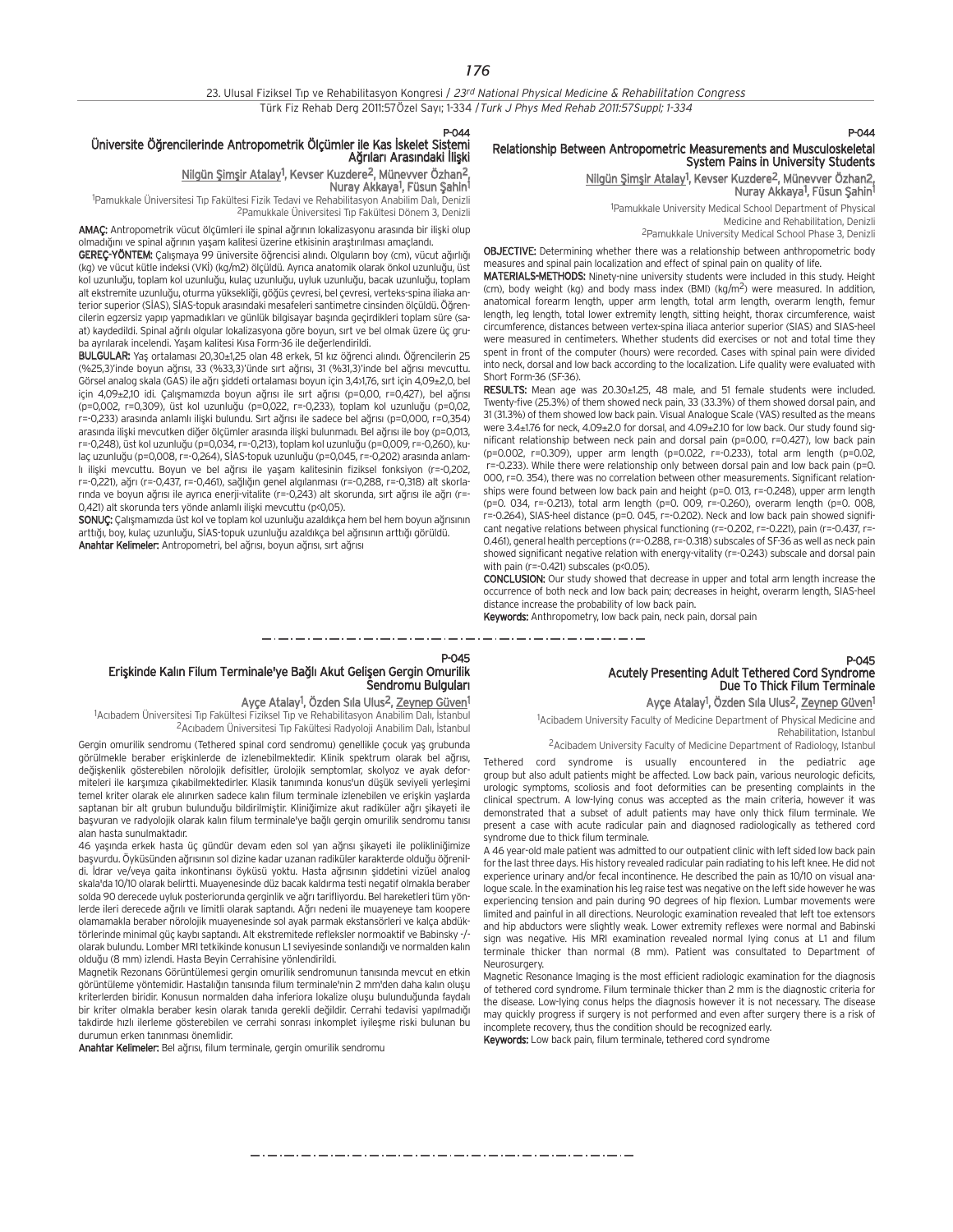P-044

### Üniversite Öğrencilerinde Antropometrik Ölçümler ile Kas İskelet Sistemi Ağrıları Arasındaki İlişki

## Nilgün Şimşir Atalay<sup>1</sup>, Kevser Kuzdere<sup>2</sup>, Münevver Özhan<sup>2</sup>,

Nuray Akkaya<sup>1</sup>, Füsun Şahin<sup>1</sup> <sup>1</sup>Pamukkale Üniversitesi Tıp Fakültesi Fizik Tedavi ve Rehabilitasyon Anabilim Dalı, Denizli

<sup>2</sup>Pamukkale Üniversitesi Tıp Fakültesi Dönem 3, Denizli

AMAÇ: Antropometrik vücut ölçümleri ile spinal ağrının lokalizasyonu arasında bir ilişki olup olmadığını ve spinal ağrının yaşam kalitesi üzerine etkisinin araştırılması amaçlandı.

GEREÇ-YÖNTEM: Çalışmaya 99 üniversite öğrencisi alındı. Olguların boy (cm), vücut ağırlığı (kg) ve vücut kütle indeksi (VKİ) (kg/m2) ölçüldü. Ayrıca anatomik olarak önkol uzunluğu, üst kol uzunlu¤u, toplam kol uzunlu¤u, kulaç uzunlu¤u, uyluk uzunlu¤u, bacak uzunlu¤u, toplam alt ekstremite uzunluğu, oturma yüksekliği, göğüs çevresi, bel çevresi, verteks-spina iliaka anterior superior (SİAS), SİAS-topuk arasındaki mesafeleri santimetre cinsinden ölçüldü. Öğrencilerin egzersiz yapıp yapmadıkları ve günlük bilgisayar başında geçirdikleri toplam süre (saat) kaydedildi. Spinal ağrılı olgular lokalizasyona göre boyun, sırt ve bel olmak üzere üç gruba ayrılarak incelendi. Yaşam kalitesi Kısa Form-36 ile değerlendirildi.

BULGULAR: Yaş ortalaması 20,30±1,25 olan 48 erkek, 51 kız öğrenci alındı. Öğrencilerin 25 (%25,3)'inde boyun ağrısı, 33 (%33,3)'ünde sırt ağrısı, 31 (%31,3)'inde bel ağrısı mevcuttu. Görsel analog skala (GAS) ile ağrı şiddeti ortalaması boyun için 3,4>1,76, sırt için 4,09±2,0, bel için 4,09±2,10 idi. Çalışmamızda boyun ağrısı ile sırt ağrısı (p=0,00, r=0,427), bel ağrısı (p=0,002, r=0,309), üst kol uzunluğu (p=0,022, r=-0,233), toplam kol uzunluğu (p=0,02, r=-0,233) arasında anlamlı ilişki bulundu. Sırt ağrısı ile sadece bel ağrısı (p=0,000, r=0,354) arasında ilişki mevcutken diğer ölçümler arasında ilişki bulunmadı. Bel ağrısı ile boy (p=0,013, r=-0,248), üst kol uzunlu¤u (p=0,034, r=-0,213), toplam kol uzunlu¤u (p=0,009, r=-0,260), kulaç uzunluğu (p=0,008, r=-0,264), SİAS-topuk uzunluğu (p=0,045, r=-0,202) arasında anlamlı iliski meycuttu. Boyun ve bel ağrısı ile yaşam kalitesinin fiziksel fonksiyon (r=-0,202, r=-0,221), ağrı (r=-0,437, r=-0,461), sağlığın genel algılanması (r=-0,288, r=-0,318) alt skorlarında ve boyun ağrısı ile ayrıca enerji-vitalite (r=-0,243) alt skorunda, sırt ağrısı ile ağrı (r=-0,421) alt skorunda ters yönde anlamlı ilişki mevcuttu (p<0,05).

SONUÇ: Çalışmamızda üst kol ve toplam kol uzunluğu azaldıkça hem bel hem boyun ağrısının arttığı, boy, kulaç uzunluğu, SİAS-topuk uzunluğu azaldıkça bel ağrısının arttığı görüldü. Anahtar Kelimeler: Antropometri, bel ağrısı, boyun ağrısı, sırt ağrısı

## P-044

## Relationship Between Antropometric Measurements and Musculoskeletal System Pains in University Students

Nilgün Şimşir Atalay<sup>1</sup>, Kevser Kuzdere<sup>2</sup>, Münevver Özhan2, Nuray Akkaya<sup>1</sup>, Füsun Şahin<sup>1</sup>

1 Pamukkale University Medical School Department of Physical Medicine and Rehabilitation, Denizli

2Pamukkale University Medical School Phase 3, Denizli

OBJECTIVE: Determining whether there was a relationship between anthropometric body measures and spinal pain localization and effect of spinal pain on quality of life.

MATERIALS-METHODS: Ninety-nine university students were included in this study. Height  $\mu$  (cm), body weight (kg) and body mass index (BMI) (kg/m<sup>2</sup>) were measured. In addition, anatomical forearm length, upper arm length, total arm length, overarm length, femur length, leg length, total lower extremity length, sitting height, thorax circumference, waist circumference, distances between vertex-spina iliaca anterior superior (SIAS) and SIAS-heel were measured in centimeters. Whether students did exercises or not and total time they spent in front of the computer (hours) were recorded. Cases with spinal pain were divided into neck, dorsal and low back according to the localization. Life quality were evaluated with Short Form-36 (SF-36).

RESULTS: Mean age was 20.30±1.25, 48 male, and 51 female students were included. Twenty-five (25.3%) of them showed neck pain, 33 (33.3%) of them showed dorsal pain, and 31 (31.3%) of them showed low back pain. Visual Analogue Scale (VAS) resulted as the means were 3.4±1.76 for neck, 4.09±2.0 for dorsal, and 4.09±2.10 for low back. Our study found significant relationship between neck pain and dorsal pain (p=0.00, r=0.427), low back pain (p=0.002, r=0.309), upper arm length (p=0.022, r=-0.233), total arm length (p=0.02, r=-0.233). While there were relationship only between dorsal pain and low back pain (p=0. 000, r=0. 354), there was no correlation between other measurements. Significant relationships were found between low back pain and height (p=0. 013, r=-0.248), upper arm length (p=0. 034, r=-0.213), total arm length (p=0. 009, r=-0.260), overarm length (p=0. 008, r=-0.264), SIAS-heel distance (p=0. 045, r=-0.202). Neck and low back pain showed significant negative relations between physical functioning (r=-0.202, r=-0.221), pain (r=-0.437, r=- 0.461), general health perceptions (r=-0.288, r=-0.318) subscales of SF-36 as well as neck pain showed significant negative relation with energy-vitality (r=-0.243) subscale and dorsal pain with pain (r=-0.421) subscales (p<0.05).

CONCLUSION: Our study showed that decrease in upper and total arm length increase the occurrence of both neck and low back pain; decreases in height, overarm length, SIAS-heel distance increase the probability of low back pain.

Keywords: Anthropometry, low back pain, neck pain, dorsal pain

\_\_\_\_\_\_\_\_\_\_\_\_\_\_\_\_\_\_\_\_

#### P-045

## Erişkinde Kalın Filum Terminale'ye Bağlı Akut Gelişen Gergin Omurilik Sendromu Bulguları

### Ayçe Atalay<sup>1</sup>, Özden Sıla Ulus<sup>2</sup>, Zeynep Güven<sup>1</sup>

<sup>1</sup>Acıbadem Üniversitesi Tıp Fakültesi Fiziksel Tıp ve Rehabilitasyon Anabilim Dalı, İstanbul <sup>2</sup>Acıbadem Üniversitesi Tıp Fakültesi Radyoloji Anabilim Dalı, İstanbul

Gergin omurilik sendromu (Tethered spinal cord sendromu) genellikle çocuk yaş grubunda görülmekle beraber eriskinlerde de izlenebilmektedir. Klinik spektrum olarak bel ağrısı, değişkenlik gösterebilen nörolojik defisitler, ürolojik semptomlar, skolyoz ve ayak deformiteleri ile karsımıza çıkabilmektedirler. Klasik tanımında konus'un düşük seviyeli verleşimi temel kriter olarak ele alınırken sadece kalın filum terminale izlenebilen ve erişkin yaşlarda saptanan bir alt grubun bulunduğu bildirilmiştir. Kliniğimize akut radiküler ağrı şikayeti ile başvuran ve radyolojik olarak kalın filum terminale'ye bağlı gergin omurilik sendromu tanısı alan hasta sunulmaktadır.

46 yaşında erkek hasta üç gündür devam eden sol yan ağrısı şikayeti ile polikliniğimize başvurdu. Öyküsünden ağrısının sol dizine kadar uzanan radiküler karakterde olduğu öğrenildi. İdrar ve/veya gaita inkontinansı öyküsü yoktu. Hasta ağrısının siddetini vizüel analog skala'da 10/10 olarak belirtti. Muayenesinde düz bacak kaldırma testi negatif olmakla beraber solda 90 derecede uyluk posteriorunda gerginlik ve ağrı tarifliyordu. Bel hareketleri tüm vönlerde ileri derecede ağrılı ve limitli olarak saptandı. Ağrı nedeni ile muayeneye tam koopere olamamakla beraber nörolojik muayenesinde sol ayak parmak ekstansörleri ve kalça abdüktörlerinde minimal güç kaybı saptandı. Alt ekstremitede refleksler normoaktif ve Babinsky -/olarak bulundu. Lomber MRI tetkikinde konusun L1 seviyesinde sonlandığı ve normalden kalın olduğu (8 mm) izlendi. Hasta Beyin Cerrahisine yönlendirildi.

Magnetik Rezonans Görüntülemesi gergin omurilik sendromunun tanısında mevcut en etkin görüntüleme yöntemidir. Hastalığın tanısında filum terminale'nin 2 mm'den daha kalın oluşu kriterlerden biridir. Konusun normalden daha inferiora lokalize oluşu bulunduğunda faydalı bir kriter olmakla beraber kesin olarak tanıda gerekli değildir. Cerrahi tedavisi yapılmadığı takdirde hızlı ilerleme gösterebilen ve cerrahi sonrası inkomplet iyileşme riski bulunan bu durumun erken tanınması önemlidir.

Anahtar Kelimeler: Bel ağrısı, filum terminale, gergin omurilik sendromu

## P-045 Acutely Presenting Adult Tethered Cord Syndrome Due To Thick Filum Terminale Ayçe Atalay<sup>1</sup>, Özden Sıla Ulus<sup>2</sup>, Zeynep Güven<sup>1</sup>

<sup>1</sup>Acibadem University Faculty of Medicine Department of Physical Medicine and Rehabilitation, Istanbul

2Acibadem University Faculty of Medicine Department of Radiology, Istanbul

Tethered cord syndrome is usually encountered in the pediatric age group but also adult patients might be affected. Low back pain, various neurologic deficits, urologic symptoms, scoliosis and foot deformities can be presenting complaints in the clinical spectrum. A low-lying conus was accepted as the main criteria, however it was demonstrated that a subset of adult patients may have only thick filum terminale. We present a case with acute radicular pain and diagnosed radiologically as tethered cord syndrome due to thick filum terminale.

A 46 year-old male patient was admitted to our outpatient clinic with left sided low back pain for the last three days. His history revealed radicular pain radiating to his left knee. He did not experience urinary and/or fecal incontinence. He described the pain as 10/10 on visual analogue scale. In the examination his leg raise test was negative on the left side however he was experiencing tension and pain during 90 degrees of hip flexion. Lumbar movements were limited and painful in all directions. Neurologic examination revealed that left toe extensors and hip abductors were slightly weak. Lower extremity reflexes were normal and Babinski sign was negative. His MRI examination revealed normal lying conus at L1 and filum terminale thicker than normal (8 mm). Patient was consultated to Department of Neurosurgery.

Magnetic Resonance Imaging is the most efficient radiologic examination for the diagnosis of tethered cord syndrome. Filum terminale thicker than 2 mm is the diagnostic criteria for the disease. Low-lying conus helps the diagnosis however it is not necessary. The disease may quickly progress if surgery is not performed and even after surgery there is a risk of incomplete recovery, thus the condition should be recognized early. Keywords: Low back pain, filum terminale, tethered cord syndrome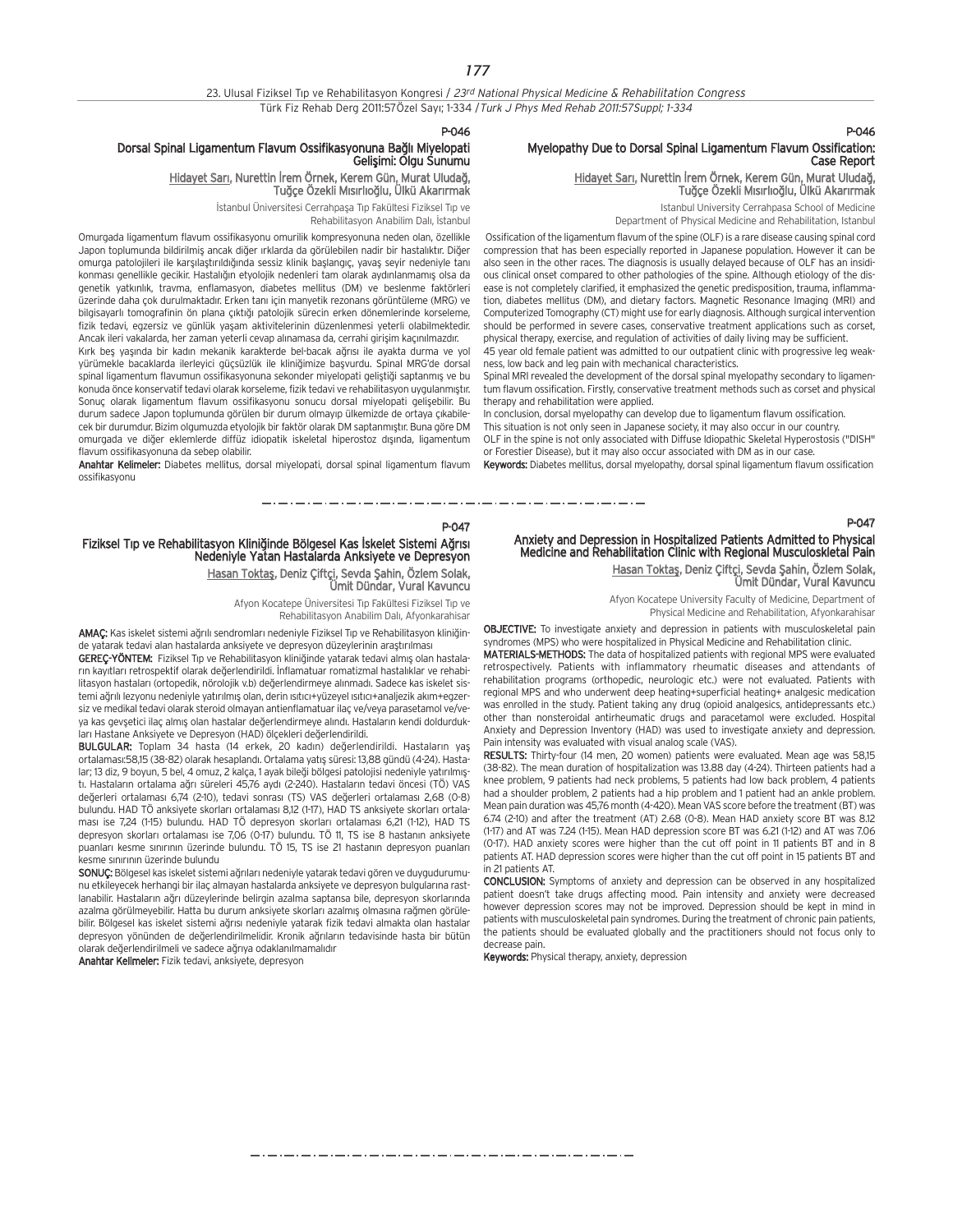## 23. Ulusal Fiziksel Tıp ve Rehabilitasyon Kongresi / 23rd National Physical Medicine & Rehabilitation Congress Türk Fiz Rehab Derg 2011:57Özel Sayı; 1-334 / Turk J Phys Med Rehab 2011:57Suppl; 1-334

P-046

P-047

متاز متناولته والمتار متناولتها والمتار متناولتها والمتار متناولتها والمتار متار ومتار متواردها والمراومة ومتار متوارد

### Dorsal Spinal Ligamentum Flavum Ossifikasyonuna Bağlı Miyelopati Gelisimi: Olgu Sunumu

<u>Hidayet Sarı</u>, Nurettin Irem Ornek, Kerem Gün, Murat Uludağ, Tuğçe Özekli Mısırlıoğlu, Ülkü Akarırmak

> İstanbul Üniversitesi Cerrahpaşa Tıp Fakültesi Fiziksel Tıp ve Rehabilitasyon Anabilim Dalı, İstanbul

Omurgada ligamentum flavum ossifikasyonu omurilik kompresyonuna neden olan, özellikle Japon toplumunda bildirilmiş ancak diğer ırklarda da görülebilen nadir bir hastalıktır. Diğer omurga patolojileri ile karşılaştırıldığında sessiz klinik başlangıç, yavaş seyir nedeniyle tanı konması genellikle gecikir. Hastalığın etyolojik nedenleri tam olarak aydınlanmamış olsa da genetik yatkınlık, travma, enflamasyon, diabetes mellitus (DM) ve beslenme faktörleri üzerinde daha çok durulmaktadır. Erken tanı için manyetik rezonans görüntüleme (MRG) ve bilgisayarlı tomografinin ön plana çıktığı patolojik sürecin erken dönemlerinde korseleme. fizik tedavi, egzersiz ve günlük yaşam aktivitelerinin düzenlenmesi veterli olabilmektedir. Ancak ileri vakalarda, her zaman yeterli cevan alınamasa da, cerrahi girisim kaçınılmazdır.

Kırk bes yasında bir kadın mekanik karakterde bel-bacak ağrısı ile ayakta durma ve yol yürümekle bacaklarda ilerleyici güçsüzlük ile kliniğimize başvurdu. Spinal MRG'de dorsal spinal ligamentum flavumun ossifikasyonuna sekonder miyelopati geliştiği saptanmış ve bu konuda önce konservatif tedavi olarak korseleme, fizik tedavi ve rehabilitasyon uygulanmıştır. Sonuç olarak ligamentum flavum ossifikasyonu sonucu dorsal miyelopati gelişebilir. Bu durum sadece Japon toplumunda görülen bir durum olmayıp ülkemizde de ortaya çıkabilecek bir durumdur. Bizim olgumuzda etyolojik bir faktör olarak DM saptanmıştır. Buna göre DM omurgada ve diğer eklemlerde diffüz idiopatik iskeletal hiperostoz dışında, ligamentum flavum ossifikasyonuna da sebep olabilir.

Anahtar Kelimeler: Diabetes mellitus, dorsal miyelopati, dorsal spinal ligamentum flavum ossifikasyonu

## Fiziksel Tıp ve Rehabilitasyon Kliniğinde Bölgesel Kas İskelet Sistemi Ağrısı Nedeniyle Yatan Hastalarda Anksiyete ve Depresyon <u>Hasan Toktaş</u>, Deniz Çiftçi, Sevda Şahin, Özlem Solak, Ümit Dündar, Vural Kavuncu

Afyon Kocatepe Üniversitesi Tıp Fakültesi Fiziksel Tıp ve Rehabilitasyon Anabilim Dalı, Afyonkarahisar

AMAC: Kas iskelet sistemi ağrılı sendromları nedeniyle Fiziksel Tıp ve Rehabilitasyon kliniğinde yatarak tedavi alan hastalarda anksiyete ve depresyon düzeylerinin arastırılması

GEREC-YÖNTEM: Fiziksel Tip ve Rehabilitasyon kliniğinde yatarak tedavi almış olan hastalar›n kay›tlar› retrospektif olarak de¤erlendirildi. ‹nflamatuar romatizmal hastal›klar ve rehabilitasyon hastaları (ortopedik, nörolojik v.b) değerlendirmeye alınmadı. Sadece kas iskelet sistemi ağrılı lezyonu nedeniyle yatırılmış olan, derin ısıtıcı+yüzeyel ısıtıcı+analjezik akım+egzersiz ve medikal tedavi olarak steroid olmayan antienflamatuar ilaç ve/veya parasetamol ve/veya kas gevsetici ilaç almış olan hastalar değerlendirmeye alındı. Hastaların kendi doldurdukları Hastane Anksiyete ve Depresyon (HAD) ölçekleri değerlendirildi.

BULGULAR: Toplam 34 hasta (14 erkek, 20 kadın) değerlendirildi. Hastaların yaş ortalaması:58,15 (38-82) olarak hesaplandı. Ortalama yatış süresi: 13,88 gündü (4-24). Hastalar; 13 diz, 9 boyun, 5 bel, 4 omuz, 2 kalça, 1 ayak bileği bölgesi patolojisi nedeniyle yatırılmıştı. Hastaların ortalama ağrı süreleri 45,76 aydı (2-240). Hastaların tedavi öncesi (TÖ) VAS değerleri ortalaması 6,74 (2-10), tedavi sonrası (TS) VAS değerleri ortalaması 2,68 (0-8) bulundu. HAD TÖ anksiyete skorları ortalaması 8,12 (1-17), HAD TS anksiyete skorları ortalaması ise 7,24 (1-15) bulundu. HAD TÖ depresyon skorları ortalaması 6,21 (1-12), HAD TS depresyon skorları ortalaması ise 706 (0-17) bulundu. TÖ 11, TS ise 8 hastanın anksiyete puanları kesme sınırının üzerinde bulundu. TÖ 15, TS ise 21 hastanın depresyon puanları kesme sınırının üzerinde bulundu.

SONUÇ: Bölgesel kas iskelet sistemi ağrıları nedeniyle yatarak tedavi gören ve duygudurumunu etkileyecek herhangi bir ilaç almayan hastalarda anksiyete ve depresyon bulgularına rastlanabilir. Hastaların ağrı düzeylerinde belirgin azalma saptansa bile, depresyon skorlarında azalma görülmeyebilir. Hatta bu durum anksiyete skorları azalmış olmasına rağmen görülebilir. Bölgesel kas iskelet sistemi ağrısı nedeniyle yatarak fizik tedavi almakta olan hastalar depresyon yönünden de değerlendirilmelidir. Kronik ağrıların tedavisinde hasta bir bütün olarak değerlendirilmeli ve sadece ağrıya odaklanılmamalıdır

Anahtar Kelimeler: Fizik tedavi, anksiyete, depresyon

## Myelopathy Due to Dorsal Spinal Ligamentum Flavum Ossification: Case Report

## <u>Hidayet Sarı</u>, Nurettin Irem Örnek, Kerem Gün, Murat Uludağ, Tuğçe Özekli Mısırlıoğlu, Ülkü Akarırmak

Istanbul University Cerrahpasa School of Medicine Department of Physical Medicine and Rehabilitation, Istanbul

Ossification of the ligamentum flavum of the spine (OLF) is a rare disease causing spinal cord compression that has been especially reported in Japanese population. However it can be also seen in the other races. The diagnosis is usually delayed because of OLF has an insidious clinical onset compared to other pathologies of the spine. Although etiology of the disease is not completely clarified, it emphasized the genetic predisposition, trauma, inflammation, diabetes mellitus (DM), and dietary factors. Magnetic Resonance Imaging (MRI) and Computerized Tomography (CT) might use for early diagnosis. Although surgical intervention should be performed in severe cases, conservative treatment applications such as corset, physical therapy, exercise, and regulation of activities of daily living may be sufficient.

45 year old female patient was admitted to our outpatient clinic with progressive leg weakness, low back and leg pain with mechanical characteristics.

Spinal MRI revealed the development of the dorsal spinal myelopathy secondary to ligamentum flavum ossification. Firstly, conservative treatment methods such as corset and physical therapy and rehabilitation were applied.

In conclusion, dorsal myelopathy can develop due to ligamentum flavum ossification. This situation is not only seen in Japanese society, it may also occur in our country.

OLF in the spine is not only associated with Diffuse Idiopathic Skeletal Hyperostosis ("DISH" or Forestier Disease), but it may also occur associated with DM as in our case.

Keywords: Diabetes mellitus, dorsal myelopathy, dorsal spinal ligamentum flavum ossification

P-047

P-046

## Anxiety and Depression in Hospitalized Patients Admitted to Physical Medicine and Rehabilitation Clinic with Regional Musculoskletal Pain <u>Hasan Toktaş,</u> Deniz Çiftçi, Sevda Şahin, Özlem Solak, Ümit Dündar, Vural Kavuncu

Afyon Kocatepe University Faculty of Medicine, Department of Physical Medicine and Rehabilitation, Afyonkarahisar

OBJECTIVE: To investigate anxiety and depression in patients with musculoskeletal pain syndromes (MPS) who were hospitalized in Physical Medicine and Rehabilitation clinic.

MATERIALS-METHODS: The data of hospitalized patients with regional MPS were evaluated retrospectively. Patients with inflammatory rheumatic diseases and attendants of rehabilitation programs (orthopedic, neurologic etc.) were not evaluated. Patients with regional MPS and who underwent deep heating+superficial heating+ analgesic medication was enrolled in the study. Patient taking any drug (opioid analgesics, antidepressants etc.) other than nonsteroidal antirheumatic drugs and paracetamol were excluded. Hospital Anxiety and Depression Inventory (HAD) was used to investigate anxiety and depression. Pain intensity was evaluated with visual analog scale (VAS).

RESULTS: Thirty-four (14 men, 20 women) patients were evaluated. Mean age was 58,15 (38-82). The mean duration of hospitalization was 13.88 day (4-24). Thirteen patients had a knee problem, 9 patients had neck problems, 5 patients had low back problem, 4 patients had a shoulder problem, 2 patients had a hip problem and 1 patient had an ankle problem. Mean pain duration was 45,76 month (4-420). Mean VAS score before the treatment (BT) was 6.74 (2-10) and after the treatment (AT) 2.68 (0-8). Mean HAD anxiety score BT was 8.12 (1-17) and AT was 7.24 (1-15). Mean HAD depression score BT was 6.21 (1-12) and AT was 7.06 (0-17). HAD anxiety scores were higher than the cut off point in 11 patients BT and in 8 patients AT. HAD depression scores were higher than the cut off point in 15 patients BT and in 21 patients AT.

CONCLUSION: Symptoms of anxiety and depression can be observed in any hospitalized patient doesn't take drugs affecting mood. Pain intensity and anxiety were decreased however depression scores may not be improved. Depression should be kept in mind in patients with musculoskeletal pain syndromes. During the treatment of chronic pain patients, the patients should be evaluated globally and the practitioners should not focus only to decrease pain.

Keywords: Physical therapy, anxiety, depression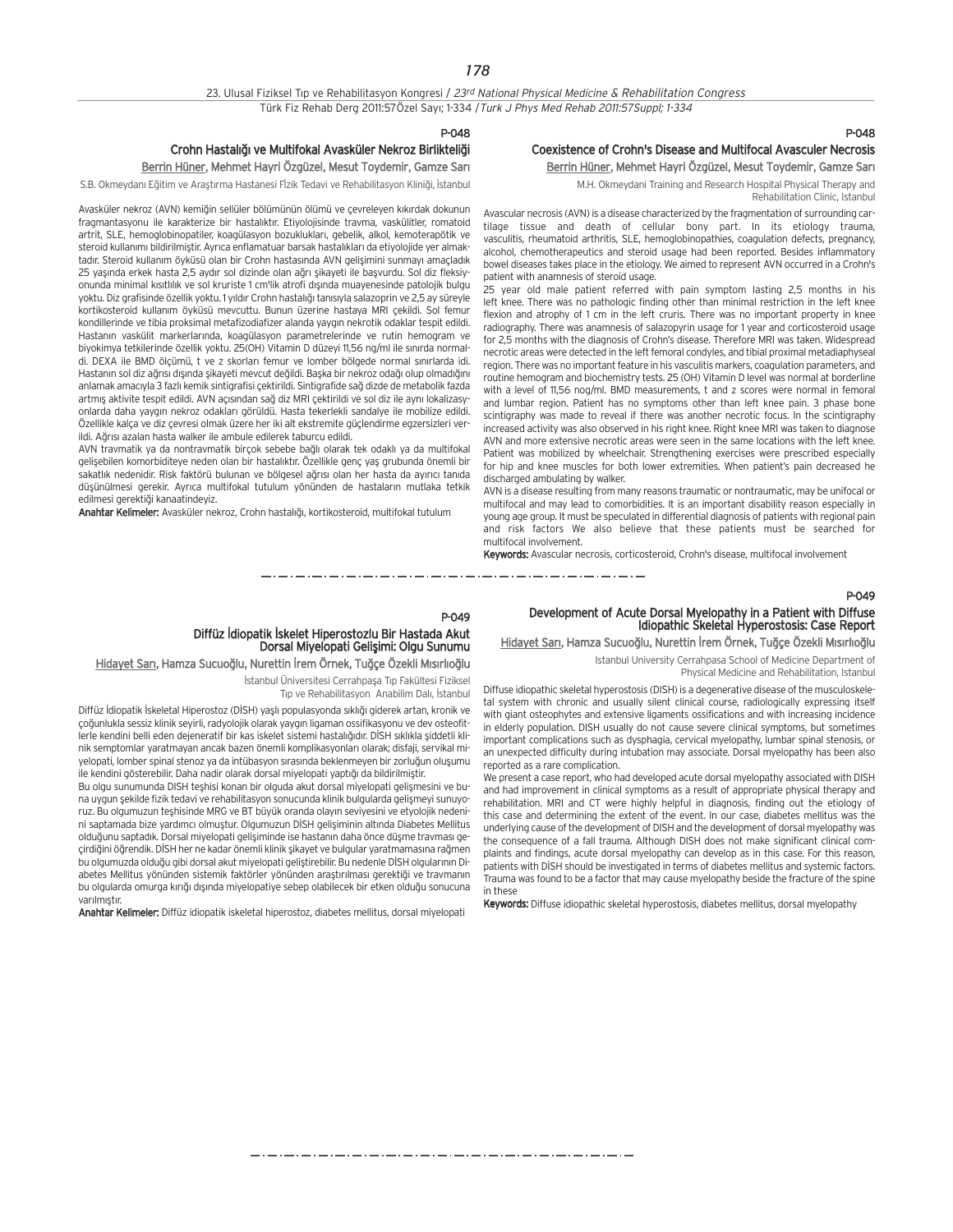P-048

## Crohn Hastalığı ve Multifokal Avasküler Nekroz Birlikteliği

## Berrin Hüner, Mehmet Hayri Özgüzel, Mesut Toydemir, Gamze Sarı

S.B. Okmeydanı Eğitim ve Araştırma Hastanesi Fizik Tedavi ve Rehabilitasyon Kliniği, İstanbul

Avasküler nekroz (AVN) kemiğin sellüler bölümünün ölümü ve çevreleyen kıkırdak dokunun fragmantasyonu ile karakterize bir hastalıktır. Etiyolojisinde trayma, yaskülitler, romatoid artrit, SLE, hemoglobinopatiler, koagülasyon bozuklukları, gebelik, alkol, kemoterapötik ve steroid kullanımı bildirilmiştir. Ayrıca enflamatuar barsak hastalıkları da etiyolojide yer almaktadır. Steroid kullanım öyküsü olan bir Crohn hastasında AVN gelişimini sunmayı amaçladık 25 yasında erkek hasta 2,5 aydır sol dizinde olan ağrı sikayeti ile basvurdu. Sol diz fleksiyonunda minimal kısıtlılık ve sol kruriste 1 cm'lik atrofi dısında muavenesinde patolojik bulgu yoktu. Diz grafisinde özellik yoktu. 1 yıldır Crohn hastalığı tanısıyla salazoprin ve 2,5 ay süreyle kortikosteroid kullanım öyküsü mevcuttu. Bunun üzerine hastaya MRI çekildi. Sol femur kondillerinde ve tibia proksimal metafizodiafizer alanda yaygın nekrotik odaklar tespit edildi. Hastanın vaskülit markerlarında, koagülasyon parametrelerinde ve rutin hemogram ve biyokimya tetkilerinde özellik yoktu. 25(OH) Vitamin D düzeyi 11,56 ng/ml ile sınırda normaldi. DEXA ile BMD ölçümü, t ve z skorları femur ve lomber bölgede normal sınırlarda idi. Hastanın sol diz ağrısı dışında şikayeti mevcut değildi. Başka bir nekroz odağı olup olmadığını anlamak amacıyla 3 fazlı kemik sintigrafisi çektirildi. Sintigrafide sağ dizde de metabolik fazda artmış aktivite tespit edildi. AVN açısından sağ diz MRI çektirildi ve sol diz ile aynı lokalizasyonlarda daha yaygın nekroz odakları görüldü. Hasta tekerlekli sandalye ile mobilize edildi. Özellikle kalça ve diz çevresi olmak üzere her iki alt ekstremite güçlendirme egzersizleri verildi. Ağrısı azalan hasta walker ile ambule edilerek taburcu edildi.

AVN travmatik ya da nontravmatik birçok sebebe bağlı olarak tek odaklı ya da multifokal gelişebilen komorbiditeye neden olan bir hastalıktır. Özellikle genç yaş grubunda önemli bir sakatlık nedenidir. Risk faktörü bulunan ve bölgesel ağrısı olan her hasta da ayırıcı tanıda düşünülmesi gerekir. Ayrıca multifokal tutulum yönünden de hastaların mutlaka tetkik edilmesi gerektiği kanaatindeyiz.

Anahtar Kelimeler: Avasküler nekroz, Crohn hastalığı, kortikosteroid, multifokal tutulum

## P-048

## Coexistence of Crohn's Disease and Multifocal Avasculer Necrosis Berrin Hüner, Mehmet Hayri Özgüzel, Mesut Toydemir, Gamze Sarı

M.H. Okmeydani Training and Research Hospital Physical Therapy and Rehabilitation Clinic, Istanbul

Avascular necrosis (AVN) is a disease characterized by the fragmentation of surrounding cartilage tissue and death of cellular bony part. In its etiology trauma, vasculitis, rheumatoid arthritis, SLE, hemoglobinopathies, coagulation defects, pregnancy, alcohol, chemotherapeutics and steroid usage had been reported. Besides inflammatory bowel diseases takes place in the etiology. We aimed to represent AVN occurred in a Crohn's patient with anamnesis of steroid usage

25 year old male patient referred with pain symptom lasting 2,5 months in his left knee. There was no pathologic finding other than minimal restriction in the left knee flexion and atrophy of 1 cm in the left cruris. There was no important property in knee radiography. There was anamnesis of salazopyrin usage for 1 year and corticosteroid usage for 2,5 months with the diagnosis of Crohn's disease. Therefore MRI was taken. Widespread necrotic areas were detected in the left femoral condyles, and tibial proximal metadiaphyseal region. There was no important feature in his vasculitis markers, coagulation parameters, and routine hemogram and biochemistry tests. 25 (OH) Vitamin D level was normal at borderline with a level of 11,56 nog/ml. BMD measurements, t and z scores were normal in femoral and lumbar region. Patient has no symptoms other than left knee pain. 3 phase bone scintigraphy was made to reveal if there was another necrotic focus. In the scintigraphy increased activity was also observed in his right knee. Right knee MRI was taken to diagnose AVN and more extensive necrotic areas were seen in the same locations with the left knee. Patient was mobilized by wheelchair. Strengthening exercises were prescribed especially for hip and knee muscles for both lower extremities. When patient's pain decreased he discharged ambulating by walker.

AVN is a disease resulting from many reasons traumatic or nontraumatic, may be unifocal or multifocal and may lead to comorbidities. It is an important disability reason especially in young age group. It must be speculated in differential diagnosis of patients with regional pain and risk factors We also believe that these patients must be searched for multifocal involvement.

Keywords: Avascular necrosis, corticosteroid, Crohn's disease, multifocal involvement

## P-049

## Development of Acute Dorsal Myelopathy in a Patient with Diffuse Idiopathic Skeletal Hyperostosis: Case Report

Hidayet Sarı, Hamza Sucuoğlu, Nurettin İrem Örnek, Tuğçe Özekli Mısırlıoğlu

Istanbul University Cerrahpasa School of Medicine Department of Physical Medicine and Rehabilitation, Istanbul

Diffuse idiopathic skeletal hyperostosis (DISH) is a degenerative disease of the musculoskeletal system with chronic and usually silent clinical course, radiologically expressing itself with giant osteophytes and extensive ligaments ossifications and with increasing incidence in elderly population. DISH usually do not cause severe clinical symptoms, but sometimes important complications such as dysphagia, cervical myelopathy, lumbar spinal stenosis, or an unexpected difficulty during intubation may associate. Dorsal myelopathy has been also reported as a rare complication.

We present a case report, who had developed acute dorsal myelopathy associated with DISH and had improvement in clinical symptoms as a result of appropriate physical therapy and rehabilitation. MRI and CT were highly helpful in diagnosis, finding out the etiology of this case and determining the extent of the event. In our case, diabetes mellitus was the underlying cause of the development of DISH and the development of dorsal myelopathy was the consequence of a fall trauma. Although DISH does not make significant clinical complaints and findings, acute dorsal myelopathy can develop as in this case. For this reason, patients with DISH should be investigated in terms of diabetes mellitus and systemic factors. Trauma was found to be a factor that may cause myelopathy beside the fracture of the spine in these

Keywords: Diffuse idiopathic skeletal hyperostosis, diabetes mellitus, dorsal myelopathy

## P-049 Diffüz İdiopatik İskelet Hiperostozlu Bir Hastada Akut<br>Dorsal Miyelopati Gelişimi: Olgu Sunumu

Hidayet Sarı, Hamza Sucuoğlu, Nurettin İrem Örnek, Tuğçe Özekli Mısırlıoğlu

İstanbul Üniversitesi Cerrahpaşa Tıp Fakültesi Fiziksel Tip ve Rehabilitasyon Anabilim Dalı, İstanbul

Diffüz İdiopatik İskeletal Hiperostoz (DİSH) yaşlı populasyonda sıklığı giderek artan, kronik ve çoğunlukla sessiz klinik seyirli, radyolojik olarak yaygın ligaman ossifikasyonu ve dev osteofitlerle kendini belli eden dejeneratif bir kas iskelet sistemi hastalığıdır. DİSH sıklıkla siddetli klinik semptomlar yaratmayan ancak bazen önemli komplikasyonları olarak; disfaji, servikal miyelopati, lomber spinal stenoz ya da intübasyon sırasında beklenmeyen bir zorluğun oluşumu ile kendini gösterebilir. Daha nadir olarak dorsal miyelopati yaptığı da bildirilmiştir.

Bu olgu sunumunda DISH teshisi konan bir olguda akut dorsal miyelopati gelişmesini ve buna uygun sekilde fizik tedavi ve rehabilitasyon sonucunda klinik bulgularda gelismeyi sunuyoruz. Bu olgumuzun teşhisinde MRG ve BT büyük oranda olayın seviyesini ve etyolojik nedenini saptamada bize yardımcı olmuştur. Olgumuzun DİSH gelişiminin altında Diabetes Mellitus olduğunu saptadık. Dorsal miyelopati gelişiminde ise hastanın daha önce düşme travması geçirdiğini öğrendik. DİSH her ne kadar önemli klinik şikayet ve bulgular yaratmamasına rağmen bu olgumuzda olduğu gibi dorsal akut miyelopati geliştirebilir. Bu nedenle DİSH olgularının Diabetes Mellitus yönünden sistemik faktörler yönünden arastırılması gerektiği ve travmanın bu olgularda omurga kırığı dışında miyelopatiye sebep olabilecek bir etken olduğu sonucuna varılmıştır.

Anahtar Kelimeler: Diffüz idiopatik iskeletal hiperostoz, diabetes mellitus, dorsal miyelopati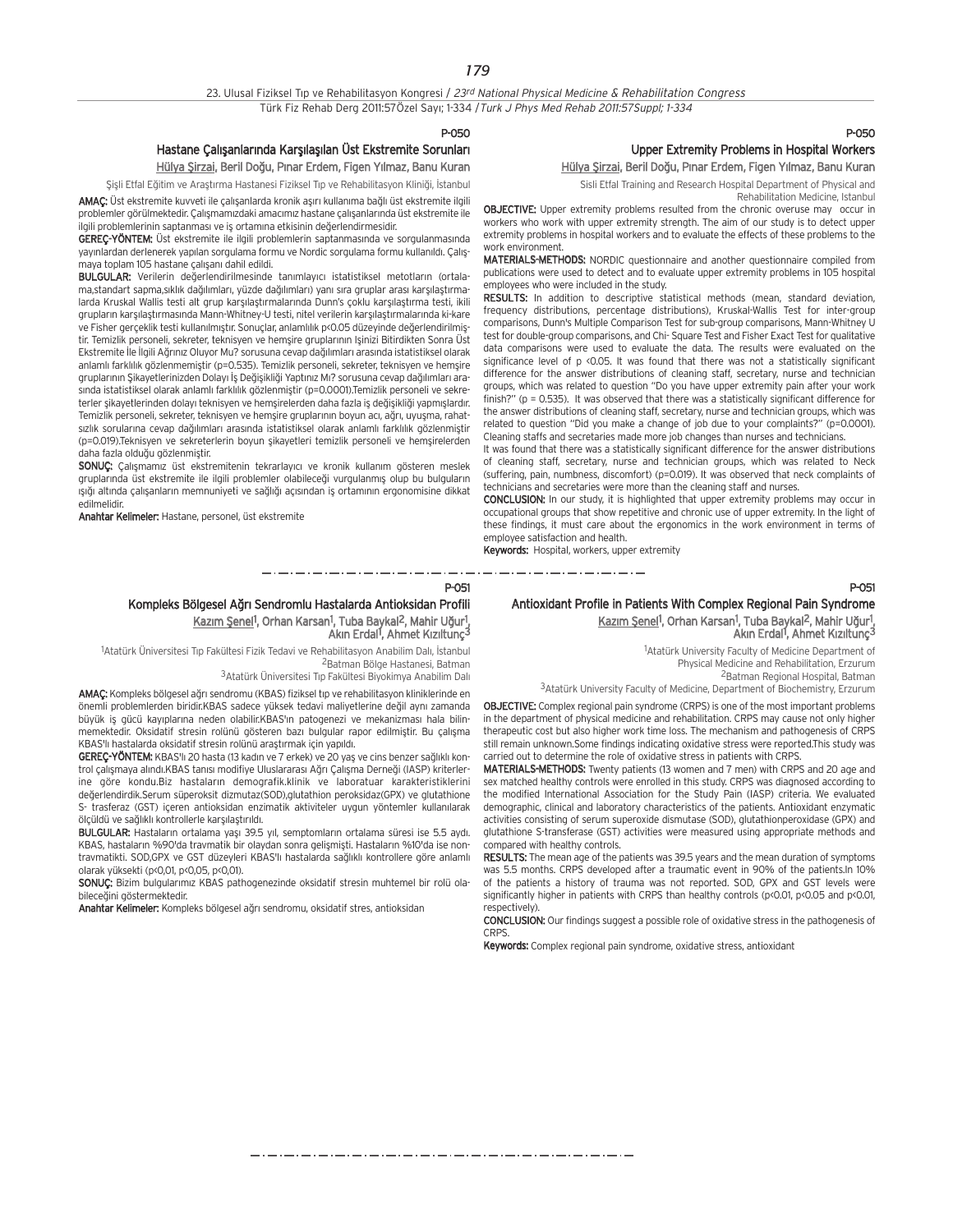P-050

P-051

## Hastane Çalışanlarında Karşılaşılan Üst Ekstremite Sorunları

Hülya Şirzai, Beril Doğu, Pınar Erdem, Figen Yılmaz, Banu Kuran

Sisli Etfal Eğitim ve Araştırma Hastanesi Fiziksel Tıp ve Rehabilitasyon Kliniği, İstanbul

AMAÇ: Üst ekstremite kuvveti ile çalışanlarda kronik aşırı kullanıma bağlı üst ekstremite ilgili problemler görülmektedir. Çalışmamızdaki amacımız hastane çalışanlarında üst ekstremite ile ilgili problemlerinin saptanması ve iş ortamına etkisinin değerlendirmesidir.

GEREC-YÖNTEM: Üst ekstremite ile ilgili problemlerin saptanmasında ve sorgulanmasında vayınlardan derlenerek yapılan sorgulama formu ve Nordic sorgulama formu kullanıldı. Calısmaya toplam 105 hastane çalışanı dahil edildi.

BULGULAR: Verilerin değerlendirilmesinde tanımlayıcı istatistiksel metotların (ortalama,standart sapma,sıklık dağılımları, yüzde dağılımları) yanı sıra gruplar arası karşılaştırmalarda Kruskal Wallis testi alt grup karsılastırmalarında Dunn's çoklu karsılaştırma testi, ikili grupların karşılaştırmasında Mann-Whitney-U testi, nitel verilerin karşılaştırmalarında ki-kare ve Fisher gerçeklik testi kullanılmıştır. Sonuçlar, anlamlılık p<0.05 düzeyinde değerlendirilmiştir. Temizlik personeli, sekreter, teknisyen ve hemşire gruplarının Işinizi Bitirdikten Sonra Üst Ekstremite İle İlgili Ağrınız Oluyor Mu? sorusuna cevap dağılımları arasında istatistiksel olarak anlamlı farklılık gözlenmemiştir (p=0.535). Temizlik personeli, sekreter, teknisyen ve hemşire gruplarının Sikayetlerinizden Dolayı İs Değişikliği Yaptınız Mı? sorusuna cevap dağılımları arasinda istatistiksel olarak anlamlı farklılık gözlenmiştir (p=0.0001).Temizlik personeli ve sekreterler şikayetlerinden dolayı teknisyen ve hemşirelerden daha fazla iş değişikliği yapmışlardır. Temizlik personeli, sekreter, teknisyen ve hemsire gruplarının boyun acı, ağrı, uyuşma, rahatsızlık sorularına cevap dağılımları arasında istatistiksel olarak anlamlı farklılık gözlenmiştir (p=0.019).Teknisyen ve sekreterlerin boyun sikayetleri temizlik personeli ve hemsirelerden daha fazla olduğu gözlenmiştir.

SONUÇ: Çalışmamız üst ekstremitenin tekrarlayıcı ve kronik kullanım gösteren meslek gruplarında üst ekstremite ile ilgili problemler olabileceği vurgulanmış olup bu bulguların isiği altında çalışanların memnuniyeti ve sağlığı açısından iş ortamının ergonomisine dikkat edilmelidir.

Anahtar Kelimeler: Hastane, personel, üst ekstremite

## P-050 Upper Extremity Problems in Hospital Workers Hülya Şirzai, Beril Doğu, Pınar Erdem, Figen Yılmaz, Banu Kuran

Sisli Etfal Training and Research Hospital Department of Physical and

Rehabilitation Medicine, Istanbul

OBJECTIVE: Upper extremity problems resulted from the chronic overuse may occur in workers who work with upper extremity strength. The aim of our study is to detect upper extremity problems in hospital workers and to evaluate the effects of these problems to the work environment.

MATERIALS-METHODS: NORDIC questionnaire and another questionnaire compiled from publications were used to detect and to evaluate upper extremity problems in 105 hospital employees who were included in the study.

RESULTS: In addition to descriptive statistical methods (mean, standard deviation, frequency distributions, percentage distributions), Kruskal-Wallis Test for inter-group comparisons, Dunn's Multiple Comparison Test for sub-group comparisons, Mann-Whitney U test for double-group comparisons, and Chi- Square Test and Fisher Exact Test for qualitative data comparisons were used to evaluate the data. The results were evaluated on the significance level of p <0.05. It was found that there was not a statistically significant difference for the answer distributions of cleaning staff, secretary, nurse and technician groups, which was related to question "Do you have upper extremity pain after your work finish?" (p = 0.535). It was observed that there was a statistically significant difference for the answer distributions of cleaning staff, secretary, nurse and technician groups, which was related to question "Did you make a change of job due to your complaints?" (p=0.0001). Cleaning staffs and secretaries made more job changes than nurses and technicians.

It was found that there was a statistically significant difference for the answer distributions of cleaning staff, secretary, nurse and technician groups, which was related to Neck (suffering, pain, numbness, discomfort) (p=0.019). It was observed that neck complaints of technicians and secretaries were more than the cleaning staff and nurses.

CONCLUSION: In our study, it is highlighted that upper extremity problems may occur in occupational groups that show repetitive and chronic use of upper extremity. In the light of these findings, it must care about the ergonomics in the work environment in terms of employee satisfaction and health.

Keywords: Hospital, workers, upper extremity \_ . \_ . \_ . \_ . \_ . \_ . \_ . \_ . \_

## P-051

## Antioxidant Profile in Patients With Complex Regional Pain Syndrome Kazım Şenel<sup>1</sup>, Orhan Karsan<sup>1</sup>, Tuba Baykal<sup>2</sup>, Mahir Uğur<sup>1</sup>, Akın Erdal<sup>1</sup>, Ahmet Kızıltunç<sup>3</sup>

<sup>1</sup> Atatürk University Faculty of Medicine Department of Physical Medicine and Rehabilitation, Erzurum 2Batman Regional Hospital, Batman

3Atatürk University Faculty of Medicine, Department of Biochemistry, Erzurum

OBJECTIVE: Complex regional pain syndrome (CRPS) is one of the most important problems in the department of physical medicine and rehabilitation. CRPS may cause not only higher therapeutic cost but also higher work time loss. The mechanism and pathogenesis of CRPS still remain unknown.Some findings indicating oxidative stress were reported.This study was carried out to determine the role of oxidative stress in patients with CRPS.

MATERIALS-METHODS: Twenty patients (13 women and 7 men) with CRPS and 20 age and sex matched healthy controls were enrolled in this study. CRPS was diagnosed according to the modified International Association for the Study Pain (IASP) criteria. We evaluated demographic, clinical and laboratory characteristics of the patients. Antioxidant enzymatic activities consisting of serum superoxide dismutase (SOD), glutathionperoxidase (GPX) and glutathione S-transferase (GST) activities were measured using appropriate methods and compared with healthy controls.

RESULTS: The mean age of the patients was 39.5 years and the mean duration of symptoms was 5.5 months. CRPS developed after a traumatic event in 90% of the patients.In 10% of the patients a history of trauma was not reported. SOD, GPX and GST levels were significantly higher in patients with CRPS than healthy controls (p<0.01, p<0.05 and p<0.01, respectively).

CONCLUSION: Our findings suggest a possible role of oxidative stress in the pathogenesis of CRPS.

Keywords: Complex regional pain syndrome, oxidative stress, antioxidant

Kompleks Bölgesel A¤r› Sendromlu Hastalarda Antioksidan Profili Kazım Şenel<sup>1</sup>, Orhan Karsan<sup>1</sup>, Tuba Baykal<sup>2</sup>, Mahir Uğur<sup>1</sup>, Akın Erdal<sup>1</sup>, Ahmet Kızıltunç<sup>3</sup>

<sup>1</sup>Atatürk Üniversitesi Tıp Fakültesi Fizik Tedavi ve Rehabilitasyon Anabilim Dalı, İstanbul 2Batman Bölge Hastanesi, Batman

3 Atatürk Üniversitesi Tıp Fakültesi Biyokimya Anabilim Dalı

AMAÇ: Kompleks bölgesel ağrı sendromu (KBAS) fiziksel tıp ve rehabilitasyon kliniklerinde en önemli problemlerden biridir.KBAS sadece yüksek tedavi maliyetlerine değil aynı zamanda büyük iş gücü kayıplarına neden olabilir.KBAS'ın patogenezi ve mekanizması hala bilinmemektedir. Oksidatif stresin rolünü gösteren bazı bulgular rapor edilmiştir. Bu çalışma KBAS'lı hastalarda oksidatif stresin rolünü arastırmak için yapıldı.

GEREC-YÖNTEM: KBAS'lı 20 hasta (13 kadın ve 7 erkek) ve 20 yaş ve cins benzer sağlıklı kontrol çalışmaya alındı.KBAS tanısı modifiye Uluslararası Ağrı Çalışma Derneği (IASP) kriterlerine göre kondu.Biz hastaların demografik.klinik ve laboratuar karakteristiklerini değerlendirdik.Serum süperoksit dizmutaz(SOD),glutathion peroksidaz(GPX) ve glutathione S- trasferaz (GST) içeren antioksidan enzimatik aktiviteler uygun yöntemler kullanılarak ölçüldü ve sağlıklı kontrollerle karşılaştırıldı.

BULGULAR: Hastaların ortalama yaşı 39.5 yıl, semptomların ortalama süresi ise 5.5 aydı. KBAS, hastaların %90'da travmatik bir olaydan sonra gelişmişti. Hastaların %10'da ise nontravmatikti. SOD,GPX ve GST düzeyleri KBAS'lı hastalarda sağlıklı kontrollere göre anlamlı olarak yüksekti (p<0,01, p<0,05, p<0,01).

SONUÇ: Bizim bulgularımız KBAS pathogenezinde oksidatif stresin muhtemel bir rolü olabileceğini göstermektedir.

Anahtar Kelimeler: Kompleks bölgesel ağrı sendromu, oksidatif stres, antioksidan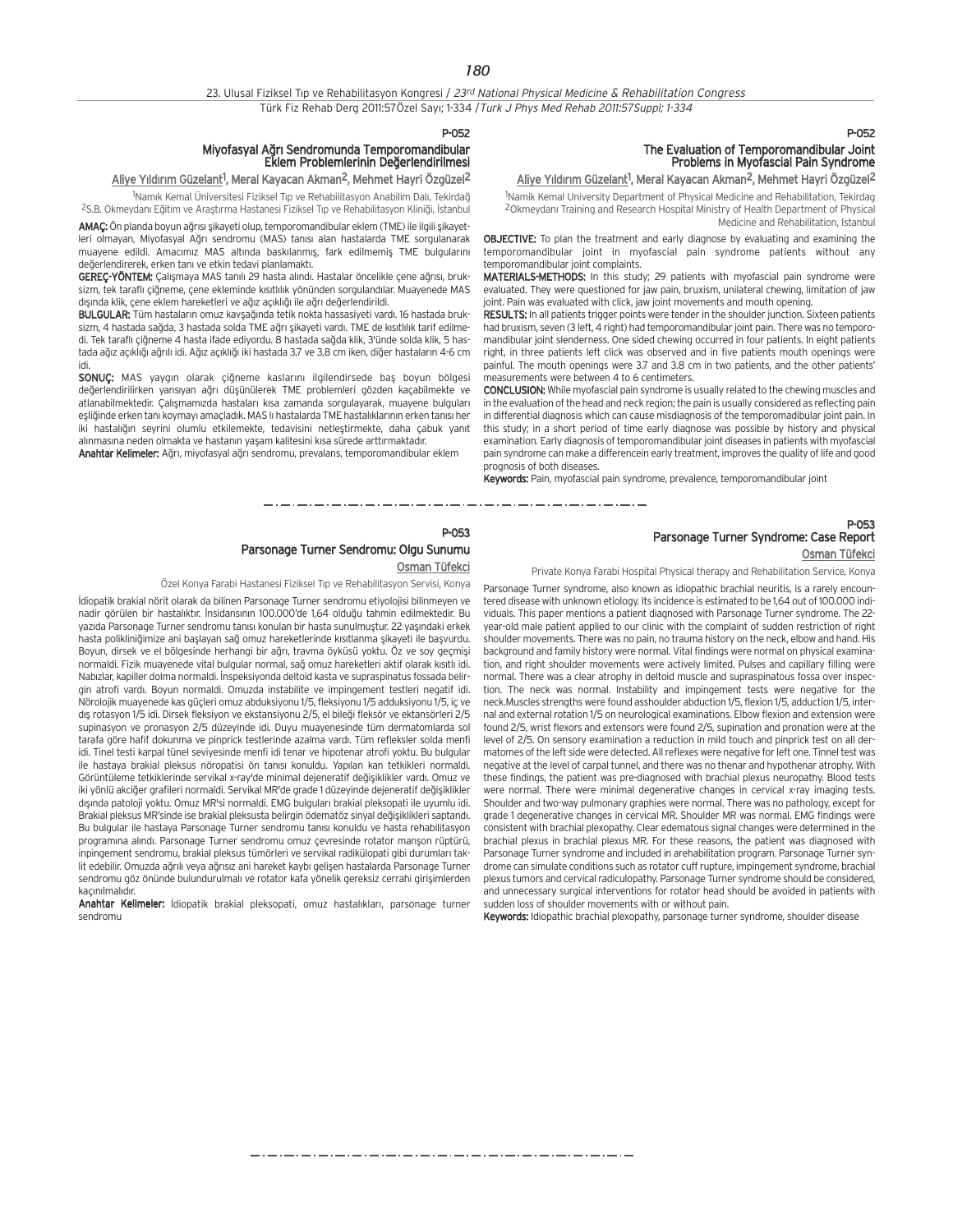P-052

## Miyofasyal A¤r› Sendromunda Temporomandibular Eklem Problemlerinin De¤erlendirilmesi

### <u>Aliye Yıldırım Güzelant</u><sup>1</sup>, Meral Kayacan Akman<sup>2</sup>, Mehmet Hayri Özgüzel<sup>2</sup>

<sup>1</sup>Namık Kemal Üniversitesi Fiziksel Tıp ve Rehabilitasyon Anabilim Dalı, Tekirdağ <sup>2</sup>S.B. Okmeydanı Eğitim ve Araştırma Hastanesi Fiziksel Tıp ve Rehabilitasyon Kliniği, İstanbul

AMAC: Ön planda boyun ağrısı şikayeti olup, temporomandibular eklem (TME) ile ilgili şikayetleri olmayan, Miyofasyal Ağrı sendromu (MAS) tanısı alan hastalarda TME sorgulanarak muayene edildi. Amacımız MAS altında baskılanmış, fark edilmemiş TME bulgularını değerlendirerek, erken tanı ve etkin tedavi planlamaktı.

GEREÇ-YÖNTEM: Calışmaya MAS tanılı 29 hasta alındı. Hastalar öncelikle çene ağrısı, bruksizm, tek taraflı çiğneme, çene ekleminde kısıtlılık yönünden sorgulandılar. Muayenede MAS dışında klik, çene eklem hareketleri ve ağız açıklığı ile ağrı değerlendirildi.

BULGULAR: Tüm hastaların omuz kavşağında tetik nokta hassasiyeti vardı. 16 hastada bruksizm, 4 hastada sağda, 3 hastada solda TME ağrı şikayeti vardı. TME de kısıtlılık tarif edilmedi. Tek taraflı çiğneme 4 hasta ifade ediyordu. 8 hastada sağda klik, 3'ünde solda klik, 5 hastada ağız açıklığı ağrılı idi. Ağız açıklığı iki hastada 3,7 ve 3,8 cm iken, diğer hastaların 4-6 cm idi.

SONUÇ: MAS yaygın olarak çiğneme kaslarını ilgilendirsede baş boyun bölgesi değerlendirilirken yansıyan ağrı düşünülerek TME problemleri gözden kaçabilmekte ve atlanabilmektedir. Çalışmamızda hastaları kısa zamanda sorgulayarak, muayene bulguları esliğinde erken tanı koymayı amaçladık. MAS lı hastalarda TME hastalıklarının erken tanısı her iki hastalığın seyrini olumlu etkilemekte, tedavisini netleştirmekte, daha çabuk yanıt alınmasına neden olmakta ve hastanın yasam kalitesini kısa sürede arttırmaktadır.

Anahtar Kelimeler: Ağrı, miyofasyal ağrı sendromu, prevalans, temporomandibular eklem

## P-052 The Evaluation of Temporomandibular Joint Problems in Myofascial Pain Syndrome

Aliye Yıldırım Güzelant<sup>1</sup>, Meral Kayacan Akman<sup>2</sup>, Mehmet Hayri Özgüzel<sup>2</sup>

<sup>1</sup>Namik Kemal University Department of Physical Medicine and Rehabilitation, Tekirdag <sup>2</sup>Okmeydanı Training and Research Hospital Ministry of Health Department of Physical Medicine and Rehabilitation, Istanbul

OBJECTIVE: To plan the treatment and early diagnose by evaluating and examining the temporomandibular joint in myofascial pain syndrome patients without any temporomandibular joint complaints.

MATERIALS-METHODS: In this study; 29 patients with myofascial pain syndrome were evaluated. They were questioned for jaw pain, bruxism, unilateral chewing, limitation of jaw joint. Pain was evaluated with click, jaw joint movements and mouth opening.

RESULTS: In all patients trigger points were tender in the shoulder junction. Sixteen patients had bruxism, seven (3 left, 4 right) had temporomandibular joint pain. There was no temporomandibular joint slenderness. One sided chewing occurred in four patients. In eight patients right, in three patients left click was observed and in five patients mouth openings were painful. The mouth openings were 3.7 and 3.8 cm in two patients, and the other patients' measurements were between 4 to 6 centimeters.

CONCLUSION: While myofascial pain syndrome is usually related to the chewing muscles and in the evaluation of the head and neck region; the pain is usually considered as reflecting pain in differential diagnosis which can cause misdiagnosis of the temporomadibular joint pain. In this study; in a short period of time early diagnose was possible by history and physical examination. Early diagnosis of temporomandibular joint diseases in patients with myofascial pain syndrome can make a differencein early treatment, improves the quality of life and good prognosis of both diseases.

Keywords: Pain, myofascial pain syndrome, prevalence, temporomandibular joint

المتار المسارة للمرار المسارة المسارة المسارة المسارة المسارة المنازلة a construction of the construction of the construction of the construction of the construction of the construction of the construction of the construction of the construction of the construction of the construction of the

## Parsonage Turner Syndrome: Case Report Osman Tüfekci

Private Konya Farabi Hospital Physical therapy and Rehabilitation Service, Konya

Parsonage Turner syndrome, also known as idiopathic brachial neuritis, is a rarely encountered disease with unknown etiology. Its incidence is estimated to be 1,64 out of 100.000 individuals. This paper mentions a patient diagnosed with Parsonage Turner syndrome. The 22 year-old male patient applied to our clinic with the complaint of sudden restriction of right shoulder movements. There was no pain, no trauma history on the neck, elbow and hand. His background and family history were normal. Vital findings were normal on physical examination, and right shoulder movements were actively limited. Pulses and capillary filling were normal. There was a clear atrophy in deltoid muscle and supraspinatous fossa over inspection. The neck was normal. Instability and impingement tests were negative for the neck.Muscles strengths were found asshoulder abduction 1/5, flexion 1/5, adduction 1/5, internal and external rotation 1/5 on neurological examinations. Elbow flexion and extension were found 2/5, wrist flexors and extensors were found 2/5, supination and pronation were at the level of 2/5. On sensory examination a reduction in mild touch and pinprick test on all dermatomes of the left side were detected. All reflexes were negative for left one. Tinnel test was negative at the level of carpal tunnel, and there was no thenar and hypothenar atrophy. With these findings, the patient was pre-diagnosed with brachial plexus neuropathy. Blood tests were normal. There were minimal degenerative changes in cervical x-ray imaging tests. Shoulder and two-way pulmonary graphies were normal. There was no pathology, except for grade 1 degenerative changes in cervical MR. Shoulder MR was normal. EMG findings were consistent with brachial plexopathy. Clear edematous signal changes were determined in the brachial plexus in brachial plexus MR. For these reasons, the patient was diagnosed with Parsonage Turner syndrome and included in arehabilitation program. Parsonage Turner syndrome can simulate conditions such as rotator cuff rupture, impingement syndrome, brachial plexus tumors and cervical radiculopathy. Parsonage Turner syndrome should be considered, and unnecessary surgical interventions for rotator head should be avoided in patients with sudden loss of shoulder movements with or without pain.

Keywords: Idiopathic brachial plexopathy, parsonage turner syndrome, shoulder disease

## P-053 Parsonage Turner Sendromu: Olgu Sunumu

## Osman Tüfekci

Özel Konya Farabi Hastanesi Fiziksel Tıp ve Rehabilitasyon Servisi, Konya

‹diopatik brakial nörit olarak da bilinen Parsonage Turner sendromu etiyolojisi bilinmeyen ve nadir görülen bir hastalıktır. İnsidansının 100.000'de 1,64 olduğu tahmin edilmektedir. Bu yazıda Parsonage Turner sendromu tanısı konulan bir hasta sunulmuştur. 22 yaşındaki erkek hasta polikliniğimize ani başlayan sağ omuz hareketlerinde kısıtlanma şikayeti ile başvurdu. Boyun, dirsek ve el bölgesinde herhangi bir ağrı, travma öyküsü yoktu. Öz ve soy geçmişi normaldi. Fizik muayenede vital bulgular normal, sağ omuz hareketleri aktif olarak kısıtlı idi. Nabızlar, kapiller dolma normaldi. İnspeksiyonda deltoid kasta ve supraspinatus fossada belirgin atrofi vardı. Boyun normaldi. Omuzda instabilite ve impingement testleri negatif idi. Nörolojik muayenede kas güçleri omuz abduksiyonu 1/5, fleksiyonu 1/5 adduksiyonu 1/5, iç ve dış rotasyon 1/5 idi. Dirsek fleksiyon ve ekstansiyonu 2/5, el bileği fleksör ve ektansörleri 2/5 supinasyon ve pronasyon 2/5 düzeyinde idi. Duyu muayenesinde tüm dermatomlarda sol tarafa göre hafif dokunma ve pinprick testlerinde azalma vardı. Tüm refleksler solda menfi idi. Tinel testi karpal tünel seviyesinde menfi idi tenar ve hipotenar atrofi yoktu. Bu bulgular ile hastaya brakial pleksus nöropatisi ön tanısı konuldu. Yapılan kan tetkikleri normaldi. Görüntüleme tetkiklerinde servikal x-ray'de minimal deieneratif değişiklikler vardı. Omuz ve iki yönlü akciğer grafileri normaldi. Servikal MR'de grade 1 düzeyinde dejeneratif değişiklikler dışında patoloji yoktu. Omuz MR'si normaldi. EMG bulguları brakial pleksopati ile uyumlu idi. Brakial pleksus MR'sinde ise brakial pleksusta belirgin ödematöz sinyal değişiklikleri saptandı. Bu bulgular ile hastaya Parsonage Turner sendromu tanısı konuldu ve hasta rehabilitasyon programına alındı. Parsonage Turner sendromu omuz çevresinde rotator manşon rüptürü, inpingement sendromu, brakial pleksus tümörleri ve servikal radikülopati gibi durumları taklit edebilir. Omuzda ağrılı veya ağrısız ani hareket kaybı gelişen hastalarda Parsonage Turner sendromu göz önünde bulundurulmalı ve rotator kafa yönelik gereksiz cerrahi girisimlerden kacınılmalıdır.

Anahtar Kelimeler: idiopatik brakial pleksopati, omuz hastalıkları, parsonage turner sendromu

P-053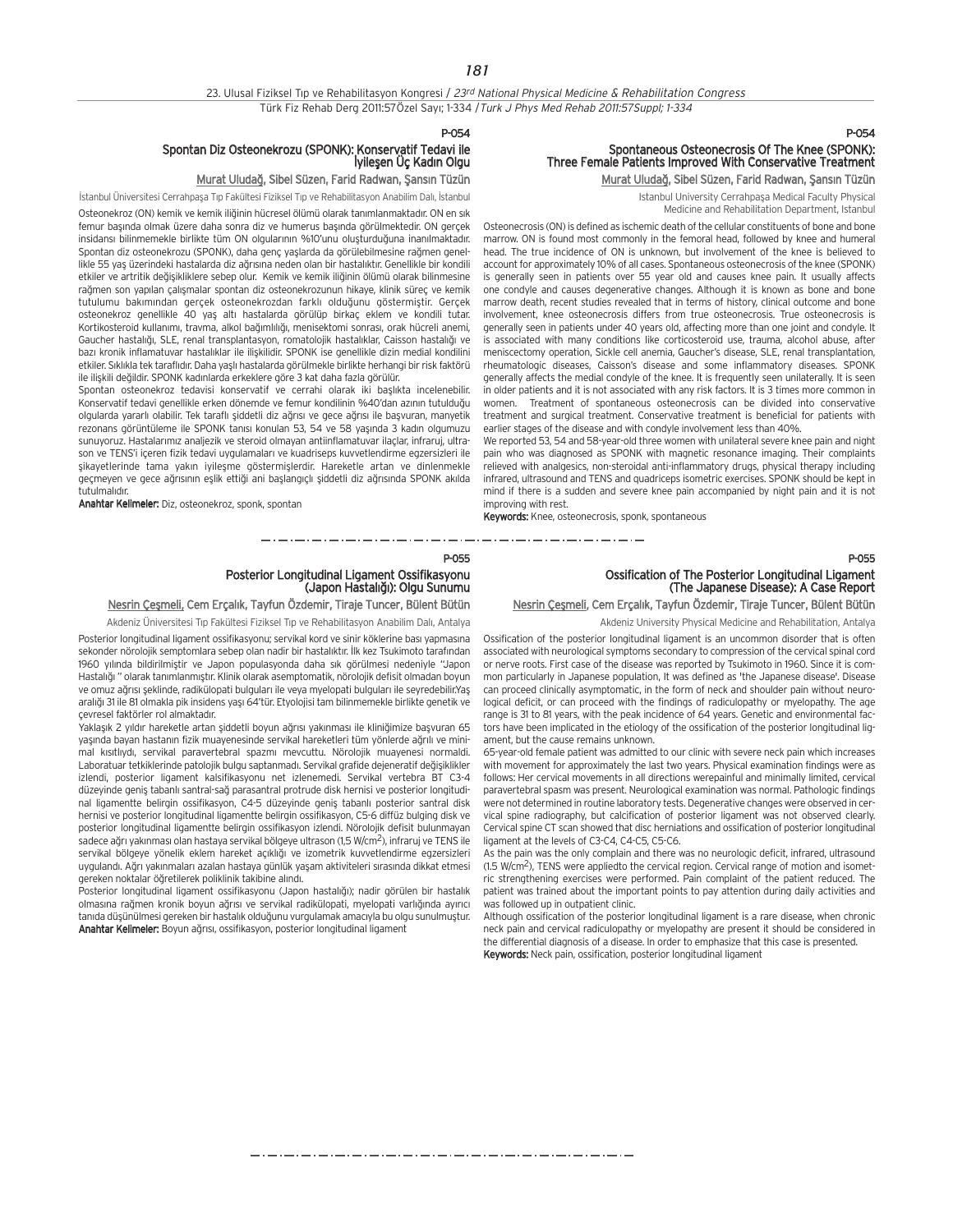P-054

## Spontan Diz Osteonekrozu (SPONK): Konservatif Tedavi ile<br>Iyileşen Üç Kadın Olgu

#### Murat Uludağ, Sibel Süzen, Farid Radwan, Şansın Tüzün

İstanbul Üniversitesi Cerrahpaşa Tıp Fakültesi Fiziksel Tıp ve Rehabilitasyon Anabilim Dalı, İstanbul Osteonekroz (ON) kemik ve kemik iliğinin hücresel ölümü olarak tanımlanmaktadır. ON en sık femur başında olmak üzere daha sonra diz ve humerus başında görülmektedir. ON gerçek insidansı bilinmemekle birlikte tüm ON olgularının %10'unu oluşturduğuna inanılmaktadır. Spontan diz osteonekrozu (SPONK), daha genç yaşlarda da görülebilmesine rağmen genellikle 55 yaş üzerindeki hastalarda diz ağrısına neden olan bir hastalıktır. Genellikle bir kondili etkiler ve artritik değisikliklere sebep olur. Kemik ve kemik iliğinin ölümü olarak bilinmesine rağmen son yapılan çalışmalar spontan diz osteonekrozunun hikaye, klinik süreç ve kemik tutulumu bakımından gerçek osteonekrozdan farklı olduğunu göstermiştir. Gerçek osteonekroz genellikle 40 yaş altı hastalarda görülüp birkaç eklem ve kondili tutar. Kortikosteroid kullanımı, travma, alkol bağımlılığı, menisektomi sonrası, orak hücreli anemi, Gaucher hastalığı, SLE, renal transplantasyon, romatolojik hastalıklar, Caisson hastalığı ve bazı kronik inflamatuvar hastalıklar ile ilişkilidir. SPONK ise genellikle dizin medial kondilini etkiler. Sıklıkla tek taraflıdır. Daha yaşlı hastalarda görülmekle birlikte herhangi bir risk faktörü ile ilişkili değildir. SPONK kadınlarda erkeklere göre 3 kat daha fazla görülür.

Spontan osteonekroz tedavisi konservatif ve cerrahi olarak iki başlıkta incelenebilir. Konservatif tedavi genellikle erken dönemde ve femur kondilinin %40'dan azının tutulduğu olgularda yararlı olabilir. Tek taraflı siddetli diz ağrısı ve gece ağrısı ile başyuran, manyetik rezonans görüntüleme ile SPONK tanısı konulan 53, 54 ve 58 yasında 3 kadın olgumuzu sunuvoruz. Hastalarımız analiezik ve steroid olmayan antiinflamatuvar ilaçlar, infraruj, ultrason ve TENS'i içeren fizik tedavi uygulamaları ve kuadriseps kuvvetlendirme egzersizleri ile şikayetlerinde tama yakın iyileşme göstermişlerdir. Hareketle artan ve dinlenmekle geçmeyen ve gece ağrısının eşlik ettiği ani başlangıçlı şiddetli diz ağrısında SPONK akılda tutulmalıdır.

Anahtar Kelimeler: Diz, osteonekroz, sponk, spontan

## P-054 Spontaneous Osteonecrosis Of The Knee (SPONK): Three Female Patients Improved With Conservative Treatment Murat Uludağ, Sibel Süzen, Farid Radwan, Şansın Tüzün

Istanbul University Cerrahpaşa Medical Faculty Physical Medicine and Rehabilitation Department, Istanbul

Osteonecrosis (ON) is defined as ischemic death of the cellular constituents of bone and bone marrow. ON is found most commonly in the femoral head, followed by knee and humeral head. The true incidence of ON is unknown, but involvement of the knee is believed to account for approximately 10% of all cases. Spontaneous osteonecrosis of the knee (SPONK) is generally seen in patients over 55 year old and causes knee pain. It usually affects one condyle and causes degenerative changes. Although it is known as bone and bone marrow death, recent studies revealed that in terms of history, clinical outcome and bone involvement, knee osteonecrosis differs from true osteonecrosis. True osteonecrosis is generally seen in patients under 40 years old, affecting more than one joint and condyle. It is associated with many conditions like corticosteroid use, trauma, alcohol abuse, after meniscectomy operation, Sickle cell anemia, Gaucher's disease, SLE, renal transplantation, rheumatologic diseases, Caisson's disease and some inflammatory diseases. SPONK generally affects the medial condyle of the knee. It is frequently seen unilaterally. It is seen in older patients and it is not associated with any risk factors. It is 3 times more common in women. Treatment of spontaneous osteonecrosis can be divided into conservative treatment and surgical treatment. Conservative treatment is beneficial for patients with earlier stages of the disease and with condyle involvement less than 40%.

We reported 53, 54 and 58-year-old three women with unilateral severe knee pain and night pain who was diagnosed as SPONK with magnetic resonance imaging. Their complaints relieved with analgesics, non-steroidal anti-inflammatory drugs, physical therapy including infrared, ultrasound and TENS and quadriceps isometric exercises. SPONK should be kept in mind if there is a sudden and severe knee pain accompanied by night pain and it is not improving with rest.

Keywords: Knee, osteonecrosis, sponk, spontaneous

\_\_\_\_\_\_\_\_\_\_\_\_\_\_\_\_\_\_\_\_\_\_\_\_\_\_\_\_\_\_\_

#### P-055

## Posterior Longitudinal Ligament Ossifikasyonu<br>Japon Hastalığı): Olgu Sunumu)

Nesrin Cesmeli, Cem Ercalık, Tayfun Özdemir, Tiraje Tuncer, Bülent Bütün

Akdeniz Üniversitesi Tıp Fakültesi Fiziksel Tıp ve Rehabilitasyon Anabilim Dalı, Antalya

Posterior longitudinal ligament ossifikasyonu; servikal kord ve sinir köklerine bası yapmasına sekonder nörolojik semptomlara sebep olan nadir bir hastalıktır. İlk kez Tsukimoto tarafından 1960 yılında bildirilmiştir ve Japon populasyonda daha sık görülmesi nedeniyle "Japon Hastalığı " olarak tanımlanmıştır. Klinik olarak asemptomatik, nörolojik defisit olmadan boyun ve omuz ağrısı şeklinde, radikülopati bulguları ile veya myelopati bulguları ile seyredebilir.Yaş aralığı 31 ile 81 olmakla pik insidens yaşı 64'tür. Etyolojisi tam bilinmemekle birlikte genetik ve çevresel faktörler rol almaktad›r.

y<br>Yaklaşık 2 yıldır hareketle artan şiddetli boyun ağrısı yakınması ile kliniğimize başvuran 65 yaşında bayan hastanın fizik muayenesinde servikal hareketleri tüm yönlerde ağrılı ve minimal kısıtlıydı, servikal paravertebral spazmı mevcuttu. Nörolojik muavenesi normaldi. Laboratuar tetkiklerinde patolojik bulgu saptanmadı. Servikal grafide dejeneratif değişiklikler izlendi, posterior ligament kalsifikasyonu net izlenemedi. Servikal vertebra BT C3-4 düzeyinde geniş tabanlı santral-sağ parasantral protrude disk hernisi ve posterior longitudinal ligamentte belirgin ossifikasyon, C4-5 düzeyinde geniş tabanlı posterior santral disk hernisi ve posterior longitudinal ligamentte belirgin ossifikasyon, C5-6 diffüz bulging disk ve posterior longitudinal ligamentte belirgin ossifikasyon izlendi. Nörolojik defisit bulunmayan sadece ağrı yakınması olan hastaya servikal bölgeye ultrason (1,5 W/cm<sup>2</sup>), infraruj ve TENS ile servikal bölgeye yönelik eklem hareket açıklığı ve izometrik kuvvetlendirme egzersizleri uygulandı. Ağrı yakınmaları azalan hastaya günlük yaşam aktiviteleri sırasında dikkat etmesi gereken noktalar öğretilerek poliklinik takibine alındı.

y<br>Posterior longitudinal ligament ossifikasyonu (Japon hastalığı); nadir görülen bir hastalık olmasına rağmen kronik boyun ağrısı ve servikal radikülopati, myelopati varlığında ayırıcı tanıda düşünülmesi gereken bir hastalık olduğunu vurgulamak amacıyla bu olgu sunulmuştur. Anahtar Kelimeler: Boyun ağrısı, ossifikasyon, posterior longitudinal ligament

## Ossification of The Posterior Longitudinal Ligament (The Japanese Disease): A Case Report

## Nesrin Çeşmeli, Cem Erçalık, Tayfun Özdemir, Tiraje Tuncer, Bülent Bütün

Akdeniz University Physical Medicine and Rehabilitation, Antalya

Ossification of the posterior longitudinal ligament is an uncommon disorder that is often associated with neurological symptoms secondary to compression of the cervical spinal cord or nerve roots. First case of the disease was reported by Tsukimoto in 1960. Since it is common particularly in Japanese population, It was defined as 'the Japanese disease'. Disease can proceed clinically asymptomatic, in the form of neck and shoulder pain without neurological deficit, or can proceed with the findings of radiculopathy or myelopathy. The age range is 31 to 81 years, with the peak incidence of 64 years. Genetic and environmental factors have been implicated in the etiology of the ossification of the posterior longitudinal ligament, but the cause remains unknown.

65-year-old female patient was admitted to our clinic with severe neck pain which increases with movement for approximately the last two years. Physical examination findings were as follows: Her cervical movements in all directions werepainful and minimally limited, cervical paravertebral spasm was present. Neurological examination was normal. Pathologic findings were not determined in routine laboratory tests. Degenerative changes were observed in cervical spine radiography, but calcification of posterior ligament was not observed clearly. Cervical spine CT scan showed that disc herniations and ossification of posterior longitudinal ligament at the levels of C3-C4, C4-C5, C5-C6.

As the pain was the only complain and there was no neurologic deficit, infrared, ultrasound (1.5 W/cm2), TENS were appliedto the cervical region. Cervical range of motion and isometric strengthening exercises were performed. Pain complaint of the patient reduced. The patient was trained about the important points to pay attention during daily activities and was followed up in outpatient clinic.

Although ossification of the posterior longitudinal ligament is a rare disease, when chronic neck pain and cervical radiculopathy or myelopathy are present it should be considered in the differential diagnosis of a disease. In order to emphasize that this case is presented. Keywords: Neck pain, ossification, posterior longitudinal ligament

مترو متناول متناول متناول متناول متناول متناول متناول متناول متناول متناول متناول متناول متناول متناول متناول متناولات

P-055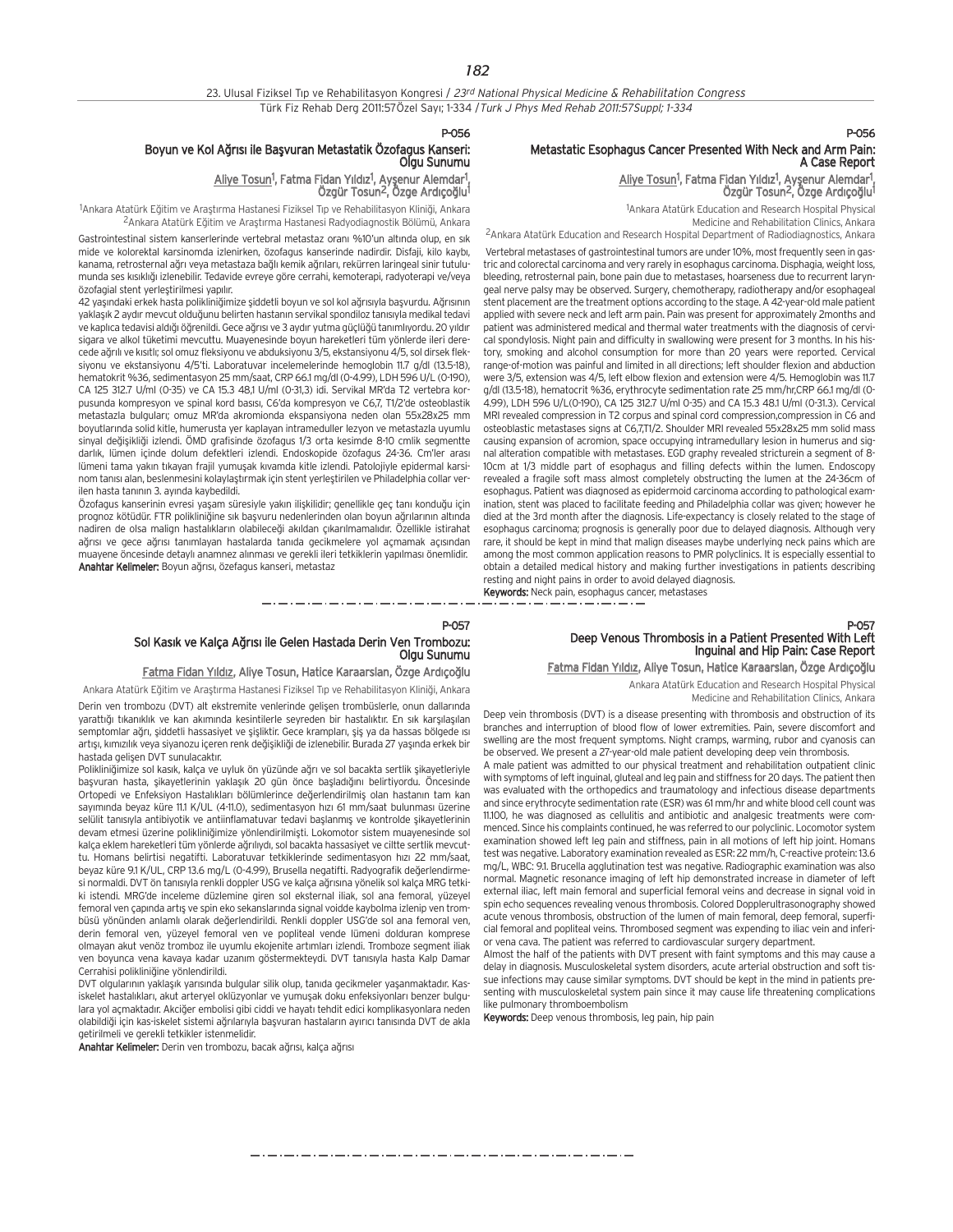#### P-056

## Boyun ve Kol Ağrısı ile Başvuran Metastatik Özofagus Kanseri:<br>Olgu Sunumu

Aliye Tosun<sup>1</sup>, Fatma Fidan Yıldız<sup>1</sup>, Ayşenur Alemdar<sup>1</sup>, Özgür Tosun<sup>2</sup>, Özge Ardıcoğlu<sup>1</sup>

<sup>1</sup>Ankara Atatürk Eğitim ve Araştırma Hastanesi Fiziksel Tıp ve Rehabilitasyon Kliniği, Ankara <sup>2</sup>Ankara Atatürk Eğitim ve Arastırma Hastanesi Radyodiagnostik Bölümü, Ankara

Gastrointestinal sistem kanserlerinde vertebral metastaz oranı %10'un altında olup, en sık mide ve kolorektal karsinomda izlenirken, özofagus kanserinde nadirdir. Disfaji, kilo kayb›, kanama. retrosternal ağrı veya metastaza bağlı kemik ağrıları, rekürren laringeal sinir tutulumunda ses kısıklığı izlenebilir. Tedavide evreye göre cerrahi, kemoterapi, radyoterapi ve/veya özofagial stent verlestirilmesi yapılır.

42 yaşındaki erkek hasta polikliniğimize şiddetli boyun ve sol kol ağrısıyla başvurdu. Ağrısının yaklaşık 2 aydır mevcut olduğunu belirten hastanın servikal spondiloz tanısıyla medikal tedavi ve kaplıca tedavisi aldığı öğrenildi. Gece ağrısı ve 3 aydır yutma güçlüğü tanımlıyordu. 20 yıldır sigara ve alkol tüketimi mevcuttu. Muayenesinde boyun hareketleri tüm yönlerde ileri derecede ağrılı ve kısıtlı; sol omuz fleksiyonu ve abduksiyonu 3/5, ekstansiyonu 4/5, sol dirsek fleksiyonu ve ekstansiyonu 4/5'ti. Laboratuvar incelemelerinde hemoglobin 11.7 g/dl (13.5-18), hematokrit %36, sedimentasyon 25 mm/saat, CRP 66.1 mg/dl (0-4.99), LDH 596 U/L (0-190), CA 125 312.7 U/ml (0-35) ve CA 15.3 48,1 U/ml (0-31,3) idi. Servikal MR'da T2 vertebra korpusunda kompresyon ve spinal kord basısı, C6'da kompresyon ve C6,7, T1/2'de osteoblastik metastazla bulguları; omuz MR'da akromionda ekspansiyona neden olan 55x28x25 mm boyutlarında solid kitle, humerusta yer kaplayan intrameduller lezyon ve metastazla uyumlu sinyal değişikliği izlendi. ÖMD grafisinde özofagus 1/3 orta kesimde 8-10 cmlik segmentte darlık, lümen içinde dolum defektleri izlendi. Endoskopide özofagus 24-36. Cm'ler arası lümeni tama yakın tıkayan frajil yumuşak kıvamda kitle izlendi. Patolojiyle epidermal karsinom tanısı alan, beslenmesini kolaylaştırmak için stent yerleştirilen ve Philadelphia collar verilen hasta tanının 3. ayında kaybedildi.

Özofagus kanserinin evresi yaşam süresiyle yakın ilişkilidir; genellikle geç tanı konduğu için prognoz kötüdür. FTR polikliniğine sık başvuru nedenlerinden olan boyun ağrılarının altında nadiren de olsa malign hastalıkların olabileceği akıldan çıkarılmamalıdır. Özellikle istirahat ağrısı ve gece ağrısı tanımlayan hastalarda tanıda gecikmelere yol açmamak açısından muayene öncesinde detaylı anamnez alınması ve gerekli ileri tetkiklerin yapılması önemlidir. Anahtar Kelimeler: Boyun ağrısı, özefagus kanseri, metastaz

### P-056

## Metastatic Esophagus Cancer Presented With Neck and Arm Pain: A Case Report

,Aliye Tosun<sup>1</sup>, Fatma Fidan Yıldız<sup>1</sup>, Ayşenur Alemdar<sup>1</sup><br>Özgür Tosun<sup>2</sup>, Özge Ardıçoğlu<sup>1</sup>

1 Ankara Atatürk Education and Research Hospital Physical Medicine and Rehabilitation Clinics, Ankara 2Ankara Atatürk Education and Research Hospital Department of Radiodiagnostics, Ankara

Vertebral metastases of gastrointestinal tumors are under 10%, most frequently seen in gastric and colorectal carcinoma and very rarely in esophagus carcinoma. Disphagia, weight loss, bleeding, retrosternal pain, bone pain due to metastases, hoarseness due to recurrent laryngeal nerve palsy may be observed. Surgery, chemotherapy, radiotherapy and/or esophageal stent placement are the treatment options according to the stage. A 42-year-old male patient applied with severe neck and left arm pain. Pain was present for approximately 2months and patient was administered medical and thermal water treatments with the diagnosis of cervical spondylosis. Night pain and difficulty in swallowing were present for 3 months. In his history, smoking and alcohol consumption for more than 20 years were reported. Cervical range-of-motion was painful and limited in all directions; left shoulder flexion and abduction were 3/5, extension was 4/5, left elbow flexion and extension were 4/5. Hemoglobin was 11.7 g/dl (13.5-18), hematocrit %36, erythrocyte sedimentation rate 25 mm/hr,CRP 66.1 mg/dl (0- 4.99), LDH 596 U/L(0-190), CA 125 312.7 U/ml 0-35) and CA 15.3 48.1 U/ml (0-31.3). Cervical MRI revealed compression in T2 corpus and spinal cord compression,compression in C6 and osteoblastic metastases signs at C6,7,T1/2. Shoulder MRI revealed 55x28x25 mm solid mass causing expansion of acromion, space occupying intramedullary lesion in humerus and signal alteration compatible with metastases. EGD graphy revealed stricturein a segment of 8- 10cm at 1/3 middle part of esophagus and filling defects within the lumen. Endoscopy revealed a fragile soft mass almost completely obstructing the lumen at the 24-36cm of esophagus. Patient was diagnosed as epidermoid carcinoma according to pathological examination, stent was placed to facilitate feeding and Philadelphia collar was given; however he died at the 3rd month after the diagnosis. Life-expectancy is closely related to the stage of esophagus carcinoma; prognosis is generally poor due to delayed diagnosis. Although very rare, it should be kept in mind that malign diseases maybe underlying neck pains which are among the most common application reasons to PMR polyclinics. It is especially essential to obtain a detailed medical history and making further investigations in patients describing resting and night pains in order to avoid delayed diagnosis.

Keywords: Neck pain, esophagus cancer, metastases

## P-057 Sol Kasık ve Kalça Ağrısı ile Gelen Hastada Derin Ven Trombozu:<br>Olgu Sunumu

## Fatma Fidan Yıldız, Aliye Tosun, Hatice Karaarslan, Özge Ardıçoğlu

Ankara Atatürk Eğitim ve Araştırma Hastanesi Fiziksel Tıp ve Rehabilitasyon Kliniği, Ankara

Derin ven trombozu (DVT) alt ekstremite venlerinde gelişen trombüslerle, onun dallarında yarattığı tıkanıklık ve kan akımında kesintilerle seyreden bir hastalıktır. En sık karşılaşılan semptomlar ağrı, siddetli hassasiyet ve sişliktir. Gece krampları, sis ya da hassas bölgede ısı artısı, kımızılık veya siyanozu içeren renk değişikliği de izlenebilir. Burada 27 yasında erkek bir hastada gelisen DVT sunulacaktır.

Polikliniğimize sol kasık, kalça ve uyluk ön yüzünde ağrı ve sol bacakta sertlik şikayetleriyle başvuran hasta, şikayetlerinin yaklaşık 20 gün önce başladığını belirtiyordu. Öncesinde Ortopedi ve Enfeksiyon Hastalıkları bölümlerince değerlendirilmiş olan hastanın tam kan sayımında beyaz küre 11.1 K/UL (4-11.0), sedimentasyon hızı 61 mm/saat bulunması üzerine selülit tanısıyla antibiyotik ve antiinflamatuvar tedavi başlanmış ve kontrolde şikayetlerinin devam etmesi üzerine polikliniğimize yönlendirilmişti. Lokomotor sistem muayenesinde sol kalça eklem hareketleri tüm yönlerde ağrılıydı, sol bacakta hassasiyet ve ciltte sertlik mevcuttu. Homans belirtisi negatifti. Laboratuvar tetkiklerinde sedimentasyon hızı 22 mm/saat, beyaz küre 9.1 K/UL, CRP 13.6 mg/L (0-4.99), Brusella negatifti. Radyografik değerlendirme si normaldi. DVT ön tanısıyla renkli doppler USG ve kalça ağrısına yönelik sol kalça MRG tetkiki istendi. MRG'de inceleme düzlemine giren sol eksternal iliak, sol ana femoral, yüzeyel femoral ven capında artış ve spin eko sekanslarında signal voidde kaybolma izlenip ven trombüsü yönünden anlaml› olarak de¤erlendirildi. Renkli doppler USG'de sol ana femoral ven, derin femoral ven, yüzeyel femoral ven ve popliteal vende lümeni dolduran komprese olmayan akut venöz tromboz ile uyumlu ekojenite artımları izlendi. Tromboze segment iliak ven boyunca yena kayaya kadar uzanım göstermekteydi. DVT tanısıyla hasta Kalp Damar Cerrahisi polikliniğine yönlendirildi.

DVT olgularının yaklaşık yarısında bulgular silik olup, tanıda gecikmeler yaşanmaktadır. Kasiskelet hastalıkları, akut arteryel oklüzyonlar ve yumuşak doku enfeksiyonları benzer bulgulara yol açmaktadır. Akciğer embolisi gibi ciddi ve hayatı tehdit edici komplikasyonlara neden olabildiği için kas-iskelet sistemi ağrılarıyla başvuran hastaların ayırıcı tanısında DVT de akla getirilmeli ve gerekli tetkikler istenmelidir.

Anahtar Kelimeler: Derin ven trombozu, bacak ağrısı, kalça ağrısı

## P-057 Deep Venous Thrombosis in a Patient Presented With Left Inguinal and Hip Pain: Case Report

#### Fatma Fidan Yıldız, Aliye Tosun, Hatice Karaarslan, Özge Ardıçoğlu

Ankara Atatürk Education and Research Hospital Physical

Medicine and Rehabilitation Clinics, Ankara

Deep vein thrombosis (DVT) is a disease presenting with thrombosis and obstruction of its branches and interruption of blood flow of lower extremities. Pain, severe discomfort and swelling are the most frequent symptoms. Night cramps, warming, rubor and cyanosis can be observed. We present a 27-year-old male patient developing deep vein thrombosis.

A male patient was admitted to our physical treatment and rehabilitation outpatient clinic with symptoms of left inguinal, gluteal and leg pain and stiffness for 20 days. The patient then was evaluated with the orthopedics and traumatology and infectious disease departments and since erythrocyte sedimentation rate (ESR) was 61 mm/hr and white blood cell count was 11.100, he was diagnosed as cellulitis and antibiotic and analgesic treatments were commenced. Since his complaints continued, he was referred to our polyclinic. Locomotor system examination showed left leg pain and stiffness, pain in all motions of left hip joint. Homans test was negative. Laboratory examination revealed as ESR: 22 mm/h, C-reactive protein: 13.6 mg/L, WBC: 9.1. Brucella agglutination test was negative. Radiographic examination was also normal. Magnetic resonance imaging of left hip demonstrated increase in diameter of left external iliac, left main femoral and superficial femoral veins and decrease in signal void in spin echo sequences revealing venous thrombosis. Colored Dopplerultrasonography showed acute venous thrombosis, obstruction of the lumen of main femoral, deep femoral, superficial femoral and popliteal veins. Thrombosed segment was expending to iliac vein and inferior vena cava. The patient was referred to cardiovascular surgery department.

Almost the half of the patients with DVT present with faint symptoms and this may cause a delay in diagnosis. Musculoskeletal system disorders, acute arterial obstruction and soft tissue infections may cause similar symptoms. DVT should be kept in the mind in patients presenting with musculoskeletal system pain since it may cause life threatening complications like pulmonary thromboembolism

Keywords: Deep venous thrombosis, leg pain, hip pain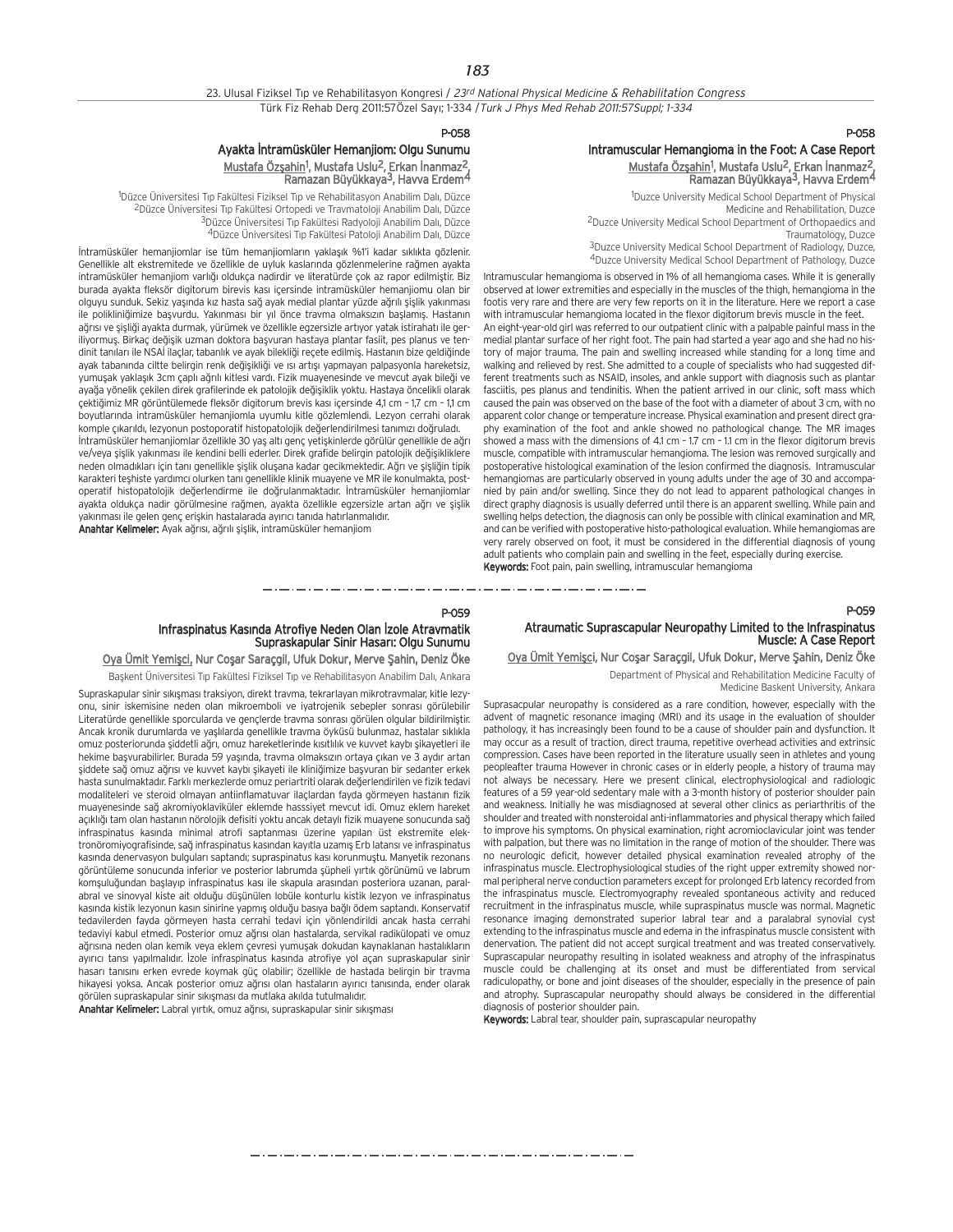23. Ulusal Fiziksel Tıp ve Rehabilitasyon Kongresi / 23rd National Physical Medicine & Rehabilitation Congress Türk Fiz Rehab Derg 2011:57Özel Sayı; 1-334 / Turk J Phys Med Rehab 2011:57Suppl; 1-334

## P-058

## Intramuscular Hemangioma in the Foot: A Case Report Mustafa Özşahin<sup>1</sup>, Mustafa Uslu<sup>2</sup>, Erkan İnanmaz<sup>2</sup>, Ramazan Büyükkaya3, Havva Erdem4

1 Duzce University Medical School Department of Physical Medicine and Rehabilitation, Duzce 2Duzce University Medical School Department of Orthopaedics and Traumatology, Duzce <sup>3</sup>Duzce University Medical School Department of Radiology, Duzce,

4Duzce University Medical School Department of Pathology, Duzce

Intramuscular hemangioma is observed in 1% of all hemangioma cases. While it is generally observed at lower extremities and especially in the muscles of the thigh, hemangioma in the footis very rare and there are very few reports on it in the literature. Here we report a case with intramuscular hemangioma located in the flexor digitorum brevis muscle in the feet. An eight-year-old girl was referred to our outpatient clinic with a palpable painful mass in the medial plantar surface of her right foot. The pain had started a year ago and she had no history of major trauma. The pain and swelling increased while standing for a long time and walking and relieved by rest. She admitted to a couple of specialists who had suggested different treatments such as NSAID, insoles, and ankle support with diagnosis such as plantar fasciitis, pes planus and tendinitis. When the patient arrived in our clinic, soft mass which caused the pain was observed on the base of the foot with a diameter of about 3 cm, with no apparent color change or temperature increase. Physical examination and present direct graphy examination of the foot and ankle showed no pathological change. The MR images showed a mass with the dimensions of 4.1 cm - 1.7 cm - 1.1 cm in the flexor digitorum brevis muscle, compatible with intramuscular hemangioma. The lesion was removed surgically and postoperative histological examination of the lesion confirmed the diagnosis. Intramuscular hemangiomas are particularly observed in young adults under the age of 30 and accompanied by pain and/or swelling. Since they do not lead to apparent pathological changes in direct graphy diagnosis is usually deferred until there is an apparent swelling. While pain and swelling helps detection, the diagnosis can only be possible with clinical examination and MR, and can be verified with postoperative histo-pathological evaluation. While hemangiomas are very rarely observed on foot, it must be considered in the differential diagnosis of young adult patients who complain pain and swelling in the feet, especially during exercise. Keywords: Foot pain, pain swelling, intramuscular hemangioma

## Atraumatic Suprascapular Neuropathy Limited to the Infraspinatus Muscle: A Case Report

Oya Ümit Yemişci, Nur Coşar Saraçgil, Ufuk Dokur, Merve Şahin, Deniz Öke Department of Physical and Rehabilitation Medicine Faculty of

Medicine Baskent University, Ankara

Suprasacpular neuropathy is considered as a rare condition, however, especially with the advent of magnetic resonance imaging (MRI) and its usage in the evaluation of shoulder pathology, it has increasingly been found to be a cause of shoulder pain and dysfunction. It may occur as a result of traction, direct trauma, repetitive overhead activities and extrinsic compression. Cases have been reported in the literature usually seen in athletes and young peopleafter trauma However in chronic cases or in elderly people, a history of trauma may not always be necessary. Here we present clinical, electrophysiological and radiologic features of a 59 year-old sedentary male with a 3-month history of posterior shoulder pain and weakness. Initially he was misdiagnosed at several other clinics as periarthritis of the shoulder and treated with nonsteroidal anti-inflammatories and physical therapy which failed to improve his symptoms. On physical examination, right acromioclavicular joint was tender with palpation, but there was no limitation in the range of motion of the shoulder. There was no neurologic deficit, however detailed physical examination revealed atrophy of the infraspinatus muscle. Electrophysiological studies of the right upper extremity showed normal peripheral nerve conduction parameters except for prolonged Erb latency recorded from the infraspinatus muscle. Electromyography revealed spontaneous activity and reduced recruitment in the infraspinatus muscle, while supraspinatus muscle was normal. Magnetic resonance imaging demonstrated superior labral tear and a paralabral synovial cyst extending to the infraspinatus muscle and edema in the infraspinatus muscle consistent with denervation. The patient did not accept surgical treatment and was treated conservatively. Suprascapular neuropathy resulting in isolated weakness and atrophy of the infraspinatus muscle could be challenging at its onset and must be differentiated from servical radiculopathy, or bone and joint diseases of the shoulder, especially in the presence of pain and atrophy. Suprascapular neuropathy should always be considered in the differential diagnosis of posterior shoulder pain.

Keywords: Labral tear, shoulder pain, suprascapular neuropathy

## P-058

## Ayakta İntramüsküler Hemanjiom: Olgu Sunumu <u>Mustafa Özşahin</u><sup>1</sup>, Mustafa Uslu<sup>2</sup>, Erkan İnanmaz<sup>2</sup>, Ramazan Büyükkaya3, Havva Erdem4

<sup>1</sup>Düzce Üniversitesi Tıp Fakültesi Fiziksel Tıp ve Rehabilitasyon Anabilim Dalı, Düzce <sup>2</sup>Düzce Üniversitesi Tıp Fakültesi Ortopedi ve Travmatoloji Anabilim Dalı, Düzce <sup>3</sup>Düzce Üniversitesi Tıp Fakültesi Radyoloji Anabilim Dalı, Düzce 4Düzce Üniversitesi Tıp Fakültesi Patoloji Anabilim Dalı, Düzce

İntramüsküler hemanjiomlar ise tüm hemanjiomların yaklaşık %1'i kadar sıklıkta gözlenir. Genellikle alt ekstremitede ve özellikle de uyluk kaslarında gözlenmelerine rağmen ayakta intramüsküler hemanjiom varlığı oldukça nadirdir ve literatürde çok az rapor edilmiştir. Biz burada ayakta fleksör digitorum birevis kas› içersinde intramüsküler hemanjiomu olan bir olguyu sunduk. Sekiz yasında kız hasta sağ ayak medial plantar yüzde ağrılı sislik yakınması ile polikliniğimize başvurdu. Yakınması bir yıl önce travma olmaksızın başlamış. Hastanın ağrısı ve şişliği ayakta durmak, yürümek ve özellikle egzersizle artıyor yatak istirahatı ile geriliyormuş. Birkaç değişik uzman doktora başvuran hastaya plantar fasiit, pes planus ve tendinit tanıları ile NSAİ ilaçlar, tabanlık ve ayak bilekliği reçete edilmiş. Hastanın bize geldiğinde ayak tabanında ciltte belirgin renk değişikliği ve ısı artışı yapmayan palpasyonla hareketsiz, yumuşak yaklaşık 3cm çaplı ağrılı kitlesi vardı. Fizik muayenesinde ve mevcut ayak bileği ve aya¤a yönelik çekilen direk grafilerinde ek patolojik de¤ifliklik yoktu. Hastaya öncelikli olarak çektiğimiz MR görüntülemede fleksör digitorum brevis kası içersinde 4,1 cm - 1,7 cm - 1,1 cm boyutlar›nda intramüsküler hemanjiomla uyumlu kitle gözlemlendi. Lezyon cerrahi olarak komple çıkarıldı, lezyonun postoporatif histopatolojik değerlendirilmesi tanımızı doğruladı. İntramüsküler hemanjiomlar özellikle 30 yas altı genç yetişkinlerde görülür genellikle de ağrı

ve/veva sislik yakınması ile kendini belli ederler. Direk grafide belirgin patolojik değişikliklere neden olmadıkları için tanı genellikle sişlik oluşana kadar geçikmektedir. Ağrı ve şişliğin tipik karakteri teşhiste yardımcı olurken tanı genellikle klinik muayene ve MR ile konulmakta, postoperatif histopatolojik değerlendirme ile doğrulanmaktadır. İntramüsküler hemanjiomlar ayakta oldukça nadir görülmesine rağmen, ayakta özellikle egzersizle artan ağrı ve şişlik yakınması ile gelen genç erişkin hastalarada ayırıcı tanıda hatırlanmalıdır.

Anahtar Kelimeler: Ayak ağrısı, ağrılı şişlik, intramüsküler hemanjiom

### P-059

## Infraspinatus Kasında Atrofiye Neden Olan İzole Atravmatik<br>Supraskapular Sinir Hasarı: Olgu Sunumu

Oya Ümit Yemişci, Nur Coşar Saraçgil, Ufuk Dokur, Merve Şahin, Deniz Öke Başkent Üniversitesi Tıp Fakültesi Fiziksel Tıp ve Rehabilitasyon Anabilim Dalı, Ankara

Supraskapular sinir sıkışması traksiyon, direkt travma, tekrarlayan mikrotravmalar, kitle lezyonu, sinir iskemisine neden olan mikroemboli ve iyatrojenik sebepler sonrası görülebilir Literatürde genellikle sporcularda ve genclerde travma sonrası görülen olgular bildirilmiştir. Ancak kronik durumlarda ve yaşlılarda genellikle travma öyküsü bulunmaz, hastalar sıklıkla omuz posteriorunda siddetli ağrı, omuz hareketlerinde kısıtlılık ve kuvvet kaybı sikayetleri ile hekime basyurabilirler. Burada 59 yasında, trayma olmaksızın ortaya çıkan ve 3 aydır artan şiddete sağ omuz ağrısı ve kuvvet kaybı şikayeti ile kliniğimize başvuran bir sedanter erkek hasta sunulmaktadır. Farklı merkezlerde omuz periartriti olarak değerlendirilen ve fizik tedavi modaliteleri ve steroid olmayan antiinflamatuvar ilaçlardan fayda görmeyen hastanın fizik muayenesinde sağ akromiyoklaviküler eklemde hasssiyet mevcut idi. Omuz eklem hareket açıklığı tam olan hastanın nörolojik defisiti yoktu ancak detaylı fizik muayene sonucunda sağ infraspinatus kasında minimal atrofi saptanması üzerine yapılan üst ekstremite elektronöromiyografisinde, sağ infraspinatus kasından kayıtla uzamış Erb latansı ve infraspinatus kasında denervasyon bulguları saptandı; supraspinatus kası korunmuştu. Manyetik rezonans görüntüleme sonucunda inferior ve posterior labrumda şüpheli yırtık görünümü ve labrum komşuluğundan başlayıp infraspinatus kası ile skapula arasından posteriora uzanan, paralabral ve sinovyal kiste ait olduğu düşünülen lobüle konturlu kistik lezyon ve infraspinatus kasında kistik lezyonun kasın sinirine yapmış olduğu basıya bağlı ödem saptandı. Konservatif tedavilerden fayda görmeyen hasta cerrahi tedavi için yönlendirildi ancak hasta cerrahi tedaviyi kabul etmedi. Posterior omuz ağrısı olan hastalarda, servikal radikülopati ve omuz ağrısına neden olan kemik veya eklem çevresi yumuşak dokudan kaynaklanan hastalıkların ayırıcı tansı yapılmalıdır. İzole infraspinatus kasında atrofiye yol açan supraskapular sinir hasarı tanısını erken evrede koymak güç olabilir; özellikle de hastada belirgin bir travma hikayesi yoksa. Ancak posterior omuz ağrısı olan hastaların ayırıcı tanısında, ender olarak görülen supraskapular sinir sıkışması da mutlaka akılda tutulmalıdır.

Anahtar Kelimeler: Labral yırtık, omuz ağrısı, supraskapular sinir sıkışması

مترو متناول متناول متناول متناول متناول متناول متناول متناول متناول متناول متناول متناول متناول متناول متناول متناولات

P-059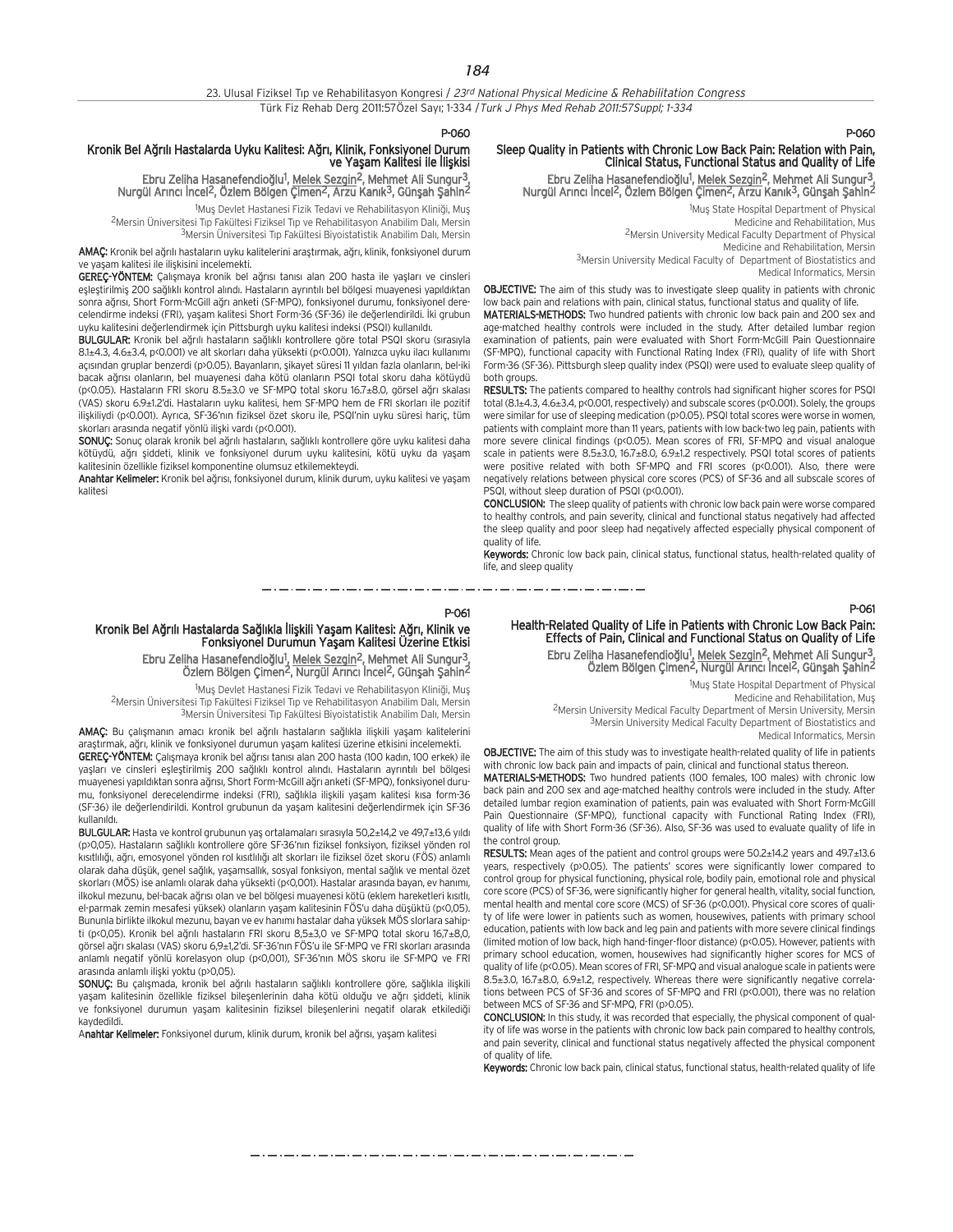#### P-060

P-061

## Kronik Bel Ağrılı Hastalarda Uyku Kalitesi: Ağrı, Klinik, Fonksiyonel Durum ve Yaşam Kalitesi ile İlişkisi

Ebru Zeliha Hasanefendioğlu<sup>1</sup>, <u>Melek Sezgin</u><sup>2</sup>, Mehmet Ali Sungur<sup>3</sup>, Nurgül Arıncı İncel<sup>2</sup>, Özlem Bölgen Çimen<sup>2</sup>, Arzu Kanık<sup>3</sup>, Günşah Şahin<sup>2</sup>

<sup>1</sup>Muş Devlet Hastanesi Fizik Tedavi ve Rehabilitasyon Kliniği, Muş <sup>2</sup>Mersin Üniversitesi Tıp Fakültesi Fiziksel Tıp ve Rehabilitasyon Anabilim Dalı, Mersin 3Mersin Üniversitesi Tıp Fakültesi Biyoistatistik Anabilim Dalı, Mersin

AMAC: Kronik bel ağrılı hastaların uyku kalitelerini arastırmak, ağrı, klinik, fonksiyonel durum ve yasam kalitesi ile iliskisini incelemekti.

GEREÇ-YÖNTEM: Çalışmaya kronik bel ağrısı tanısı alan 200 hasta ile yaşları ve cinsleri eşleştirilmiş 200 sağlıklı kontrol alındı. Hastaların ayrıntılı bel bölgesi muayenesi yapıldıktan sonra ağrısı, Short Form-McGill ağrı anketi (SF-MPQ), fonksiyonel durumu, fonksiyonel derecelendirme indeksi (FRI), yaşam kalitesi Short Form-36 (SF-36) ile değerlendirildi. İki grubun uyku kalitesini değerlendirmek için Pittsburgh uyku kalitesi indeksi (PSQI) kullanıldı.

BULGULAR: Kronik bel ağrılı hastaların sağlıklı kontrollere göre total PSQI skoru (sırasıyla 8.1±4.3, 4.6±3.4, p<0.001) ve alt skorları daha yüksekti (p<0.001). Yalnızca uyku ilacı kullanımı açısından gruplar benzerdi (p>0.05). Bayanların, şikayet süresi 11 yıldan fazla olanların, bel-iki bacak ağrısı olanların, bel muayenesi daha kötü olanların PSQI total skoru daha kötüydü (p<0.05). Hastaların FRI skoru 8.5±3.0 ve SF-MPQ total skoru 16.7±8.0, görsel ağrı skalası (VAS) skoru 6.9±1.2'di. Hastaların uyku kalitesi, hem SF-MPQ hem de FRI skorları ile pozitif ilişkiliydi (p<0.001). Ayrıca, SF-36'nın fiziksel özet skoru ile, PSQI'nin uyku süresi hariç, tüm skorları arasında negatif yönlü ilişki vardı (p<0.001).

SONUC: Sonuç olarak kronik bel ağrılı hastaların, sağlıklı kontrollere göre uyku kalitesi daha kötüydü, ağrı şiddeti, klinik ve fonksiyonel durum uyku kalitesini, kötü uyku da yaşam kalitesinin özellikle fiziksel komponentine olumsuz etkilemekteydi.

Anahtar Kelimeler: Kronik bel ağrısı, fonksiyonel durum, klinik durum, uyku kalitesi ve yaşam kalitesi

## P-060

## Sleep Quality in Patients with Chronic Low Back Pain: Relation with Pain, Clinical Status, Functional Status and Quality of Life

Ebru Zeliha Hasanefendioğlu<sup>1</sup>, Melek Sezgin<sup>2</sup>, Mehmet Ali Sungur<sup>3</sup>, Nurgül Arıncı İncel<sup>2</sup>, Özlem Bölgen Çimen<sup>2</sup>, Arzu Kanık<sup>3</sup>, Günşah Şahin<sup>2</sup>

> <sup>1</sup>Muş State Hospital Department of Physical Medicine and Rehabilitation, Mus 2Mersin University Medical Faculty Department of Physical Medicine and Rehabilitation, Mersin 3Mersin University Medical Faculty of Department of Biostatistics and

Medical Informatics, Mersin

OBJECTIVE: The aim of this study was to investigate sleep quality in patients with chronic low back pain and relations with pain, clinical status, functional status and quality of life.

MATERIALS-METHODS: Two hundred patients with chronic low back pain and 200 sex and age-matched healthy controls were included in the study. After detailed lumbar region examination of patients, pain were evaluated with Short Form-McGill Pain Questionnaire (SF-MPQ), functional capacity with Functional Rating Index (FRI), quality of life with Short Form-36 (SF-36). Pittsburgh sleep quality index (PSQI) were used to evaluate sleep quality of both groups.

RESULTS: The patients compared to healthy controls had significant higher scores for PSQI total (8.1±4.3, 4.6±3.4, p<0.001, respectively) and subscale scores (p<0.001). Solely, the groups were similar for use of sleeping medication (p>0.05). PSQI total scores were worse in women, patients with complaint more than 11 years, patients with low back-two leg pain, patients with more severe clinical findings (p<0.05). Mean scores of FRI, SF-MPQ and visual analogue scale in patients were 8.5±3.0, 16.7±8.0, 6.9±1.2 respectively. PSQI total scores of patients were positive related with both SF-MPQ and FRI scores (p<0.001). Also, there were negatively relations between physical core scores (PCS) of SF-36 and all subscale scores of PSQI, without sleep duration of PSQI (p<0.001).

CONCLUSION: The sleep quality of patients with chronic low back pain were worse compared to healthy controls, and pain severity, clinical and functional status negatively had affected the sleep quality and poor sleep had negatively affected especially physical component of quality of life.

Keywords: Chronic low back pain, clinical status, functional status, health-related quality of life, and sleep quality

\_\_\_\_\_\_\_\_\_\_\_\_\_\_\_\_\_\_\_\_\_\_\_\_

## P-061

Health-Related Quality of Life in Patients with Chronic Low Back Pain: Effects of Pain, Clinical and Functional Status on Quality of Life Ebru Zeliha Hasanefendioğlu<sup>1</sup>, Melek Sezgin<sup>2</sup>, Mehmet Ali Sungur<sup>3</sup>,

Özlem Bölgen Çimen<sup>2</sup>, Nurgül Arıncı İncel<sup>2</sup>, Günşah Şahin<sup>2</sup>

1Muş State Hospital Department of Physical Medicine and Rehabilitation, Mus

2Mersin University Medical Faculty Department of Mersin University, Mersin 3Mersin University Medical Faculty Department of Biostatistics and Medical Informatics, Mersin

OBJECTIVE: The aim of this study was to investigate health-related quality of life in patients with chronic low back pain and impacts of pain, clinical and functional status thereon.

MATERIALS-METHODS: Two hundred patients (100 females, 100 males) with chronic low back pain and 200 sex and age-matched healthy controls were included in the study. After detailed lumbar region examination of patients, pain was evaluated with Short Form-McGill Pain Questionnaire (SF-MPQ), functional capacity with Functional Rating Index (FRI), quality of life with Short Form-36 (SF-36). Also, SF-36 was used to evaluate quality of life in the control group.

RESULTS: Mean ages of the patient and control groups were 50.2±14.2 years and 49.7±13.6 years, respectively (p>0.05). The patients' scores were significantly lower compared to control group for physical functioning, physical role, bodily pain, emotional role and physical core score (PCS) of SF-36, were significantly higher for general health, vitality, social function, mental health and mental core score (MCS) of SF-36 (p<0.001). Physical core scores of quality of life were lower in patients such as women, housewives, patients with primary school education, patients with low back and leg pain and patients with more severe clinical findings (limited motion of low back, high hand-finger-floor distance) (p<0.05). However, patients with primary school education, women, housewives had significantly higher scores for MCS of quality of life (p<0.05). Mean scores of FRI, SF-MPQ and visual analogue scale in patients were 8.5±3.0, 16.7±8.0, 6.9±1.2, respectively. Whereas there were significantly negative correlations between PCS of SF-36 and scores of SF-MPQ and FRI (p<0.001), there was no relation between MCS of SF-36 and SF-MPQ, FRI (p>0.05).

CONCLUSION: In this study, it was recorded that especially, the physical component of quality of life was worse in the patients with chronic low back pain compared to healthy controls, and pain severity, clinical and functional status negatively affected the physical component of quality of life.

Keywords: Chronic low back pain, clinical status, functional status, health-related quality of life

مترو متوارد متوارد متوارد متوارد متوارد متوارد متوارد متوارد متوارد متوارد متوارد متوارد متوارد متوارد متوارد متوارد متوارد

Kronik Bel Ağrılı Hastalarda Sağlıkla İlişkili Yaşam Kalitesi: Ağrı, Klinik ve Fonksiyonel Durumun Yaşam Kalitesi Üzerine Etkisi Ebru Zeliha Hasanefendioğlu<sup>1</sup>, <u>Melek Sezgin<sup>2</sup>,</u> Mehmet Ali Sungur<sup>3</sup>,

Özlem Bölgen Çimen<sup>2</sup>, Nurgül Arıncı İncel<sup>2</sup>, Günşah Şahin<sup>2</sup>

1Muş Devlet Hastanesi Fizik Tedavi ve Rehabilitasyon Kliniği, Muş <sup>2</sup>Mersin Üniversitesi Tıp Fakültesi Fiziksel Tıp ve Rehabilitasyon Anabilim Dalı, Mersin 3Mersin Üniversitesi Tıp Fakültesi Biyoistatistik Anabilim Dalı, Mersin

AMAÇ: Bu çalışmanın amacı kronik bel ağrılı hastaların sağlıkla ilişkili yaşam kalitelerini arastırmak, ağrı, klinik ve fonksiyonel durumun yasam kalitesi üzerine etkisini incelemekti. GEREC-YÖNTEM: Calismaya kronik bel ağrısı tanısı alan 200 hasta (100 kadın, 100 erkek) ile yaşları ve cinsleri eşleştirilmiş 200 sağlıklı kontrol alındı. Hastaların ayrıntılı bel bölgesi muayenesi yapıldıktan sonra ağrısı, Short Form-McGill ağrı anketi (SF-MPQ), fonksiyonel durumu, fonksiyonel derecelendirme indeksi (FRI), sağlıkla ilişkili yaşam kalitesi kısa form-36 (SF-36) ile değerlendirildi. Kontrol grubunun da yaşam kalitesini değerlendirmek için SF-36 kullanıldı.

BULGULAR: Hasta ve kontrol grubunun yaş ortalamaları sırasıyla 50,2±14,2 ve 49,7±13,6 yıldı (p>0,05). Hastaların sağlıklı kontrollere göre SF-36'nın fiziksel fonksiyon, fiziksel yönden rol kısıtlılığı, ağrı, emosyonel yönden rol kısıtlılığı alt skorları ile fiziksel özet skoru (FÖS) anlamlı olarak daha düşük, genel sağlık, yaşamsallık, sosyal fonksiyon, mental sağlık ve mental özet skorları (MÖS) ise anlamlı olarak daha yüksekti (p<0,001). Hastalar arasında bayan, ev hanımı, ilkokul mezunu, bel-bacak ağrısı olan ve bel bölgesi muayenesi kötü (eklem hareketleri kısıtlı, el-parmak zemin mesafesi yüksek) olanların yaşam kalitesinin FÖS'u daha düşüktü (p<0,05). Bununla birlikte ilkokul mezunu, bayan ve ev hanımı hastalar daha yüksek MÖS slorlara sahipti (p<0,05). Kronik bel ağrılı hastaların FRI skoru 8,5±3,0 ve SF-MPQ total skoru 16,7±8,0, görsel ağrı skalası (VAS) skoru 6,9±1,2'di. SF-36'nın FÖS'u ile SF-MPQ ve FRI skorları arasında anlamlı negatif yönlü korelasyon olup (p<0,001), SF-36'nın MÖS skoru ile SF-MPQ ve FRI arasında anlamlı iliski yoktu (p>0,05).

SONUÇ: Bu çalışmada, kronik bel ağrılı hastaların sağlıklı kontrollere göre, sağlıkla ilişkili yaşam kalitesinin özellikle fiziksel bileşenlerinin daha kötü olduğu ve ağrı şiddeti, klinik ve fonksiyonel durumun yaşam kalitesinin fiziksel bileşenlerini negatif olarak etkilediği kaydedildi.

Anahtar Kelimeler: Fonksiyonel durum, klinik durum, kronik bel ağrısı, yaşam kalitesi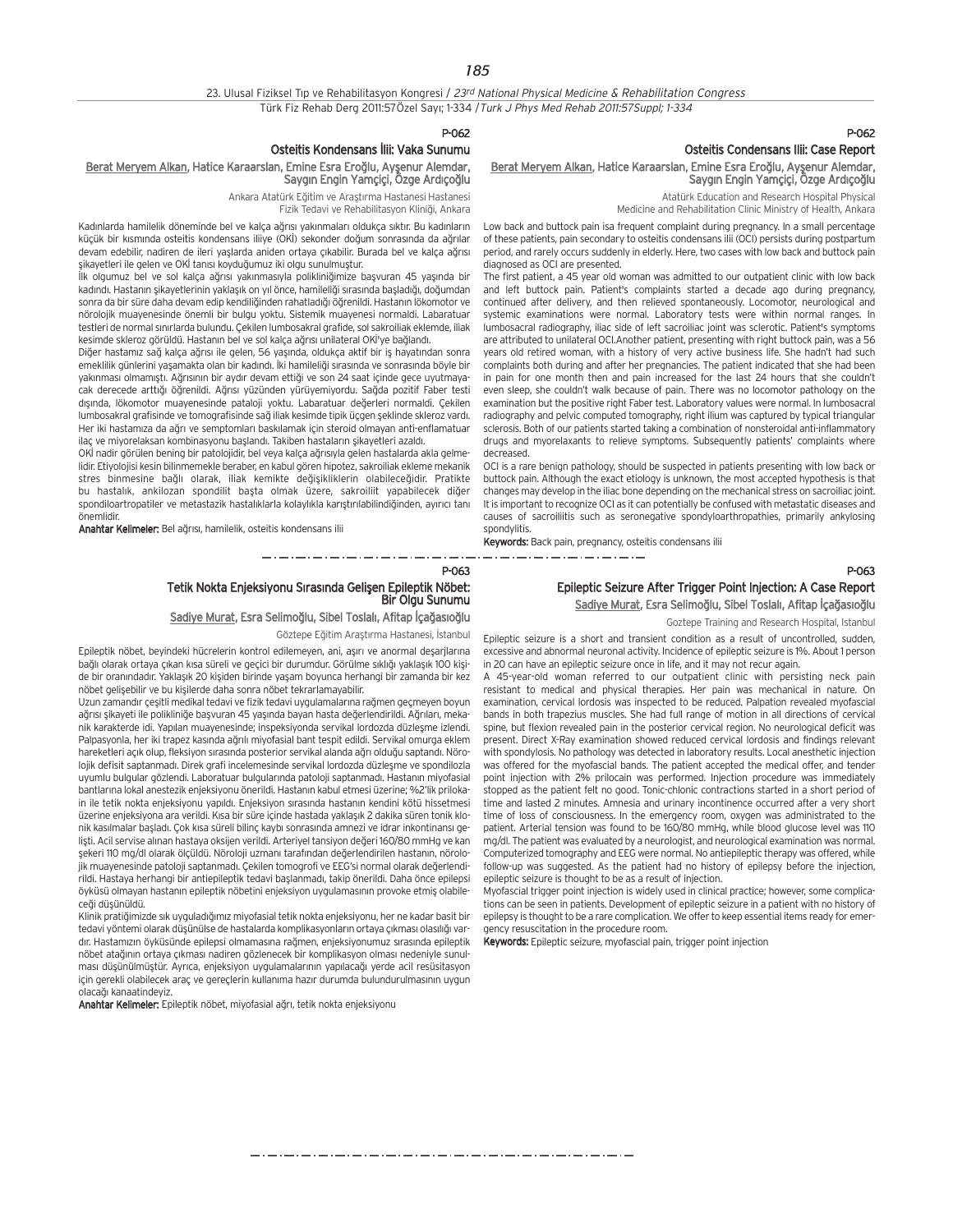P-062

### Osteitis Kondensans İlii: Vaka Sunumu

## Berat Meryem Alkan, Hatice Karaarslan, Emine Esra Eroğlu, Ayşenur Alemdar, Saygın Engin Yamçiçi, Özge Ardıçoğlu

Ankara Atatürk Eğitim ve Araştırma Hastanesi Hastanesi Fizik Tedavi ve Rehabilitasyon Kliniği, Ankara

Kadınlarda hamilelik döneminde bel ve kalça ağrısı yakınmaları oldukça sıktır. Bu kadınların küçük bir kısmında osteitis kondensans iliiye (OKİ) sekonder doğum sonrasında da ağrılar devam edebilir, nadiren de ileri yaşlarda aniden ortaya çıkabilir. Burada bel ve kalça ağrısı sikayetleri ile gelen ve OKİ tanısı koyduğumuz iki olgu sunulmuştur.

İlk olgumuz bel ve sol kalça ağrısı yakınmasıyla polikliniğimize başyuran 45 yaşında bir kadındı. Hastanın şikayetlerinin yaklaşık on yıl önce, hamileliği sırasında başladığı, doğumdan sonra da bir süre daha devam edip kendiliğinden rahatladığı öğrenildi. Hastanın lökomotor ve nörolojik muayenesinde önemli bir bulgu yoktu. Sistemik muayenesi normaldi. Labaratuar testleri de normal sınırlarda bulundu. Çekilen lumbosakral grafide, sol sakroiliak eklemde, iliak kesimde skleroz görüldü. Hastanın bel ve sol kalça ağrısı unilateral OKİ'ye bağlandı.

Diğer hastamız sağ kalça ağrısı ile gelen, 56 yaşında, oldukça aktif bir iş hayatından sonra emeklilik günlerini yaşamakta olan bir kadındı. İki hamileliği sırasında ve sonrasında böyle bir yakınması olmamıştı. Ağrısının bir aydır devam ettiği ve son 24 saat içinde gece uyutmayacak derecede arttığı öğrenildi. Ağrısı yüzünden yürüyemiyordu. Sağda pozitif Faber testi dışında, lökomotor muayenesinde pataloji yoktu. Labaratuar değerleri normaldi. Çekilen lumbosakral grafisinde ve tomografisinde sağ iliak kesimde tipik üçgen seklinde skleroz vardı. Her iki hastamıza da ağrı ve semptomları baskılamak için steroid olmayan anti-enflamatuar ilac ve miyorelaksan kombinasyonu baslandı. Takiben hastaların sikayetleri azaldı.

OKİ nadir görülen bening bir patolojidir, bel veya kalça ağrısıyla gelen hastalarda akla gelmelidir. Etiyolojisi kesin bilinmemekle beraber, en kabul gören hipotez, sakroiliak ekleme mekanik stres binmesine bağlı olarak, iliak kemikte değişikliklerin olabileceğidir. Pratikte bu hastalık, ankilozan spondilit başta olmak üzere, sakroiliit yapabilecek diğer spondiloartropatiler ve metastazik hastalıklarla kolaylıkla karıştırılabilindiğinden, ayırıcı tanı önemlidir.

Anahtar Kelimeler: Bel ağrısı, hamilelik, osteitis kondensans ilii

## P-063 Tetik Nokta Enjeksiyonu Sırasında Gelişen Epileptik Nöbet:<br>Bir Olgu Sunumu

Sadiye Murat, Esra Selimoğlu, Sibel Toslalı, Afitap İçağasıoğlu

Göztepe Eğitim Araştırma Hastanesi, İstanbul

Epileptik nöbet, beyindeki hücrelerin kontrol edilemeyen, ani, aşırı ve anormal deşarjlarına bağlı olarak ortaya çıkan kısa süreli ve geçici bir durumdur. Görülme sıklığı yaklaşık 100 kişide bir oranındadır. Yaklaşık 20 kişiden birinde yaşam boyunca herhangi bir zamanda bir kez nöbet gelisebilir ve bu kisilerde daha sonra nöbet tekrarlamayabilir.

Uzun zamandır çeşitli medikal tedavi ve fizik tedavi uygulamalarına rağmen geçmeyen boyun ağrısı şikayeti ile polikliniğe başvuran 45 yaşında bayan hasta değerlendirildi. Ağrıları, mekanik karakterde idi. Yapılan muayenesinde; inspeksiyonda servikal lordozda düzleşme izlendi. Palpasyonla, her iki trapez kasında ağrılı miyofasial bant tespit edildi. Servikal omurga eklem hareketleri açık olup, fleksiyon sırasında posterior servikal alanda ağrı olduğu saptandı. Nörolojik defisit saptanmadı. Direk grafi incelemesinde servikal lordozda düzlesme ve spondilozla uyumlu bulgular gözlendi. Laboratuar bulgularında patoloji saptanmadı. Hastanın miyofasial bantlarına lokal anestezik enjeksiyonu önerildi. Hastanın kabul etmesi üzerine; %2'lik prilokain ile tetik nokta enjeksiyonu yapıldı. Enjeksiyon sırasında hastanın kendini kötü hissetmesi üzerine enjeksiyona ara verildi. Kısa bir süre içinde hastada yaklaşık 2 dakika süren tonik klonik kasılmalar başladı. Çok kısa süreli bilinç kaybı sonrasında amnezi ve idrar inkontinansı gelişti. Acil servise alınan hastaya oksijen verildi. Arteriyel tansiyon değeri 160/80 mmHg ve kan sekeri 110 mg/dl olarak ölçüldü. Nöroloji uzmanı tarafından değerlendirilen hastanın, nörolojik muayenesinde patoloji saptanmadı. Çekilen tomogrofi ve EEG'si normal olarak değerlendirildi. Hastaya herhangi bir antiepileptik tedavi baslanmadı, takip önerildi. Daha önce epilepsi öyküsü olmayan hastanın epileptik nöbetini enjeksiyon uygulamasının provoke etmiş olabilece¤i düflünüldü.

Klinik pratiğimizde sık uyguladığımız miyofasial tetik nokta enjeksiyonu, her ne kadar basit bir tedavi yöntemi olarak düsünülse de hastalarda komplikasyonların ortaya çıkması olasılığı vardır. Hastamızın öyküsünde epilepsi olmamasına rağmen, enjeksiyonumuz sırasında epileptik nöbet atağının ortaya çıkması nadiren gözlenecek bir komplikasyon olması nedeniyle sunulması düşünülmüştür. Ayrıca, enjeksiyon uygulamalarının yapılacağı yerde acil resüsitasyon için gerekli olabilecek araç ve gereçlerin kullanıma hazır durumda bulundurulmasının uygun olaca¤› kanaatindeyiz.

Anahtar Kelimeler: Epileptik nöbet, miyofasial ağrı, tetik nokta enjeksiyonu

## P-062 Osteitis Condensans Ilii: Case Report

Berat Meryem Alkan, Hatice Karaarslan, Emine Esra Eroğlu, Ayşenur Alemdar, Saygın Engin Yamçiçi, Özge Ardıçoğlu

> Atatürk Education and Research Hospital Physical Medicine and Rehabilitation Clinic Ministry of Health, Ankara

Low back and buttock pain isa frequent complaint during pregnancy. In a small percentage of these patients, pain secondary to osteitis condensans ilii (OCI) persists during postpartum period, and rarely occurs suddenly in elderly. Here, two cases with low back and buttock pain diagnosed as OCI are presented.

The first patient, a 45 year old woman was admitted to our outpatient clinic with low back and left buttock pain. Patient's complaints started a decade ago during pregnancy, continued after delivery, and then relieved spontaneously. Locomotor, neurological and systemic examinations were normal. Laboratory tests were within normal ranges. In lumbosacral radiography, iliac side of left sacroiliac joint was sclerotic. Patient's symptoms are attributed to unilateral OCI.Another patient, presenting with right buttock pain, was a 56 years old retired woman, with a history of very active business life. She hadn't had such complaints both during and after her pregnancies. The patient indicated that she had been in pain for one month then and pain increased for the last 24 hours that she couldn't even sleep, she couldn't walk because of pain. There was no locomotor pathology on the examination but the positive right Faber test. Laboratory values were normal. In lumbosacral radiography and pelvic computed tomography, right ilium was captured by typical triangular sclerosis. Both of our patients started taking a combination of nonsteroidal anti-inflammatory drugs and myorelaxants to relieve symptoms. Subsequently patients' complaints where decreased.

OCI is a rare benign pathology, should be suspected in patients presenting with low back or buttock pain. Although the exact etiology is unknown, the most accepted hypothesis is that changes may develop in the iliac bone depending on the mechanical stress on sacroiliac joint. It is important to recognize OCI as it can potentially be confused with metastatic diseases and causes of sacroiliitis such as seronegative spondyloarthropathies, primarily ankylosing spondylitis.

Keywords: Back pain, pregnancy, osteitis condensans ilii

P-063

## Epileptic Seizure After Trigger Point Injection: A Case Report

Sadiye Murat, Esra Selimoğlu, Sibel Toslalı, Afitap İçağasıoğlu

Goztepe Training and Research Hospital, Istanbul

Epileptic seizure is a short and transient condition as a result of uncontrolled, sudden, excessive and abnormal neuronal activity. Incidence of epileptic seizure is 1%. About 1 person in 20 can have an epileptic seizure once in life, and it may not recur again.

A 45-year-old woman referred to our outpatient clinic with persisting neck pain resistant to medical and physical therapies. Her pain was mechanical in nature. On examination, cervical lordosis was inspected to be reduced. Palpation revealed myofascial bands in both trapezius muscles. She had full range of motion in all directions of cervical spine, but flexion revealed pain in the posterior cervical region. No neurological deficit was present. Direct X-Ray examination showed reduced cervical lordosis and findings relevant with spondylosis. No pathology was detected in laboratory results. Local anesthetic injection was offered for the myofascial bands. The patient accepted the medical offer, and tender point injection with 2% prilocain was performed. Injection procedure was immediately stopped as the patient felt no good. Tonic-chlonic contractions started in a short period of time and lasted 2 minutes. Amnesia and urinary incontinence occurred after a very short time of loss of consciousness. In the emergency room, oxygen was administrated to the patient. Arterial tension was found to be 160/80 mmHg, while blood glucose level was 110 mg/dl. The patient was evaluated by a neurologist, and neurological examination was normal. Computerized tomography and EEG were normal. No antiepileptic therapy was offered, while follow-up was suggested. As the patient had no history of epilepsy before the injection, epileptic seizure is thought to be as a result of injection.

Myofascial trigger point injection is widely used in clinical practice; however, some complications can be seen in patients. Development of epileptic seizure in a patient with no history of epilepsy is thought to be a rare complication. We offer to keep essential items ready for emergency resuscitation in the procedure room.

Keywords: Epileptic seizure, myofascial pain, trigger point injection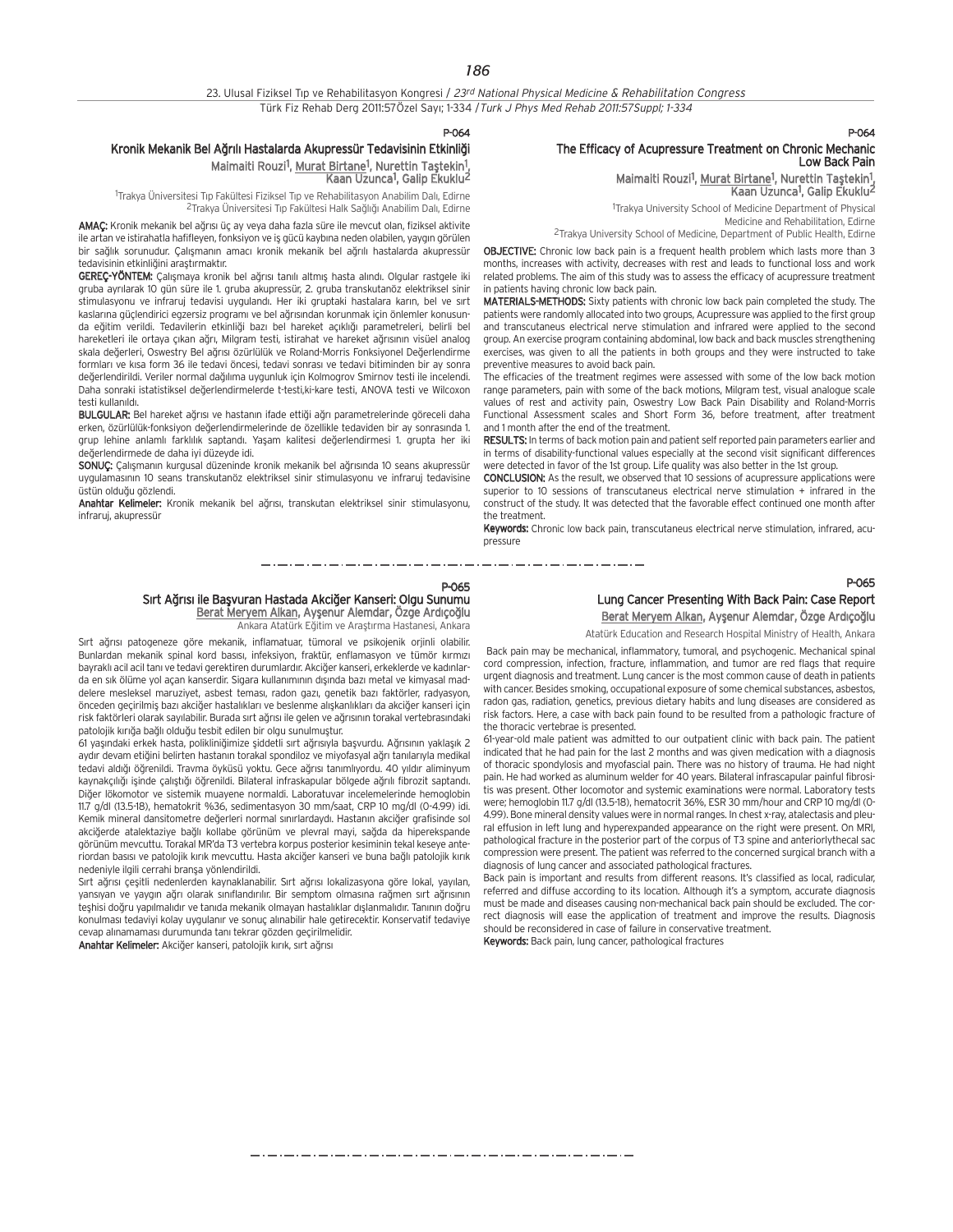P-064

## Kronik Mekanik Bel Ağrılı Hastalarda Akupressür Tedavisinin Etkinliği Maimaiti Rouzi<sup>1</sup>, Murat Birtane<sup>1</sup>, Nurettin Taştekin<sup>1</sup>

Kaan Uzunca1, Galip Ekuklu2

<sup>1</sup>Trakya Üniversitesi Tıp Fakültesi Fiziksel Tıp ve Rehabilitasyon Anabilim Dalı, Edirne 2Trakya Üniversitesi Tıp Fakültesi Halk Sağlığı Anabilim Dalı, Edirne

AMAC: Kronik mekanik bel ağrısı üç ay veya daha fazla süre ile mevcut olan, fiziksel aktivite ile artan ve istirahatla hafifleyen, fonksiyon ve iş gücü kaybına neden olabilen, yaygın görülen bir sağlık sorunudur. Çalışmanın amacı kronik mekanik bel ağrılı hastalarda akupressür tedavisinin etkinliğini arastırmaktır.

GEREÇ-YÖNTEM: Çalışmaya kronik bel ağrısı tanılı altmış hasta alındı. Olgular rastgele iki gruba ayrılarak 10 gün süre ile 1. gruba akupressür, 2. gruba transkutanöz elektriksel sinir stimulasyonu ve infraruj tedavisi uygulandı. Her iki gruptaki hastalara karın, bel ve sırt kaslarına güçlendirici egzersiz programı ve bel ağrısından korunmak için önlemler konusunda eğitim verildi. Tedavilerin etkinliği bazı bel hareket açıklığı parametreleri, belirli bel hareketleri ile ortaya çıkan ağrı, Milgram testi, istirahat ve hareket ağrısının visüel analog skala değerleri, Oswestry Bel ağrısı özürlülük ve Roland-Morris Fonksiyonel Değerlendirme formları ve kısa form 36 ile tedavi öncesi, tedavi sonrası ve tedavi bitiminden bir ay sonra değerlendirildi. Veriler normal dağılıma uygunluk için Kolmogrov Smirnov testi ile incelendi. Daha sonraki istatistiksel de¤erlendirmelerde t-testi,ki-kare testi, ANOVA testi ve Wilcoxon testi kullanıldı.

BULGULAR: Bel hareket ağrısı ve hastanın ifade ettiği ağrı parametrelerinde göreceli daha erken, özürlülük-fonksiyon değerlendirmelerinde de özellikle tedaviden bir ay sonrasında 1. grup lehine anlamlı farklılık saptandı. Yaşam kalitesi değerlendirmesi 1. grupta her iki de¤erlendirmede de daha iyi düzeyde idi.

SONUÇ: Calışmanın kurgusal düzeninde kronik mekanik bel ağrısında 10 seans akupressür uygulamasının 10 seans transkutanöz elektriksel sinir stimulasyonu ve infraruj tedavisine üstün olduğu gözlendi.

Anahtar Kelimeler: Kronik mekanik bel ağrısı, transkutan elektriksel sinir stimulasyonu, infraruj, akupressür

#### P-064

## The Efficacy of Acupressure Treatment on Chronic Mechanic Low Back Pain

Maimaiti Rouzi<sup>1</sup>, Murat Birtane<sup>1</sup>, Nurettin Taştekin<sup>1</sup>, Kaan Uzunca1, Galip Ekuklu2

1 Trakya University School of Medicine Department of Physical Medicine and Rehabilitation, Edirne 2Trakya University School of Medicine, Department of Public Health, Edirne

OBJECTIVE: Chronic low back pain is a frequent health problem which lasts more than 3 months, increases with activity, decreases with rest and leads to functional loss and work related problems. The aim of this study was to assess the efficacy of acupressure treatment in patients having chronic low back pain.

MATERIALS-METHODS: Sixty patients with chronic low back pain completed the study. The patients were randomly allocated into two groups, Acupressure was applied to the first group and transcutaneus electrical nerve stimulation and infrared were applied to the second group. An exercise program containing abdominal, low back and back muscles strengthening exercises, was given to all the patients in both groups and they were instructed to take preventive measures to avoid back pain.

The efficacies of the treatment regimes were assessed with some of the low back motion range parameters, pain with some of the back motions, Milgram test, visual analogue scale values of rest and activity pain, Oswestry Low Back Pain Disability and Roland-Morris Functional Assessment scales and Short Form 36, before treatment, after treatment and 1 month after the end of the treatment.

RESULTS: In terms of back motion pain and patient self reported pain parameters earlier and in terms of disability-functional values especially at the second visit significant differences were detected in favor of the 1st group. Life quality was also better in the 1st group.

CONCLUSION: As the result, we observed that 10 sessions of acupressure applications were superior to 10 sessions of transcutaneus electrical nerve stimulation + infrared in the construct of the study. It was detected that the favorable effect continued one month after the treatment.

Keywords: Chronic low back pain, transcutaneus electrical nerve stimulation, infrared, acupressure

P-065

## Lung Cancer Presenting With Back Pain: Case Report Berat Meryem Alkan, Ayşenur Alemdar, Özge Ardıçoğlu

Atatürk Education and Research Hospital Ministry of Health, Ankara

Back pain may be mechanical, inflammatory, tumoral, and psychogenic. Mechanical spinal cord compression, infection, fracture, inflammation, and tumor are red flags that require urgent diagnosis and treatment. Lung cancer is the most common cause of death in patients with cancer. Besides smoking, occupational exposure of some chemical substances, asbestos, radon gas, radiation, genetics, previous dietary habits and lung diseases are considered as risk factors. Here, a case with back pain found to be resulted from a pathologic fracture of the thoracic vertebrae is presented.

61-year-old male patient was admitted to our outpatient clinic with back pain. The patient indicated that he had pain for the last 2 months and was given medication with a diagnosis of thoracic spondylosis and myofascial pain. There was no history of trauma. He had night pain. He had worked as aluminum welder for 40 years. Bilateral infrascapular painful fibrositis was present. Other locomotor and systemic examinations were normal. Laboratory tests were; hemoglobin 11.7 g/dl (13.5-18), hematocrit 36%, ESR 30 mm/hour and CRP 10 mg/dl (0- 4.99). Bone mineral density values were in normal ranges. In chest x-ray, atalectasis and pleural effusion in left lung and hyperexpanded appearance on the right were present. On MRI, pathological fracture in the posterior part of the corpus of T3 spine and anteriorlythecal sac compression were present. The patient was referred to the concerned surgical branch with a diagnosis of lung cancer and associated pathological fractures.

Back pain is important and results from different reasons. It's classified as local, radicular, referred and diffuse according to its location. Although it's a symptom, accurate diagnosis must be made and diseases causing non-mechanical back pain should be excluded. The correct diagnosis will ease the application of treatment and improve the results. Diagnosis should be reconsidered in case of failure in conservative treatment.

Keywords: Back pain, lung cancer, pathological fractures

P-065 Sırt Ağrısı ile Başvuran Hastada Akciğer Kanseri: Olgu Sunumu Berat Meryem Alkan, Ayşenur Alemdar, Özge Ardıçoğlu

Ankara Atatürk Eğitim ve Arastırma Hastanesi, Ankara

Sırt ağrısı patogeneze göre mekanik, inflamatuar, tümoral ve psikojenik orjinli olabilir. Bunlardan mekanik spinal kord basısı, infeksiyon, fraktür, enflamasyon ve tümör kırmızı bayraklı acil acil tanı ve tedavi gerektiren durumlardır. Akciğer kanseri, erkeklerde ve kadınlarda en sık ölüme yol açan kanserdir. Sigara kullanımının dışında bazı metal ve kimyasal maddelere mesleksel maruziyet, asbest teması, radon gazı, genetik bazı faktörler, radyasyon, önceden geçirilmiş bazı akciğer hastalıkları ve beslenme alışkanlıkları da akciğer kanseri için risk faktörleri olarak sayılabilir. Burada sırt ağrısı ile gelen ve ağrısının torakal vertebrasındaki patolojik kırığa bağlı olduğu tesbit edilen bir olgu sunulmuştur.

61 yaşındaki erkek hasta, polikliniğimize şiddetli sırt ağrısıyla başvurdu. Ağrısının yaklaşık 2 aydır devam etiğini belirten hastanın torakal spondiloz ve miyofasyal ağrı tanılarıyla medikal tedavi aldığı öğrenildi. Travma öyküsü yoktu. Gece ağrısı tanımlıyordu. 40 yıldır aliminyum kaynakçılığı isinde çalıştığı öğrenildi. Bilateral infraskapular bölgede ağrılı fibrozit saptandı. Diğer lökomotor ve sistemik muayene normaldi. Laboratuvar incelemelerinde hemoglobin 11.7 g/dl (13.5-18), hematokrit %36, sedimentasyon 30 mm/saat, CRP 10 mg/dl (0-4.99) idi. Kemik mineral dansitometre değerleri normal sınırlardaydı. Hastanın akciğer grafisinde sol akciğerde atalektaziye bağlı kollabe görünüm ve plevral mayi, sağda da hiperekspande görünüm mevcuttu. Torakal MR'da T3 vertebra korpus posterior kesiminin tekal keseye anteriordan basısı ve patolojik kırık mevcuttu. Hasta akciğer kanseri ve buna bağlı patolojik kırık nedeniyle ilgili cerrahi branşa yönlendirildi.

Sırt ağrısı çeşitli nedenlerden kaynaklanabilir. Sırt ağrısı lokalizasyona göre lokal, yayılan, yansıyan ve yaygın ağrı olarak sınıflandırılır. Bir semptom olmasına rağmen sırt ağrısının teshisi doğru yapılmalıdır ve tanıda mekanik olmayan hastalıklar dışlanmalıdır. Tanının doğru konulması tedaviyi kolay uygulanır ve sonuç alınabilir hale getirecektir. Konservatif tedaviye cevap alınamaması durumunda tanı tekrar gözden geçirilmelidir.

Anahtar Kelimeler: Akciğer kanseri, patolojik kırık, sırt ağrısı

مترو متناول متناول متناول متناول متناول متناول متناول متناول متناول متناول متناول متناول متناول متناول متناول متناولات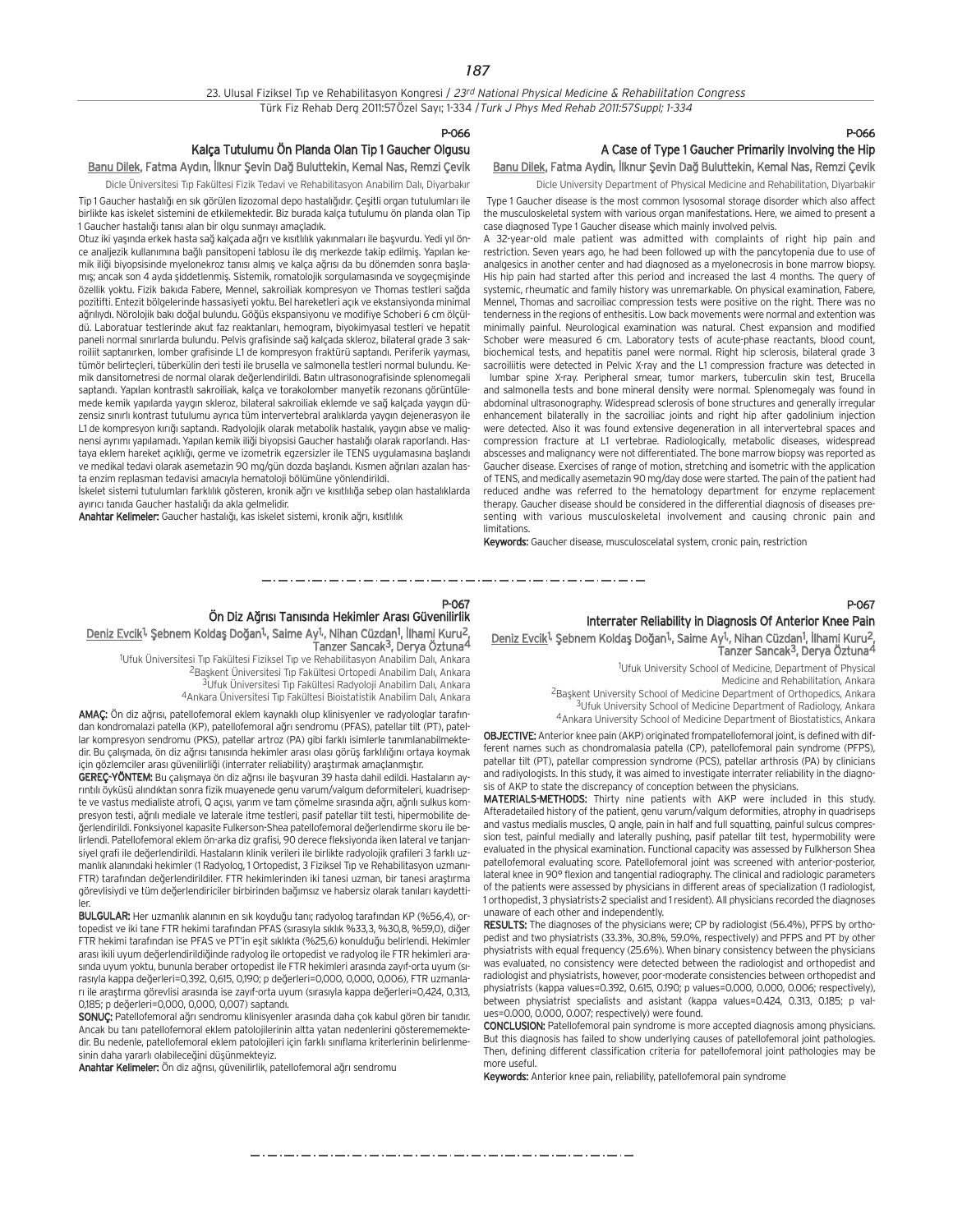#### P-066

## Kalça Tutulumu Ön Planda Olan Tip 1 Gaucher Olgusu

Banu Dilek, Fatma Aydın, İlknur Şevin Dağ Buluttekin, Kemal Nas, Remzi Çevik Dicle Üniversitesi Tıp Fakültesi Fizik Tedavi ve Rehabilitasyon Anabilim Dalı, Diyarbakır

Tip 1 Gaucher hastalığı en sık görülen lizozomal depo hastalığıdır. Çeşitli organ tutulumları ile birlikte kas iskelet sistemini de etkilemektedir. Biz burada kalça tutulumu ön planda olan Tip 1 Gaucher hastalığı tanısı alan bir olgu sunmayı amaçladık.

Otuz iki yaşında erkek hasta sağ kalçada ağrı ve kısıtlılık yakınmaları ile başvurdu. Yedi yıl önce analiezik kullanımına bağlı pansitopeni tablosu ile dış merkezde takip edilmiş. Yapılan kemik iliği biyopsisinde myelonekroz tanısı almış ye kalça ağrısı da bu dönemden sonra başlamış; ancak son 4 ayda şiddetlenmiş. Sistemik, romatolojik sorgulamasında ve soygeçmişinde özellik yoktu. Fizik bakıda Fabere, Mennel, sakroiliak kompresyon ve Thomas testleri sağda pozitifti. Entezit bölgelerinde hassasiyeti yoktu. Bel hareketleri açık ve ekstansiyonda minimal ağrılıydı. Nörolojik bakı doğal bulundu. Göğüs ekspansiyonu ve modifiye Schoberi 6 cm ölçüldü. Laboratuar testlerinde akut faz reaktanları, hemogram, biyokimyasal testleri ve hepatit paneli normal sınırlarda bulundu. Pelvis grafisinde sağ kalçada skleroz, bilateral grade 3 sakroiliit saptanırken, lomber grafisinde L1 de kompresyon fraktürü saptandı. Periferik yayması, tümör belirteçleri, tüberkülin deri testi ile brusella ve salmonella testleri normal bulundu. Kemik dansitometresi de normal olarak değerlendirildi. Batın ultrasonografisinde splenomegali saptandı. Yapılan kontrastlı sakroiliak, kalça ve torakolomber manyetik rezonans görüntülemede kemik yapılarda yaygın skleroz, bilateral sakroiliak eklemde ve sağ kalçada yaygın düzensiz sınırlı kontrast tutulumu ayrıca tüm intervertebral aralıklarda yaygın dejenerasyon ile L1 de kompresyon kırığı saptandı. Radyolojik olarak metabolik hastalık, yaygın abse ve malignensi ayrımı yapılamadı. Yapılan kemik iliği biyopsisi Gaucher hastalığı olarak raporlandı. Hastaya eklem hareket açıklığı, germe ve izometrik egzersizler ile TENS uygulamasına başlandı ve medikal tedavi olarak asemetazin 90 mg/gün dozda başlandı. Kısmen ağrıları azalan hasta enzim replasman tedavisi amacıyla hematoloji bölümüne yönlendirildi.

İskelet sistemi tutulumları farklılık gösteren, kronik ağrı ve kısıtlılığa sebep olan hastalıklarda ayırıcı tanıda Gaucher hastalığı da akla gelmelidir.

Anahtar Kelimeler: Gaucher hastalığı, kas iskelet sistemi, kronik ağrı, kısıtlılık

## P-066

## A Case of Type 1 Gaucher Primarily Involving the Hip

Banu Dilek, Fatma Aydin, İlknur Şevin Dağ Buluttekin, Kemal Nas, Remzi Çevik Dicle University Department of Physical Medicine and Rehabilitation, Diyarbakir

Type 1 Gaucher disease is the most common lysosomal storage disorder which also affect the musculoskeletal system with various organ manifestations. Here, we aimed to present a case diagnosed Type 1 Gaucher disease which mainly involved pelvis.

A 32-year-old male patient was admitted with complaints of right hip pain and restriction. Seven years ago, he had been followed up with the pancytopenia due to use of analgesics in another center and had diagnosed as a myelonecrosis in bone marrow biopsy. His hip pain had started after this period and increased the last 4 months. The query of systemic, rheumatic and family history was unremarkable. On physical examination, Fabere, Mennel, Thomas and sacroiliac compression tests were positive on the right. There was no tenderness in the regions of enthesitis. Low back movements were normal and extention was minimally painful. Neurological examination was natural. Chest expansion and modified Schober were measured 6 cm. Laboratory tests of acute-phase reactants, blood count, biochemical tests, and hepatitis panel were normal. Right hip sclerosis, bilateral grade 3 sacroiliitis were detected in Pelvic X-ray and the L1 compression fracture was detected in

lumbar spine X-ray. Peripheral smear, tumor markers, tuberculin skin test, Brucella and salmonella tests and bone mineral density were normal. Splenomegaly was found in abdominal ultrasonography. Widespread sclerosis of bone structures and generally irregular enhancement bilaterally in the sacroiliac joints and right hip after gadolinium injection were detected. Also it was found extensive degeneration in all intervertebral spaces and compression fracture at L1 vertebrae. Radiologically, metabolic diseases, widespread abscesses and malignancy were not differentiated. The bone marrow biopsy was reported as Gaucher disease. Exercises of range of motion, stretching and isometric with the application of TENS, and medically asemetazin 90 mg/day dose were started. The pain of the patient had reduced andhe was referred to the hematology department for enzyme replacement therapy. Gaucher disease should be considered in the differential diagnosis of diseases presenting with various musculoskeletal involvement and causing chronic pain and limitations.

Keywords: Gaucher disease, musculoscelatal system, cronic pain, restriction

#### P-067

#### P-067

## Ön Diz Ağrısı Tanısında Hekimler Arası Güvenilirlik

Deniz Evcik<sup>1,</sup> Şebnem Koldaş Doğan<sup>1,</sup>, Saime Ay<sup>1</sup>, Nihan Cüzdan<sup>1</sup>, İlhami Kuru<sup>2</sup>, Tanzer Sancak3, Derya Öztuna4

<sup>1</sup>Ufuk Üniversitesi Tıp Fakültesi Fiziksel Tıp ve Rehabilitasyon Anabilim Dalı, Ankara

<sup>2</sup>Başkent Üniversitesi Tıp Fakültesi Ortopedi Anabilim Dalı, Ankara

<sup>3</sup>Ufuk Üniversitesi Tıp Fakültesi Radyoloji Anabilim Dalı, Ankara

4Ankara Üniversitesi Tıp Fakültesi Bioistatistik Anabilim Dalı, Ankara

AMAÇ: Ön diz ağrısı, patellofemoral eklem kaynaklı olup klinisyenler ve radyologlar tarafından kondromalazi patella (KP), patellofemoral ağrı sendromu (PFAS), patellar tilt (PT), patellar kompresyon sendromu (PKS), patellar artroz (PA) gibi farklı isimlerle tanımlanabilmektedir. Bu çalışmada, ön diz ağrısı tanışında hekimler arası olası görüş farklılığını ortaya koymak için gözlemciler arası güvenilirliği (interrater reliability) araştırmak amaçlanmıştır.

GEREC-YÖNTEM: Bu çalışmaya ön diz ağrışı ile başyuran 39 hasta dahil edildi. Hastaların ayrıntılı öyküsü alındıktan sonra fizik muayenede genu varum/valgum deformiteleri, kuadrisepte ve vastus medialiste atrofi, Q açısı, yarım ve tam çömelme sırasında ağrı, ağrılı sulkus kompresyon testi, ağrılı mediale ve laterale itme testleri, pasif patellar tilt testi, hipermobilite değerlendirildi. Fonksiyonel kapasite Fulkerson-Shea patellofemoral değerlendirme skoru ile belirlendi. Patellofemoral eklem ön-arka diz grafisi, 90 derece fleksiyonda iken lateral ve tanjansiyel grafi ile değerlendirildi. Hastaların klinik verileri ile birlikte radyolojik grafileri 3 farklı uzmanlık alanındaki hekimler (1 Radyolog, 1 Ortopedist, 3 Fiziksel Tıp ve Rehabilitasyon uzmanı-FTR) tarafından değerlendirildiler. FTR hekimlerinden iki tanesi uzman, bir tanesi araştırma görevlisiydi ve tüm değerlendiriciler birbirinden bağımsız ve habersiz olarak tanıları kaydettiler.

BULGULAR: Her uzmanlık alanının en sık koyduğu tanı; radyolog tarafından KP (%56,4), ortopedist ve iki tane FTR hekimi tarafından PFAS (sırasıyla sıklık %33,3, %30,8, %59,0), diğer FTR hekimi tarafından ise PFAS ve PT'in esit sıklıkta (%25,6) konulduğu belirlendi. Hekimler arası ikili uyum değerlendirildiğinde radyolog ile ortopedist ve radyolog ile FTR hekimleri arasında uyum yoktu, bununla beraber ortopedist ile FTR hekimleri arasında zayıf-orta uyum (sırasıyla kappa değerleri=0,392, 0,615, 0,190; p değerleri=0,000, 0,000, 0,006), FTR uzmanları ile araştırma görevlisi arasında ise zayıf-orta uyum (sırasıyla kappa değerleri=0,424, 0,313, 0,185; p değerleri=0,000, 0,000, 0,007) saptandı.

SONUÇ: Patellofemoral ağrı sendromu klinisyenler arasında daha çok kabul gören bir tanıdır. Ancak bu tanı patellofemoral eklem patolojilerinin altta yatan nedenlerini gösterememektedir. Bu nedenle, patellofemoral eklem patolojileri için farklı sınıflama kriterlerinin belirlenmesinin daha yararlı olabileceğini düşünmekteyiz.

Anahtar Kelimeler: Ön diz ağrısı, güvenilirlik, patellofemoral ağrı sendromu

Interrater Reliability in Diagnosis Of Anterior Knee Pain

Deniz Evcik<sup>1,</sup> Şebnem Koldaş Doğan<sup>1</sup>, Saime Ay<sup>1</sup>, Nihan Cüzdan<sup>1</sup>, İlhami Kuru<sup>2</sup>, Tanzer Sancak3, Derya Öztuna4

1 Ufuk University School of Medicine, Department of Physical

Medicine and Rehabilitation, Ankara

<sup>2</sup>Başkent University School of Medicine Department of Orthopedics, Ankara 3Ufuk University School of Medicine Department of Radiology, Ankara

4Ankara University School of Medicine Department of Biostatistics, Ankara

OBJECTIVE: Anterior knee pain (AKP) originated frompatellofemoral joint, is defined with different names such as chondromalasia patella (CP), patellofemoral pain syndrome (PFPS), patellar tilt (PT), patellar compression syndrome (PCS), patellar arthrosis (PA) by clinicians and radiyologists. In this study, it was aimed to investigate interrater reliability in the diagnosis of AKP to state the discrepancy of conception between the physicians.

MATERIALS-METHODS: Thirty nine patients with AKP were included in this study. Afteradetailed history of the patient, genu varum/valgum deformities, atrophy in quadriseps and vastus medialis muscles, Q angle, pain in half and full squatting, painful sulcus compression test, painful medially and laterally pushing, pasif patellar tilt test, hypermobility were evaluated in the physical examination. Functional capacity was assessed by Fulkherson Shea patellofemoral evaluating score. Patellofemoral joint was screened with anterior-posterior, lateral knee in 90° flexion and tangential radiography. The clinical and radiologic parameters of the patients were assessed by physicians in different areas of specialization (1 radiologist, 1 orthopedist, 3 physiatrists-2 specialist and 1 resident). All physicians recorded the diagnoses unaware of each other and independently.

RESULTS: The diagnoses of the physicians were; CP by radiologist (56.4%), PFPS by orthopedist and two physiatrists (33.3%, 30.8%, 59.0%, respectively) and PFPS and PT by other physiatrists with equal frequency (25.6%). When binary consistency between the physicians was evaluated, no consistency were detected between the radiologist and orthopedist and radiologist and physiatrists, however, poor-moderate consistencies between orthopedist and physiatrists (kappa values=0.392, 0.615, 0.190; p values=0.000, 0.000, 0.006; respectively), between physiatrist specialists and asistant (kappa values=0.424, 0.313, 0.185; p values=0.000, 0.000, 0.007; respectively) were found.

CONCLUSION: Patellofemoral pain syndrome is more accepted diagnosis among physicians. But this diagnosis has failed to show underlying causes of patellofemoral joint pathologies. Then, defining different classification criteria for patellofemoral joint pathologies may be more useful.

Keywords: Anterior knee pain, reliability, patellofemoral pain syndrome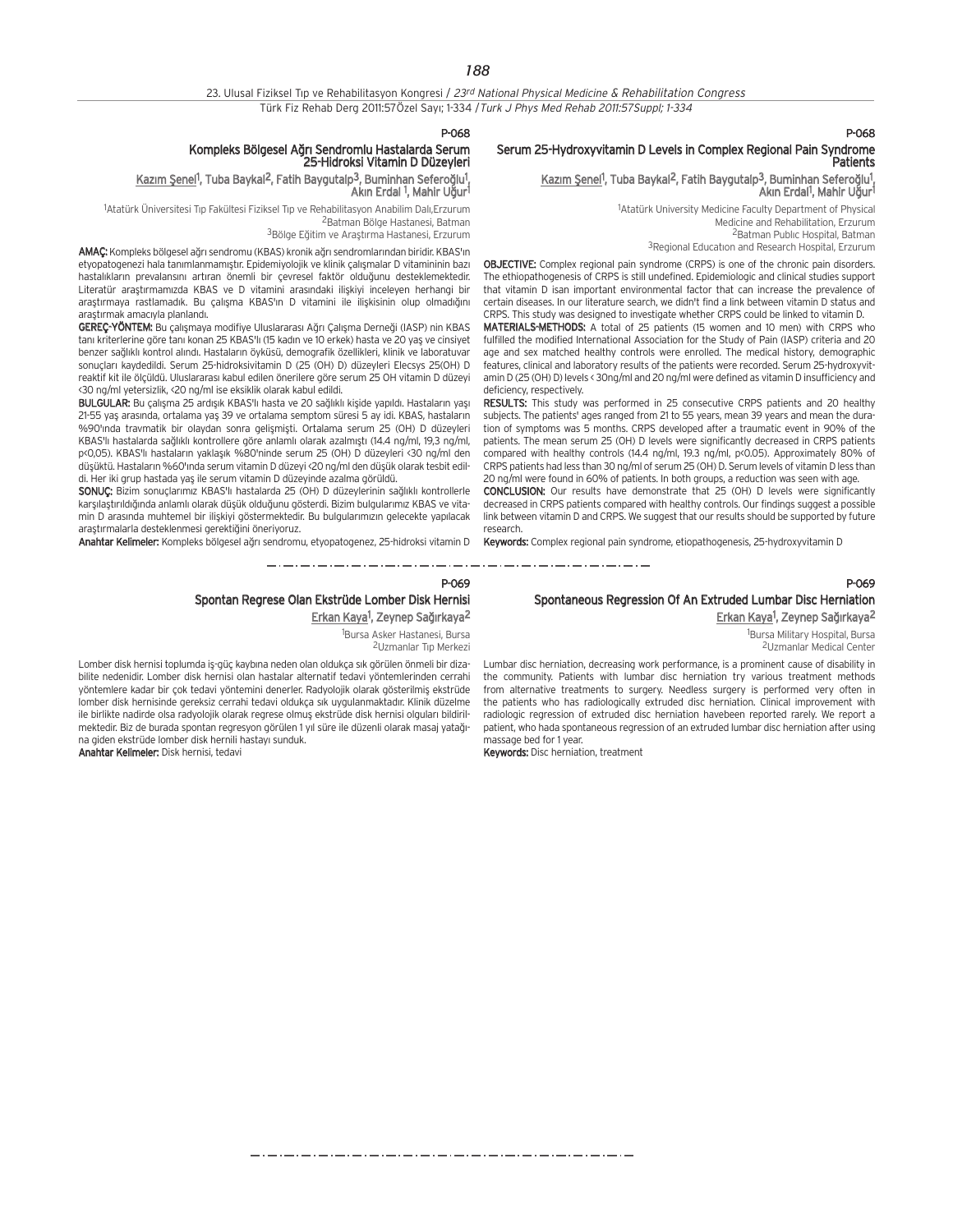## P-068

### Serum 25-Hydroxyvitamin D Levels in Complex Regional Pain Syndrome **Patients**

## Kazım Şenel<sup>1</sup>, Tuba Baykal<sup>2</sup>, Fatih Baygutalp<sup>3</sup>, Buminhan Seferoğlu<sup>1</sup>, Akın Erdal<sup>1</sup>, Mahir Uğur<sup>1</sup>

1 Atatürk University Medicine Faculty Department of Physical Medicine and Rehabilitation, Erzurum <sup>2</sup>Batman Public Hospital, Batman

<sup>3</sup>Regional Education and Research Hospital, Erzurum

OBJECTIVE: Complex regional pain syndrome (CRPS) is one of the chronic pain disorders. The ethiopathogenesis of CRPS is still undefined. Epidemiologic and clinical studies support that vitamin D isan important environmental factor that can increase the prevalence of certain diseases. In our literature search, we didn't find a link between vitamin D status and CRPS. This study was designed to investigate whether CRPS could be linked to vitamin D.

MATERIALS-METHODS: A total of 25 patients (15 women and 10 men) with CRPS who fulfilled the modified International Association for the Study of Pain (IASP) criteria and 20 age and sex matched healthy controls were enrolled. The medical history, demographic features, clinical and laboratory results of the patients were recorded. Serum 25-hydroxyvitamin D (25 (OH) D) levels < 30ng/ml and 20 ng/ml were defined as vitamin D insufficiency and deficiency, respectively.

RESULTS: This study was performed in 25 consecutive CRPS patients and 20 healthy subjects. The patients' ages ranged from 21 to 55 years, mean 39 years and mean the duration of symptoms was 5 months. CRPS developed after a traumatic event in 90% of the patients. The mean serum 25 (OH) D levels were significantly decreased in CRPS patients compared with healthy controls (14.4 ng/ml, 19.3 ng/ml, p<0.05). Approximately 80% of CRPS patients had less than 30 ng/ml of serum 25 (OH) D. Serum levels of vitamin D less than 20 ng/ml were found in 60% of patients. In both groups, a reduction was seen with age.

CONCLUSION: Our results have demonstrate that 25 (OH) D levels were significantly decreased in CRPS patients compared with healthy controls. Our findings suggest a possible link between vitamin D and CRPS. We suggest that our results should be supported by future research.

Keywords: Complex regional pain syndrome, etiopathogenesis, 25-hydroxyvitamin D

P-069

## Spontaneous Regression Of An Extruded Lumbar Disc Herniation

<u>Erkan Kaya</u>1, Zeynep Sağırkaya<sup>2</sup>

1 Bursa Military Hospital, Bursa 2Uzmanlar Medical Center

Lumbar disc herniation, decreasing work performance, is a prominent cause of disability in the community. Patients with lumbar disc herniation try various treatment methods from alternative treatments to surgery. Needless surgery is performed very often in the patients who has radiologically extruded disc herniation. Clinical improvement with radiologic regression of extruded disc herniation havebeen reported rarely. We report a patient, who hada spontaneous regression of an extruded lumbar disc herniation after using massage bed for 1 year.

Keywords: Disc herniation, treatment

## P-068

## Kompleks Bölgesel Ağrı Sendromlu Hastalarda Serum<br>25-Hidroksi Vitamin D Düzeyleri

### Kazım Şenel<sup>1</sup>, Tuba Baykal<sup>2</sup>, Fatih Baygutalp<sup>3</sup>, Buminhan Seferoğlu<sup>1</sup>, Akın Erdal <sup>1</sup>, Mahir Uğur<sup>1</sup>

<sup>1</sup>Atatürk Üniversitesi Tıp Fakültesi Fiziksel Tıp ve Rehabilitasyon Anabilim Dalı,Erzurum 2Batman Bölge Hastanesi, Batman

<sup>3</sup>Bölge Eğitim ve Arastırma Hastanesi, Erzurum

AMAC: Kompleks bölgesel ağrı sendromu (KBAS) kronik ağrı sendromlarından biridir. KBAS'ın etyopatogenezi hala tanımlanmamıştır. Epidemiyolojik ve klinik çalışmalar D vitamininin bazı hastalıkların prevalansını artıran önemli bir çevresel faktör olduğunu desteklemektedir. Literatür arastırmamızda KBAS ve D vitamini arasındaki ilişkiyi inceleyen herhangi bir araştırmaya rastlamadık. Bu çalışma KBAS'ın D vitamini ile ilişkisinin olup olmadığını araştırmak amacıyla planlandı.

GEREÇ-YÖNTEM: Bu çalışmaya modifiye Uluslararası Ağrı Çalışma Derneği (IASP) nin KBAS tanı kriterlerine göre tanı konan 25 KBAS'lı (15 kadın ve 10 erkek) hasta ve 20 yaş ve cinsiyet benzer sağlıklı kontrol alındı. Hastaların öyküsü, demografik özellikleri, klinik ve laboratuvar sonuçları kaydedildi. Serum 25-hidroksivitamin D (25 (OH) D) düzeyleri Elecsys 25(OH) D reaktif kit ile ölçüldü. Uluslararası kabul edilen önerilere göre serum 25 OH vitamin D düzeyi <30 ng/ml yetersizlik, <20 ng/ml ise eksiklik olarak kabul edildi.

BULGULAR: Bu çalışma 25 ardışık KBAS'lı hasta ve 20 sağlıklı kişide yapıldı. Hastaların yaşı 21-55 yas arasında, ortalama yas 39 ve ortalama semptom süresi 5 ay idi. KBAS, hastaların %90'ında travmatik bir olaydan sonra gelişmişti. Ortalama serum 25 (OH) D düzeyleri KBAS'lı hastalarda sağlıklı kontrollere göre anlamlı olarak azalmıştı (14.4 ng/ml, 19.3 ng/ml, ps (OH) D düzeyleri <30 ng/ml den yaklasık %80'ninde serum 25 (OH) D düzeyleri <30 ng/ml den düşüktü. Hastaların %60'ında serum vitamin D düzeyi <20 ng/ml den düşük olarak tesbit edildi. Her iki grup hastada yas ile serum vitamin D düzevinde azalma görüldü.

SONUC: Bizim sonuçlarımız KBAS'lı hastalarda 25 (OH) D düzeylerinin sağlıklı kontrollerle karşılaştırıldığında anlamlı olarak düşük olduğunu gösterdi. Bizim bulgularımız KBAS ve vitamin D arasında muhtemel bir ilişkiyi göstermektedir. Bu bulgularımızın gelecekte yapılacak araştırmalarla desteklenmesi gerektiğini öneriyoruz.

Anahtar Kelimeler: Kompleks bölgesel ağrı sendromu, etyopatogenez, 25-hidroksi vitamin D

## P-069 Spontan Regrese Olan Ekstrüde Lomber Disk Hernisi

<u>Erkan Kaya</u>1, Zeynep Sağırkaya<sup>2</sup>

1 Bursa Asker Hastanesi, Bursa <sup>2</sup>Uzmanlar Tip Merkezi

Lomber disk hernisi toplumda iş-güç kaybına neden olan oldukça sık görülen önmeli bir dizabilite nedenidir. Lomber disk hernisi olan hastalar alternatif tedavi yöntemlerinden cerrahi yöntemlere kadar bir çok tedavi yöntemini denerler. Radyolojik olarak gösterilmiş ekstrüde lomber disk hernisinde gereksiz cerrahi tedavi oldukça s›k uygulanmaktad›r. Klinik düzelme ile birlikte nadirde olsa radyolojik olarak regrese olmuş ekstrüde disk hernisi olguları bildirilmektedir. Biz de burada spontan regresyon görülen 1 yıl süre ile düzenli olarak masaj yatağına giden ekstrüde lomber disk hernili hastayı sunduk.

Anahtar Kelimeler: Disk hernisi, tedavi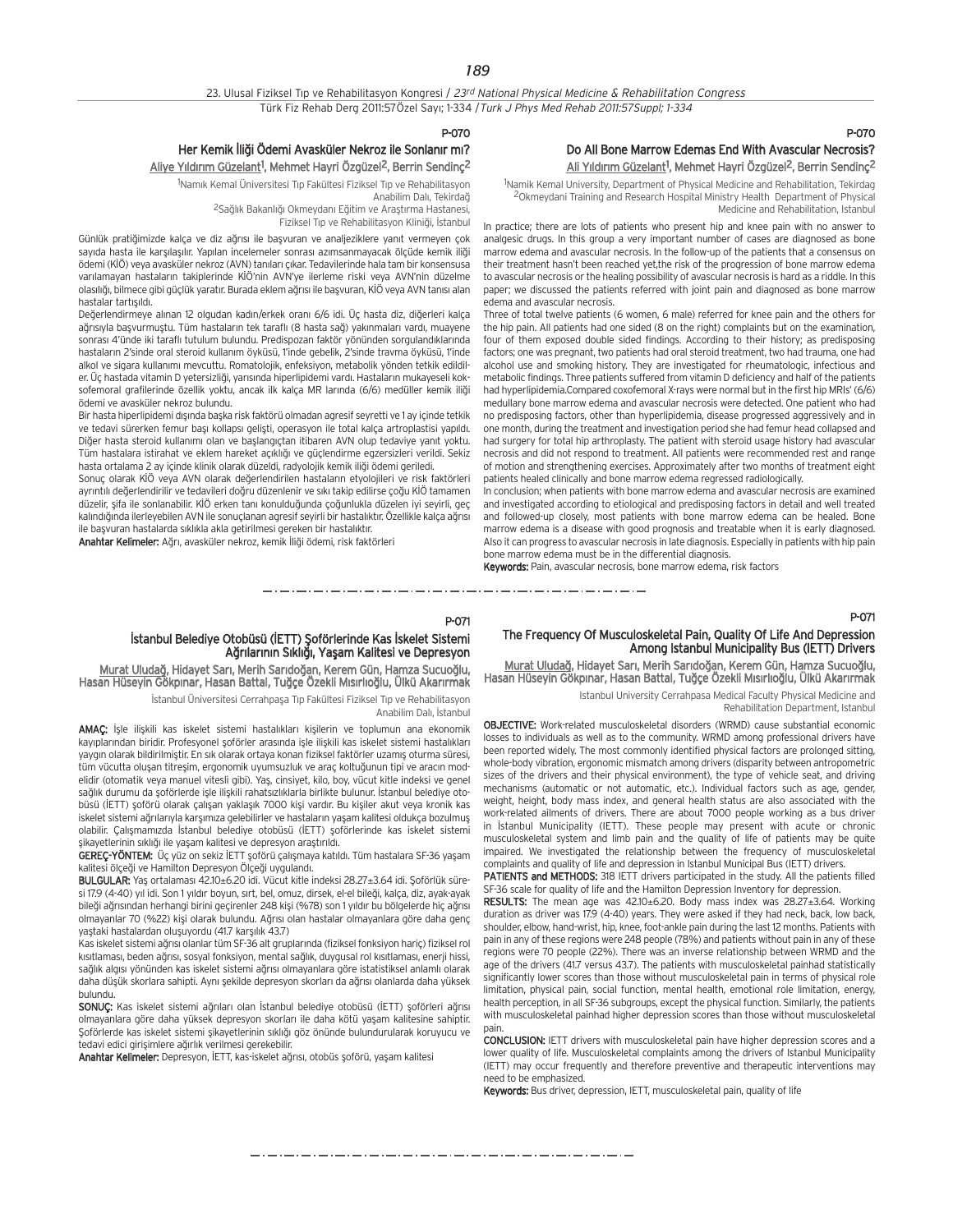#### P-070

## Her Kemik İliği Ödemi Avasküler Nekroz ile Sonlanır mı?

<u>Aliye Yıldırım Güzelant</u><sup>1</sup>, Mehmet Hayri Özgüzel<sup>2</sup>, Berrin Sendinç<sup>2</sup>

<sup>1</sup>Namık Kemal Üniversitesi Tıp Fakültesi Fiziksel Tıp ve Rehabilitasyon Anabilim Dalı, Tekirdağ <sup>2</sup>Sağlık Bakanlığı Okmeydanı Eğitim ve Araştırma Hastanesi,

Fiziksel Tıp ve Rehabilitasyon Kliniği, İstanbul

Günlük pratiğimizde kalça ve diz ağrısı ile başvuran ve analjeziklere yanıt vermeyen çok sayıda hasta ile karşılaşılır. Yapılan incelemeler sonrası azımsanmayacak ölçüde kemik iliği ödemi (KİÖ) veya avasküler nekroz (AVN) tanıları çıkar. Tedavilerinde hala tam bir konsensusa varılamayan hastaların takiplerinde KİÖ'nin AVN'ye ilerleme riski veya AVN'nin düzelme olasılığı, bilmece gibi güçlük yaratır. Burada eklem ağrısı ile başvuran, KİÖ veya AVN tanısı alan hastalar tartısıldı.

Değerlendirmeye alınan 12 olgudan kadın/erkek oranı 6/6 idi. Üç hasta diz, diğerleri kalça ağrısıyla başvurmuştu. Tüm hastaların tek taraflı (8 hasta sağ) yakınmaları vardı, muayene sonrası 4'ünde iki taraflı tutulum bulundu. Predispozan faktör yönünden sorgulandıklarında hastaların 2'sinde oral steroid kullanım öyküsü, 1'inde gebelik, 2'sinde travma öyküsü, 1'inde alkol ve sigara kullanımı mevcuttu. Romatolojik, enfeksiyon, metabolik yönden tetkik edildiler. Üç hastada vitamin D yetersizliği, yarısında hiperlipidemi vardı. Hastaların mukayeseli koksofemoral grafilerinde özellik yoktu, ancak ilk kalça MR larında (6/6) medüller kemik iliği ödemi ve avasküler nekroz bulundu.

Bir hasta hiperlipidemi dışında başka risk faktörü olmadan agresif seyretti ve 1 ay içinde tetkik ve tedavi sürerken femur bası kollapsı gelişti, operasyon ile total kalca artroplastisi yapıldı. Diğer hasta steroid kullanımı olan ve başlangıctan itibaren AVN olup tedaviye yanıt yoktu. Tüm hastalara istirahat ve eklem hareket açıklığı ve güçlendirme egzersizleri verildi. Sekiz hasta ortalama 2 ay içinde klinik olarak düzeldi, radyolojik kemik iliği ödemi geriledi.

Sonuc olarak KİÖ veya AVN olarak değerlendirilen hastaların etyolojileri ve risk faktörleri ayrıntılı değerlendirilir ve tedavileri doğru düzenlenir ve sıkı takip edilirse çoğu KİÖ tamamen düzelir, şifa ile sonlanabilir. KİÖ erken tanı konulduğunda çoğunlukla düzelen iyi seyirli, geç kalındığında ilerleyebilen AVN ile sonuçlanan agresif seyirli bir hastalıktır. Özellikle kalça ağrısı ile başvuran hastalarda sıklıkla akla getirilmesi gereken bir hastalıktır.

Anahtar Kelimeler: Ağrı, avasküler nekroz, kemik İliği ödemi, risk faktörleri

## P-070 Do All Bone Marrow Edemas End With Avascular Necrosis? <u>Ali Yıldırım Güzelant</u><sup>1</sup>, Mehmet Hayri Özgüzel<sup>2</sup>, Berrin Sendinç<sup>2</sup>

<sup>1</sup>Namik Kemal University, Department of Physical Medicine and Rehabilitation, Tekirdag 2Okmeydani Training and Research Hospital Ministry Health Department of Physical Medicine and Rehabilitation, Istanbul

In practice; there are lots of patients who present hip and knee pain with no answer to analgesic drugs. In this group a very important number of cases are diagnosed as bone marrow edema and avascular necrosis. In the follow-up of the patients that a consensus on their treatment hasn't been reached yet,the risk of the progression of bone marrow edema to avascular necrosis or the healing possibility of avascular necrosis is hard as a riddle. In this paper; we discussed the patients referred with joint pain and diagnosed as bone marrow edema and avascular necrosis.

Three of total twelve patients (6 women, 6 male) referred for knee pain and the others for the hip pain. All patients had one sided (8 on the right) complaints but on the examination, four of them exposed double sided findings. According to their history; as predisposing factors; one was pregnant, two patients had oral steroid treatment, two had trauma, one had alcohol use and smoking history. They are investigated for rheumatologic, infectious and metabolic findings. Three patients suffered from vitamin D deficiency and half of the patients had hyperlipidemia.Compared coxofemoral X-rays were normal but in the first hip MRIs' (6/6) medullary bone marrow edema and avascular necrosis were detected. One patient who had no predisposing factors, other than hyperlipidemia, disease progressed aggressively and in one month, during the treatment and investigation period she had femur head collapsed and had surgery for total hip arthroplasty. The patient with steroid usage history had avascular necrosis and did not respond to treatment. All patients were recommended rest and range of motion and strengthening exercises. Approximately after two months of treatment eight patients healed clinically and bone marrow edema regressed radiologically.

In conclusion; when patients with bone marrow edema and avascular necrosis are examined and investigated according to etiological and predisposing factors in detail and well treated and followed-up closely, most patients with bone marrow edema can be healed. Bone marrow edema is a disease with good prognosis and treatable when it is early diagnosed. Also it can progress to avascular necrosis in late diagnosis. Especially in patients with hip pain bone marrow edema must be in the differential diagnosis.

Keywords: Pain, avascular necrosis, bone marrow edema, risk factors

### P-071

که در کار در کار در کار در کار در کار در کار در کار در کار در کار در کار در کار در کار در کار در کار در کار در

## İstanbul Belediye Otobüsü (İETT) Şoförlerinde Kas İskelet Sistemi Ağrılarının Sıklığı, Yaşam Kalitesi ve Depresyon

Murat Uludağ, Hidayet Sarı, Merih Sarıdoğan, Kerem Gün, Hamza Sucuoğlu, Hasan Hüseyin Gökpınar, Hasan Battal, Tuğçe Özekli Mısırlıoğlu, Ülkü Akarırmak

İstanbul Üniversitesi Cerrahpasa Tıp Fakültesi Fiziksel Tıp ve Rehabilitasyon

Anabilim Dalı, İstanbul

AMAÇ: İşle ilişkili kas iskelet sistemi hastalıkları kişilerin ve toplumun ana ekonomik kayıplarından biridir. Profesyonel şoförler arasında işle ilişkili kas iskelet sistemi hastalıkları yaygın olarak bildirilmiştir. En sık olarak ortaya konan fiziksel faktörler uzamış oturma süresi, tüm vücutta oluşan titreşim, ergonomik uyumsuzluk ve araç koltuğunun tipi ve aracın modelidir (otomatik veya manuel vitesli gibi). Yaş, cinsiyet, kilo, boy, vücut kitle indeksi ve genel sağlık durumu da şoförlerde işle ilişkili rahatsızlıklarla birlikte bulunur. İstanbul belediye otobüsü (İETT) soförü olarak çalışan yaklaşık 7000 kişi vardır. Bu kişiler akut veya kronik kas iskelet sistemi ağrılarıyla karşımıza gelebilirler ve hastaların yaşam kalitesi oldukça bozulmuş olabilir. Calısmamızda İstanbul belediye otobüsü (İETT) soförlerinde kas iskelet sistemi sikavetlerinin sıklığı ile yaşam kalitesi ve depresyon araştırıldı.

GEREC-YÖNTEM: Üç yüz on sekiz İETT soförü çalışmaya katıldı. Tüm hastalara SF-36 yaşam kalitesi ölçeği ve Hamilton Depresyon Ölçeği uygulandı.

BULGULAR: Yaş ortalaması 42.10±6.20 idi. Vücut kitle indeksi 28.27±3.64 idi. Şoförlük süresi 17.9 (4-40) yıl idi. Son 1 yıldır boyun, sırt, bel, omuz, dirsek, el-el bileği, kalça, diz, ayak-ayak bileği ağrısından herhangi birini geçirenler 248 kişi (%78) son 1 yıldır bu bölgelerde hiç ağrısı olmayanlar 70 (%22) kişi olarak bulundu. Ağrısı olan hastalar olmayanlara göre daha genç yaştaki hastalardan oluşuyordu (41.7 karşılık 43.7)

Kas iskelet sistemi ağrısı olanlar tüm SF-36 alt gruplarında (fiziksel fonksiyon hariç) fiziksel rol kısıtlaması, beden ağrısı, sosyal fonksiyon, mental sağlık, duygusal rol kısıtlaması, enerji hissi, sağlık algısı yönünden kas iskelet sistemi ağrısı olmayanlara göre istatistiksel anlamlı olarak daha düşük skorlara sahipti. Aynı şekilde depresyon skorları da ağrısı olanlarda daha yüksek bulundu.

SONUÇ: Kas iskelet sistemi ağrıları olan İstanbul belediye otobüsü (İETT) şoförleri ağrısı olmayanlara göre daha yüksek depresyon skorları ile daha kötü yaşam kalitesine sahiptir. Şoförlerde kas iskelet sistemi şikayetlerinin sıklığı göz önünde bulundurularak koruyucu ve tedavi edici girisimlere ağırlık verilmesi gerekebilir.

Anahtar Kelimeler: Depresyon, İETT, kas-iskelet ağrısı, otobüs şoförü, yaşam kalitesi

## P-071

## The Frequency Of Musculoskeletal Pain, Quality Of Life And Depression Among Istanbul Municipality Bus (IETT) Drivers

Murat Uludağ, Hidayet Sarı, Merih Sarıdoğan, Kerem Gün, Hamza Sucuoğlu, Hasan Hüseyin Gökpınar, Hasan Battal, Tuğçe Özekli Mısırlıoğlu, Ülkü Akarırmak

> Istanbul University Cerrahpasa Medical Faculty Physical Medicine and Rehabilitation Department, Istanbul

OBJECTIVE: Work-related musculoskeletal disorders (WRMD) cause substantial economic losses to individuals as well as to the community. WRMD among professional drivers have been reported widely. The most commonly identified physical factors are prolonged sitting, whole-body vibration, ergonomic mismatch among drivers (disparity between antropometric sizes of the drivers and their physical environment), the type of vehicle seat, and driving mechanisms (automatic or not automatic, etc.). Individual factors such as age, gender, weight, height, body mass index, and general health status are also associated with the work-related ailments of drivers. There are about 7000 people working as a bus driver in Istanbul Municipality (IETT). These people may present with acute or chronic musculoskeletal system and limb pain and the quality of life of patients may be quite impaired. We investigated the relationship between the frequency of musculoskeletal complaints and quality of life and depression in Istanbul Municipal Bus (IETT) drivers.

PATIENTS and METHODS: 318 IETT drivers participated in the study. All the patients filled SF-36 scale for quality of life and the Hamilton Depression Inventory for depression.

RESULTS: The mean age was 42.10±6.20. Body mass index was 28.27±3.64. Working duration as driver was 17.9 (4-40) years. They were asked if they had neck, back, low back, shoulder, elbow, hand-wrist, hip, knee, foot-ankle pain during the last 12 months. Patients with pain in any of these regions were 248 people (78%) and patients without pain in any of these regions were 70 people (22%). There was an inverse relationship between WRMD and the age of the drivers (41.7 versus 43.7). The patients with musculoskeletal painhad statistically significantly lower scores than those without musculoskeletal pain in terms of physical role limitation, physical pain, social function, mental health, emotional role limitation, energy, health perception, in all SF-36 subgroups, except the physical function. Similarly, the patients with musculoskeletal painhad higher depression scores than those without musculoskeletal pain.

CONCLUSION: IETT drivers with musculoskeletal pain have higher depression scores and a lower quality of life. Musculoskeletal complaints among the drivers of Istanbul Municipality (IETT) may occur frequently and therefore preventive and therapeutic interventions may need to be emphasized.

Keywords: Bus driver, depression, IETT, musculoskeletal pain, quality of life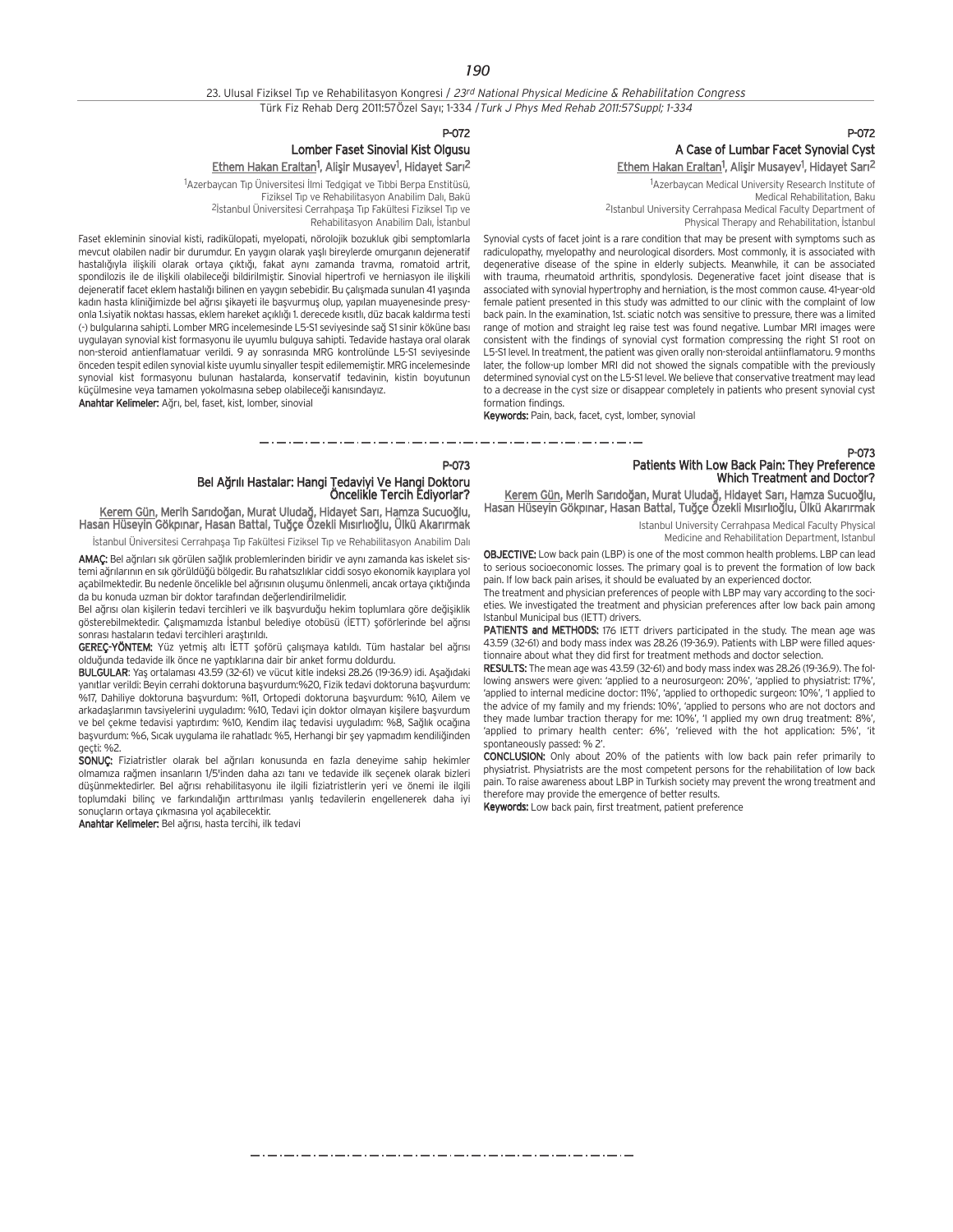## 23. Ulusal Fiziksel Tıp ve Rehabilitasyon Kongresi / 23rd National Physical Medicine & Rehabilitation Congress Türk Fiz Rehab Derg 2011:57Özel Sayı; 1-334 / Turk J Phys Med Rehab 2011:57Suppl; 1-334

P-072

## P-072 A Case of Lumbar Facet Synovial Cyst Ethem Hakan Eraltan<sup>1</sup>, Alişir Musayev<sup>1</sup>, Hidayet Sarı<sup>2</sup>

1 Azerbaycan Medical University Research Institute of Medical Rehabilitation, Baku 2Istanbul University Cerrahpasa Medical Faculty Department of

Physical Therapy and Rehabilitation, İstanbul

Synovial cysts of facet joint is a rare condition that may be present with symptoms such as radiculopathy, myelopathy and neurological disorders. Most commonly, it is associated with degenerative disease of the spine in elderly subjects. Meanwhile, it can be associated with trauma, rheumatoid arthritis, spondylosis. Degenerative facet joint disease that is associated with synovial hypertrophy and herniation, is the most common cause. 41-year-old female patient presented in this study was admitted to our clinic with the complaint of low back pain. In the examination, 1st. sciatic notch was sensitive to pressure, there was a limited range of motion and straight leg raise test was found negative. Lumbar MRI images were consistent with the findings of synovial cyst formation compressing the right S1 root on L5-S1 level. In treatment, the patient was given orally non-steroidal antiinflamatoru. 9 months later, the follow-up lomber MRI did not showed the signals compatible with the previously determined synovial cyst on the L5-S1 level. We believe that conservative treatment may lead to a decrease in the cyst size or disappear completely in patients who present synovial cyst formation findings.

Keywords: Pain, back, facet, cyst, lomber, synovial

متروم متوارد متوارد متوارد متوارد متوارد متوارد متوارد متوارد متوارد متوارد متوارد متوارد متوارد متوارد متوارد متوارد P-073

Lomber Faset Sinovial Kist Olgusu

Rehabilitasyon Anabilim Dalı, İstanbul

Fiziksel Tıp ve Rehabilitasyon Anabilim Dalı, Bakü <sup>2</sup>İstanbul Üniversitesi Cerrahpaşa Tıp Fakültesi Fiziksel Tıp ve

Ethem Hakan Eraltan<sup>1</sup>, Alişir Musayev<sup>1</sup>, Hidayet Sarı<sup>2</sup> <sup>1</sup>Azerbaycan Tıp Üniversitesi İlmi Tedgigat ve Tıbbi Berpa Enstitüsü,

## Bel A¤r›l› Hastalar: Hangi Tedaviyi Ve Hangi Doktoru Öncelikle Tercih Ediyorlar?

<u>Kerem Gün</u>, Merih Sarıdoğan, Murat Uludağ, Hidayet Sarı, Hamza Sucuoğlu, Hasan Hüseyin Gökpınar, Hasan Battal, Tuğçe Özekli Mısırlıoğlu, Ülkü Akarırmak

küçülmesine veya tamamen yokolmasına sebep olabileceği kanısındayız.

Anahtar Kelimeler: Ağrı, bel, faset, kist, lomber, sinovial

Faset ekleminin sinovial kisti, radikülopati, myelopati, nörolojik bozukluk gibi semptomlarla mevcut olabilen nadir bir durumdur. En yaygın olarak yaşlı bireylerde omurganın dejeneratif hastalığıyla iliskili olarak ortaya çıktığı, fakat aynı zamanda trayma, romatoid artrit, spondilozis ile de iliskili olabileceği bildirilmiştir. Sinovial hipertrofi ve herniasyon ile ilişkili dejeneratif facet eklem hastalığı bilinen en yaygın sebebidir. Bu çalışmada sunulan 41 yaşında kadın hasta kliniğimizde bel ağrısı sikayeti ile başyurmuş olup, yapılan muayenesinde presyonla 1.siyatik noktası hassas, eklem hareket açıklığı 1. derecede kısıtlı, düz bacak kaldırma testi (-) bulgularına sahipti. Lomber MRG incelemesinde L5-S1 seviyesinde sağ S1 sinir köküne bası uygulayan synovial kist formasyonu ile uyumlu bulguya sahipti. Tedavide hastaya oral olarak non-steroid antienflamatuar verildi. 9 ay sonrasında MRG kontrolünde L5-S1 seviyesinde önceden tespit edilen synovial kiste uyumlu sinyaller tespit edilememiştir. MRG incelemesinde synovial kist formasyonu bulunan hastalarda, konservatif tedavinin, kistin boyutunun

İstanbul Üniversitesi Cerrahpaşa Tıp Fakültesi Fiziksel Tıp ve Rehabilitasyon Anabilim Dalı

AMAÇ: Bel ağrıları sık görülen sağlık problemlerinden biridir ve aynı zamanda kas iskelet sistemi ağrılarının en sık görüldüğü bölgedir. Bu rahatsızlıklar ciddi sosyo ekonomik kayıplara yol açabilmektedir. Bu nedenle öncelikle bel ağrısının oluşumu önlenmeli, ancak ortaya çıktığında da bu konuda uzman bir doktor tarafından değerlendirilmelidir.

Bel ağrısı olan kisilerin tedavi tercihleri ve ilk başyurduğu hekim toplumlara göre değişiklik gösterebilmektedir. Çalışmamızda İstanbul belediye otobüsü (İETT) şoförlerinde bel ağrısı sonrası hastaların tedavi tercihleri arastırıldı.

GEREÇ-YÖNTEM: Yüz yetmiş altı İETT şoförü çalışmaya katıldı. Tüm hastalar bel ağrısı olduğunda tedavide ilk önce ne yaptıklarına dair bir anket formu doldurdu.

BULGULAR: Yaş ortalaması 43.59 (32-61) ve vücut kitle indeksi 28.26 (19-36.9) idi. Aşağıdaki yanıtlar verildi: Beyin cerrahi doktoruna başvurdum:%20, Fizik tedavi doktoruna başvurdum: .<br>%17, Dahiliye doktoruna başvurdum: %11, Ortopedi doktoruna başvurdum: %10, Ailem ve arkadaşlarımın tavsiyelerini uyguladım: %10, Tedavi için doktor olmayan kişilere başvurdum ve bel çekme tedavisi yaptırdım: %10, Kendim ilaç tedavisi uyguladım: %8, Sağlık ocağına başvurdum: %6, Sıcak uygulama ile rahatladı: %5, Herhangi bir sey yapmadım kendiliğinden geçti: %2.

SONUC: Fiziatristler olarak bel ağrıları konusunda en fazla deneyime sahip hekimler olmam›za ra¤men insanlar›n 1/5'inden daha az› tan› ve tedavide ilk seçenek olarak bizleri düşünmektedirler. Bel ağrısı rehabilitasyonu ile ilgili fiziatristlerin yeri ve önemi ile ilgili toplumdaki bilinç ve farkındalığın arttırılması yanlış tedavilerin engellenerek daha iyi sonuçların ortaya çıkmasına yol açabilecektir.

Anahtar Kelimeler: Bel ağrısı, hasta tercihi, ilk tedavi

## P-073 Patients With Low Back Pain: They Preference Which Treatment and Doctor?

Kerem Gün, Merih Sarıdoğan, Murat Uludağ, Hidayet Sarı, Hamza Sucuoğlu, Hasan Hüseyin Gökpınar, Hasan Battal, Tuğçe Özekli Mısırlıoğlu, Ülkü Akarırmak

> Istanbul University Cerrahpasa Medical Faculty Physical Medicine and Rehabilitation Department, Istanbul

OBJECTIVE: Low back pain (LBP) is one of the most common health problems. LBP can lead to serious socioeconomic losses. The primary goal is to prevent the formation of low back pain. If low back pain arises, it should be evaluated by an experienced doctor.

The treatment and physician preferences of people with LBP may vary according to the societies. We investigated the treatment and physician preferences after low back pain among Istanbul Municipal bus (IETT) drivers.

PATIENTS and METHODS: 176 IETT drivers participated in the study. The mean age was 43.59 (32-61) and body mass index was 28.26 (19-36.9). Patients with LBP were filled aquestionnaire about what they did first for treatment methods and doctor selection.

RESULTS: The mean age was 43.59 (32-61) and body mass index was 28.26 (19-36.9). The following answers were given: 'applied to a neurosurgeon: 20%', 'applied to physiatrist: 17%', 'applied to internal medicine doctor: 11%', 'applied to orthopedic surgeon: 10%', 'I applied to the advice of my family and my friends: 10%', 'applied to persons who are not doctors and they made lumbar traction therapy for me: 10%', 'I applied my own drug treatment: 8%', 'applied to primary health center: 6%', 'relieved with the hot application: 5%', 'it spontaneously passed: % 2'.

CONCLUSION: Only about 20% of the patients with low back pain refer primarily to physiatrist. Physiatrists are the most competent persons for the rehabilitation of low back pain. To raise awareness about LBP in Turkish society may prevent the wrong treatment and therefore may provide the emergence of better results.

Keywords: Low back pain, first treatment, patient preference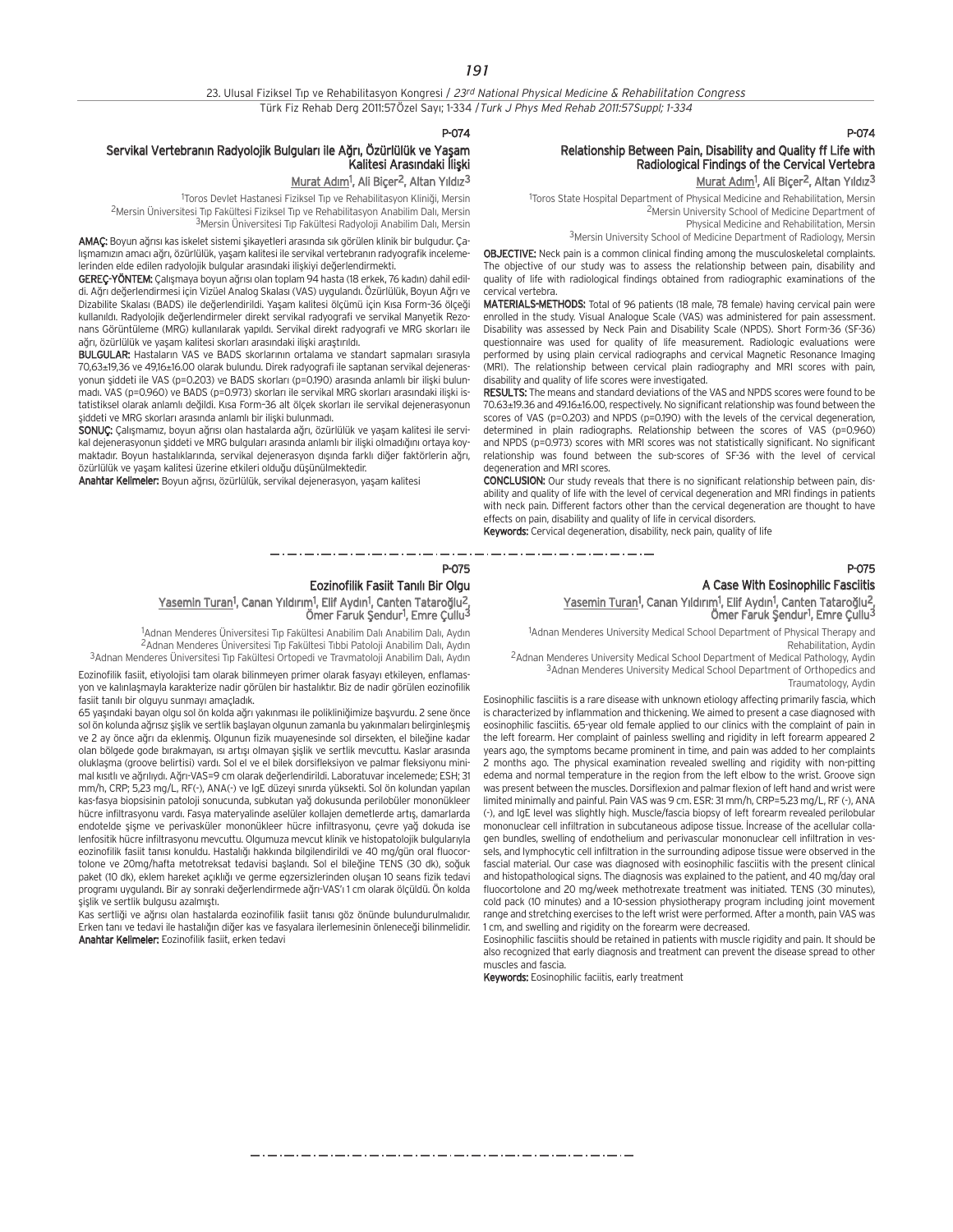23. Ulusal Fiziksel Tıp ve Rehabilitasyon Kongresi / 23rd National Physical Medicine & Rehabilitation Congress Türk Fiz Rehab Derg 2011:57Özel Sayı; 1-334 / Turk J Phys Med Rehab 2011:57Suppl; 1-334

### P-074

## Servikal Vertebranın Radyolojik Bulguları ile Ağrı, Özürlülük ve Yaşam Kalitesi Arasındaki İliski

Murat Adım<sup>1</sup>, Ali Biçer<sup>2</sup>, Altan Yıldız<sup>3</sup>

<sup>1</sup>Toros Devlet Hastanesi Fiziksel Tıp ve Rehabilitasyon Kliniği, Mersin <sup>2</sup>Mersin Üniversitesi Tıp Fakültesi Fiziksel Tıp ve Rehabilitasyon Anabilim Dalı, Mersin 3Mersin Üniversitesi Tıp Fakültesi Radyoloji Anabilim Dalı, Mersin

AMAÇ: Boyun ağrısı kas iskelet sistemi şikayetleri arasında sık görülen klinik bir bulgudur. Çalışmamızın amacı ağrı, özürlülük, yaşam kalitesi ile servikal vertebranın radyografik incelemelerinden elde edilen radyolojik bulgular arasındaki ilişkiyi değerlendirmekti.

GEREÇ-YÖNTEM: Çalışmaya boyun ağrısı olan toplam 94 hasta (18 erkek, 76 kadın) dahil edildi. Ağrı değerlendirmesi için Vizüel Analog Skalası (VAS) uygulandı. Özürlülük, Boyun Ağrı ve Dizabilite Skalası (BADS) ile değerlendirildi. Yaşam kalitesi ölçümü için Kısa Form-36 ölçeği kullanıldı. Radyolojik değerlendirmeler direkt servikal radyografi ve servikal Manyetik Rezonans Görüntüleme (MRG) kullanılarak yapıldı. Servikal direkt radyografi ve MRG skorları ile ağrı, özürlülük ve yaşam kalitesi skorları arasındaki ilişki araştırıldı.

BULGULAR: Hastaların VAS ve BADS skorlarının ortalama ve standart sapmaları sırasıyla 70,63±19,36 ve 49,16±16.00 olarak bulundu. Direk radyografi ile saptanan servikal dejenerasyonun siddeti ile VAS (p=0.203) ve BADS skorları (p=0.190) arasında anlamlı bir ilişki bulunmadı. VAS (p=0.960) ve BADS (p=0.973) skorları ile servikal MRG skorları arasındaki ilişki istatistiksel olarak anlamlı değildi. Kısa Form-36 alt ölçek skorları ile servikal dejenerasyonun şiddeti ve MRG skorları arasında anlamlı bir ilişki bulunmadı.

SONUÇ: Çalışmamız, boyun ağrısı olan hastalarda ağrı, özürlülük ve yaşam kalitesi ile servikal dejenerasyonun şiddeti ve MRG bulguları arasında anlamlı bir ilişki olmadığını ortaya koymaktadır. Boyun hastalıklarında, servikal dejenerasyon dışında farklı diğer faktörlerin ağrı, özürlülük ve yaşam kalitesi üzerine etkileri olduğu düşünülmektedir.

Anahtar Kelimeler: Boyun ağrısı, özürlülük, servikal dejenerasyon, yaşam kalitesi

## Relationship Between Pain, Disability and Quality ff Life with Radiological Findings of the Cervical Vertebra Murat Adım<sup>1</sup>, Ali Biçer<sup>2</sup>, Altan Yıldız<sup>3</sup>

P-074

1 Toros State Hospital Department of Physical Medicine and Rehabilitation, Mersin 2Mersin University School of Medicine Department of Physical Medicine and Rehabilitation, Mersin 3Mersin University School of Medicine Department of Radiology, Mersin

OBJECTIVE: Neck pain is a common clinical finding among the musculoskeletal complaints. The objective of our study was to assess the relationship between pain, disability and quality of life with radiological findings obtained from radiographic examinations of the cervical vertebra.

MATERIALS-METHODS: Total of 96 patients (18 male, 78 female) having cervical pain were enrolled in the study. Visual Analogue Scale (VAS) was administered for pain assessment. Disability was assessed by Neck Pain and Disability Scale (NPDS). Short Form-36 (SF-36) questionnaire was used for quality of life measurement. Radiologic evaluations were performed by using plain cervical radiographs and cervical Magnetic Resonance Imaging (MRI). The relationship between cervical plain radiography and MRI scores with pain, disability and quality of life scores were investigated.

RESULTS: The means and standard deviations of the VAS and NPDS scores were found to be 70.63±19.36 and 49.16±16.00, respectively. No significant relationship was found between the scores of VAS (p=0.203) and NPDS (p=0.190) with the levels of the cervical degeneration, determined in plain radiographs. Relationship between the scores of VAS (p=0.960) and NPDS (p=0.973) scores with MRI scores was not statistically significant. No significant relationship was found between the sub-scores of SF-36 with the level of cervical degeneration and MRI scores.

CONCLUSION: Our study reveals that there is no significant relationship between pain, disability and quality of life with the level of cervical degeneration and MRI findings in patients with neck pain. Different factors other than the cervical degeneration are thought to have effects on pain, disability and quality of life in cervical disorders.

Keywords: Cervical degeneration, disability, neck pain, quality of life

P-075 Eozinofilik Fasiit Tanılı Bir Olgu Yasemin Turan<sup>1</sup>, Canan Yıldırım<sup>1</sup>, Elif Aydın<sup>1</sup>, Canten Tataroğlu<sup>2</sup>, Ömer Faruk Şendur<sup>1</sup>, Emre Çullu<sup>3</sup>

<sup>1</sup>Adnan Menderes Üniversitesi Tıp Fakültesi Anabilim Dalı Anabilim Dalı, Aydın <sup>2</sup>Adnan Menderes Üniversitesi Tıp Fakültesi Tıbbi Patoloji Anabilim Dalı, Aydın <sup>3</sup>Adnan Menderes Üniversitesi Tıp Fakültesi Ortopedi ve Travmatoloji Anabilim Dalı, Aydın

Eozinofilik fasiit, etiyolojisi tam olarak bilinmeyen primer olarak fasyayı etkileyen, enflamasyon ve kalınlaşmayla karakterize nadir görülen bir hastalıktır. Biz de nadir görülen eozinofilik fasiit tanılı bir olguyu sunmayı amaçladık.

65 yaşındaki bayan olgu sol ön kolda ağrı yakınması ile polikliniğimize başvurdu. 2 sene önce sol ön kolunda ağrısız şişlik ve sertlik başlayan olgunun zamanla bu yakınmaları belirginleşmiş ve 2 ay önce ağrı da eklenmiş. Olgunun fizik muayenesinde sol dirsekten, el bileğine kadar olan bölgede gode bırakmayan, ısı artısı olmayan sislik ve sertlik mevcuttu. Kaslar arasında oluklaşma (groove belirtisi) vardı. Sol el ve el bilek dorsifleksiyon ve palmar fleksiyonu minimal kısıtlı ve ağrılıydı. Ağrı-VAS=9 cm olarak değerlendirildi. Laboratuvar incelemede; ESH; 31 mm/h, CRP; 5,23 mg/L, RF(-), ANA(-) ve IgE düzeyi sınırda yüksekti. Sol ön kolundan yapılan kas-fasya biopsisinin patoloji sonucunda, subkutan yağ dokusunda perilobüler mononükleer hücre infiltrasyonu vardı. Fasya materyalinde aselüler kollajen demetlerde artıs, damarlarda endotelde sisme ve perivasküler mononükleer hücre infiltrasyonu, çevre yağ dokuda ise lenfositik hücre infiltrasyonu mevcuttu. Olgumuza mevcut klinik ve histopatolojik bulgularıyla eozinofilik fasiit tanısı konuldu. Hastalığı hakkında bilgilendirildi ve 40 mg/gün oral fluocortolone ve 20mg/hafta metotreksat tedavisi başlandı. Sol el bileğine TENS (30 dk), soğuk paket (10 dk), eklem hareket açıklığı ve germe egzersizlerinden oluşan 10 seans fizik tedavi programı uygulandı. Bir ay sonraki değerlendirmede ağrı-VAS'ı 1 cm olarak ölçüldü. Ön kolda şişlik ve sertlik bulgusu azalmıştı.

Kas sertliği ve ağrısı olan hastalarda eozinofilik fasiit tanısı göz önünde bulundurulmalıdır. Erken tanı ve tedavi ile hastalığın diğer kas ve fasyalara ilerlemesinin önleneceği bilinmelidir. Anahtar Kelimeler: Eozinofilik fasiit, erken tedavi

## P-075 A Case With Eosinophilic Fasciitis

## Yasemin Turan<sup>1</sup>, Canan Yıldırım<sup>1</sup>, Elif Aydın<sup>1</sup>, Canten Tataroğlu<sup>2</sup>, Ömer Faruk Şendur<sup>1</sup>, Emre Çullu<sup>3</sup>

<sup>1</sup>Adnan Menderes University Medical School Department of Physical Therapy and Rehabilitation, Aydin

2Adnan Menderes University Medical School Department of Medical Pathology, Aydin 3Adnan Menderes University Medical School Department of Orthopedics and Traumatology, Aydin

Eosinophilic fasciitis is a rare disease with unknown etiology affecting primarily fascia, which is characterized by inflammation and thickening. We aimed to present a case diagnosed with eosinophilic fasciitis. 65-year old female applied to our clinics with the complaint of pain in the left forearm. Her complaint of painless swelling and rigidity in left forearm appeared 2 years ago, the symptoms became prominent in time, and pain was added to her complaints 2 months ago. The physical examination revealed swelling and rigidity with non-pitting edema and normal temperature in the region from the left elbow to the wrist. Groove sign was present between the muscles. Dorsiflexion and palmar flexion of left hand and wrist were limited minimally and painful. Pain VAS was 9 cm. ESR: 31 mm/h, CRP=5.23 mg/L, RF (-), ANA (-), and IgE level was slightly high. Muscle/fascia biopsy of left forearm revealed perilobular mononuclear cell infiltration in subcutaneous adipose tissue. Increase of the acellular collagen bundles, swelling of endothelium and perivascular mononuclear cell infiltration in vessels, and lymphocytic cell infiltration in the surrounding adipose tissue were observed in the fascial material. Our case was diagnosed with eosinophilic fasciitis with the present clinical and histopathological signs. The diagnosis was explained to the patient, and 40 mg/day oral fluocortolone and 20 mg/week methotrexate treatment was initiated. TENS (30 minutes), cold pack (10 minutes) and a 10-session physiotherapy program including joint movement range and stretching exercises to the left wrist were performed. After a month, pain VAS was 1 cm, and swelling and rigidity on the forearm were decreased.

Eosinophilic fasciitis should be retained in patients with muscle rigidity and pain. It should be also recognized that early diagnosis and treatment can prevent the disease spread to other muscles and fascia.

Keywords: Eosinophilic faciitis, early treatment

مترو متوارد متوارد متوارد متوارد متوارد متوارد متوارد متوارد متوارد متوارد متوارد متوارد متوارد متوارد متوارد متوارد متوارد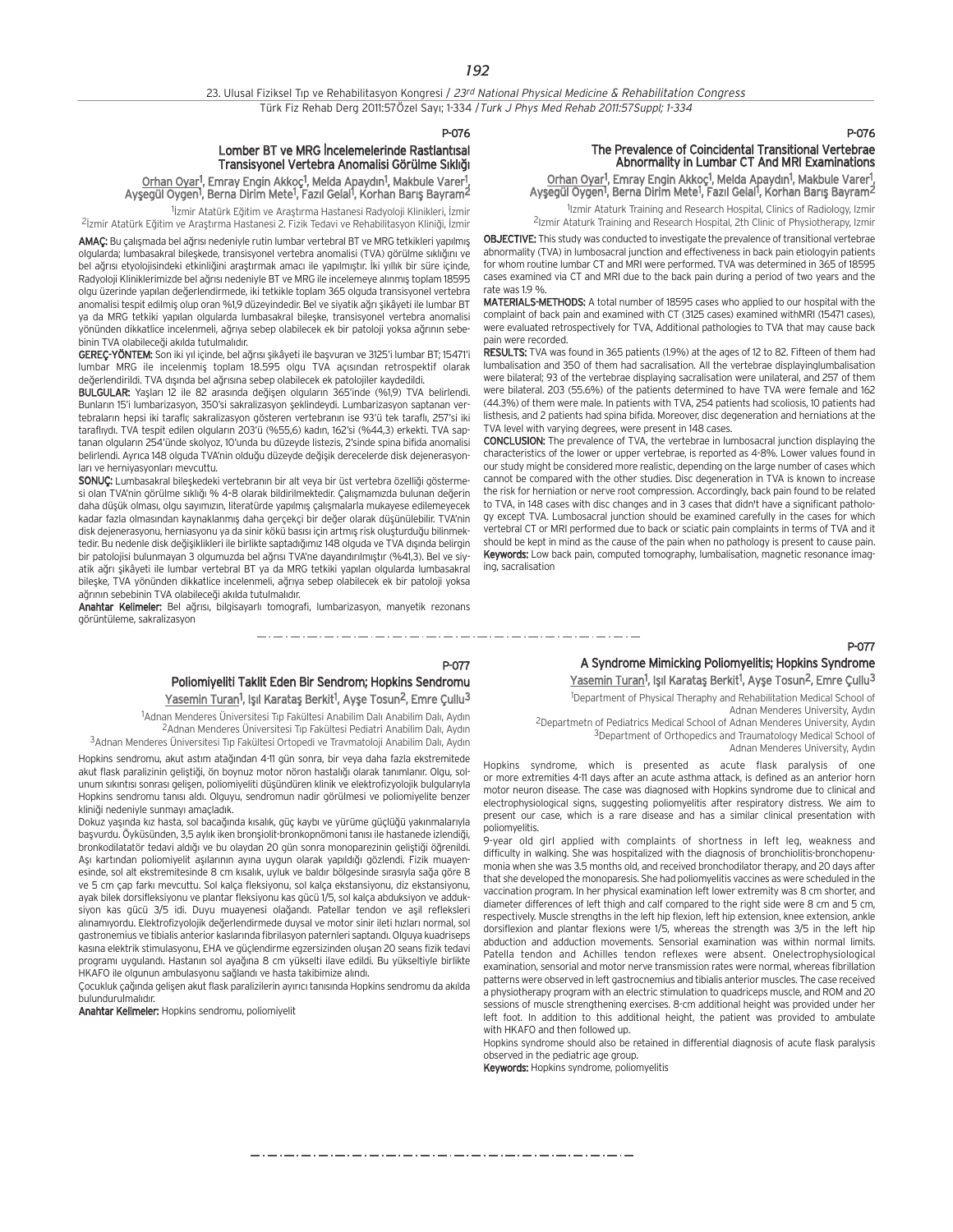P-076

## Lomber BT ve MRG İncelemelerinde Rastlantısal Transisyonel Vertebra Anomalisi Görülme Sıklığı

## <u>Orhan Oyar</u><sup>1</sup>, Emray Engin Akkoç<sup>1</sup>, Melda Apaydın<sup>1</sup>, Makbule Varer<sup>1</sup>,<br>Ayşegül Oygen<sup>1</sup>, Berna Dirim Mete<sup>1</sup>, Fazıl Gelal<sup>1</sup>, Korhan Barış Bayram<sup>2</sup>

<sup>1</sup>İzmir Atatürk Eğitim ve Araştırma Hastanesi Radyoloji Klinikleri, İzmir <sup>2</sup>İzmir Atatürk Eğitim ve Araştırma Hastanesi 2. Fizik Tedavi ve Rehabilitasyon Kliniği, İzmir

AMAÇ: Bu çalışmada bel ağrısı nedeniyle rutin lumbar vertebral BT ve MRG tetkikleri yapılmış olgularda; lumbasakral bileskede, transisyonel vertebra anomalisi (TVA) görülme sıklığını ve bel ağrısı etyolojisindeki etkinliğini araştırmak amacı ile yapılmıştır. İki yıllık bir süre içinde, Radyoloji Kliniklerimizde bel ağrısı nedeniyle BT ve MRG ile incelemeye alınmış toplam 18595 olgu üzerinde yapılan değerlendirmede, iki tetkikle toplam 365 olguda transisyonel vertebra anomalisi tespit edilmiş olup oran %1,9 düzeyindedir. Bel ve siyatik ağrı şikâyeti ile lumbar BT ya da MRG tetkiki yapılan olgularda lumbasakral bileske, transisyonel vertebra anomalisi yönünden dikkatlice incelenmeli, ağrıya sebep olabilecek ek bir patoloji yoksa ağrının sebebinin TVA olabileceği akılda tutulmalıdır.

GEREÇ-YÖNTEM: Son iki yıl içinde, bel ağrısı şikâyeti ile başvuran ve 3125'i lumbar BT; 15471'i lumbar MRG ile incelenmiş toplam 18.595 olgu TVA açısından retrospektif olarak değerlendirildi. TVA dışında bel ağrısına sebep olabilecek ek patolojiler kaydedildi.

BULGULAR: Yaşları 12 ile 82 arasında değişen olguların 365'inde (%1,9) TVA belirlendi. Bunların 15'i lumbarizasyon, 350'si sakralizasyon şeklindeydi. Lumbarizasyon saptanan vertebraların hepsi iki taraflı; sakralizasyon gösteren vertebranın ise 93'ü tek taraflı, 257'si iki taraflıydı. TVA tespit edilen olguların 203'ü (%55,6) kadın, 162'si (%44,3) erkekti. TVA saptanan olguların 254'ünde skolyoz, 10'unda bu düzeyde listezis, 2'sinde spina bifida anomalisi belirlendi. Ayrıca 148 olguda TVA'nin olduğu düzeyde değişik derecelerde disk dejenerasyonları ve herniyasyonları meycuttu.

SONUÇ: Lumbasakral bileşkedeki vertebranın bir alt veya bir üst vertebra özelliği göstermesi olan TVA'nin görülme sıklığı % 4-8 olarak bildirilmektedir. Calısmamızda bulunan değerin daha düşük olması, olgu sayımızın, literatürde yapılmış çalışmalarla mukayese edilemeyecek kadar fazla olmasından kaynaklanmış daha gerçekçi bir değer olarak düşünülebilir. TVA'nin disk dejenerasyonu, herniasyonu ya da sinir kökü basısı için artmış risk oluşturduğu bilinmektedir. Bu nedenle disk değişiklikleri ile birlikte saptadığımız 148 olguda ve TVA dışında belirgin bir patolojisi bulunmayan 3 olgumuzda bel ağrısı TVA'ne dayandırılmıştır (%41,3). Bel ve siyatik ağrı şikâyeti ile lumbar vertebral BT ya da MRG tetkiki yapılan olgularda lumbasakral bileşke, TVA yönünden dikkatlice incelenmeli, ağrıya sebep olabilecek ek bir patoloji yoksa ağrının sebebinin TVA olabileceği akılda tutulmalıdır.

Anahtar Kelimeler: Bel ağrısı, bilgisayarlı tomografi, lumbarizasyon, manyetik rezonans görüntüleme, sakralizasyon

## The Prevalence of Coincidental Transitional Vertebrae Abnormality in Lumbar CT And MRI Examinations

P-076

<u>Orhan Oyar</u>!, Emray Engin Akkoç<sup>1</sup>, Melda Apaydın<sup>1</sup>, Makbule Varer!, Ayşegül Oygen<sup>1</sup>, Berna Dirim Mete<sup>1</sup>, Fazıl Gelal<sup>1</sup>, Korhan Barış Bayram<sup>2</sup>

1Izmir Ataturk Training and Research Hospital, Clinics of Radiology, Izmir 2Izmir Ataturk Training and Research Hospital, 2th Clinic of Physiotherapy, Izmir

OBJECTIVE: This study was conducted to investigate the prevalence of transitional vertebrae abnormality (TVA) in lumbosacral junction and effectiveness in back pain etiologyin patients for whom routine lumbar CT and MRI were performed. TVA was determined in 365 of 18595 cases examined via CT and MRI due to the back pain during a period of two years and the rate was 19 %

MATERIALS-METHODS: A total number of 18595 cases who applied to our hospital with the complaint of back pain and examined with CT (3125 cases) examined withMRI (15471 cases), were evaluated retrospectively for TVA, Additional pathologies to TVA that may cause back pain were recorded.

RESULTS: TVA was found in 365 patients (1.9%) at the ages of 12 to 82. Fifteen of them had lumbalisation and 350 of them had sacralisation. All the vertebrae displayinglumbalisation were bilateral; 93 of the vertebrae displaying sacralisation were unilateral, and 257 of them were bilateral. 203 (55.6%) of the patients determined to have TVA were female and 162 (44.3%) of them were male. In patients with TVA, 254 patients had scoliosis, 10 patients had listhesis, and 2 patients had spina bifida. Moreover, disc degeneration and herniations at the TVA level with varying degrees, were present in 148 cases.

CONCLUSION: The prevalence of TVA, the vertebrae in lumbosacral junction displaying the characteristics of the lower or upper vertebrae, is reported as 4-8%. Lower values found in our study might be considered more realistic, depending on the large number of cases which cannot be compared with the other studies. Disc degeneration in TVA is known to increase the risk for herniation or nerve root compression. Accordingly, back pain found to be related to TVA, in 148 cases with disc changes and in 3 cases that didn't have a significant pathology except TVA. Lumbosacral junction should be examined carefully in the cases for which vertebral CT or MRI performed due to back or sciatic pain complaints in terms of TVA and it should be kept in mind as the cause of the pain when no pathology is present to cause pain. Keywords: Low back pain, computed tomography, lumbalisation, magnetic resonance imaging, sacralisation

## متروسا والمتواد متواريس والمتواريس والمواريس والمواريس والمواريس والمواريس والمواريس والمواريس والمواريس والمواريس والمواري

## P-077 Poliomiyeliti Taklit Eden Bir Sendrom; Hopkins Sendromu <u>Yasemin Turan</u>1, Işıl Karataş Berkit<sup>1</sup>, Ayşe Tosun<sup>2</sup>, Emre Çullu<sup>3</sup>

<sup>1</sup>Adnan Menderes Üniversitesi Tıp Fakültesi Anabilim Dalı Anabilim Dalı, Aydın <sup>2</sup> Adnan Menderes Üniversitesi Tıp Fakültesi Pediatri Anabilim Dalı, Aydın 3Adnan Menderes Üniversitesi Tıp Fakültesi Ortopedi ve Travmatoloji Anabilim Dalı, Aydın

Hopkins sendromu, akut astım atağından 4-11 gün sonra, bir veya daha fazla ekstremitede akut flask paralizinin gelistiği, ön boynuz motor nöron hastalığı olarak tanımlanır. Olgu, solunum sıkıntısı sonrası gelişen, poliomiyeliti düşündüren klinik ve elektrofizyolojik bulgularıyla Hopkins sendromu tanısı aldı. Olguyu, sendromun nadir görülmesi ve poliomiyelite benzer kliniği nedeniyle sunmayı amaçladık.

Dokuz yasında kız hasta, sol bacağında kısalık, güç kaybı ve yürüme güçlüğü yakınmalarıyla başvurdu. Öyküsünden, 3,5 aylık iken bronşiolit-bronkopnömoni tanısı ile hastanede izlendiği, bronkodilatatör tedavi aldığı ve bu olaydan 20 gün sonra monoparezinin geliştiği öğrenildi. Ası kartından poliomiyelit aşılarının ayına uygun olarak yapıldığı gözlendi. Fizik muayenesinde, sol alt ekstremitesinde 8 cm kısalık, uyluk ve baldır bölgesinde sırasıyla sağa göre 8 ve 5 cm çap farkı mevcuttu. Sol kalça fleksiyonu, sol kalça ekstansiyonu, diz ekstansiyonu, ayak bilek dorsifleksiyonu ve plantar fleksiyonu kas gücü 1/5, sol kalça abduksiyon ve adduksiyon kas gücü 3/5 idi. Duyu muayenesi olağandı. Patellar tendon ve aşil refleksleri alınamıyordu. Elektrofizyolojik değerlendirmede duysal ve motor sinir ileti hızları normal, sol gastronemius ve tibialis anterior kaslarında fibrilasyon paternleri saptandı. Olguya kuadriseps kasına elektrik stimulasyonu, EHA ve güçlendirme egzersizinden oluşan 20 seans fizik tedavi programı uygulandı. Hastanın sol ayağına 8 cm yükselti ilave edildi. Bu yükseltiyle birlikte HKAFO ile olgunun ambulasyonu sağlandı ve hasta takibimize alındı.

Çocukluk çağında gelişen akut flask paralizilerin ayırıcı tanısında Hopkins sendromu da akılda bulundurulmalıdır.

Anahtar Kelimeler: Hopkins sendromu, poliomiyelit

## P-077 A Syndrome Mimicking Poliomyelitis; Hopkins Syndrome <u>Yasemin Turan</u>1, Işıl Karataş Berkit<sup>1</sup>, Ayşe Tosun<sup>2</sup>, Emre Çullu<sup>3</sup>

<sup>1</sup>Department of Physical Theraphy and Rehabilitation Medical School of Adnan Menderes University, Aydın

<sup>2</sup>Departmetn of Pediatrics Medical School of Adnan Menderes University, Aydın 3Department of Orthopedics and Traumatology Medical School of Adnan Menderes University, Aydın

Hopkins syndrome, which is presented as acute flask paralysis of one or more extremities 4-11 days after an acute asthma attack, is defined as an anterior horn motor neuron disease. The case was diagnosed with Hopkins syndrome due to clinical and electrophysiological signs, suggesting poliomyelitis after respiratory distress. We aim to present our case, which is a rare disease and has a similar clinical presentation with poliomyelitis.

9-year old girl applied with complaints of shortness in left leg, weakness and difficulty in walking. She was hospitalized with the diagnosis of bronchiolitis-bronchopenumonia when she was 3.5 months old, and received bronchodilator therapy, and 20 days after that she developed the monoparesis. She had poliomyelitis vaccines as were scheduled in the vaccination program. In her physical examination left lower extremity was 8 cm shorter, and diameter differences of left thigh and calf compared to the right side were 8 cm and 5 cm, respectively. Muscle strengths in the left hip flexion, left hip extension, knee extension, ankle dorsiflexion and plantar flexions were 1/5, whereas the strength was 3/5 in the left hip abduction and adduction movements. Sensorial examination was within normal limits. Patella tendon and Achilles tendon reflexes were absent. Onelectrophysiological examination, sensorial and motor nerve transmission rates were normal, whereas fibrillation patterns were observed in left gastrocnemius and tibialis anterior muscles. The case received a physiotherapy program with an electric stimulation to quadriceps muscle, and ROM and 20 sessions of muscle strengthening exercises. 8-cm additional height was provided under her left foot. In addition to this additional height, the patient was provided to ambulate with HKAFO and then followed up.

Hopkins syndrome should also be retained in differential diagnosis of acute flask paralysis observed in the pediatric age group.

Keywords: Hopkins syndrome, poliomyelitis

مترو متوارد متوارد متوارد متوارد متوارد متوارد متوارد متوارد متوارد متوارد متوارد متوارد متوارد متوارد متوارد متوارد متوارد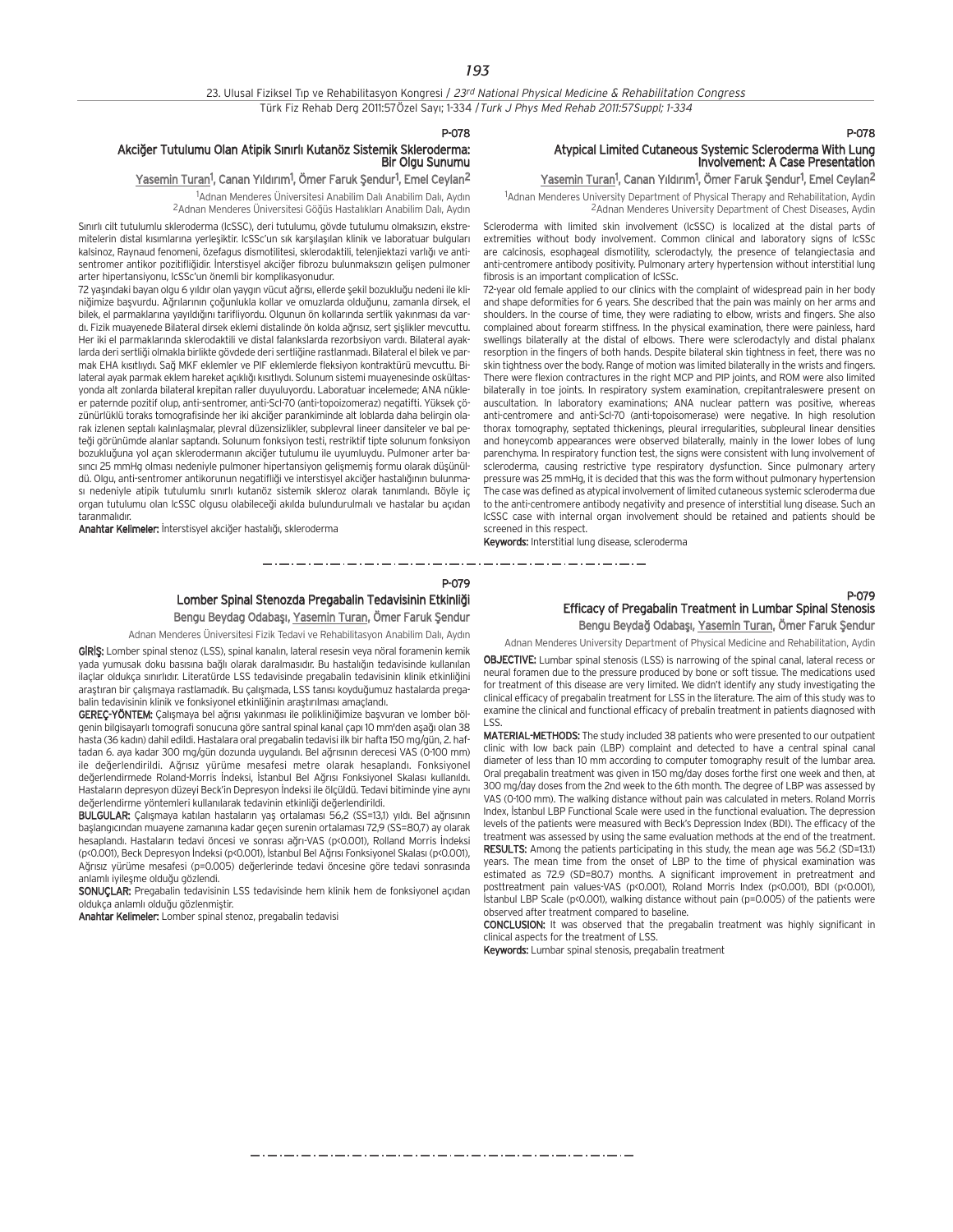P-078

P-079

مترو متوارد متوارد متوارد متوارد متوارد متوارد متوارد متوارد متوارد متوارد متوارد متوارد متوارد متوارد متوارد متوارد متوارد

## Akciğer Tutulumu Olan Atipik Sınırlı Kutanöz Sistemik Skleroderma:<br>Bir Olgu Sunumu

### <u>Yasemin Turan</u>1, Canan Yıldırım<sup>1</sup>, Ömer Faruk Şendur<sup>1</sup>, Emel Ceylan<sup>2</sup>

<sup>1</sup>Adnan Menderes Üniversitesi Anabilim Dalı Anabilim Dalı, Aydın <sup>2</sup> Adnan Menderes Üniversitesi Göğüs Hastalıkları Anabilim Dalı, Aydın

Sınırlı cilt tutulumlu skleroderma (IcSSC), deri tutulumu, gövde tutulumu olmaksızın, ekstremitelerin distal kısımlarına yerleşiktir. IcSSc'un sık karşılaşılan klinik ve laboratuar bulguları kalsinoz, Raynaud fenomeni, özefagus dismotilitesi, sklerodaktili, telenjiektazi varlığı ve antisentromer antikor pozitifliğidir. İnterstisyel akciğer fibrozu bulunmaksızın gelişen pulmoner arter hipertansiyonu, lcSSc'un önemli bir komplikasyonudur.

72 yaşındaki bayan olgu 6 yıldır olan yaygın vücut ağrısı, ellerde sekil bozukluğu nedeni ile kliniğimize başyurdu. Ağrılarının çoğunlukla kollar ve omuzlarda olduğunu, zamanla dirsek, el bilek, el parmaklarına yayıldığını tarifliyordu. Olgunun ön kollarında sertlik yakınması da vardı. Fizik muayenede Bilateral dirsek eklemi distalinde ön kolda ağrısız, sert şişlikler mevcuttu. Her iki el parmaklarında sklerodaktili ve distal falankslarda rezorbsiyon vardı. Bilateral ayaklarda deri sertliği olmakla birlikte gövdede deri sertliğine rastlanmadı. Bilateral el bilek ve parmak EHA kısıtlıydı. Sağ MKF eklemler ve PIF eklemlerde fleksiyon kontraktürü mevcuttu. Bilateral ayak parmak eklem hareket açıklığı kısıtlıydı. Solunum sistemi muayenesinde oskültasyonda alt zonlarda bilateral krepitan raller duyuluyordu. Laboratuar incelemede; ANA nükleer paternde pozitif olup, anti-sentromer, anti-Scl-70 (anti-topoizomeraz) negatifti. Yüksek çözünürlüklü toraks tomografisinde her iki akciğer parankiminde alt loblarda daha belirgin olarak izlenen septalı kalınlaşmalar, plevral düzensizlikler, subplevral lineer dansiteler ve bal peteği görünümde alanlar saptandı. Solunum fonksiyon testi, restriktif tipte solunum fonksiyon bozukluğuna yol açan sklerodermanın akciğer tutulumu ile uyumluydu. Pulmoner arter basinci 25 mmHg olması nedeniyle pulmoner hipertansiyon gelişmemiş formu olarak düşünüldü. Olgu, anti-sentromer antikorunun negatifliği ve interstisyel akciğer hastalığının bulunması nedeniyle atipik tutulumlu sınırlı kutanöz sistemik skleroz olarak tanımlandı. Böyle iç organ tutulumu olan lcSSC olgusu olabileceği akılda bulundurulmalı ve hastalar bu açıdan taranmalıdır

Anahtar Kelimeler: İnterstisyel akciğer hastalığı, skleroderma

## P-078

## Atypical Limited Cutaneous Systemic Scleroderma With Lung Involvement: A Case Presentation

Yasemin Turan<sup>1</sup>, Canan Yıldırım<sup>1</sup>, Ömer Faruk Şendur<sup>1</sup>, Emel Ceylan<sup>2</sup>

<sup>1</sup>Adnan Menderes University Department of Physical Therapy and Rehabilitation, Aydin 2Adnan Menderes University Department of Chest Diseases, Aydin

Scleroderma with limited skin involvement (lcSSC) is localized at the distal parts of extremities without body involvement. Common clinical and laboratory signs of lcSSc are calcinosis, esophageal dismotility, sclerodactyly, the presence of telangiectasia and anti-centromere antibody positivity. Pulmonary artery hypertension without interstitial lung fibrosis is an important complication of lcSSc.

72-year old female applied to our clinics with the complaint of widespread pain in her body and shape deformities for 6 years. She described that the pain was mainly on her arms and shoulders. In the course of time, they were radiating to elbow, wrists and fingers. She also complained about forearm stiffness. In the physical examination, there were painless, hard swellings bilaterally at the distal of elbows. There were sclerodactyly and distal phalanx resorption in the fingers of both hands. Despite bilateral skin tightness in feet, there was no skin tightness over the body. Range of motion was limited bilaterally in the wrists and fingers. There were flexion contractures in the right MCP and PIP joints, and ROM were also limited bilaterally in toe joints. In respiratory system examination, crepitantraleswere present on auscultation. In laboratory examinations; ANA nuclear pattern was positive, whereas anti-centromere and anti-Scl-70 (anti-topoisomerase) were negative. In high resolution thorax tomography, septated thickenings, pleural irregularities, subpleural linear densities and honeycomb appearances were observed bilaterally, mainly in the lower lobes of lung parenchyma. In respiratory function test, the signs were consistent with lung involvement of scleroderma, causing restrictive type respiratory dysfunction. Since pulmonary artery pressure was 25 mmHg, it is decided that this was the form without pulmonary hypertension The case was defined as atypical involvement of limited cutaneous systemic scleroderma due to the anti-centromere antibody negativity and presence of interstitial lung disease. Such an IcSSC case with internal organ involvement should be retained and patients should be screened in this respect.

Keywords: Interstitial lung disease, scleroderma

<u>and a simple state of the state of the state of the state of the sta</u>

## Lomber Spinal Stenozda Pregabalin Tedavisinin Etkinliği

المستحي والمساوي للمستحي والمستحي والمستحي والمستحيل والمستحيرة

Bengu Beydag Odabaşı, Yasemin Turan, Ömer Faruk Şendur

Adnan Menderes Üniversitesi Fizik Tedavi ve Rehabilitasyon Anabilim Dalı, Aydın GIRIŞ: Lomber spinal stenoz (LSS), spinal kanalın, lateral resesin veya nöral foramenin kemik yada yumusak doku basısına bağlı olarak daralmasıdır. Bu hastalığın tedavisinde kullanılan ilaçlar oldukça sınırlıdır. Literatürde LSS tedavisinde pregabalin tedavisinin klinik etkinliğini arastıran bir çalışmaya rastlamadık. Bu çalışmada, LSS tanısı koyduğumuz hastalarda pregabalin tedavisinin klinik ve fonksiyonel etkinliğinin araştırılması amaçlandı.

GEREÇ-YÖNTEM: Çalışmaya bel ağrısı yakınması ile polikliniğimize başvuran ve lomber bölgenin bilgisayarlı tomografi sonucuna göre santral spinal kanal çapı 10 mm'den aşağı olan 38 hasta (36 kadın) dahil edildi. Hastalara oral pregabalin tedavisi ilk bir hafta 150 mg/gün, 2. haftadan 6. aya kadar 300 mg/gün dozunda uygulandı. Bel ağrısının derecesi VAS (0-100 mm) ile değerlendirildi. Ağrısız yürüme mesafesi metre olarak hesaplandı. Fonksiyonel değerlendirmede Roland-Morris İndeksi, İstanbul Bel Ağrısı Fonksiyonel Skalası kullanıldı. Hastaların depresyon düzeyi Beck'in Depresyon İndeksi ile ölçüldü. Tedavi bitiminde yine aynı değerlendirme yöntemleri kullanılarak tedavinin etkinliği değerlendirildi.

BULGULAR: Çalışmaya katılan hastaların yaş ortalaması 56,2 (SS=13,1) yıldı. Bel ağrısının başlangıcından muayene zamanına kadar geçen surenin ortalaması 72,9 (SS=80,7) ay olarak hesaplandı. Hastaların tedavi öncesi ve sonrası ağrı-VAS (p<0.001), Rolland Morris İndeksi (p<0.001), Beck Depresyon İndeksi (p<0.001), İstanbul Bel Ağrısı Fonksiyonel Skalası (p<0.001), Ağrısız yürüme mesafesi (p=0.005) değerlerinde tedavi öncesine göre tedavi sonrasında anlamlı iyilesme olduğu gözlendi.

SONUÇLAR: Pregabalin tedavisinin LSS tedavisinde hem klinik hem de fonksiyonel açıdan oldukça anlamlı olduğu gözlenmiştir.

Anahtar Kelimeler: Lomber spinal stenoz, pregabalin tedavisi

## P-079 Efficacy of Pregabalin Treatment in Lumbar Spinal Stenosis Bengu Beydağ Odabaşı, Yasemin Turan, Ömer Faruk Şendur

Adnan Menderes University Department of Physical Medicine and Rehabilitation, Aydin

OBJECTIVE: Lumbar spinal stenosis (LSS) is narrowing of the spinal canal, lateral recess or neural foramen due to the pressure produced by bone or soft tissue. The medications used for treatment of this disease are very limited. We didn't identify any study investigating the clinical efficacy of pregabalin treatment for LSS in the literature. The aim of this study was to examine the clinical and functional efficacy of prebalin treatment in patients diagnosed with LSS.

MATERIAL-METHODS: The study included 38 patients who were presented to our outpatient clinic with low back pain (LBP) complaint and detected to have a central spinal canal diameter of less than 10 mm according to computer tomography result of the lumbar area. Oral pregabalin treatment was given in 150 mg/day doses forthe first one week and then, at 300 mg/day doses from the 2nd week to the 6th month. The degree of LBP was assessed by VAS (0-100 mm). The walking distance without pain was calculated in meters. Roland Morris Index, Istanbul LBP Functional Scale were used in the functional evaluation. The depression levels of the patients were measured with Beck's Depression Index (BDI). The efficacy of the treatment was assessed by using the same evaluation methods at the end of the treatment. RESULTS: Among the patients participating in this study, the mean age was 56.2 (SD=13.1) years. The mean time from the onset of LBP to the time of physical examination was estimated as 72.9 (SD=80.7) months. A significant improvement in pretreatment and posttreatment pain values-VAS (p<0.001), Roland Morris Index (p<0.001), BDI (p<0.001), İstanbul LBP Scale (p<0.001), walking distance without pain (p=0.005) of the patients were observed after treatment compared to baseline.

CONCLUSION: It was observed that the pregabalin treatment was highly significant in clinical aspects for the treatment of LSS.

Keywords: Lumbar spinal stenosis, pregabalin treatment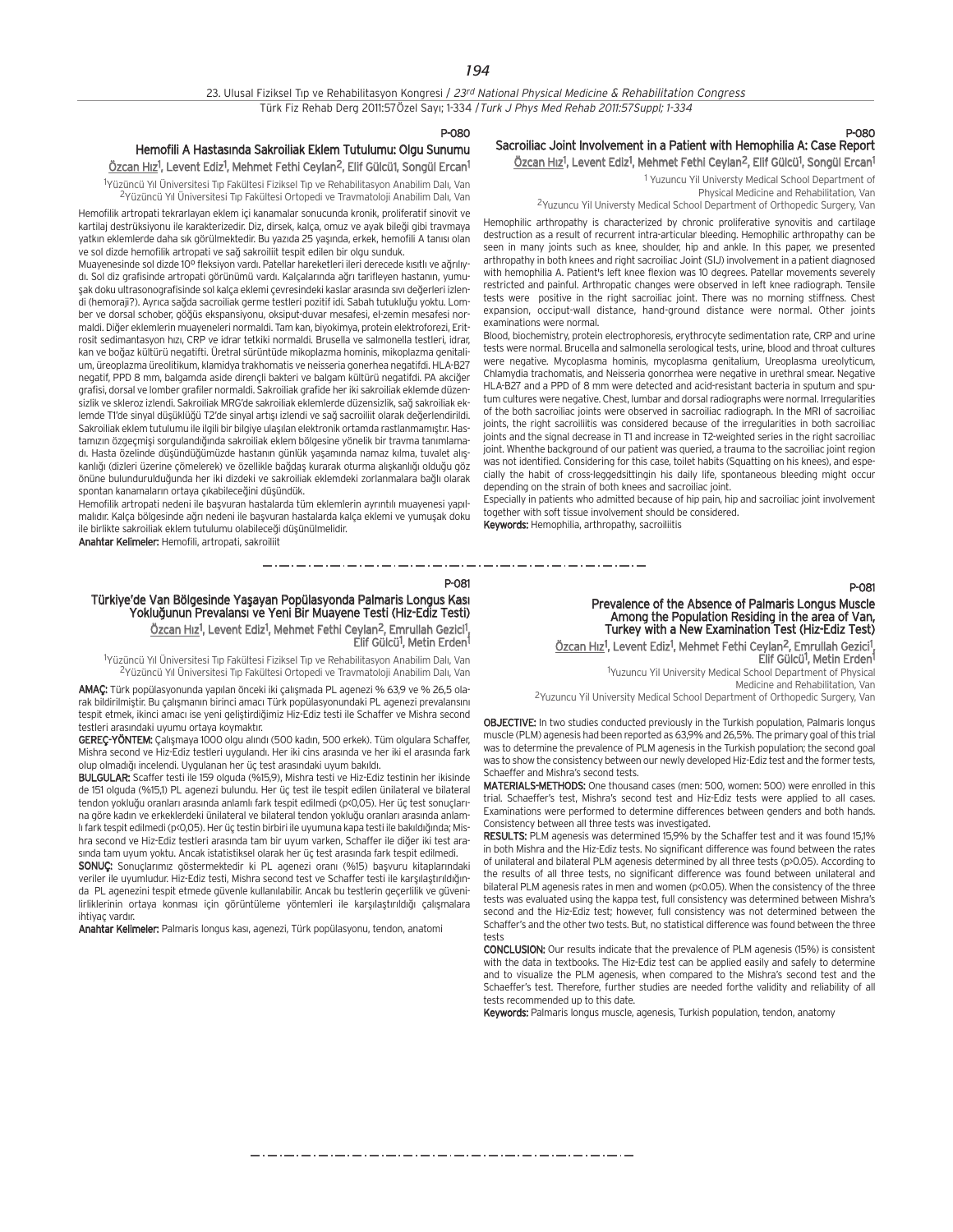P-080

## Hemofili A Hastasında Sakroiliak Eklem Tutulumu: Olgu Sunumu <u>Özcan Hız</u>1, Levent Ediz<sup>1</sup>, Mehmet Fethi Ceylan<sup>2</sup>, Elif Gülcü1, Songül Ercan<sup>1</sup>

<sup>1</sup>Yüzüncü Yıl Üniversitesi Tıp Fakültesi Fiziksel Tıp ve Rehabilitasyon Anabilim Dalı, Van <sup>2</sup>Yüzüncü Yıl Üniversitesi Tıp Fakültesi Ortopedi ve Travmatoloji Anabilim Dalı, Van

Hemofilik artropati tekrarlayan eklem içi kanamalar sonucunda kronik, proliferatif sinovit ve kartilaj destrüksiyonu ile karakterizedir. Diz, dirsek, kalça, omuz ve ayak bileği gibi travmaya yatkın eklemlerde daha sık görülmektedir. Bu yazıda 25 yaşında, erkek, hemofili A tanısı olan ve sol dizde hemofilik artropati ve sağ sakroiliit tespit edilen bir olgu sunduk.

Muayenesinde sol dizde 10° fleksiyon vardı. Patellar hareketleri ileri derecede kısıtlı ve ağrılıydı. Sol diz grafisinde artropati görünümü vardı. Kalcalarında ağrı tarifleyen hastanın, yumusak doku ultrasonografisinde sol kalça eklemi çevresindeki kaslar arasında sıvı değerleri izlendi (hemoraji?). Ayrıca sağda sacroiliak germe testleri pozitif idi. Sabah tutukluğu yoktu. Lomber ve dorsal schober, göğüs ekspansiyonu, oksiput-duvar mesafesi, el-zemin mesafesi normaldi. Diğer eklemlerin muayeneleri normaldi. Tam kan, biyokimya, protein elektroforezi, Eritrosit sedimantasyon hızı, CRP ve idrar tetkiki normaldi. Brusella ve salmonella testleri, idrar, kan ve boğaz kültürü negatifti. Üretral sürüntüde mikoplazma hominis, mikoplazma genitalium, üreoplazma üreolitikum, klamidya trakhomatis ve neisseria gonerhea negatifdi. HLA-B27 negatif, PPD 8 mm, balgamda aside dirençli bakteri ve balgam kültürü negatifdi. PA akciğer grafisi, dorsal ve lomber grafiler normaldi. Sakroiliak grafide her iki sakroiliak eklemde düzensizlik ve skleroz izlendi. Sakroiliak MRG'de sakroiliak eklemlerde düzensizlik, sağ sakroiliak eklemde T1'de sinyal düşüklüğü T2'de sinyal artısı izlendi ve sağ sacroiliit olarak değerlendirildi. Sakroiliak eklem tutulumu ile ilgili bir bilgiye ulaşılan elektronik ortamda rastlanmamıştır. Hastamızın özgeçmisi sorgulandığında sakroiliak eklem bölgesine yönelik bir travma tanımlamadı. Hasta özelinde düşündüğümüzde hastanın günlük yaşamında namaz kılma, tuvalet alışkanlığı (dizleri üzerine çömelerek) ve özellikle bağdaş kurarak oturma alışkanlığı olduğu göz önüne bulundurulduğunda her iki dizdeki ve sakroiliak eklemdeki zorlanmalara bağlı olarak spontan kanamaların ortaya çıkabileceğini düşündük.

Hemofilik artropati nedeni ile başvuran hastalarda tüm eklemlerin ayrıntılı muayenesi yapılmalıdır. Kalça bölgesinde ağrı nedeni ile başvuran hastalarda kalça eklemi ve yumuşak doku ile birlikte sakroiliak eklem tutulumu olabileceği düşünülmelidir.

Anahtar Kelimeler: Hemofili, artropati, sakroiliit

#### P-081

Türkiye'de Van Bölgesinde Yaşayan Popülasyonda Palmaris Longus Kası Yoklu¤unun Prevalans› ve Yeni Bir Muayene Testi (Hiz-Ediz Testi) <u>Özcan Hız</u><sup>1</sup>, Levent Ediz<sup>1</sup>, Mehmet Fethi Ceylan<sup>2</sup>, Emrullah Gezici<sup>1</sup>, Elif Gülcü<sup>1</sup>, Metin Erden<sup>1</sup>

<sup>1</sup>Yüzüncü Yıl Üniversitesi Tıp Fakültesi Fiziksel Tıp ve Rehabilitasyon Anabilim Dalı, Van <sup>2</sup>Yüzüncü Yıl Üniversitesi Tıp Fakültesi Ortopedi ve Travmatoloji Anabilim Dalı, Van

AMAÇ: Türk popülasyonunda yapılan önceki iki çalışmada PL agenezi % 63,9 ve % 26,5 olarak bildirilmiştir. Bu çalışmanın birinci amacı Türk popülasyonundaki PL agenezi prevalansını tespit etmek, ikinci amacı ise yeni geliştirdiğimiz Hiz-Ediz testi ile Schaffer ve Mishra second testleri arasındaki uyumu ortaya koymaktır.

GEREÇ-YÖNTEM: Çalışmaya 1000 olgu alındı (500 kadın, 500 erkek). Tüm olgulara Schaffer, Mishra second ve Hiz-Ediz testleri uygulandı. Her iki cins arasında ve her iki el arasında fark olup olmadığı incelendi. Uygulanan her üç test arasındaki uyum bakıldı.

BULGULAR: Scaffer testi ile 159 olguda (%15,9), Mishra testi ve Hiz-Ediz testinin her ikisinde de 151 olguda (%15,1) PL agenezi bulundu. Her üç test ile tespit edilen ünilateral ve bilateral tendon yokluğu oranları arasında anlamlı fark tespit edilmedi (p<0,05). Her üç test sonuçlarına göre kadın ve erkeklerdeki ünilateral ve bilateral tendon yokluğu oranları arasında anlamlı fark tespit edilmedi (p<0,05). Her üç testin birbiri ile uyumuna kapa testi ile bakıldığında; Mishra second ve Hiz-Ediz testleri arasında tam bir uyum varken, Schaffer ile diğer iki test arasında tam uyum yoktu. Ancak istatistiksel olarak her üç test arasında fark tespit edilmedi.

SONUÇ: Sonuçlarımız göstermektedir ki PL agenezi oranı (%15) başvuru kitaplarındaki veriler ile uvumludur. Hiz-Ediz testi, Mishra second test ve Schaffer testi ile karsılastırıldığında PL agenezini tespit etmede güvenle kullanılabilir. Ancak bu testlerin geçerlilik ve güvenilirliklerinin ortaya konması için görüntüleme yöntemleri ile karşılaştırıldığı çalışmalara ihtiyaç yardır.

Anahtar Kelimeler: Palmaris longus kası, agenezi, Türk popülasyonu, tendon, anatomi

## P-080 Sacroiliac Joint Involvement in a Patient with Hemophilia A: Case Report <u>Özcan Hız</u>1, Levent Ediz<sup>1</sup>, Mehmet Fethi Ceylan<sup>2</sup>, Elif Gülcü<sup>1</sup>, Songül Ercan<sup>1</sup>

1 Yuzuncu Yil Universty Medical School Department of Physical Medicine and Rehabilitation, Van

2Yuzuncu Yil Universty Medical School Department of Orthopedic Surgery, Van

Hemophilic arthropathy is characterized by chronic proliferative synovitis and cartilage destruction as a result of recurrent intra-articular bleeding. Hemophilic arthropathy can be seen in many joints such as knee, shoulder, hip and ankle. In this paper, we presented arthropathy in both knees and right sacroiliac Joint (SIJ) involvement in a patient diagnosed with hemophilia A. Patient's left knee flexion was 10 degrees. Patellar movements severely restricted and painful. Arthropatic changes were observed in left knee radiograph. Tensile tests were positive in the right sacroiliac joint. There was no morning stiffness. Chest expansion, occiput-wall distance, hand-ground distance were normal. Other joints examinations were normal.

Blood, biochemistry, protein electrophoresis, erythrocyte sedimentation rate, CRP and urine tests were normal. Brucella and salmonella serological tests, urine, blood and throat cultures were negative. Mycoplasma hominis, mycoplasma genitalium, Ureoplasma ureolyticum, Chlamydia trachomatis, and Neisseria gonorrhea were negative in urethral smear. Negative HLA-B27 and a PPD of 8 mm were detected and acid-resistant bacteria in sputum and sputum cultures were negative. Chest, lumbar and dorsal radiographs were normal. Irregularities of the both sacroiliac joints were observed in sacroiliac radiograph. In the MRI of sacroiliac joints, the right sacroiliitis was considered because of the irregularities in both sacroiliac joints and the signal decrease in T1 and increase in T2-weighted series in the right sacroiliac joint. When the background of our patient was queried, a trauma to the sacroiliac joint region was not identified. Considering for this case, toilet habits (Squatting on his knees), and especially the habit of cross-leggedsittingin his daily life, spontaneous bleeding might occur depending on the strain of both knees and sacroiliac joint.

Especially in patients who admitted because of hip pain, hip and sacroiliac joint involvement together with soft tissue involvement should be considered.

Keywords: Hemophilia, arthropathy, sacroiliitis

#### P-081

Prevalence of the Absence of Palmaris Longus Muscle Among the Population Residing in the area of Van, Turkey with a New Examination Test (Hiz-Ediz Test) Özcan Hız<sup>1</sup>, Levent Ediz<sup>1</sup>, Mehmet Fethi Ceylan<sup>2</sup>, Emrullah Gezici<sup>1</sup>,

Elif Gülcü<sup>1</sup>, Metin Erden<sup>1</sup> 1 Yuzuncu Yil University Medical School Department of Physical

Medicine and Rehabilitation, Van

2Yuzuncu Yil University Medical School Department of Orthopedic Surgery, Van

OBJECTIVE: In two studies conducted previously in the Turkish population, Palmaris longus muscle (PLM) agenesis had been reported as 63,9% and 26,5%. The primary goal of this trial was to determine the prevalence of PLM agenesis in the Turkish population; the second goal was to show the consistency between our newly developed Hiz-Ediz test and the former tests, Schaeffer and Mishra's second tests.

MATERIALS-METHODS: One thousand cases (men: 500, women: 500) were enrolled in this trial. Schaeffer's test, Mishra's second test and Hiz-Ediz tests were applied to all cases. Examinations were performed to determine differences between genders and both hands. Consistency between all three tests was investigated.

RESULTS: PLM agenesis was determined 15,9% by the Schaffer test and it was found 15,1% in both Mishra and the Hiz-Ediz tests. No significant difference was found between the rates of unilateral and bilateral PLM agenesis determined by all three tests (p>0.05). According to the results of all three tests, no significant difference was found between unilateral and bilateral PLM agenesis rates in men and women (p<0.05). When the consistency of the three tests was evaluated using the kappa test, full consistency was determined between Mishra's second and the Hiz-Ediz test; however, full consistency was not determined between the Schaffer's and the other two tests. But, no statistical difference was found between the three tests

CONCLUSION: Our results indicate that the prevalence of PLM agenesis (15%) is consistent with the data in textbooks. The Hiz-Ediz test can be applied easily and safely to determine and to visualize the PLM agenesis, when compared to the Mishra's second test and the Schaeffer's test. Therefore, further studies are needed forthe validity and reliability of all tests recommended up to this date.

Keywords: Palmaris longus muscle, agenesis, Turkish population, tendon, anatomy

مترو متوارد متوارد متوارد متوارد متوارد متوارد متوارد متوارد متوارد متوارد متوارد متوارد متوارد متوارد متوارد متوارد متوارد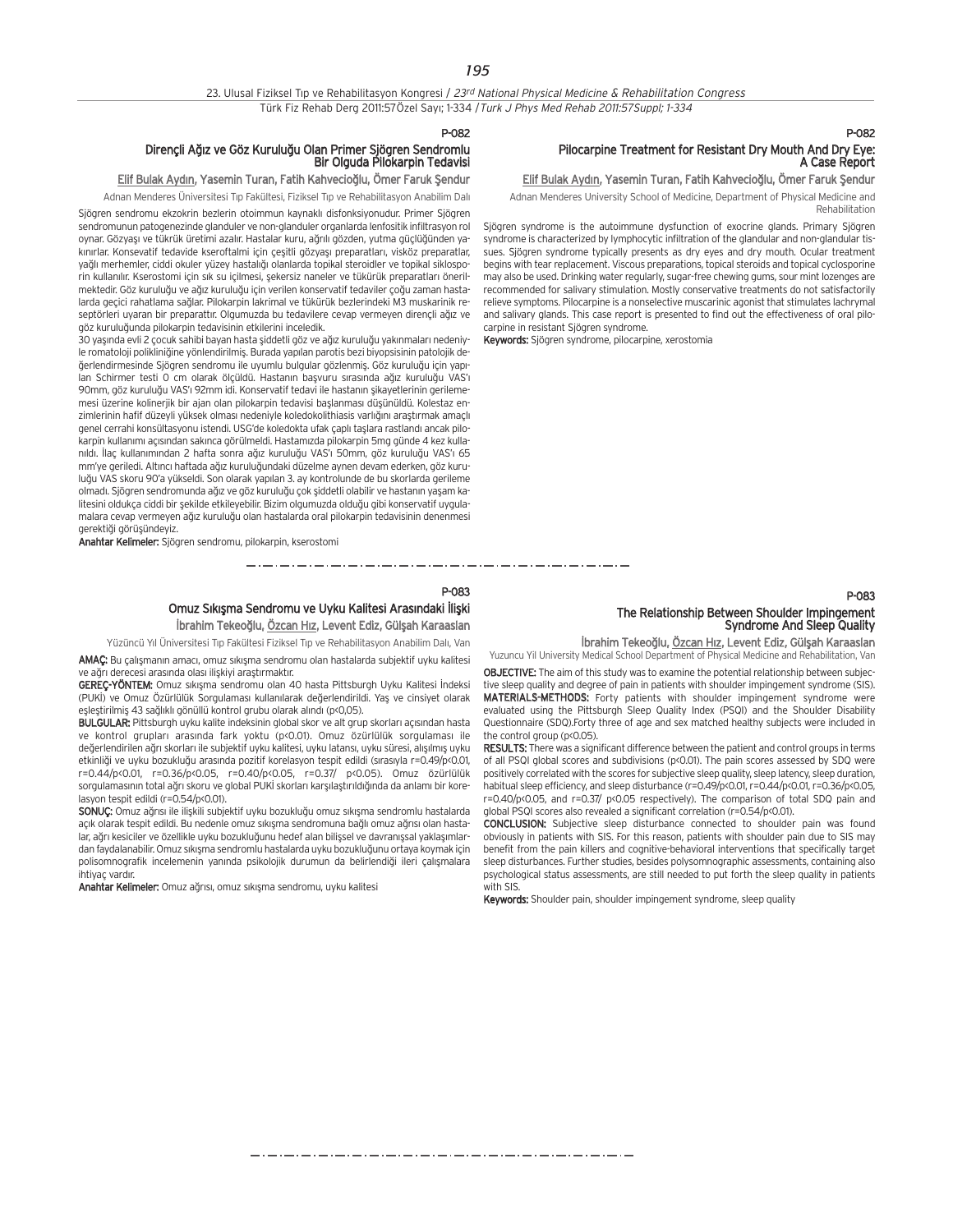#### P-082

## Dirençli A¤›z ve Göz Kurulu¤u Olan Primer Sjögren Sendromlu Bir Olguda Pilokarpin Tedavisi

## Elif Bulak Aydın, Yasemin Turan, Fatih Kahvecioğlu, Ömer Faruk Şendur

Adnan Menderes Üniversitesi Tıp Fakültesi, Fiziksel Tıp ve Rehabilitasyon Anabilim Dalı

Sjögren sendromu ekzokrin bezlerin otoimmun kaynaklı disfonksiyonudur. Primer Sjögren sendromunun patogenezinde glanduler ve non-glanduler organlarda lenfositik infiltrasyon rol oynar. Gözyaşı ve tükrük üretimi azalır. Hastalar kuru, ağrılı gözden, yutma güçlüğünden yakınırlar. Konsevatif tedavide kseroftalmi için çeşitli gözyası preparatları, visköz preparatlar, vağlı merhemler, ciddi okuler yüzey hastalığı olanlarda topikal steroidler ve topikal siklosporin kullanılır. Kserostomi için sık su içilmesi, sekersiz naneler ve tükürük preparatları önerilmektedir. Göz kuruluğu ve ağız kuruluğu için verilen konservatif tedaviler çoğu zaman hastalarda geçici rahatlama sa¤lar. Pilokarpin lakrimal ve tükürük bezlerindeki M3 muskarinik reseptörleri uyaran bir preparattır. Olgumuzda bu tedavilere cevap vermeyen dirençli ağız ve göz kuruluğunda pilokarpin tedavisinin etkilerini inceledik.

30 yaşında evli 2 çocuk sahibi bayan hasta şiddetli göz ve ağız kuruluğu yakınmaları nedeniyle romatoloji polikliniğine yönlendirilmiş. Burada yapılan parotis bezi biyopsisinin patolojik değerlendirmesinde Sjögren sendromu ile uyumlu bulgular gözlenmiş. Göz kuruluğu için yapılan Schirmer testi 0 cm olarak ölçüldü. Hastanın başvuru sırasında ağız kuruluğu VAS'ı 90mm, göz kuruluğu VAS'ı 92mm idi. Konservatif tedavi ile hastanın şikayetlerinin gerilememesi üzerine kolinerjik bir ajan olan pilokarpin tedavisi başlanması düşünüldü. Kolestaz enzimlerinin hafif düzeyli yüksek olması nedeniyle koledokolithiasis varlığını araştırmak amaçlı genel cerrahi konsültasyonu istendi. USG'de koledokta ufak çaplı taşlara rastlandı ancak pilokarpin kullanımı açısından sakınca görülmeldi. Hastamızda pilokarpin 5mg günde 4 kez kullanıldı. İlac kullanımından 2 hafta sonra ağız kuruluğu VAS'ı 50mm, göz kuruluğu VAS'ı 65 mm'ye geriledi. Altıncı haftada ağız kuruluğundaki düzelme aynen devam ederken, göz kuruluğu VAS skoru 90'a yükseldi. Son olarak yapılan 3. ay kontrolunde de bu skorlarda gerileme olmadı. Sjögren sendromunda ağız ve göz kuruluğu çok şiddetli olabilir ve hastanın yaşam kalitesini oldukça ciddi bir şekilde etkileyebilir. Bizim olgumuzda olduğu gibi konservatif uygulamalara cevap vermeyen ağız kuruluğu olan hastalarda oral pilokarpin tedavisinin denenmesi gerektiği görüşündeyiz.

Anahtar Kelimeler: Sjögren sendromu, pilokarpin, kserostomi

## P-083 Omuz Sıkışma Sendromu ve Uyku Kalitesi Arasındaki İlişki

İbrahim Tekeoğlu, Özcan Hız, Levent Ediz, Gülşah Karaaslan

Yüzüncü Yıl Üniversitesi Tıp Fakültesi Fiziksel Tıp ve Rehabilitasyon Anabilim Dalı, Van

AMAÇ: Bu çalışmanın amacı, omuz sıkışma sendromu olan hastalarda subjektif uyku kalitesi ve ağrı derecesi arasında olası ilişkiyi araştırmaktır.

GEREÇ-YÖNTEM: Omuz sıkışma sendromu olan 40 hasta Pittsburgh Uyku Kalitesi İndeksi (PUKİ) ve Omuz Özürlülük Sorgulaması kullanılarak değerlendirildi. Yaş ve cinsiyet olarak eşleştirilmiş 43 sağlıklı gönüllü kontrol grubu olarak alındı (p<0,05).

BULGULAR: Pittsburgh uyku kalite indeksinin global skor ve alt grup skorları açısından hasta ve kontrol grupları arasında fark yoktu (p<0.01). Omuz özürlülük sorgulaması ile değerlendirilen ağrı skorları ile subjektif uyku kalitesi, uyku latansı, uyku süresi, alışılmış uyku etkinliği ve uyku bozukluğu arasında pozitif korelasyon tespit edildi (sırasıyla r=0.49/p<0.01, r=0.44/p<0.01, r=0.36/p<0.05, r=0.40/p<0.05, r=0.37/ p<0.05). Omuz özürlülük sorgulamasının total ağrı skoru ve global PUKİ skorları karşılaştırıldığında da anlamı bir korelasyon tespit edildi (r=0.54/p<0.01).

SONUÇ: Omuz ağrısı ile ilişkili subjektif uyku bozukluğu omuz sıkışma sendromlu hastalarda açık olarak tespit edildi. Bu nedenle omuz sıkısma sendromuna bağlı omuz ağrısı olan hastalar, ağrı kesiciler ve özellikle uyku bozukluğunu hedef alan bilişsel ve davranışsal yaklaşımlardan faydalanabilir. Omuz sıkışma sendromlu hastalarda uyku bozukluğunu ortaya koymak için polisomnografik incelemenin yanında psikolojik durumun da belirlendiği ileri çalışmalara ihtiyac vardır.

Anahtar Kelimeler: Omuz ağrısı, omuz sıkışma sendromu, uyku kalitesi

## P-082 Pilocarpine Treatment for Resistant Dry Mouth And Dry Eye:<br>A Case Report

## Elif Bulak Aydın, Yasemin Turan, Fatih Kahvecioğlu, Ömer Faruk Şendur

Adnan Menderes University School of Medicine, Department of Physical Medicine and Rehabilitation

Sjögren syndrome is the autoimmune dysfunction of exocrine glands. Primary Sjögren syndrome is characterized by lymphocytic infiltration of the glandular and non-glandular tissues. Sjögren syndrome typically presents as dry eyes and dry mouth. Ocular treatment begins with tear replacement. Viscous preparations, topical steroids and topical cyclosporine may also be used. Drinking water regularly, sugar-free chewing gums, sour mint lozenges are recommended for salivary stimulation. Mostly conservative treatments do not satisfactorily relieve symptoms. Pilocarpine is a nonselective muscarinic agonist that stimulates lachrymal and salivary glands. This case report is presented to find out the effectiveness of oral pilocarpine in resistant Sjögren syndrome.

Keywords: Sjögren syndrome, pilocarpine, xerostomia

P-083 The Relationship Between Shoulder Impingement Syndrome And Sleep Quality

İbrahim Tekeoğlu, Özcan Hız, Levent Ediz, Gülşah Karaaslan

Yuzuncu Yil University Medical School Department of Physical Medicine and Rehabilitation, Van OBJECTIVE: The aim of this study was to examine the potential relationship between subjective sleep quality and degree of pain in patients with shoulder impingement syndrome (SIS). MATERIALS-METHODS: Forty patients with shoulder impingement syndrome were evaluated using the Pittsburgh Sleep Quality Index (PSQI) and the Shoulder Disability Questionnaire (SDQ).Forty three of age and sex matched healthy subjects were included in the control group (p<0.05).

RESULTS: There was a significant difference between the patient and control groups in terms of all PSQI global scores and subdivisions (p<0.01). The pain scores assessed by SDQ were positively correlated with the scores for subjective sleep quality, sleep latency, sleep duration, habitual sleep efficiency, and sleep disturbance (r=0.49/p<0.01, r=0.44/p<0.01, r=0.36/p<0.05, r=0.40/p<0.05, and r=0.37/ p<0.05 respectively). The comparison of total SDQ pain and global PSQI scores also revealed a significant correlation (r=0.54/p<0.01).

CONCLUSION: Subjective sleep disturbance connected to shoulder pain was found obviously in patients with SIS. For this reason, patients with shoulder pain due to SIS may benefit from the pain killers and cognitive-behavioral interventions that specifically target sleep disturbances. Further studies, besides polysomnographic assessments, containing also psychological status assessments, are still needed to put forth the sleep quality in patients with SIS.

Keywords: Shoulder pain, shoulder impingement syndrome, sleep quality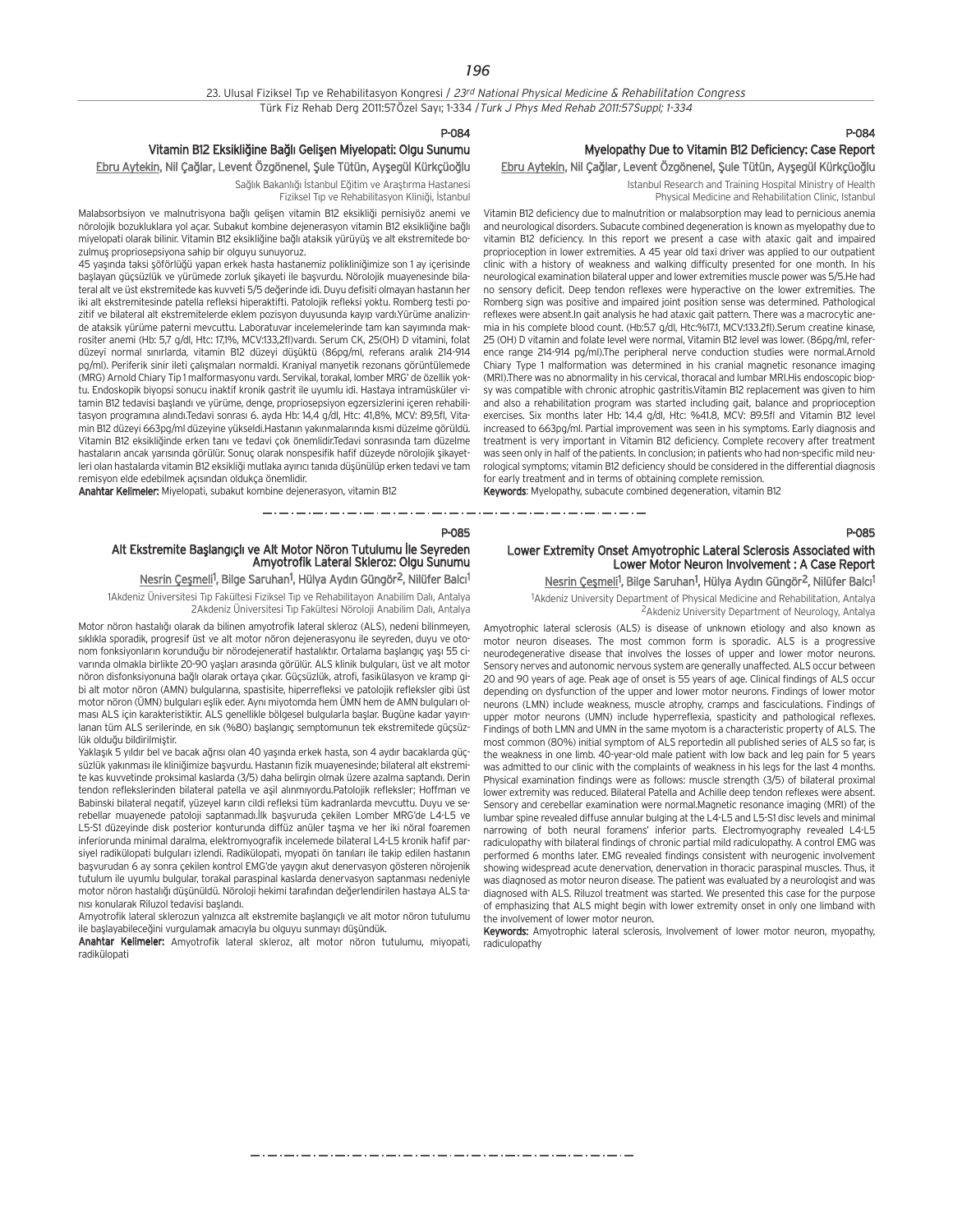#### P-084

## Vitamin B12 Eksikliğine Bağlı Gelişen Miyelopati: Olgu Sunumu

Ebru Aytekin, Nil Çağlar, Levent Özgönenel, Şule Tütün, Ayşegül Kürkçüoğlu

Sağlık Bakanlığı İstanbul Eğitim ve Araştırma Hastanesi Fiziksel Tip ve Rehabilitasyon Kliniği, İstanbul

Malabsorbsiyon ve malnutrisyona bağlı gelişen vitamin B12 eksikliği pernisiyöz anemi ve nörolojik bozukluklara yol açar. Subakut kombine dejenerasyon vitamin B12 eksikliğine bağlı miyelopati olarak bilinir. Vitamin B12 eksikliğine bağlı ataksik yürüyüş ve alt ekstremitede bozulmus propriosepsiyona sahip bir olguyu sunuyoruz.

45 yaşında taksi şöförlüğü yapan erkek hasta hastanemiz polikliniğimize son 1 ay içerisinde başlayan güçsüzlük ve yürümede zorluk sikayeti ile başyurdu. Nörolojik muayenesinde bilateral alt ve üst ekstremitede kas kuvveti 5/5 de¤erinde idi. Duyu defisiti olmayan hastan›n her iki alt ekstremitesinde patella refleksi hiperaktifti. Patolojik refleksi yoktu. Romberg testi pozitif ve bilateral alt ekstremitelerde eklem pozisyon duyusunda kayıp vardı.Yürüme analizinde ataksik yürüme paterni mevcuttu. Laboratuvar incelemelerinde tam kan sayımında makrositer anemi (Hb: 5,7 g/dl, Htc: 17,1%, MCV:133,2fl)vardı. Serum CK, 25(OH) D vitamini, folat düzeyi normal sınırlarda, vitamin B12 düzeyi düşüktü (86pg/ml, referans aralık 214-914 pg/ml). Periferik sinir ileti çalışmaları normaldi. Kraniyal manyetik rezonans görüntülemede (MRG) Arnold Chiary Tip 1 malformasyonu vardı. Servikal, torakal, lomber MRG' de özellik yoktu. Endoskopik biyopsi sonucu inaktif kronik gastrit ile uyumlu idi. Hastaya intramüsküler vitamin B12 tedavisi başlandı ve yürüme, denge, propriosepsiyon egzersizlerini içeren rehabilitasyon programına alındı.Tedavi sonrası 6. ayda Hb: 14,4 g/dl, Htc: 41,8%, MCV: 89,5fl, Vitamin B12 düzeyi 663pg/ml düzeyine yükseldi.Hastanın yakınmalarında kısmi düzelme görüldü. Vitamin B12 eksikliğinde erken tanı ve tedavi çok önemlidir.Tedavi sonrasında tam düzelme hastaların ancak yarısında görülür. Sonuç olarak nonspesifik hafif düzeyde nörolojik sikavetleri olan hastalarda vitamin B12 eksikliği mutlaka ayırıcı tanıda düşünülüp erken tedavi ve tam remisyon elde edebilmek açısından oldukça önemlidir.

Anahtar Kelimeler: Miyelopati, subakut kombine dejenerasyon, vitamin B12

\_\_\_\_\_\_\_\_\_\_\_\_\_\_\_\_\_\_\_\_\_\_\_\_\_\_\_\_\_\_

P-085

## Alt Ekstremite Başlangıçlı ve Alt Motor Nöron Tutulumu İle Seyreden Amyotrofik Lateral Skleroz: Olgu Sunumu

## Nesrin Çeşmeli<sup>1</sup>, Bilge Saruhan<sup>1</sup>, Hülya Aydın Güngör<sup>2</sup>, Nilüfer Balcı<sup>1</sup>

1Akdeniz Üniversitesi Tıp Fakültesi Fiziksel Tıp ve Rehabilitayon Anabilim Dalı, Antalya 2Akdeniz Üniversitesi Tıp Fakültesi Nöroloji Anabilim Dalı, Antalya

Motor nöron hastalığı olarak da bilinen amyotrofik lateral skleroz (ALS), nedeni bilinmeyen, sıklıkla sporadik, progresif üst ve alt motor nöron dejenerasyonu ile seyreden, duyu ve otonom fonksiyonların korunduğu bir nörodejeneratif hastalıktır. Ortalama başlangıç yaşı 55 civarında olmakla birlikte 20-90 yaşları arasında görülür. ALS klinik bulguları, üst ve alt motor nöron disfonksiyonuna bağlı olarak ortaya çıkar. Güçsüzlük, atrofi, fasikülasyon ve kramp gibi alt motor nöron (AMN) bulgularına, spastisite, hiperrefleksi ve patolojik refleksler gibi üst motor nöron (ÜMN) bulguları eşlik eder. Aynı miyotomda hem ÜMN hem de AMN bulguları olması ALS için karakteristiktir. ALS genellikle bölgesel bulgularla başlar. Bugüne kadar yayınlanan tüm ALS serilerinde, en sık (%80) başlangıç semptomunun tek ekstremitede güçsüzlük olduğu bildirilmiştir.

Yaklaşık 5 yıldır bel ve bacak ağrısı olan 40 yaşında erkek hasta, son 4 aydır bacaklarda güçsüzlük yakınması ile kliniğimize başvurdu. Hastanın fizik muayenesinde; bilateral alt ekstremite kas kuvvetinde proksimal kaslarda (3/5) daha belirgin olmak üzere azalma saptandı. Derin tendon reflekslerinden bilateral patella ve aşil alınmıyordu.Patolojik refleksler; Hoffman ve Babinski bilateral negatif, yüzeyel karın cildi refleksi tüm kadranlarda mevcuttu. Duyu ve serebellar muayenede patoloji saptanmadı.İlk başvuruda çekilen Lomber MRG'de L4-L5 ve L5-S1 düzeyinde disk posterior konturunda diffüz anüler taşma ve her iki nöral foaremen inferiorunda minimal daralma, elektromyografik incelemede bilateral L4-L5 kronik hafif parsiyel radikülopati bulguları izlendi. Radikülopati, myopati ön tanıları ile takip edilen hastanın başvurudan 6 ay sonra çekilen kontrol EMG'de yaygın akut denervasyon gösteren nörojenik tutulum ile uyumlu bulgular, torakal paraspinal kaslarda deneryasyon saptanması nedeniyle motor nöron hastalığı düşünüldü. Nöroloji hekimi tarafından değerlendirilen hastaya ALS tanısı konularak Riluzol tedavisi başlandı.

Amyotrofik lateral sklerozun yalnızca alt ekstremite başlangıçlı ve alt motor nöron tutulumu ile baslayabileceğini vurgulamak amacıyla bu olguyu sunmayı düşündük.

Anahtar Kelimeler: Amyotrofik lateral skleroz, alt motor nöron tutulumu, miyopati, radikülopati

## P-084 Myelopathy Due to Vitamin B12 Deficiency: Case Report

P-085

## Ebru Aytekin, Nil Çağlar, Levent Özgönenel, Şule Tütün, Ayşegül Kürkçüoğlu

Istanbul Research and Training Hospital Ministry of Health Physical Medicine and Rehabilitation Clinic, Istanbul

Vitamin B12 deficiency due to malnutrition or malabsorption may lead to pernicious anemia and neurological disorders. Subacute combined degeneration is known as myelopathy due to vitamin B12 deficiency. In this report we present a case with ataxic gait and impaired proprioception in lower extremities. A 45 year old taxi driver was applied to our outpatient clinic with a history of weakness and walking difficulty presented for one month. In his neurological examination bilateral upper and lower extremities muscle power was 5/5.He had no sensory deficit. Deep tendon reflexes were hyperactive on the lower extremities. The Romberg sign was positive and impaired joint position sense was determined. Pathological reflexes were absent.In gait analysis he had ataxic gait pattern. There was a macrocytic anemia in his complete blood count. (Hb:5.7 g/dl, Htc:%17.1, MCV:133.2fl).Serum creatine kinase, 25 (OH) D vitamin and folate level were normal, Vitamin B12 level was lower. (86pg/ml, reference range 214-914 pg/ml).The peripheral nerve conduction studies were normal.Arnold Chiary Type 1 malformation was determined in his cranial magnetic resonance imaging (MRI).There was no abnormality in his cervical, thoracal and lumbar MRI.His endoscopic biopsy was compatible with chronic atrophic gastritis.Vitamin B12 replacement was given to him and also a rehabilitation program was started including gait, balance and proprioception exercises. Six months later Hb: 14.4 g/dl, Htc: %41.8, MCV: 89.5fl and Vitamin B12 level increased to 663pg/ml. Partial improvement was seen in his symptoms. Early diagnosis and treatment is very important in Vitamin B12 deficiency. Complete recovery after treatment was seen only in half of the patients. In conclusion; in patients who had non-specific mild neurological symptoms; vitamin B12 deficiency should be considered in the differential diagnosis for early treatment and in terms of obtaining complete remission.

Keywords: Myelopathy, subacute combined degeneration, vitamin B12

\_ . \_ . \_ . \_ . \_ . \_ . \_ . \_

## Lower Extremity Onset Amyotrophic Lateral Sclerosis Associated with Lower Motor Neuron Involvement : A Case Report

Nesrin Çeşmeli<sup>1</sup>, Bilge Saruhan<sup>1</sup>, Hülya Aydın Güngör<sup>2</sup>, Nilüfer Balcı<sup>1</sup> <sup>1</sup>Akdeniz University Department of Physical Medicine and Rehabilitation, Antalya 2Akdeniz University Department of Neurology, Antalya

Amyotrophic lateral sclerosis (ALS) is disease of unknown etiology and also known as motor neuron diseases. The most common form is sporadic. ALS is a progressive neurodegenerative disease that involves the losses of upper and lower motor neurons. Sensory nerves and autonomic nervous system are generally unaffected. ALS occur between 20 and 90 years of age. Peak age of onset is 55 years of age. Clinical findings of ALS occur depending on dysfunction of the upper and lower motor neurons. Findings of lower motor neurons (LMN) include weakness, muscle atrophy, cramps and fasciculations. Findings of upper motor neurons (UMN) include hyperreflexia, spasticity and pathological reflexes. Findings of both LMN and UMN in the same myotom is a characteristic property of ALS. The most common (80%) initial symptom of ALS reportedin all published series of ALS so far, is the weakness in one limb. 40-year-old male patient with low back and leg pain for 5 years was admitted to our clinic with the complaints of weakness in his legs for the last 4 months. Physical examination findings were as follows: muscle strength (3/5) of bilateral proximal lower extremity was reduced. Bilateral Patella and Achille deep tendon reflexes were absent. Sensory and cerebellar examination were normal.Magnetic resonance imaging (MRI) of the lumbar spine revealed diffuse annular bulging at the L4-L5 and L5-S1 disc levels and minimal narrowing of both neural foramens' inferior parts. Electromyography revealed L4-L5 radiculopathy with bilateral findings of chronic partial mild radiculopathy. A control EMG was performed 6 months later. EMG revealed findings consistent with neurogenic involvement showing widespread acute denervation, denervation in thoracic paraspinal muscles. Thus, it was diagnosed as motor neuron disease. The patient was evaluated by a neurologist and was diagnosed with ALS. Riluzol treatment was started. We presented this case for the purpose of emphasizing that ALS might begin with lower extremity onset in only one limband with the involvement of lower motor neuron.

Keywords: Amyotrophic lateral sclerosis, Involvement of lower motor neuron, myopathy,

## radiculopathy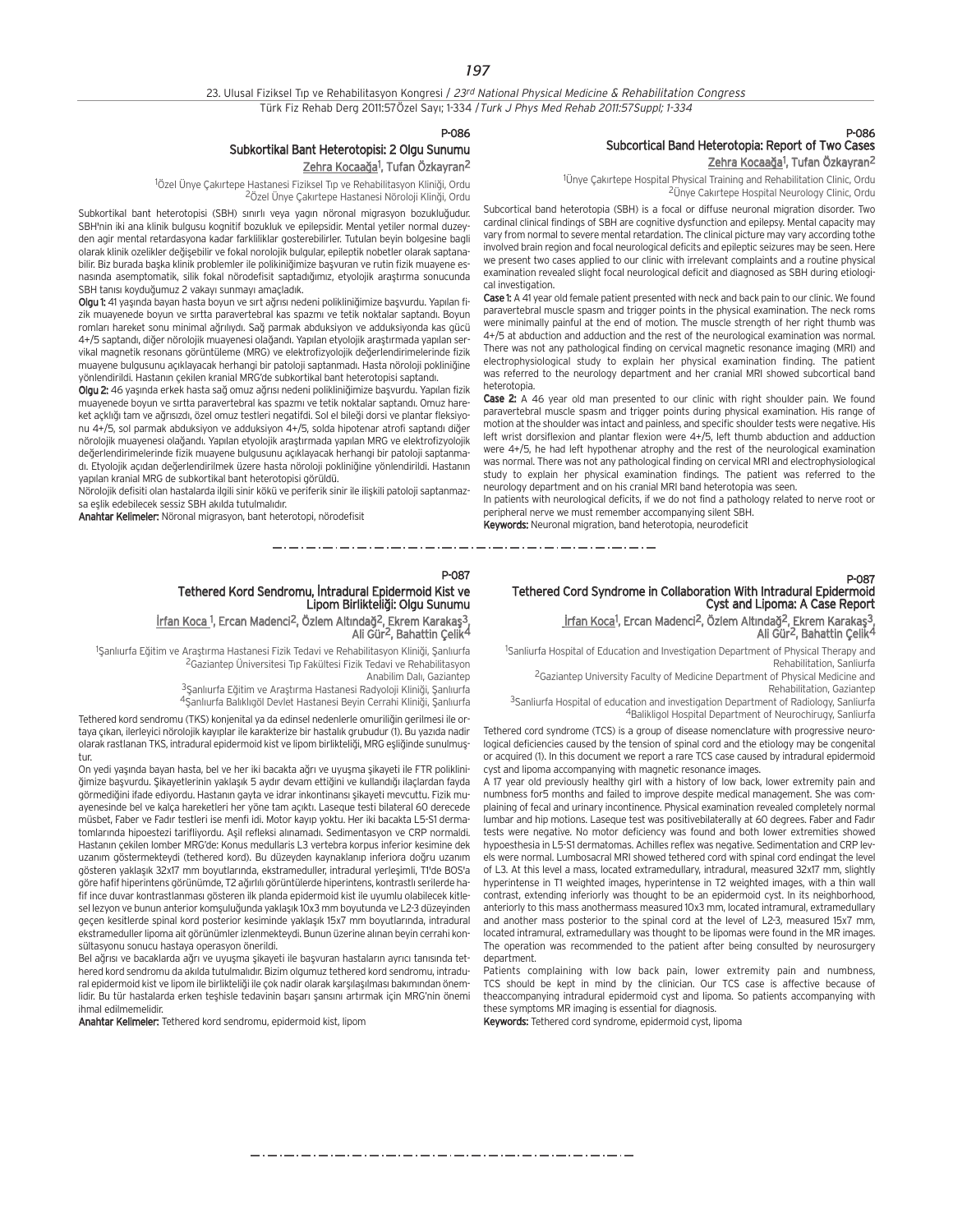#### P-086

## Subkortikal Bant Heterotopisi: 2 Olgu Sunumu <u>Zehra Kocaağa</u><sup>1</sup>, Tufan Özkayran<sup>2</sup>

<sup>1</sup>Özel Ünye Çakırtepe Hastanesi Fiziksel Tıp ve Rehabilitasyon Kliniği, Ordu <sup>2</sup>Özel Ünye Çakırtepe Hastanesi Nöroloji Klinği, Ordu

Subkortikal bant heterotopisi (SBH) sınırlı veya yagın nöronal migrasyon bozukluğudur. SBH'nin iki ana klinik bulgusu kognitif bozukluk ve epilepsidir. Mental yetiler normal duzeyden agir mental retardasyona kadar farkliliklar gosterebilirler. Tutulan beyin bolgesine bagli olarak klinik ozelikler değisebilir ve fokal norolojik bulgular, epileptik nobetler olarak saptanabilir. Biz burada baska klinik problemler ile polikiniğimize başvuran ve rutin fizik muayene esnasında asemptomatik, silik fokal nörodefisit saptadığımız, etyolojik araştırma sonucunda SBH tanısı koyduğumuz 2 vakayı sunmayı amaçladık.

Olgu 1: 41 yaşında bayan hasta boyun ve sırt ağrısı nedeni polikliniğimize başvurdu. Yapılan fizik muayenede boyun ve sırtta paravertebral kas spazmı ve tetik noktalar saptandı. Boyun romları hareket sonu minimal ağrılıydı. Sağ parmak abduksiyon ve adduksiyonda kas gücü 4+/5 saptandı, diğer nörolojik muayenesi olağandı. Yapılan etyolojik araştırmada yapılan servikal magnetik resonans görüntüleme (MRG) ve elektrofizyolojik değerlendirimelerinde fizik muayene bulgusunu açıklayacak herhangi bir patoloji saptanmadı. Hasta nöroloji pokliniğine yönlendirildi. Hastanın çekilen kranial MRG'de subkortikal bant heterotopisi saptandı.

Olgu 2: 46 yaşında erkek hasta sağ omuz ağrısı nedeni polikliniğimize başvurdu. Yapılan fizik muayenede boyun ve sırtta paravertebral kas spazmı ve tetik noktalar saptandı. Omuz hareket açklığı tam ve ağrısızdı, özel omuz testleri negatifdi. Sol el bileği dorsi ve plantar fleksiyonu  $4+/5$ , sol parmak abduksiyon ve adduksiyon  $4+/5$ , solda hipotenar atrofi saptandı diğer nörolojik muayenesi olağandı. Yapılan etyolojik araştırmada yapılan MRG ve elektrofizyolojik değerlendirimelerinde fizik muayene bulgusunu açıklayacak herhangi bir patoloji saptanmadı. Etyolojik açıdan değerlendirilmek üzere hasta nöroloji pokliniğine yönlendirildi. Hastanın yapılan kranial MRG de subkortikal bant heterotopisi görüldü.

Nörolojik defisiti olan hastalarda ilgili sinir kökü ve periferik sinir ile ilişkili patoloji saptanmazsa eşlik edebilecek sessiz SBH akılda tutulmalıdır.

Anahtar Kelimeler: Nöronal migrasyon, bant heterotopi, nörodefisit

## P-086 Subcortical Band Heterotopia: Report of Two Cases <u>Zehra Kocaağa</u><sup>1</sup>, Tufan Özkayran<sup>2</sup>

<sup>1</sup>Ünye Çakırtepe Hospital Physical Training and Rehabilitation Clinic, Ordu <sup>2</sup>Ünye Cakırtepe Hospital Neurology Clinic, Ordu

Subcortical band heterotopia (SBH) is a focal or diffuse neuronal migration disorder. Two cardinal clinical findings of SBH are cognitive dysfunction and epilepsy. Mental capacity may vary from normal to severe mental retardation. The clinical picture may vary according tothe involved brain region and focal neurological deficits and epileptic seizures may be seen. Here we present two cases applied to our clinic with irrelevant complaints and a routine physical examination revealed slight focal neurological deficit and diagnosed as SBH during etiological investigation.

Case 1: A 41 year old female patient presented with neck and back pain to our clinic. We found paravertebral muscle spasm and trigger points in the physical examination. The neck roms were minimally painful at the end of motion. The muscle strength of her right thumb was 4+/5 at abduction and adduction and the rest of the neurological examination was normal. There was not any pathological finding on cervical magnetic resonance imaging (MRI) and electrophysiological study to explain her physical examination finding. The patient was referred to the neurology department and her cranial MRI showed subcortical band heterotopia.

Case 2: A 46 year old man presented to our clinic with right shoulder pain. We found paravertebral muscle spasm and trigger points during physical examination. His range of motion at the shoulder was intact and painless, and specific shoulder tests were negative. His left wrist dorsiflexion and plantar flexion were 4+/5, left thumb abduction and adduction were 4+/5, he had left hypothenar atrophy and the rest of the neurological examination was normal. There was not any pathological finding on cervical MRI and electrophysiological study to explain her physical examination findings. The patient was referred to the neurology department and on his cranial MRI band heterotopia was seen.

In patients with neurological deficits, if we do not find a pathology related to nerve root or peripheral nerve we must remember accompanying silent SBH.

Keywords: Neuronal migration, band heterotopia, neurodeficit

للمراجع والمستردد والمستردد والمسترد

P-087

## P-087

## Tethered Cord Syndrome in Collaboration With Intradural Epidermoid Cyst and Lipoma: A Case Report

<u>İrfan Koca</u>1, Ercan Madenci<sup>2</sup>, Özlem Altındağ<sup>2</sup>, Ekrem Karakaş<sup>3</sup>, Ali Gür<sup>2</sup>, Bahattin Çelik<sup>4</sup>

<sup>1</sup>Sanliurfa Hospital of Education and Investigation Department of Physical Therapy and Rehabilitation, Sanliurfa

2Gaziantep University Faculty of Medicine Department of Physical Medicine and Rehabilitation, Gaziantep

3Sanliurfa Hospital of education and investigation Department of Radiology, Sanliurfa 4Balikligol Hospital Department of Neurochirugy, Sanliurfa

Tethered cord syndrome (TCS) is a group of disease nomenclature with progressive neurological deficiencies caused by the tension of spinal cord and the etiology may be congenital or acquired (1). In this document we report a rare TCS case caused by intradural epidermoid cyst and lipoma accompanying with magnetic resonance images.

A 17 year old previously healthy girl with a history of low back, lower extremity pain and numbness for5 months and failed to improve despite medical management. She was complaining of fecal and urinary incontinence. Physical examination revealed completely normal lumbar and hip motions. Laseque test was positivebilaterally at 60 degrees. Faber and Fad›r tests were negative. No motor deficiency was found and both lower extremities showed hypoesthesia in L5-S1 dermatomas. Achilles reflex was negative. Sedimentation and CRP levels were normal. Lumbosacral MRI showed tethered cord with spinal cord endingat the level of L3. At this level a mass, located extramedullary, intradural, measured 32x17 mm, slightly hyperintense in T1 weighted images, hyperintense in T2 weighted images, with a thin wall contrast, extending inferiorly was thought to be an epidermoid cyst. In its neighborhood, anteriorly to this mass anothermass measured 10x3 mm, located intramural, extramedullary and another mass posterior to the spinal cord at the level of L2-3, measured 15x7 mm, located intramural, extramedullary was thought to be lipomas were found in the MR images. The operation was recommended to the patient after being consulted by neurosurgery department.

Patients complaining with low back pain, lower extremity pain and numbness, TCS should be kept in mind by the clinician. Our TCS case is affective because of theaccompanying intradural epidermoid cyst and lipoma. So patients accompanying with these symptoms MR imaging is essential for diagnosis.

Keywords: Tethered cord syndrome, epidermoid cyst, lipoma

Tethered Kord Sendromu, İntradural Epidermoid Kist ve Lipom Birlikteliği: Olgu Sunumu <u>İrfan Koca 1,</u> Ercan Madenci<sup>2</sup>, Özlem Altındağ<sup>2</sup>, Ekrem Karakaş<sup>3</sup>, Ali Gür2, Bahattin Çelik4

<sup>1</sup>Şanlıurfa Eğitim ve Araştırma Hastanesi Fizik Tedavi ve Rehabilitasyon Kliniği, Şanlıurfa <sup>2</sup>Gaziantep Üniversitesi Tıp Fakültesi Fizik Tedavi ve Rehabilitasyon Anabilim Dalı, Gazianten

<sup>3</sup> Sanlıurfa Eğitim ve Araştırma Hastanesi Radyoloji Kliniği, Sanlıurfa

4Şanlıurfa Balıklıgöl Devlet Hastanesi Beyin Cerrahi Kliniği, Şanlıurfa

Tethered kord sendromu (TKS) konjenital ya da edinsel nedenlerle omuriliğin gerilmesi ile ortaya çıkan, ilerleyici nörolojik kayıplar ile karakterize bir hastalık grubudur (1). Bu yazıda nadir olarak rastlanan TKS, intradural epidermoid kist ve lipom birlikteliği, MRG esliğinde sunulmustur.

On yedi yasında bayan hasta, bel ve her iki bacakta ağrı ve uyuşma sikayeti ile FTR polikliniğimize başvurdu. Şikayetlerinin yaklaşık 5 aydır devam ettiğini ve kullandığı ilaçlardan fayda görmediğini ifade ediyordu. Hastanın gayta ve idrar inkontinansı şikayeti mevcuttu. Fizik muayenesinde bel ve kalça hareketleri her yöne tam açıktı. Laseque testi bilateral 60 derecede müsbet, Faber ve Fadır testleri ise menfi idi. Motor kayıp yoktu. Her iki bacakta L5-S1 dermatomlarında hipoestezi tarifliyordu. Aşil refleksi alınamadı. Sedimentasyon ve CRP normaldi. Hastanın çekilen lomber MRG'de: Konus medullaris L3 vertebra korpus inferior kesimine dek uzanım göstermekteydi (tethered kord). Bu düzeyden kaynaklanıp inferiora doğru uzanım gösteren yaklaşık 32x17 mm boyutlarında, ekstrameduller, intradural yerleşimli, T1'de BOS'a göre hafif hiperintens görünümde, T2 ağırlılı görüntülerde hiperintens, kontrastlı serilerde hafif ince duvar kontrastlanması gösteren ilk planda epidermoid kist ile uyumlu olabilecek kitlesel lezyon ve bunun anterior komsuluğunda yaklaşık 10x3 mm boyutunda ve L2-3 düzeyinden gecen kesitlerde spinal kord posterior kesiminde vaklasık 15x7 mm boyutlarında, intradural ekstrameduller lipoma ait görünümler izlenmekteydi. Bunun üzerine alınan beyin cerrahi konsültasyonu sonucu hastaya operasyon önerildi.

Bel ağrısı ve bacaklarda ağrı ve uyusma sikayeti ile başyuran hastaların ayrıcı tanısında tethered kord sendromu da akılda tutulmalıdır. Bizim olgumuz tethered kord sendromu, intradural epidermoid kist ve lipom ile birlikteliği ile çok nadir olarak karşılaşılması bakımından önemlidir. Bu tür hastalarda erken teşhisle tedavinin başarı şansını artırmak için MRG'nin önemi ihmal edilmemelidir.

Anahtar Kelimeler: Tethered kord sendromu, epidermoid kist, lipom

والمتوارد متوارد متوارد متوارد متوارد متوارد متوارد متوارد متوارد متوارد متوارد متوارد متوارد متوارد متوارد متوارد متوارد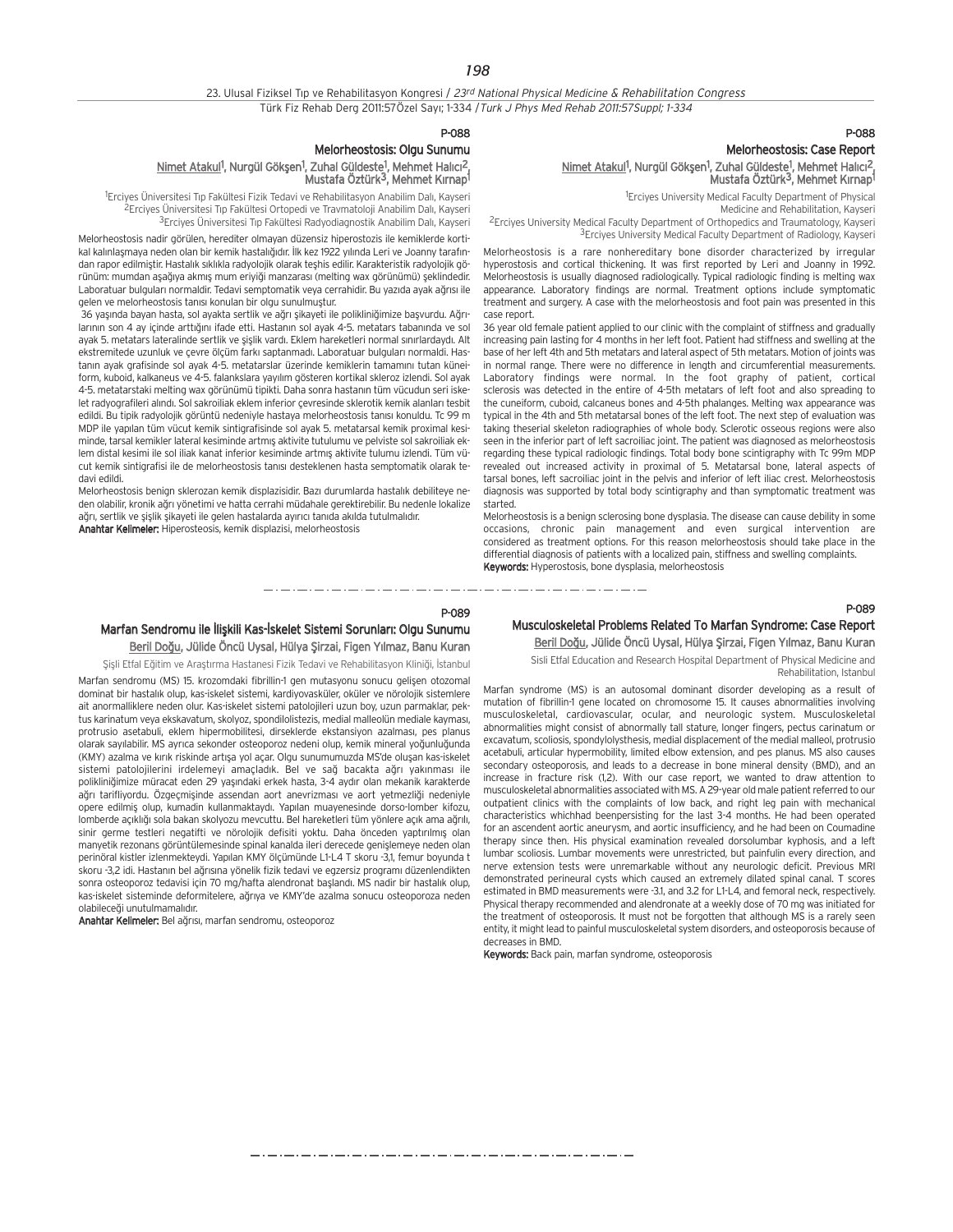## 23. Ulusal Fiziksel Tıp ve Rehabilitasyon Kongresi / 23rd National Physical Medicine & Rehabilitation Congress Türk Fiz Rehab Derg 2011:57Özel Sayı; 1-334 / Turk J Phys Med Rehab 2011:57Suppl; 1-334

#### P-088

## Melorheostosis: Olgu Sunumu

#### Nimet Atakul<sup>1</sup>, Nurgül Gökşen<sup>1</sup>, Zuhal Güldeste<sup>1</sup>, Mehmet Halıcı<sup>2</sup>, Mustafa Öztürk<sup>3</sup>, Mehmet Kırnap<sup>1</sup>

<sup>1</sup>Erciyes Üniversitesi Tıp Fakültesi Fizik Tedavi ve Rehabilitasyon Anabilim Dalı, Kayseri <sup>2</sup>Erciyes Üniversitesi Tıp Fakültesi Ortopedi ve Travmatoloji Anabilim Dalı, Kayseri <sup>3</sup>Erciyes Üniversitesi Tıp Fakültesi Radyodiagnostik Anabilim Dalı, Kayseri

Melorheostosis nadir görülen, herediter olmayan düzensiz hiperostozis ile kemiklerde kortikal kalınlaşmaya neden olan bir kemik hastalığıdır. İlk kez 1922 yılında Leri ve Joanny tarafından rapor edilmiştir. Hastalık sıklıkla radyolojik olarak teşhiş edilir. Karakteristik radyolojik görünüm: mumdan aşağıya akmış mum eriyiği manzarası (melting wax görünümü) seklindedir. Laboratuar bulguları normaldir. Tedavi semptomatik veya cerrahidir. Bu yazıda ayak ağrısı ile gelen ve melorheostosis tanısı konulan bir olgu sunulmuştur.

36 yaşında bayan hasta, sol ayakta sertlik ve ağrı şikayeti ile polikliniğimize başvurdu. Ağrılarının son 4 ay içinde arttığını ifade etti. Hastanın sol ayak 4-5. metatars tabanında ve sol ayak 5. metatars lateralinde sertlik ve şişlik vardı. Eklem hareketleri normal sınırlardaydı. Alt ekstremitede uzunluk ve çevre ölçüm farkı saptanmadı. Laboratuar bulguları normaldi. Hastanın ayak grafisinde sol ayak 4-5. metatarslar üzerinde kemiklerin tamamını tutan küneiform, kuboid, kalkaneus ve 4-5. falankslara yayılım gösteren kortikal skleroz izlendi. Sol ayak 4-5. metatarstaki melting wax görünümü tipikti. Daha sonra hastanın tüm vücudun seri iskelet radyografileri alındı. Sol sakroiliak eklem inferior çevresinde sklerotik kemik alanları tesbit edildi. Bu tipik radyolojik görüntü nedeniyle hastaya melorheostosis tanısı konuldu. Tc 99 m MDP ile yapılan tüm yücut kemik sintigrafisinde sol ayak 5. metatarsal kemik proximal kesiminde, tarsal kemikler lateral kesiminde artmış aktivite tutulumu ve pelviste sol sakroiliak eklem distal kesimi ile sol iliak kanat inferior kesiminde artmış aktivite tulumu izlendi. Tüm vücut kemik sintigrafisi ile de melorheostosis tanısı desteklenen hasta semptomatik olarak tedavi edildi.

Melorheostosis benign sklerozan kemik displazisidir. Bazı durumlarda hastalık debiliteye neden olabilir, kronik ağrı yönetimi ve hatta cerrahi müdahale gerektirebilir. Bu nedenle lokalize ağrı, sertlik ve şişlik şikayeti ile gelen hastalarda ayırıcı tanıda akılda tutulmalıdır. Anahtar Kelimeler: Hiperosteosis, kemik displazisi, melorheostosis

## P-088 Melorheostosis: Case Report Nimet Atakul<sup>1</sup>, Nurgül Gökşen<sup>1</sup>, Zuhal Güldeste<sup>1</sup>, Mehmet Halıcı<sup>2</sup>, Mustafa Öztürk<sup>3</sup>, Mehmet Kırnap<sup>1</sup>

1 Erciyes University Medical Faculty Department of Physical

Medicine and Rehabilitation, Kayseri 2Erciyes University Medical Faculty Department of Orthopedics and Traumatology, Kayseri <sup>3</sup>Erciyes University Medical Faculty Department of Radiology, Kayseri

Melorheostosis is a rare nonhereditary bone disorder characterized by irregular hyperostosis and cortical thickening. It was first reported by Leri and Joanny in 1992. Melorheostosis is usually diagnosed radiologically. Typical radiologic finding is melting wax appearance. Laboratory findings are normal. Treatment options include symptomatic treatment and surgery. A case with the melorheostosis and foot pain was presented in this case report.

36 year old female patient applied to our clinic with the complaint of stiffness and gradually increasing pain lasting for 4 months in her left foot. Patient had stiffness and swelling at the base of her left 4th and 5th metatars and lateral aspect of 5th metatars. Motion of joints was in normal range. There were no difference in length and circumferential measurements. Laboratory findings were normal. In the foot graphy of patient, cortical sclerosis was detected in the entire of 4-5th metatars of left foot and also spreading to the cuneiform, cuboid, calcaneus bones and 4-5th phalanges. Melting wax appearance was typical in the 4th and 5th metatarsal bones of the left foot. The next step of evaluation was taking theserial skeleton radiographies of whole body. Sclerotic osseous regions were also seen in the inferior part of left sacroiliac joint. The patient was diagnosed as melorheostosis regarding these typical radiologic findings. Total body bone scintigraphy with Tc 99m MDP revealed out increased activity in proximal of 5. Metatarsal bone, lateral aspects of tarsal bones, left sacroiliac joint in the pelvis and inferior of left iliac crest. Melorheostosis diagnosis was supported by total body scintigraphy and than symptomatic treatment was started.

Melorheostosis is a benign sclerosing bone dysplasia. The disease can cause debility in some occasions, chronic pain management and even surgical intervention are considered as treatment options. For this reason melorheostosis should take place in the differential diagnosis of patients with a localized pain, stiffness and swelling complaints. Keywords: Hyperostosis, bone dysplasia, melorheostosis

## P-089

مترو متناول متناول متناول متناول متناول متناول متناول متناول متناول متناول متناول متناول متناول متناول متناول متناولات

والمستعمل والمستورة والمستورة المستورة المستورة المستورة المستورة المستورة والمستورة

## Marfan Sendromu ile İlişkili Kas-İskelet Sistemi Sorunları: Olgu Sunumu Beril Doğu, Jülide Öncü Uysal, Hülya Şirzai, Figen Yılmaz, Banu Kuran

Şişli Etfal Eğitim ve Araştırma Hastanesi Fizik Tedavi ve Rehabilitasyon Kliniği, İstanbul

Marfan sendromu (MS) 15. krozomdaki fibrillin-1 gen mutasyonu sonucu gelisen otozomal dominat bir hastalık olup, kas-iskelet sistemi, kardiyovasküler, oküler ve nörolojik sistemlere ait anormalliklere neden olur. Kas-iskelet sistemi patolojileri uzun boy, uzun parmaklar, pektus karinatum veya ekskavatum, skolyoz, spondilolistezis, medial malleolün mediale kayması, protrusio asetabuli, eklem hipermobilitesi, dirseklerde ekstansiyon azalması, pes planus olarak sayılabilir. MS ayrıca sekonder osteoporoz nedeni olup, kemik mineral yoğunluğunda (KMY) azalma ve kırık riskinde artısa yol açar. Olgu sunumumuzda MS'de oluşan kas-iskelet sistemi patolojilerini irdelemeyi amaçladık. Bel ve sağ bacakta ağrı vakınması ile polikliniğimize müracat eden 29 yaşındaki erkek hasta, 3-4 aydır olan mekanik karakterde ağrı tarifliyordu. Özgeçmişinde assendan aort anevrizması ve aort yetmezliği nedeniyle opere edilmiş olup, kumadin kullanmaktaydı. Yapılan muayenesinde dorso-lomber kifozu, lomberde açıklığı sola bakan skolyozu mevcuttu. Bel hareketleri tüm yönlere açık ama ağrılı, sinir germe testleri negatifti ve nörolojik defisiti yoktu. Daha önceden yaptırılmış olan manyetik rezonans görüntülemesinde spinal kanalda ileri derecede genişlemeye neden olan perinöral kistler izlenmekteydi. Yapılan KMY ölçümünde L1-L4 T skoru -3,1, femur boyunda t skoru -3,2 idi. Hastanın bel ağrısına yönelik fizik tedavi ve egzersiz programı düzenlendikten sonra osteoporoz tedavisi için 70 mg/hafta alendronat başlandı. MS nadir bir hastalık olup, kas-iskelet sisteminde deformitelere, ağrıya ve KMY'de azalma sonucu osteoporoza neden olabileceği unutulmamalıdır.

Anahtar Kelimeler: Bel ağrısı, marfan sendromu, osteoporoz

## Musculoskeletal Problems Related To Marfan Syndrome: Case Report Beril Doğu, Jülide Öncü Uysal, Hülya Şirzai, Figen Yılmaz, Banu Kuran

Sisli Etfal Education and Research Hospital Department of Physical Medicine and Rehabilitation, Istanbul

Marfan syndrome (MS) is an autosomal dominant disorder developing as a result of mutation of fibrillin-1 gene located on chromosome 15. It causes abnormalities involving musculoskeletal, cardiovascular, ocular, and neurologic system. Musculoskeletal abnormalities might consist of abnormally tall stature, longer fingers, pectus carinatum or excavatum, scoliosis, spondylolysthesis, medial displacement of the medial malleol, protrusio acetabuli, articular hypermobility, limited elbow extension, and pes planus. MS also causes secondary osteoporosis, and leads to a decrease in bone mineral density (BMD), and an increase in fracture risk (1,2). With our case report, we wanted to draw attention to musculoskeletal abnormalities associated with MS. A 29-year old male patient referred to our outpatient clinics with the complaints of low back, and right leg pain with mechanical characteristics whichhad beenpersisting for the last 3-4 months. He had been operated for an ascendent aortic aneurysm, and aortic insufficiency, and he had been on Coumadine therapy since then. His physical examination revealed dorsolumbar kyphosis, and a left lumbar scoliosis. Lumbar movements were unrestricted, but painfulin every direction, and nerve extension tests were unremarkable without any neurologic deficit. Previous MRI demonstrated perineural cysts which caused an extremely dilated spinal canal. T scores estimated in BMD measurements were -3.1, and 3.2 for L1-L4, and femoral neck, respectively. Physical therapy recommended and alendronate at a weekly dose of 70 mg was initiated for the treatment of osteoporosis. It must not be forgotten that although MS is a rarely seen entity, it might lead to painful musculoskeletal system disorders, and osteoporosis because of decreases in BMD.

Keywords: Back pain, marfan syndrome, osteoporosis

P-089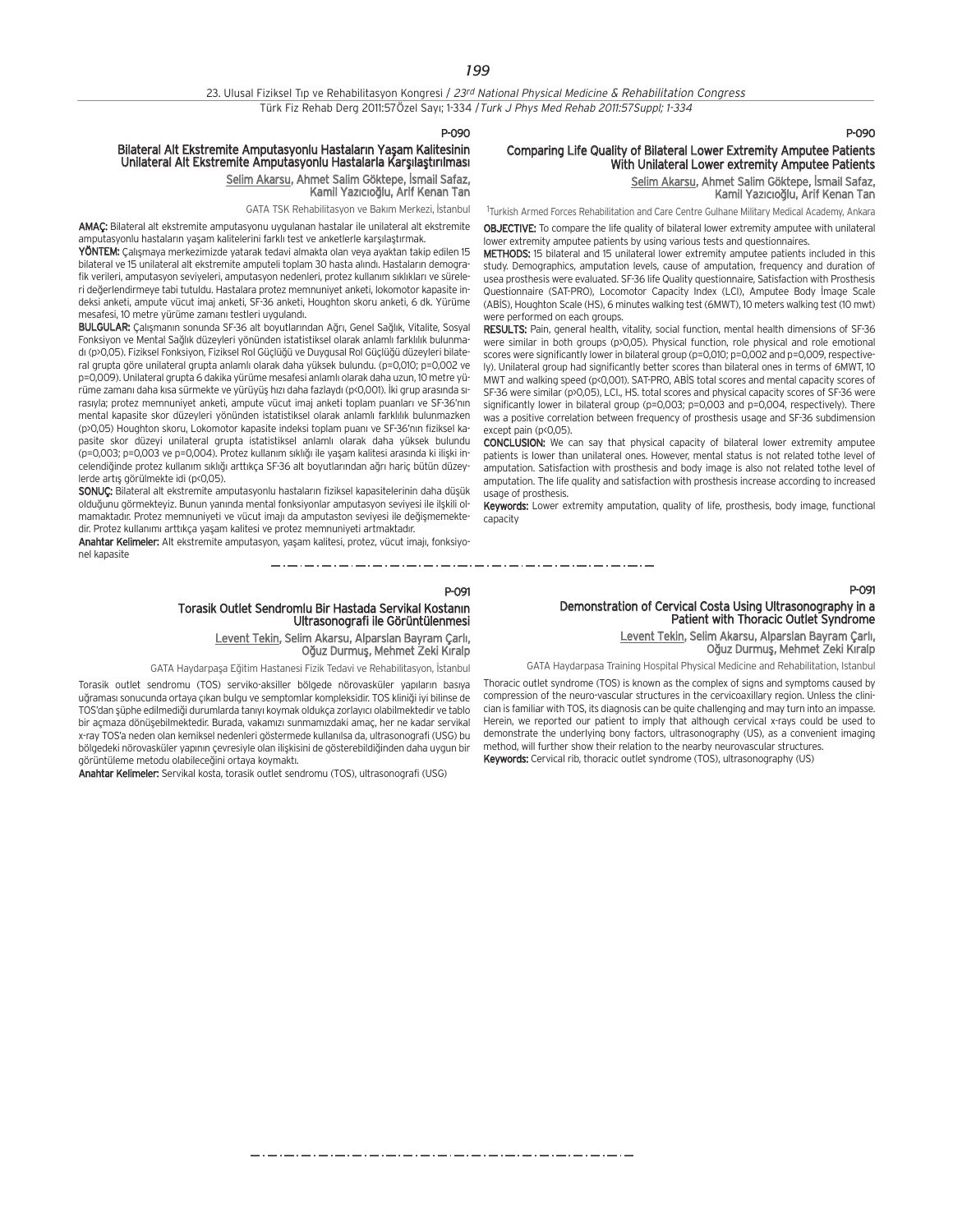#### P-090

## Bilateral Alt Ekstremite Amputasyonlu Hastaların Yaşam Kalitesinin Unilateral Alt Ekstremite Amputasyonlu Hastalarla Karşılaştırılması Selim Akarsu, Ahmet Salim Göktepe, İsmail Safaz, Kamil Yazıcıoğlu, Arif Kenan Tan

GATA TSK Rehabilitasyon ve Bakım Merkezi, İstanbul

AMAÇ: Bilateral alt ekstremite amputasyonu uygulanan hastalar ile unilateral alt ekstremite amputasyonlu hastaların yaşam kalitelerini farklı test ve anketlerle karşılaştırmak.

YÖNTEM: Calismaya merkezimizde yatarak tedavi almakta olan veya ayaktan takip edilen 15 bilateral ve 15 unilateral alt ekstremite amputeli toplam 30 hasta alındı. Hastaların demografik verileri, amputasyon seviyeleri, amputasyon nedenleri, protez kullanım sıklıkları ve süreleri de¤erlendirmeye tabi tutuldu. Hastalara protez memnuniyet anketi, lokomotor kapasite indeksi anketi, ampute vücut imaj anketi, SF-36 anketi, Houghton skoru anketi, 6 dk. Yürüme mesafesi, 10 metre yürüme zamanı testleri uygulandı.

BULGULAR: Çalışmanın sonunda SF-36 alt boyutlarından Ağrı, Genel Sağlık, Vitalite, Sosyal Fonksiyon ve Mental Sağlık düzeyleri yönünden istatistiksel olarak anlamlı farklılık bulunmadı (p>0,05). Fiziksel Fonksiyon, Fiziksel Rol Güçlüğü ve Duygusal Rol Güçlüğü düzeyleri bilateral grupta göre unilateral grupta anlamlı olarak daha yüksek bulundu. (p=0,010; p=0,002 ve p=0,009). Unilateral grupta 6 dakika yürüme mesafesi anlamlı olarak daha uzun, 10 metre yürüme zamanı daha kısa sürmekte ve yürüyüs hızı daha fazlaydı (p<0,001). İki grup arasında sırasıyla; protez memnuniyet anketi, ampute vücut imaj anketi toplam puanları ve SF-36'nın mental kapasite skor düzeyleri yönünden istatistiksel olarak anlamlı farklılık bulunmazken (p>0,05) Houghton skoru, Lokomotor kapasite indeksi toplam puanı ve SF-36'nın fiziksel kapasite skor düzevi unilateral grupta istatistiksel anlamlı olarak daha yüksek bulundu  $($ p=0,003; p=0,003 ve p=0,004). Protez kullanım sıklığı ile yaşam kalitesi arasında ki ilişki incelendiğinde protez kullanım sıklığı arttıkca SF-36 alt boyutlarından ağrı haric bütün düzeylerde artıs görülmekte idi (p<0,05).

SONUC: Bilateral alt ekstremite amputasyonlu hastaların fiziksel kapasitelerinin daha düşük olduğunu görmekteyiz. Bunun yanında mental fonksiyonlar amputasyon seviyesi ile ilşkili olmamaktadır. Protez memnuniyeti ve vücut imajı da amputaston seviyesi ile değişmemektedir. Protez kullanımı arttıkça yaşam kalitesi ve protez memnuniyeti artmaktadır.

Anahtar Kelimeler: Alt ekstremite amputasyon, yaşam kalitesi, protez, vücut imajı, fonksiyonel kapasite 

## P-091 Torasik Outlet Sendromlu Bir Hastada Servikal Kostanın<br>Ultrasonografi ile Görüntülenmesi

Levent Tekin, Selim Akarsu, Alparslan Bayram Çarl›, Oğuz Durmuş, Mehmet Zeki Kıralp

GATA Haydarpaşa Eğitim Hastanesi Fizik Tedavi ve Rehabilitasyon, İstanbul

Torasik outlet sendromu (TOS) serviko-aksiller bölgede nörovasküler yapıların basıya uğraması sonucunda ortaya çıkan bulgu ve semptomlar kompleksidir. TOS kliniği iyi bilinse de TOS'dan şüphe edilmediği durumlarda tanıyı koymak oldukça zorlayıcı olabilmektedir ve tablo bir açmaza dönüşebilmektedir. Burada, vakamızı sunmamızdaki amaç, her ne kadar servikal x-ray TOS'a neden olan kemiksel nedenleri göstermede kullanılsa da, ultrasonografi (USG) bu bölgedeki nörovasküler yapının çevresiyle olan ilişkisini de gösterebildiğinden daha uygun bir görüntüleme metodu olabileceğini ortaya koymaktı.

Anahtar Kelimeler: Servikal kosta, torasik outlet sendromu (TOS), ultrasonografi (USG)

## P-090

P-091

## Comparing Life Quality of Bilateral Lower Extremity Amputee Patients With Unilateral Lower extremity Amputee Patients

Selim Akarsu, Ahmet Salim Göktepe, İsmail Safaz, Kamil Yazıcıoğlu, Arif Kenan Tan

1 Turkish Armed Forces Rehabilitation and Care Centre Gulhane Military Medical Academy, Ankara

OBJECTIVE: To compare the life quality of bilateral lower extremity amputee with unilateral lower extremity amputee patients by using various tests and questionnaires.

METHODS: 15 bilateral and 15 unilateral lower extremity amputee patients included in this study. Demographics, amputation levels, cause of amputation, frequency and duration of usea prosthesis were evaluated. SF-36 life Quality questionnaire, Satisfaction with Prosthesis Questionnaire (SAT-PRO), Locomotor Capacity Index (LCI), Amputee Body İmage Scale (ABİS), Houghton Scale (HS), 6 minutes walking test (6MWT), 10 meters walking test (10 mwt) were performed on each groups.

RESULTS: Pain, general health, vitality, social function, mental health dimensions of SF-36 were similar in both groups (p>0,05). Physical function, role physical and role emotional scores were significantly lower in bilateral group (p=0,010; p=0,002 and p=0,009, respectively). Unilateral group had significantly better scores than bilateral ones in terms of 6MWT, 10 MWT and walking speed (p<0,001). SAT-PRO, ABİS total scores and mental capacity scores of SF-36 were similar (p>0,05), LCI., HS. total scores and physical capacity scores of SF-36 were significantly lower in bilateral group (p=0,003; p=0,003 and p=0,004, respectively). There was a positive correlation between frequency of prosthesis usage and SF-36 subdimension except pain (p<0,05).

CONCLUSION: We can say that physical capacity of bilateral lower extremity amputee patients is lower than unilateral ones. However, mental status is not related tothe level of amputation. Satisfaction with prosthesis and body image is also not related tothe level of amputation. The life quality and satisfaction with prosthesis increase according to increased usage of prosthesis.

Keywords: Lower extremity amputation, quality of life, prosthesis, body image, functional capacity

## Demonstration of Cervical Costa Using Ultrasonography in a Patient with Thoracic Outlet Syndrome Levent Tekin, Selim Akarsu, Alparslan Bayram Çarl›,

Oğuz Durmuş, Mehmet Zeki Kıralp

GATA Haydarpasa Training Hospital Physical Medicine and Rehabilitation, Istanbul

Thoracic outlet syndrome (TOS) is known as the complex of signs and symptoms caused by compression of the neuro-vascular structures in the cervicoaxillary region. Unless the clinician is familiar with TOS, its diagnosis can be quite challenging and may turn into an impasse. Herein, we reported our patient to imply that although cervical x-rays could be used to demonstrate the underlying bony factors, ultrasonography (US), as a convenient imaging method, will further show their relation to the nearby neurovascular structures. Keywords: Cervical rib, thoracic outlet syndrome (TOS), ultrasonography (US)

مترو متوارد متوارد متوارد متوارد متوارد متوارد متوارد متوارد متوارد متوارد متوارد متوارد متوارد متوارد متوارد متوارد متوارد